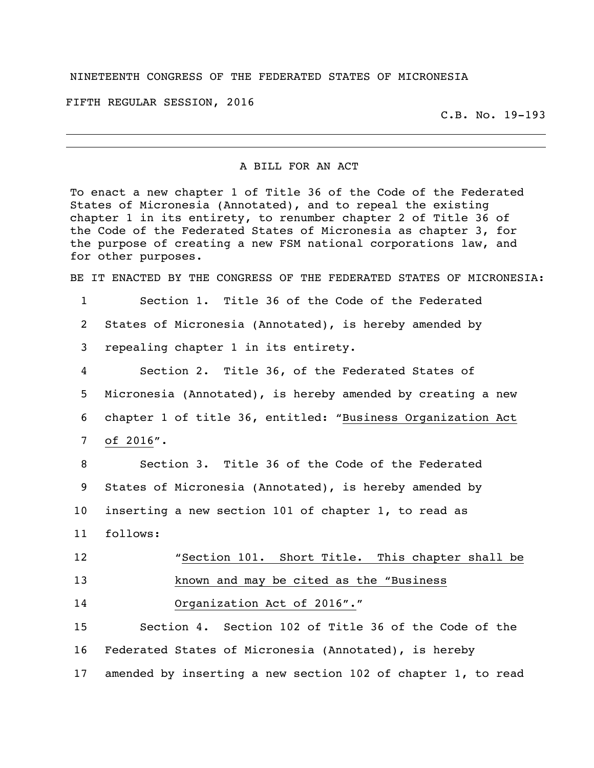## NINETEENTH CONGRESS OF THE FEDERATED STATES OF MICRONESIA

FIFTH REGULAR SESSION, 2016

C.B. No. 19-193

## A BILL FOR AN ACT

To enact a new chapter 1 of Title 36 of the Code of the Federated States of Micronesia (Annotated), and to repeal the existing chapter 1 in its entirety, to renumber chapter 2 of Title 36 of the Code of the Federated States of Micronesia as chapter 3, for the purpose of creating a new FSM national corporations law, and for other purposes.

BE IT ENACTED BY THE CONGRESS OF THE FEDERATED STATES OF MICRONESIA:

Section 1. Title 36 of the Code of the Federated

States of Micronesia (Annotated), is hereby amended by

repealing chapter 1 in its entirety.

 Section 2. Title 36, of the Federated States of Micronesia (Annotated), is hereby amended by creating a new chapter 1 of title 36, entitled: "Business Organization Act of 2016".

 Section 3. Title 36 of the Code of the Federated States of Micronesia (Annotated), is hereby amended by inserting a new section 101 of chapter 1, to read as follows:

| 12 | "Section 101. Short Title. This chapter shall be |
|----|--------------------------------------------------|
| 13 | known and may be cited as the "Business          |
| 14 | Organization Act of 2016"."                      |

 Section 4. Section 102 of Title 36 of the Code of the Federated States of Micronesia (Annotated), is hereby amended by inserting a new section 102 of chapter 1, to read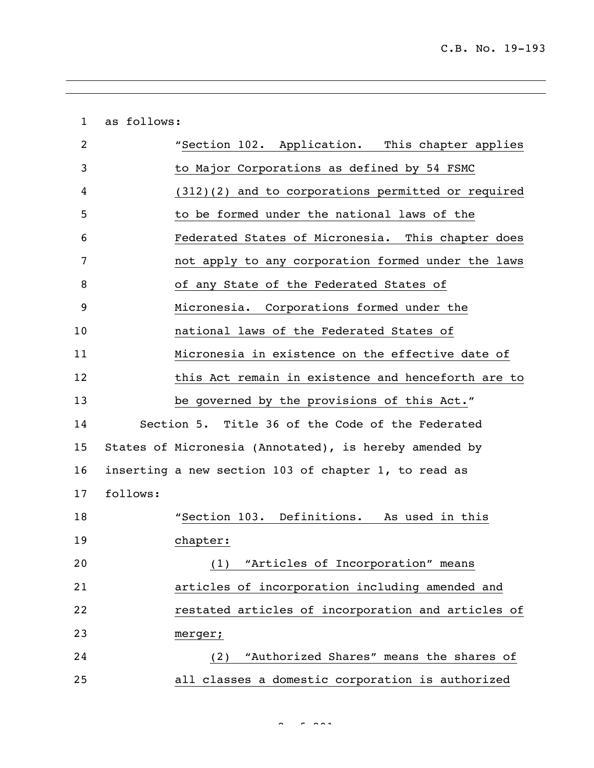as follows: "Section 102. Application. This chapter applies to Major Corporations as defined by 54 FSMC (312)(2) and to corporations permitted or required to be formed under the national laws of the Federated States of Micronesia. This chapter does not apply to any corporation formed under the laws of any State of the Federated States of Micronesia. Corporations formed under the national laws of the Federated States of Micronesia in existence on the effective date of 12 this Act remain in existence and henceforth are to be governed by the provisions of this Act." Section 5. Title 36 of the Code of the Federated States of Micronesia (Annotated), is hereby amended by inserting a new section 103 of chapter 1, to read as follows: "Section 103. Definitions. As used in this chapter: (1) "Articles of Incorporation" means articles of incorporation including amended and restated articles of incorporation and articles of merger; (2) "Authorized Shares" means the shares of all classes a domestic corporation is authorized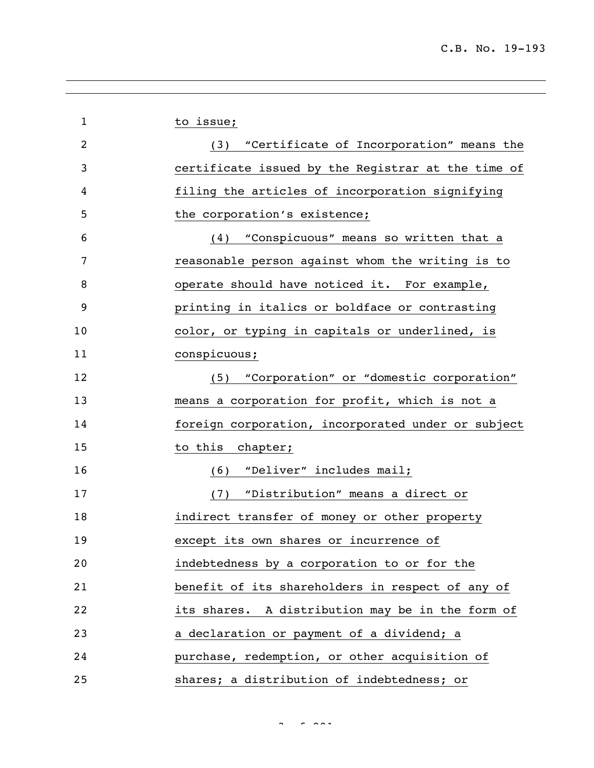| $\mathbf 1$    | to issue;                                          |
|----------------|----------------------------------------------------|
| $\overline{2}$ | (3) "Certificate of Incorporation" means the       |
| 3              | certificate issued by the Registrar at the time of |
| 4              | filing the articles of incorporation signifying    |
| 5              | the corporation's existence;                       |
| 6              | "Conspicuous" means so written that a<br>(4)       |
| 7              | reasonable person against whom the writing is to   |
| 8              | operate should have noticed it. For example,       |
| 9              | printing in italics or boldface or contrasting     |
| 10             | color, or typing in capitals or underlined, is     |
| 11             | conspicuous;                                       |
| 12             | (5) "Corporation" or "domestic corporation"        |
| 13             | means a corporation for profit, which is not a     |
| 14             | foreign corporation, incorporated under or subject |
| 15             | to this<br>chapter;                                |
| 16             | "Deliver" includes mail;<br>(6)                    |
| 17             | "Distribution" means a direct or<br>(7)            |
| 18             | indirect transfer of money or other property       |
| 19             | except its own shares or incurrence of             |
| 20             | indebtedness by a corporation to or for the        |
| 21             | benefit of its shareholders in respect of any of   |
| 22             | its shares. A distribution may be in the form of   |
| 23             | a declaration or payment of a dividend; a          |
| 24             | purchase, redemption, or other acquisition of      |
| 25             | shares; a distribution of indebtedness; or         |

 $3<sup>2</sup>$  of 291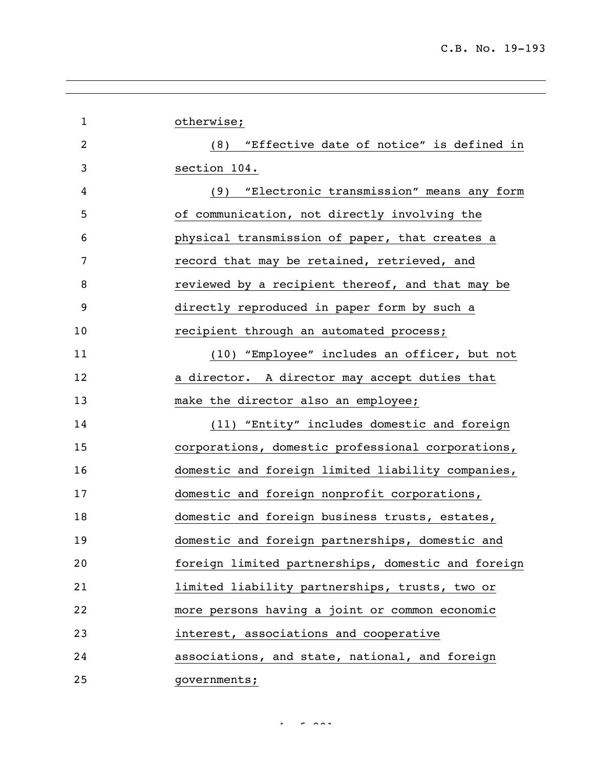| $\mathbf{1}$   | otherwise;                                         |
|----------------|----------------------------------------------------|
| $\overline{2}$ | (8) "Effective date of notice" is defined in       |
| 3              | section 104.                                       |
| 4              | "Electronic transmission" means any form<br>(9)    |
| 5              | of communication, not directly involving the       |
| 6              | physical transmission of paper, that creates a     |
| 7              | record that may be retained, retrieved, and        |
| 8              | reviewed by a recipient thereof, and that may be   |
| 9              | directly reproduced in paper form by such a        |
| 10             | recipient through an automated process;            |
| 11             | (10) "Employee" includes an officer, but not       |
| 12             | a director. A director may accept duties that      |
| 13             | make the director also an employee;                |
| 14             | (11) "Entity" includes domestic and foreign        |
| 15             | corporations, domestic professional corporations,  |
| 16             | domestic and foreign limited liability companies,  |
| 17             | domestic and foreign nonprofit corporations,       |
| 18             | domestic and foreign business trusts, estates,     |
| 19             | domestic and foreign partnerships, domestic and    |
| 20             | foreign limited partnerships, domestic and foreign |
| 21             | limited liability partnerships, trusts, two or     |
| 22             | more persons having a joint or common economic     |
| 23             | interest, associations and cooperative             |
| 24             | associations, and state, national, and foreign     |
| 25             | governments;                                       |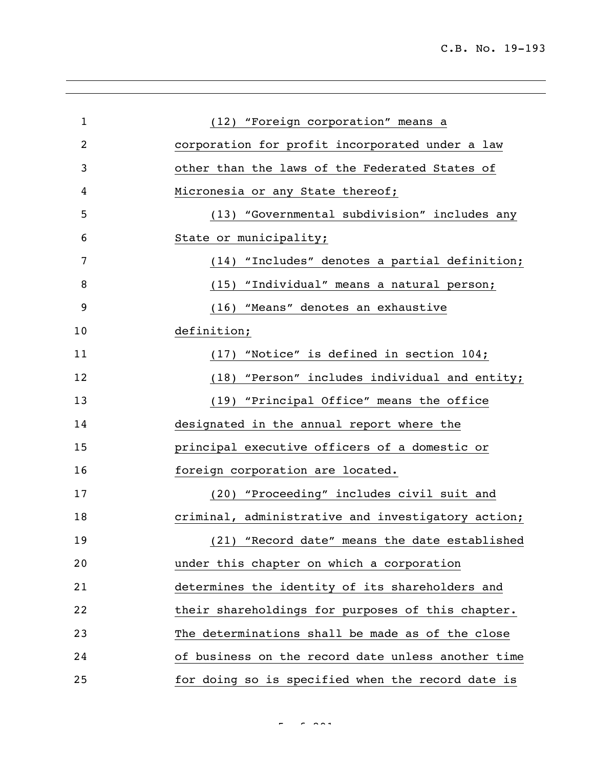| $\mathbf 1$ | (12) "Foreign corporation" means a                 |
|-------------|----------------------------------------------------|
| 2           | corporation for profit incorporated under a law    |
| 3           | other than the laws of the Federated States of     |
| 4           | Micronesia or any State thereof;                   |
| 5           | (13) "Governmental subdivision" includes any       |
| 6           | State or municipality;                             |
| 7           | (14) "Includes" denotes a partial definition;      |
| 8           | (15) "Individual" means a natural person;          |
| 9           | (16) "Means" denotes an exhaustive                 |
| 10          | definition;                                        |
| 11          | (17) "Notice" is defined in section 104;           |
| 12          | (18) "Person" includes individual and entity;      |
| 13          | (19) "Principal Office" means the office           |
| 14          | designated in the annual report where the          |
| 15          | principal executive officers of a domestic or      |
| 16          | foreign corporation are located.                   |
| 17          | (20) "Proceeding" includes civil suit and          |
| 18          | criminal, administrative and investigatory action; |
| 19          | (21) "Record date" means the date established      |
| 20          | under this chapter on which a corporation          |
| 21          | determines the identity of its shareholders and    |
| 22          | their shareholdings for purposes of this chapter.  |
| 23          | The determinations shall be made as of the close   |
| 24          | of business on the record date unless another time |
| 25          | for doing so is specified when the record date is  |

 $\sim$   $\sim$   $\sim$   $\sim$   $\sim$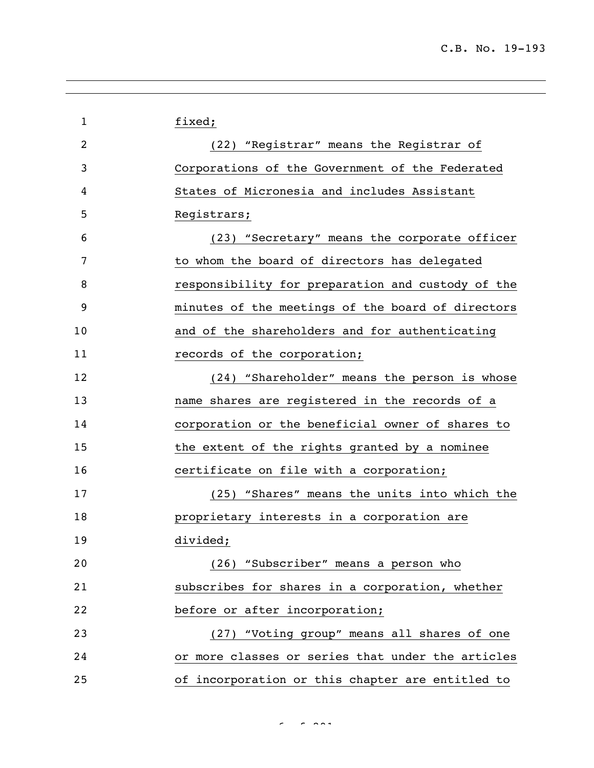| $\mathbf 1$ | fixed;                                            |
|-------------|---------------------------------------------------|
|             |                                                   |
| 2           | (22) "Registrar" means the Registrar of           |
| 3           | Corporations of the Government of the Federated   |
| 4           | States of Micronesia and includes Assistant       |
| 5           | Registrars;                                       |
| 6           | (23) "Secretary" means the corporate officer      |
| 7           | to whom the board of directors has delegated      |
| 8           | responsibility for preparation and custody of the |
| 9           | minutes of the meetings of the board of directors |
| 10          | and of the shareholders and for authenticating    |
| 11          | records of the corporation;                       |
| 12          | (24) "Shareholder" means the person is whose      |
| 13          | name shares are registered in the records of a    |
| 14          | corporation or the beneficial owner of shares to  |
| 15          | the extent of the rights granted by a nominee     |
| 16          | certificate on file with a corporation;           |
| 17          | (25) "Shares" means the units into which the      |
| 18          | proprietary interests in a corporation are        |
| 19          | divided;                                          |
| 20          | (26) "Subscriber" means a person who              |
| 21          | subscribes for shares in a corporation, whether   |
| 22          | before or after incorporation;                    |
| 23          | (27) "Voting group" means all shares of one       |
| 24          | or more classes or series that under the articles |
| 25          | of incorporation or this chapter are entitled to  |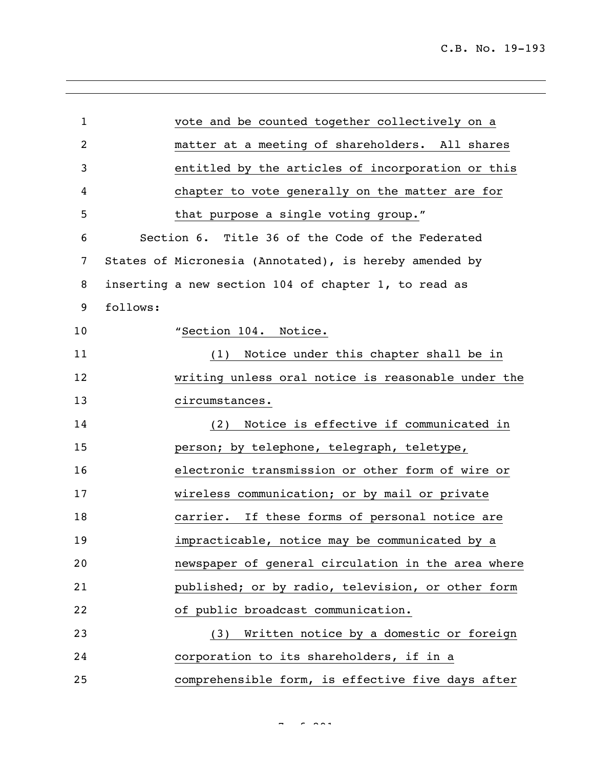| $\mathbf{1}$   | vote and be counted together collectively on a         |
|----------------|--------------------------------------------------------|
|                |                                                        |
| $\overline{2}$ | matter at a meeting of shareholders. All shares        |
| 3              | entitled by the articles of incorporation or this      |
| 4              | chapter to vote generally on the matter are for        |
| 5              | that purpose a single voting group."                   |
| 6              | Section 6. Title 36 of the Code of the Federated       |
| 7              | States of Micronesia (Annotated), is hereby amended by |
| 8              | inserting a new section 104 of chapter 1, to read as   |
| 9              | follows:                                               |
| 10             | "Section 104. Notice.                                  |
| 11             | (1) Notice under this chapter shall be in              |
| 12             | writing unless oral notice is reasonable under the     |
| 13             | circumstances.                                         |
| 14             | (2) Notice is effective if communicated in             |
| 15             | person; by telephone, telegraph, teletype,             |
| 16             | electronic transmission or other form of wire or       |
| 17             | wireless communication; or by mail or private          |
| 18             | carrier. If these forms of personal notice are         |
| 19             | impracticable, notice may be communicated by a         |
| 20             | newspaper of general circulation in the area where     |
| 21             | published; or by radio, television, or other form      |
| 22             | of public broadcast communication.                     |
| 23             | (3) Written notice by a domestic or foreign            |
| 24             | corporation to its shareholders, if in a               |
| 25             | comprehensible form, is effective five days after      |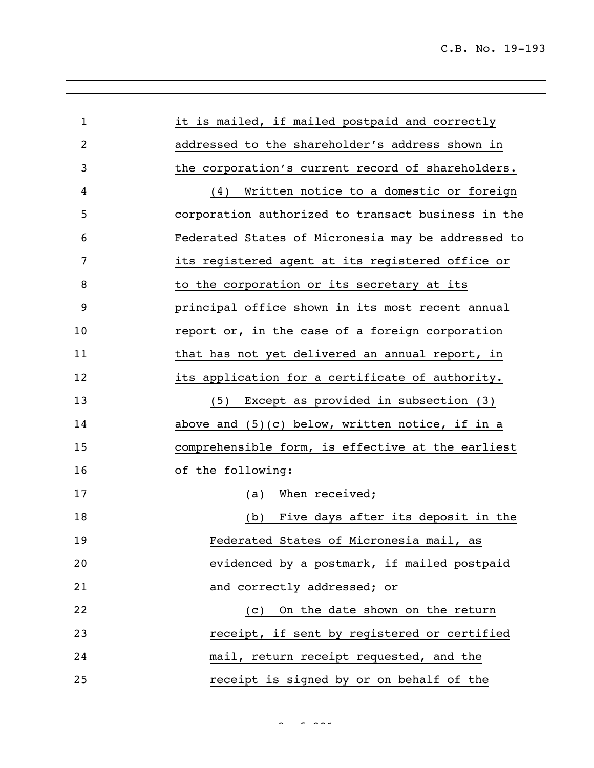| $\mathbf{1}$ | it is mailed, if mailed postpaid and correctly     |
|--------------|----------------------------------------------------|
| 2            | addressed to the shareholder's address shown in    |
| 3            | the corporation's current record of shareholders.  |
| 4            | (4) Written notice to a domestic or foreign        |
| 5            | corporation authorized to transact business in the |
| 6            | Federated States of Micronesia may be addressed to |
| 7            | its registered agent at its registered office or   |
| 8            | to the corporation or its secretary at its         |
| 9            | principal office shown in its most recent annual   |
| 10           | report or, in the case of a foreign corporation    |
| 11           | that has not yet delivered an annual report, in    |
| 12           | its application for a certificate of authority.    |
| 13           | (5) Except as provided in subsection (3)           |
| 14           | above and $(5)(c)$ below, written notice, if in a  |
| 15           | comprehensible form, is effective at the earliest  |
| 16           | of the following:                                  |
| 17           | When received;<br>(a)                              |
| 18           | Five days after its deposit in the<br>(b)          |
| 19           | Federated States of Micronesia mail, as            |
| 20           | evidenced by a postmark, if mailed postpaid        |
| 21           | and correctly addressed; or                        |
| 22           | On the date shown on the return<br>(C)             |
| 23           | receipt, if sent by registered or certified        |
| 24           | mail, return receipt requested, and the            |
| 25           | receipt is signed by or on behalf of the           |

 $8<sup>2</sup>$  of 291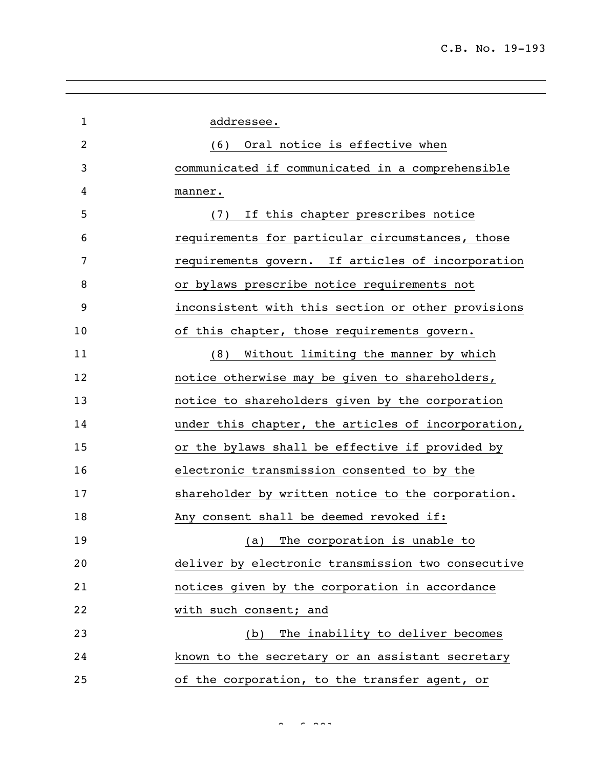| $\mathbf{1}$ | addressee.                                         |
|--------------|----------------------------------------------------|
| 2            | (6) Oral notice is effective when                  |
| 3            | communicated if communicated in a comprehensible   |
| 4            | manner.                                            |
| 5            | (7) If this chapter prescribes notice              |
| 6            | requirements for particular circumstances, those   |
| 7            | requirements govern. If articles of incorporation  |
| 8            | or bylaws prescribe notice requirements not        |
| 9            | inconsistent with this section or other provisions |
| 10           | of this chapter, those requirements govern.        |
| 11           | (8) Without limiting the manner by which           |
| 12           | notice otherwise may be given to shareholders,     |
| 13           | notice to shareholders given by the corporation    |
| 14           | under this chapter, the articles of incorporation, |
| 15           | or the bylaws shall be effective if provided by    |
| 16           | electronic transmission consented to by the        |
| 17           | shareholder by written notice to the corporation.  |
| 18           | Any consent shall be deemed revoked if:            |
| 19           | (a) The corporation is unable to                   |
| 20           | deliver by electronic transmission two consecutive |
| 21           | notices given by the corporation in accordance     |
| 22           | with such consent; and                             |
| 23           | The inability to deliver becomes<br>(b)            |
| 24           | known to the secretary or an assistant secretary   |
| 25           | of the corporation, to the transfer agent, or      |
|              |                                                    |

 $9 \times 2919$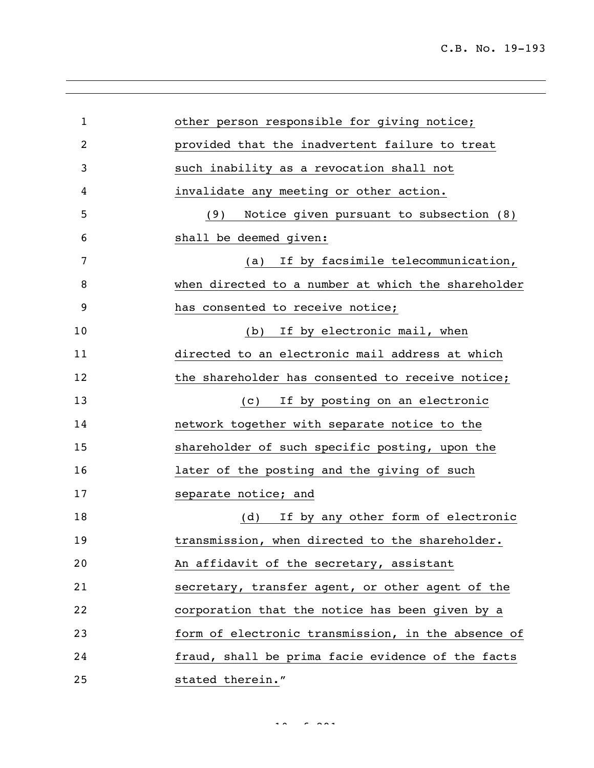| $\mathbf{1}$ | other person responsible for giving notice;        |
|--------------|----------------------------------------------------|
| 2            | provided that the inadvertent failure to treat     |
| 3            | such inability as a revocation shall not           |
| 4            | invalidate any meeting or other action.            |
| 5            | Notice given pursuant to subsection (8)<br>(9)     |
| 6            | shall be deemed given:                             |
| 7            | If by facsimile telecommunication,<br>(a)          |
| 8            | when directed to a number at which the shareholder |
| 9            | has consented to receive notice;                   |
| 10           | If by electronic mail, when<br>(b)                 |
| 11           | directed to an electronic mail address at which    |
| 12           | the shareholder has consented to receive notice;   |
| 13           | If by posting on an electronic<br>(C)              |
| 14           | network together with separate notice to the       |
| 15           | shareholder of such specific posting, upon the     |
| 16           | later of the posting and the giving of such        |
| 17           | separate notice; and                               |
| 18           | If by any other form of electronic<br>(d)          |
| 19           | transmission, when directed to the shareholder.    |
| 20           | An affidavit of the secretary, assistant           |
| 21           | secretary, transfer agent, or other agent of the   |
| 22           | corporation that the notice has been given by a    |
| 23           | form of electronic transmission, in the absence of |
| 24           | fraud, shall be prima facie evidence of the facts  |
| 25           | stated therein."                                   |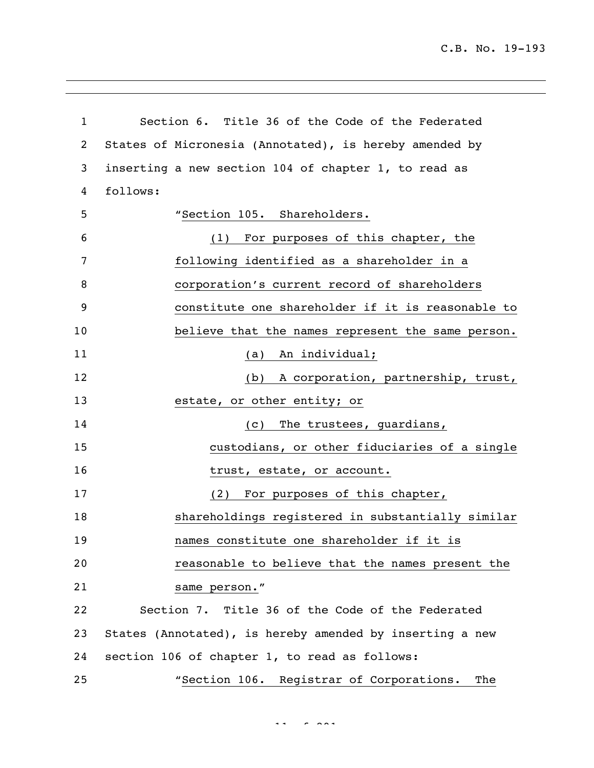C.B. No. 19-193

| $\mathbf{1}$ | Section 6. Title 36 of the Code of the Federated         |
|--------------|----------------------------------------------------------|
| 2            | States of Micronesia (Annotated), is hereby amended by   |
| 3            | inserting a new section 104 of chapter 1, to read as     |
| 4            | follows:                                                 |
| 5            | "Section 105. Shareholders.                              |
| 6            | For purposes of this chapter, the<br>(1)                 |
| 7            | following identified as a shareholder in a               |
| 8            | corporation's current record of shareholders             |
| 9            | constitute one shareholder if it is reasonable to        |
| 10           | believe that the names represent the same person.        |
| 11           | An individual;<br>(a)                                    |
| 12           | (b) A corporation, partnership, trust,                   |
| 13           | estate, or other entity; or                              |
| 14           | The trustees, guardians,<br>(c)                          |
| 15           | custodians, or other fiduciaries of a single             |
| 16           | trust, estate, or account.                               |
| 17           | For purposes of this chapter,<br>(2)                     |
| 18           | shareholdings registered in substantially similar        |
| 19           | names constitute one shareholder if it is                |
| 20           | reasonable to believe that the names present the         |
| 21           | same person."                                            |
| 22           | Section 7. Title 36 of the Code of the Federated         |
| 23           | States (Annotated), is hereby amended by inserting a new |
| 24           | section 106 of chapter 1, to read as follows:            |
| 25           | "Section 106. Registrar of Corporations.<br>The          |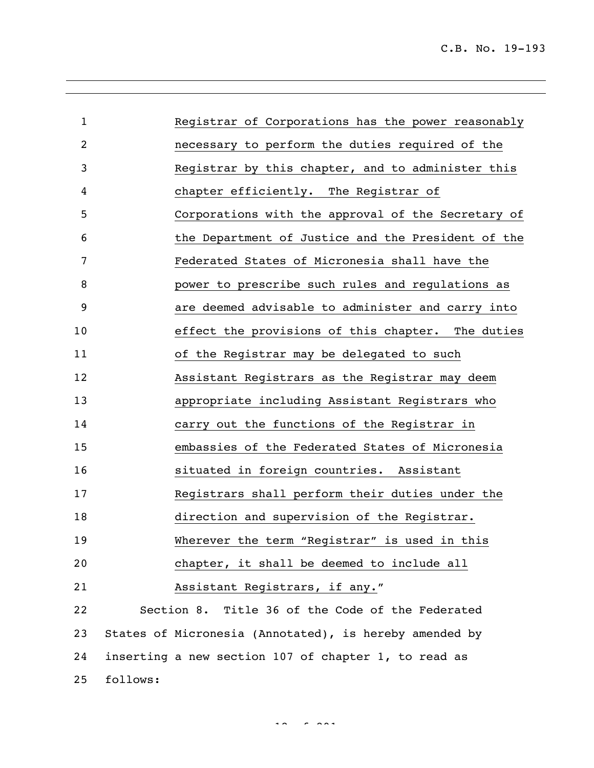| $\mathbf{1}$ |          | Registrar of Corporations has the power reasonably     |
|--------------|----------|--------------------------------------------------------|
| 2            |          | necessary to perform the duties required of the        |
| 3            |          | Registrar by this chapter, and to administer this      |
| 4            |          | chapter efficiently. The Registrar of                  |
| 5            |          | Corporations with the approval of the Secretary of     |
| 6            |          | the Department of Justice and the President of the     |
| 7            |          | Federated States of Micronesia shall have the          |
| 8            |          | power to prescribe such rules and regulations as       |
| 9            |          | are deemed advisable to administer and carry into      |
| 10           |          | effect the provisions of this chapter. The duties      |
| 11           |          | of the Registrar may be delegated to such              |
| 12           |          | Assistant Registrars as the Registrar may deem         |
| 13           |          | appropriate including Assistant Registrars who         |
| 14           |          | carry out the functions of the Registrar in            |
| 15           |          | embassies of the Federated States of Micronesia        |
| 16           |          | situated in foreign countries. Assistant               |
| 17           |          | Registrars shall perform their duties under the        |
| 18           |          | direction and supervision of the Registrar.            |
| 19           |          | Wherever the term "Registrar" is used in this          |
| 20           |          | chapter, it shall be deemed to include all             |
| 21           |          | Assistant Registrars, if any."                         |
| 22           |          | Section 8. Title 36 of the Code of the Federated       |
| 23           |          | States of Micronesia (Annotated), is hereby amended by |
| 24           |          | inserting a new section 107 of chapter 1, to read as   |
| 25           | follows: |                                                        |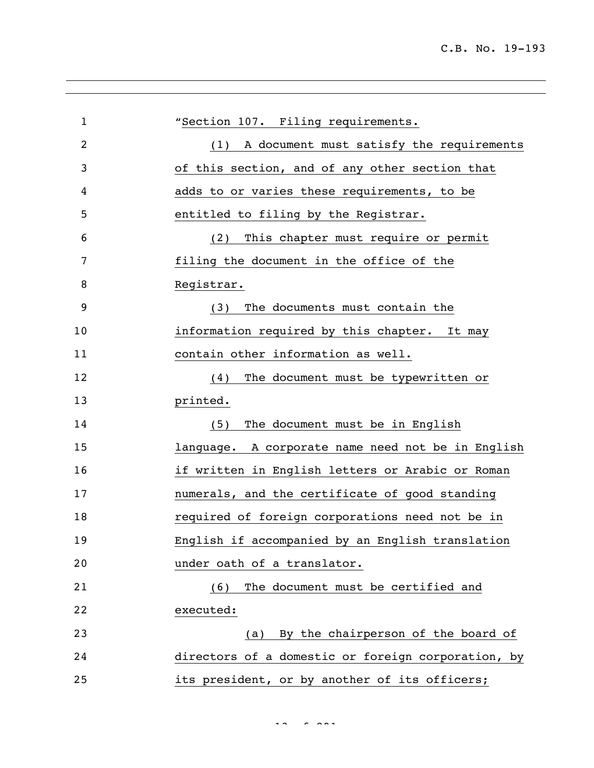| $\mathbf{1}$   | "Section 107. Filing requirements.                 |
|----------------|----------------------------------------------------|
| $\overline{2}$ | A document must satisfy the requirements<br>(1)    |
| 3              | of this section, and of any other section that     |
| 4              | adds to or varies these requirements, to be        |
| 5              | entitled to filing by the Registrar.               |
| 6              | This chapter must require or permit<br>(2)         |
| 7              | filing the document in the office of the           |
| 8              | Registrar.                                         |
| 9              | The documents must contain the<br>(3)              |
| 10             | information required by this chapter. It may       |
| 11             | contain other information as well.                 |
| 12             | The document must be typewritten or<br>(4)         |
| 13             | printed.                                           |
| 14             | The document must be in English<br>(5)             |
| 15             | language. A corporate name need not be in English  |
| 16             | if written in English letters or Arabic or Roman   |
| 17             | numerals, and the certificate of good standing     |
| 18             | required of foreign corporations need not be in    |
| 19             | English if accompanied by an English translation   |
| 20             | under oath of a translator.                        |
| 21             | The document must be certified and<br>(6)          |
| 22             | executed:                                          |
| 23             | (a) By the chairperson of the board of             |
| 24             | directors of a domestic or foreign corporation, by |
| 25             | its president, or by another of its officers;      |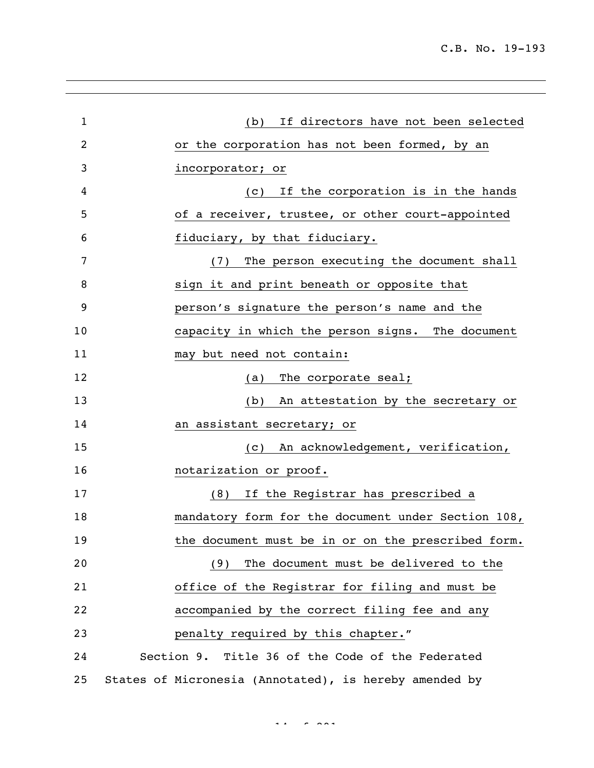| $\mathbf{1}$ | If directors have not been selected<br>(b)             |
|--------------|--------------------------------------------------------|
| 2            | or the corporation has not been formed, by an          |
| 3            | incorporator; or                                       |
| 4            | If the corporation is in the hands<br>(C)              |
| 5            | of a receiver, trustee, or other court-appointed       |
| 6            | fiduciary, by that fiduciary.                          |
| 7            | The person executing the document shall<br>(7)         |
| 8            | sign it and print beneath or opposite that             |
| 9            | person's signature the person's name and the           |
| 10           | capacity in which the person signs. The document       |
| 11           | may but need not contain:                              |
| 12           | (a) The corporate seal;                                |
| 13           | An attestation by the secretary or<br>(b)              |
| 14           | an assistant secretary; or                             |
| 15           | An acknowledgement, verification,<br>(C)               |
| 16           | notarization or proof.                                 |
| 17           | If the Registrar has prescribed a<br>(8)               |
| 18           | mandatory form for the document under Section 108,     |
| 19           | the document must be in or on the prescribed form.     |
| 20           | The document must be delivered to the<br>(9)           |
| 21           | office of the Registrar for filing and must be         |
| 22           | accompanied by the correct filing fee and any          |
| 23           | penalty required by this chapter."                     |
| 24           | Section 9. Title 36 of the Code of the Federated       |
| 25           | States of Micronesia (Annotated), is hereby amended by |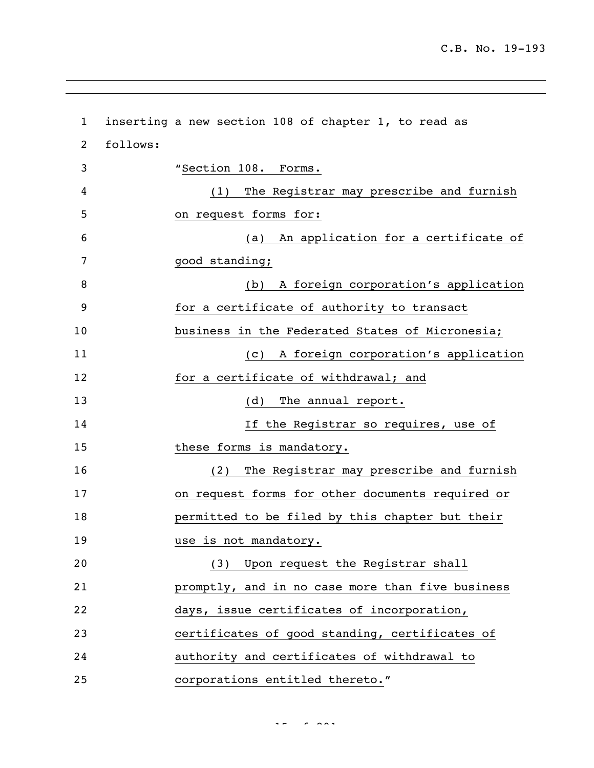| $\mathbf{1}$ |          | inserting a new section 108 of chapter 1, to read as |
|--------------|----------|------------------------------------------------------|
| 2            | follows: |                                                      |
| 3            |          | "Section 108. Forms.                                 |
| 4            |          | The Registrar may prescribe and furnish<br>(1)       |
| 5            |          | on request forms for:                                |
| 6            |          | An application for a certificate of<br>(a)           |
| 7            |          | good standing;                                       |
| 8            |          | A foreign corporation's application<br>(b)           |
| 9            |          | for a certificate of authority to transact           |
| 10           |          | business in the Federated States of Micronesia;      |
| 11           |          | A foreign corporation's application<br>(C)           |
| 12           |          | for a certificate of withdrawal; and                 |
| 13           |          | The annual report.<br>(d)                            |
| 14           |          | If the Registrar so requires, use of                 |
| 15           |          | these forms is mandatory.                            |
| 16           |          | The Registrar may prescribe and furnish<br>(2)       |
| 17           |          | on request forms for other documents required or     |
| 18           |          | permitted to be filed by this chapter but their      |
| 19           |          | use is not mandatory.                                |
| 20           |          | (3) Upon request the Registrar shall                 |
| 21           |          | promptly, and in no case more than five business     |
| 22           |          | days, issue certificates of incorporation,           |
| 23           |          | certificates of good standing, certificates of       |
| 24           |          | authority and certificates of withdrawal to          |
| 25           |          | corporations entitled thereto."                      |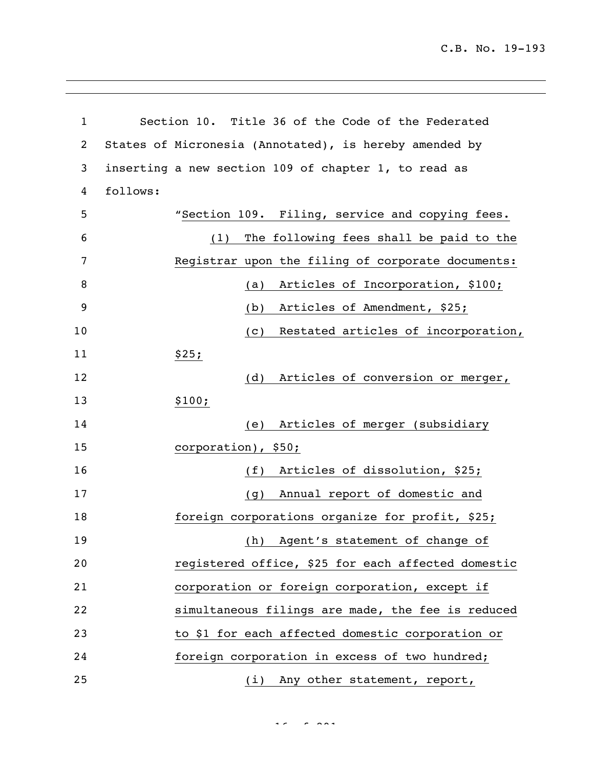C.B. No. 19-193

| $\mathbf{1}$   | Section 10. Title 36 of the Code of the Federated      |                                         |
|----------------|--------------------------------------------------------|-----------------------------------------|
| $\overline{c}$ | States of Micronesia (Annotated), is hereby amended by |                                         |
| 3              | inserting a new section 109 of chapter 1, to read as   |                                         |
| 4              | follows:                                               |                                         |
| 5              | "Section 109. Filing, service and copying fees.        |                                         |
| 6              | (1)                                                    | The following fees shall be paid to the |
| 7              | Registrar upon the filing of corporate documents:      |                                         |
| 8              | (a)                                                    | Articles of Incorporation, \$100;       |
| 9              | (b)                                                    | Articles of Amendment, \$25;            |
| 10             | (C)                                                    | Restated articles of incorporation,     |
| 11             | \$25;                                                  |                                         |
| 12             | (d)                                                    | Articles of conversion or merger,       |
| 13             | \$100;                                                 |                                         |
| 14             | (e)                                                    | Articles of merger (subsidiary          |
| 15             | corporation), \$50;                                    |                                         |
| 16             | (f)                                                    | Articles of dissolution, \$25;          |
| 17             | (g)                                                    | Annual report of domestic and           |
| 18             | foreign corporations organize for profit, \$25;        |                                         |
| 19             |                                                        | (h) Agent's statement of change of      |
| 20             | registered office, \$25 for each affected domestic     |                                         |
| 21             | corporation or foreign corporation, except if          |                                         |
| 22             | simultaneous filings are made, the fee is reduced      |                                         |
| 23             | to \$1 for each affected domestic corporation or       |                                         |
| 24             | foreign corporation in excess of two hundred;          |                                         |
| 25             |                                                        | (i) Any other statement, report,        |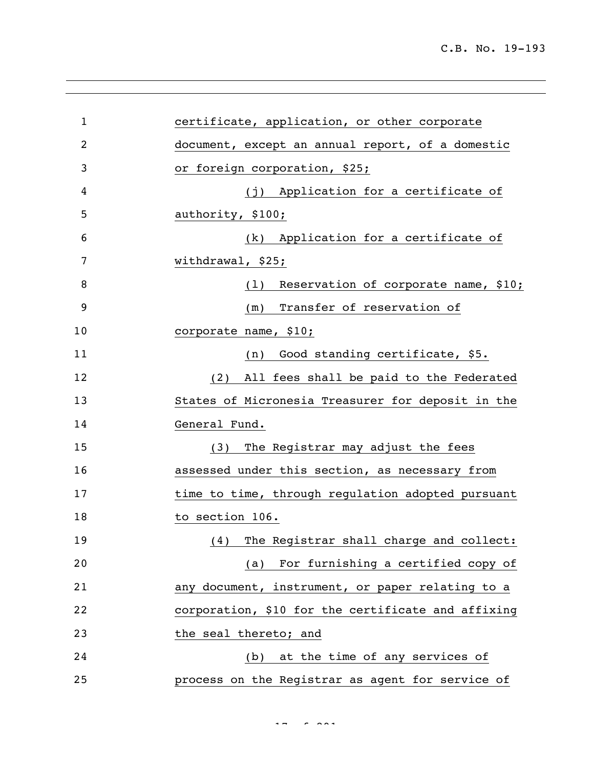| $\mathbf{1}$ | certificate, application, or other corporate       |
|--------------|----------------------------------------------------|
| 2            | document, except an annual report, of a domestic   |
| 3            | or foreign corporation, \$25;                      |
| 4            | (j) Application for a certificate of               |
| 5            | authority, \$100;                                  |
| 6            | (k) Application for a certificate of               |
| 7            | withdrawal, \$25;                                  |
| 8            | Reservation of corporate name, \$10;<br>(1)        |
| 9            | (m) Transfer of reservation of                     |
| 10           | corporate name, \$10;                              |
| 11           | (n) Good standing certificate, \$5.                |
| 12           | (2) All fees shall be paid to the Federated        |
| 13           | States of Micronesia Treasurer for deposit in the  |
| 14           | General Fund.                                      |
| 15           | (3) The Registrar may adjust the fees              |
| 16           | assessed under this section, as necessary from     |
| 17           | time to time, through regulation adopted pursuant  |
| 18           | to section 106.                                    |
| 19           | (4) The Registrar shall charge and collect:        |
| 20           | (a) For furnishing a certified copy of             |
| 21           | any document, instrument, or paper relating to a   |
| 22           | corporation, \$10 for the certificate and affixing |
| 23           | the seal thereto; and                              |
| 24           | (b) at the time of any services of                 |
| 25           | process on the Registrar as agent for service of   |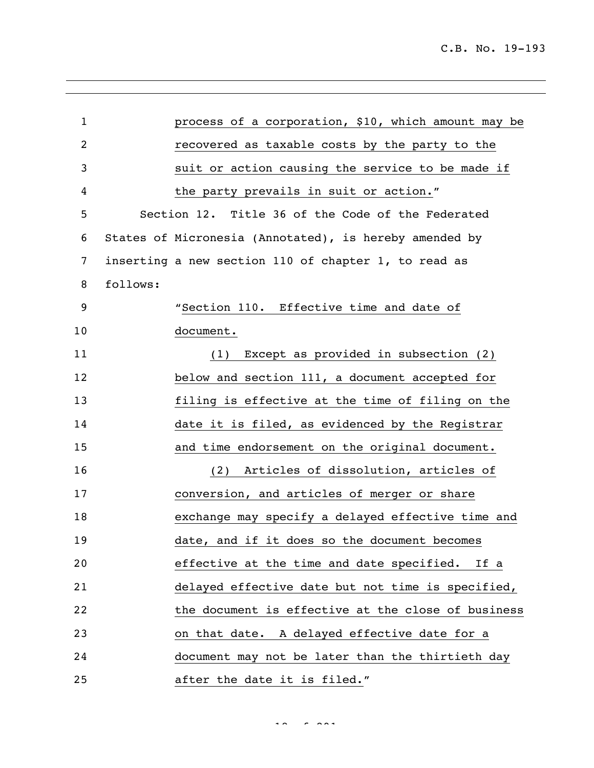| $\mathbf{1}$ |          | process of a corporation, \$10, which amount may be    |
|--------------|----------|--------------------------------------------------------|
| 2            |          | recovered as taxable costs by the party to the         |
| 3            |          | suit or action causing the service to be made if       |
| 4            |          | the party prevails in suit or action."                 |
| 5            |          | Section 12. Title 36 of the Code of the Federated      |
| 6            |          | States of Micronesia (Annotated), is hereby amended by |
| 7            |          | inserting a new section 110 of chapter 1, to read as   |
| 8            | follows: |                                                        |
| 9            |          | "Section 110. Effective time and date of               |
| 10           |          | document.                                              |
| 11           |          | Except as provided in subsection (2)<br>(1)            |
| 12           |          | below and section 111, a document accepted for         |
| 13           |          | filing is effective at the time of filing on the       |
| 14           |          | date it is filed, as evidenced by the Registrar        |
| 15           |          | and time endorsement on the original document.         |
| 16           |          | Articles of dissolution, articles of<br>(2)            |
| 17           |          | conversion, and articles of merger or share            |
| 18           |          | exchange may specify a delayed effective time and      |
| 19           |          | date, and if it does so the document becomes           |
| 20           |          | effective at the time and date specified.<br>If a      |
| 21           |          | delayed effective date but not time is specified,      |
| 22           |          | the document is effective at the close of business     |
| 23           |          | on that date. A delayed effective date for a           |
| 24           |          | document may not be later than the thirtieth day       |
| 25           |          | after the date it is filed."                           |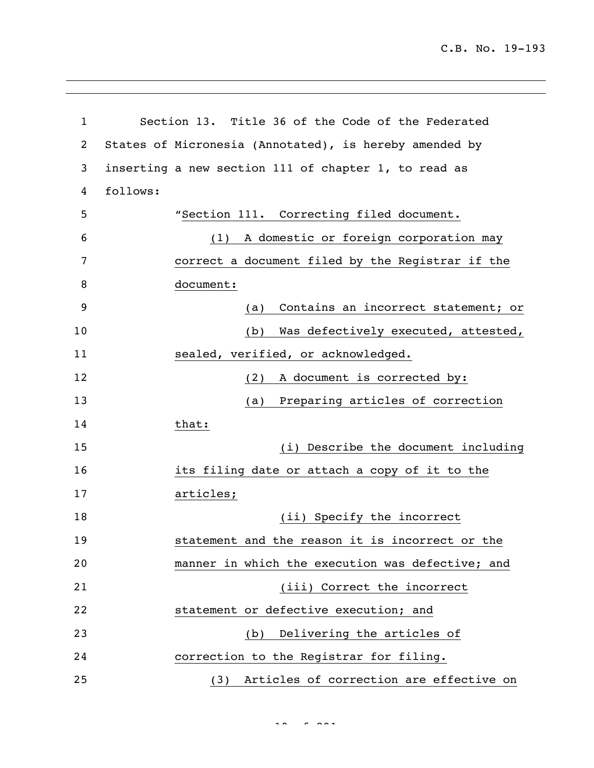C.B. No. 19-193

| 1  | Section 13. Title 36 of the Code of the Federated      |
|----|--------------------------------------------------------|
| 2  | States of Micronesia (Annotated), is hereby amended by |
| 3  | inserting a new section 111 of chapter 1, to read as   |
| 4  | follows:                                               |
| 5  | "Section 111. Correcting filed document.               |
| 6  | A domestic or foreign corporation may<br>(1)           |
| 7  | correct a document filed by the Registrar if the       |
| 8  | document:                                              |
| 9  | Contains an incorrect statement; or<br>(a)             |
| 10 | Was defectively executed, attested,<br>(b)             |
| 11 | sealed, verified, or acknowledged.                     |
| 12 | A document is corrected by:<br>(2)                     |
| 13 | Preparing articles of correction<br>(a)                |
| 14 | that:                                                  |
| 15 | (i) Describe the document including                    |
| 16 | its filing date or attach a copy of it to the          |
| 17 | articles;                                              |
| 18 | (ii) Specify the incorrect                             |
| 19 | statement and the reason it is incorrect or the        |
| 20 | manner in which the execution was defective; and       |
| 21 | (iii) Correct the incorrect                            |
| 22 | statement or defective execution; and                  |
| 23 | (b) Delivering the articles of                         |
| 24 | correction to the Registrar for filing.                |
| 25 | (3) Articles of correction are effective on            |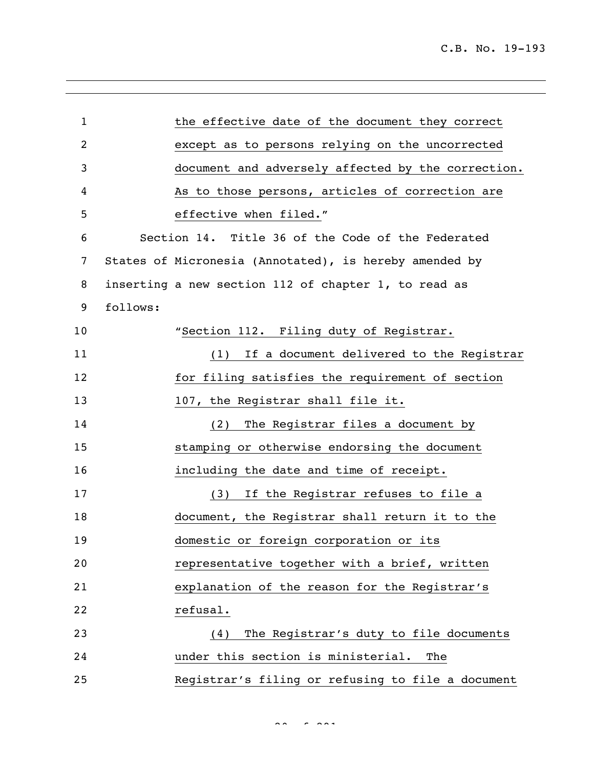| $\mathbf{1}$   |          | the effective date of the document they correct        |
|----------------|----------|--------------------------------------------------------|
| $\overline{c}$ |          | except as to persons relying on the uncorrected        |
| 3              |          | document and adversely affected by the correction.     |
| 4              |          | As to those persons, articles of correction are        |
| 5              |          | effective when filed."                                 |
| 6              |          | Section 14. Title 36 of the Code of the Federated      |
| 7              |          | States of Micronesia (Annotated), is hereby amended by |
| 8              |          | inserting a new section 112 of chapter 1, to read as   |
| 9              | follows: |                                                        |
| 10             |          | "Section 112. Filing duty of Registrar.                |
| 11             |          | (1) If a document delivered to the Registrar           |
| 12             |          | for filing satisfies the requirement of section        |
| 13             |          | 107, the Registrar shall file it.                      |
| 14             |          | (2) The Registrar files a document by                  |
| 15             |          | stamping or otherwise endorsing the document           |
| 16             |          | including the date and time of receipt.                |
| 17             |          | (3) If the Registrar refuses to file a                 |
| 18             |          | document, the Registrar shall return it to the         |
| 19             |          | domestic or foreign corporation or its                 |
| 20             |          | representative together with a brief, written          |
| 21             |          | explanation of the reason for the Registrar's          |
| 22             |          | refusal.                                               |
| 23             |          | The Registrar's duty to file documents<br>(4)          |
| 24             |          | under this section is ministerial.<br>The              |
| 25             |          | Registrar's filing or refusing to file a document      |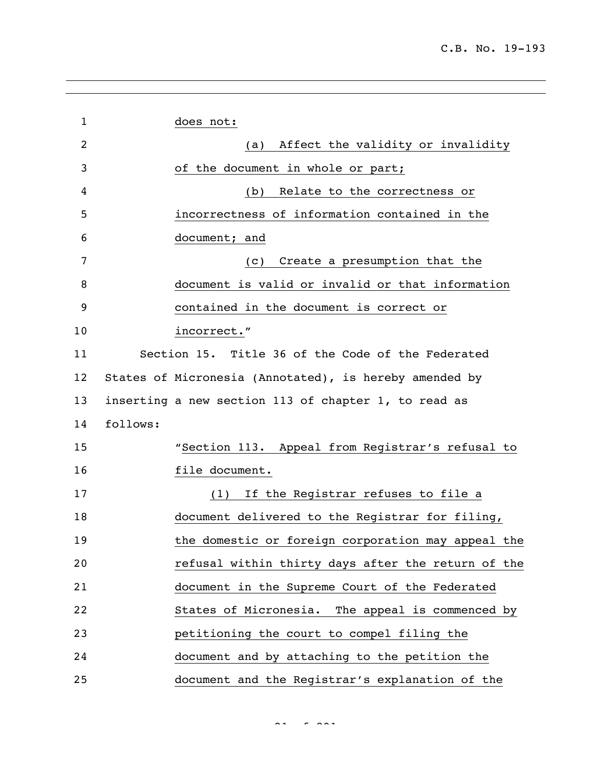| 1                 | does not:                                              |                                    |
|-------------------|--------------------------------------------------------|------------------------------------|
| 2                 | (a)                                                    | Affect the validity or invalidity  |
| 3                 | of the document in whole or part;                      |                                    |
| 4                 | (b)                                                    | Relate to the correctness or       |
| 5                 | incorrectness of information contained in the          |                                    |
| 6                 | document; and                                          |                                    |
| 7                 | (C)                                                    | Create a presumption that the      |
| 8                 | document is valid or invalid or that information       |                                    |
| 9                 | contained in the document is correct or                |                                    |
| 10                | incorrect."                                            |                                    |
| 11                | Section 15. Title 36 of the Code of the Federated      |                                    |
| $12 \overline{ }$ | States of Micronesia (Annotated), is hereby amended by |                                    |
| 13                | inserting a new section 113 of chapter 1, to read as   |                                    |
| 14                | follows:                                               |                                    |
| 15                | "Section 113. Appeal from Registrar's refusal to       |                                    |
| 16                | file document.                                         |                                    |
| 17                | (1)                                                    | If the Registrar refuses to file a |
| 18                | document delivered to the Registrar for filing,        |                                    |
| 19                | the domestic or foreign corporation may appeal the     |                                    |
| 20                | refusal within thirty days after the return of the     |                                    |
| 21                | document in the Supreme Court of the Federated         |                                    |
| 22                | States of Micronesia. The appeal is commenced by       |                                    |
| 23                | petitioning the court to compel filing the             |                                    |
| 24                | document and by attaching to the petition the          |                                    |
| 25                | document and the Registrar's explanation of the        |                                    |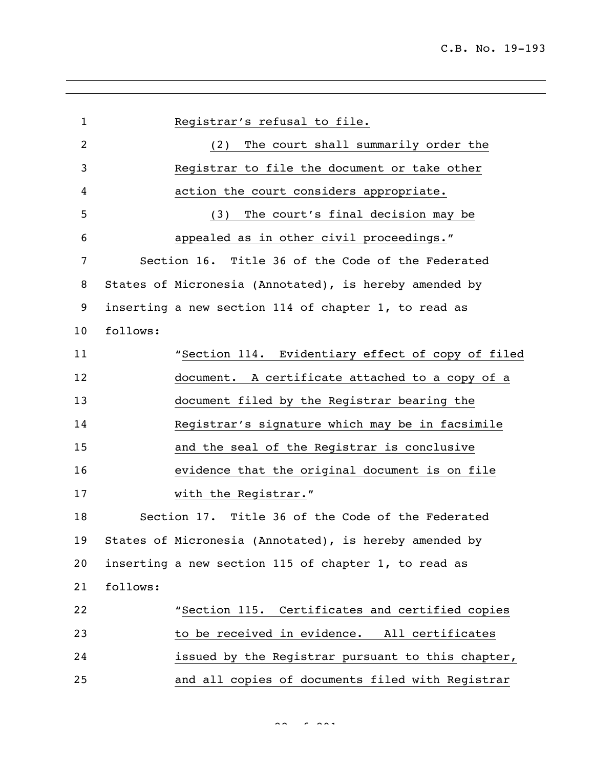| $\mathbf{1}$    | Registrar's refusal to file.                           |  |
|-----------------|--------------------------------------------------------|--|
| 2               | The court shall summarily order the<br>(2)             |  |
| 3               | Registrar to file the document or take other           |  |
| 4               | action the court considers appropriate.                |  |
| 5               | The court's final decision may be<br>(3)               |  |
| 6               | appealed as in other civil proceedings."               |  |
| 7               | Section 16. Title 36 of the Code of the Federated      |  |
| 8               | States of Micronesia (Annotated), is hereby amended by |  |
| 9               | inserting a new section 114 of chapter 1, to read as   |  |
| 10 <sub>o</sub> | follows:                                               |  |
| 11              | "Section 114. Evidentiary effect of copy of filed      |  |
| 12              | document. A certificate attached to a copy of a        |  |
| 13              | document filed by the Registrar bearing the            |  |
| 14              | Registrar's signature which may be in facsimile        |  |
| 15              | and the seal of the Registrar is conclusive            |  |
| 16              | evidence that the original document is on file         |  |
| 17              | with the Registrar."                                   |  |
| 18              | Section 17. Title 36 of the Code of the Federated      |  |
| 19              | States of Micronesia (Annotated), is hereby amended by |  |
| 20              | inserting a new section 115 of chapter 1, to read as   |  |
| 21              | follows:                                               |  |
| 22              | "Section 115. Certificates and certified copies        |  |
| 23              | to be received in evidence. All certificates           |  |
| 24              | issued by the Registrar pursuant to this chapter,      |  |
| 25              | and all copies of documents filed with Registrar       |  |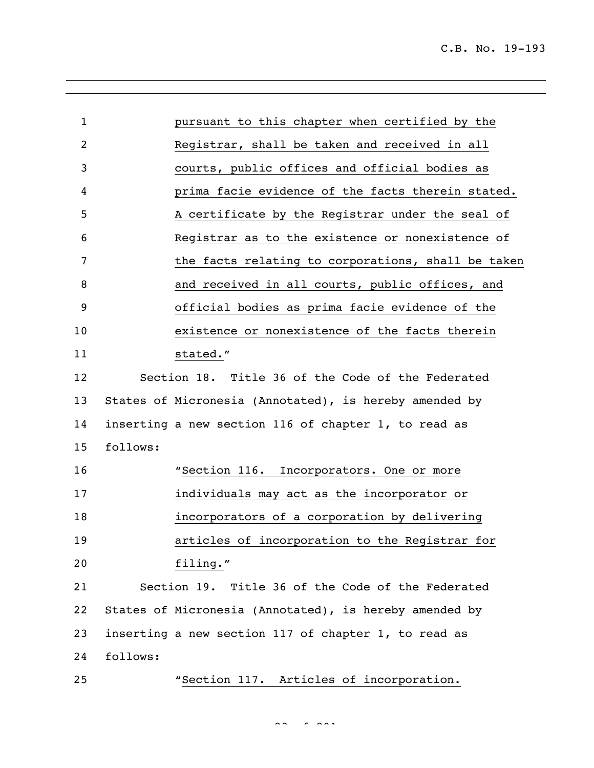| $\mathbf{1}$ |          | pursuant to this chapter when certified by the         |
|--------------|----------|--------------------------------------------------------|
| 2            |          | Registrar, shall be taken and received in all          |
| 3            |          | courts, public offices and official bodies as          |
| 4            |          | prima facie evidence of the facts therein stated.      |
| 5            |          | A certificate by the Registrar under the seal of       |
| 6            |          | Registrar as to the existence or nonexistence of       |
| 7            |          | the facts relating to corporations, shall be taken     |
| 8            |          | and received in all courts, public offices, and        |
| 9            |          | official bodies as prima facie evidence of the         |
| 10           |          | existence or nonexistence of the facts therein         |
| 11           |          | stated."                                               |
| 12           |          | Section 18. Title 36 of the Code of the Federated      |
| 13           |          | States of Micronesia (Annotated), is hereby amended by |
| 14           |          | inserting a new section 116 of chapter 1, to read as   |
| 15           | follows: |                                                        |
| 16           |          | "Section 116. Incorporators. One or more               |
| 17           |          | individuals may act as the incorporator or             |
| 18           |          | incorporators of a corporation by delivering           |
| 19           |          | articles of incorporation to the Registrar for         |
| 20           |          | filing."                                               |
| 21           |          | Section 19. Title 36 of the Code of the Federated      |
| 22           |          | States of Micronesia (Annotated), is hereby amended by |
| 23           |          | inserting a new section 117 of chapter 1, to read as   |
| 24           | follows: |                                                        |
| 25           |          | "Section 117. Articles of incorporation.               |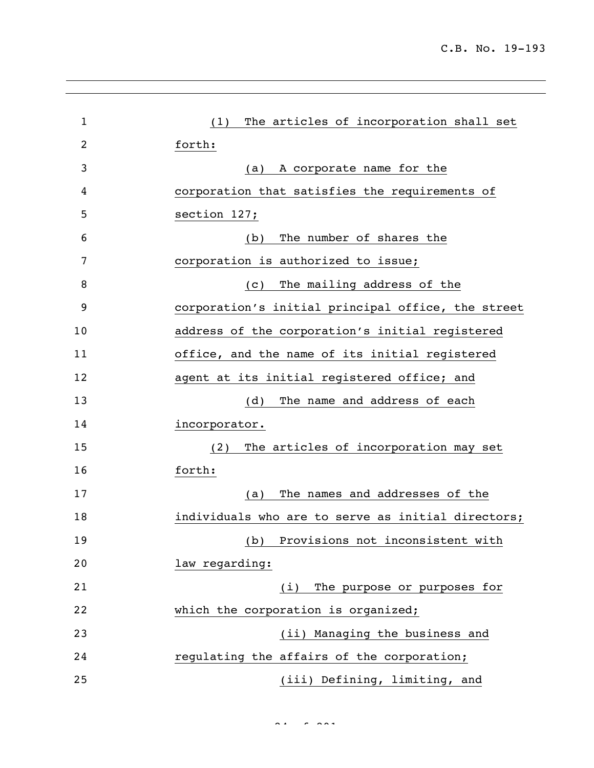| $\mathbf{1}$ | The articles of incorporation shall set<br>(1)     |
|--------------|----------------------------------------------------|
| 2            | forth:                                             |
| 3            | A corporate name for the<br>(a)                    |
| 4            | corporation that satisfies the requirements of     |
| 5            | section 127;                                       |
| 6            | The number of shares the<br>(b)                    |
| 7            | corporation is authorized to issue;                |
| 8            | The mailing address of the<br>(C)                  |
| 9            | corporation's initial principal office, the street |
| 10           | address of the corporation's initial registered    |
| 11           | office, and the name of its initial registered     |
| 12           | agent at its initial registered office; and        |
| 13           | The name and address of each<br>(d)                |
| 14           | incorporator.                                      |
| 15           | The articles of incorporation may set<br>(2)       |
| 16           | forth:                                             |
| 17           | The names and addresses of the<br>(a)              |
| 18           | individuals who are to serve as initial directors; |
| 19           | (b) Provisions not inconsistent with               |
| 20           | law regarding:                                     |
| 21           | (i) The purpose or purposes for                    |
| 22           | which the corporation is organized;                |
| 23           | (ii) Managing the business and                     |
| 24           | regulating the affairs of the corporation;         |
| 25           | (iii) Defining, limiting, and                      |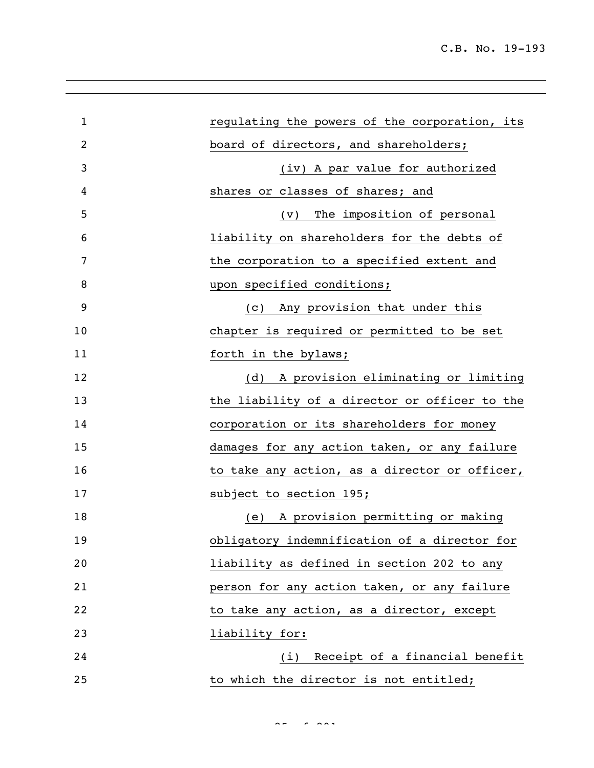| 1  | regulating the powers of the corporation, its |
|----|-----------------------------------------------|
| 2  | board of directors, and shareholders;         |
| 3  | (iv) A par value for authorized               |
| 4  | shares or classes of shares; and              |
| 5  | The imposition of personal<br>$(\vee)$        |
| 6  | liability on shareholders for the debts of    |
| 7  | the corporation to a specified extent and     |
| 8  | upon specified conditions;                    |
| 9  | Any provision that under this<br>(C)          |
| 10 | chapter is required or permitted to be set    |
| 11 | forth in the bylaws;                          |
| 12 | A provision eliminating or limiting<br>(d)    |
| 13 | the liability of a director or officer to the |
| 14 | corporation or its shareholders for money     |
| 15 | damages for any action taken, or any failure  |
| 16 | to take any action, as a director or officer, |
| 17 | subject to section 195;                       |
| 18 | A provision permitting or making<br>(e)       |
| 19 | obligatory indemnification of a director for  |
| 20 | liability as defined in section 202 to any    |
| 21 | person for any action taken, or any failure   |
| 22 | to take any action, as a director, except     |
| 23 | liability for:                                |
| 24 | (i) Receipt of a financial benefit            |
| 25 | to which the director is not entitled;        |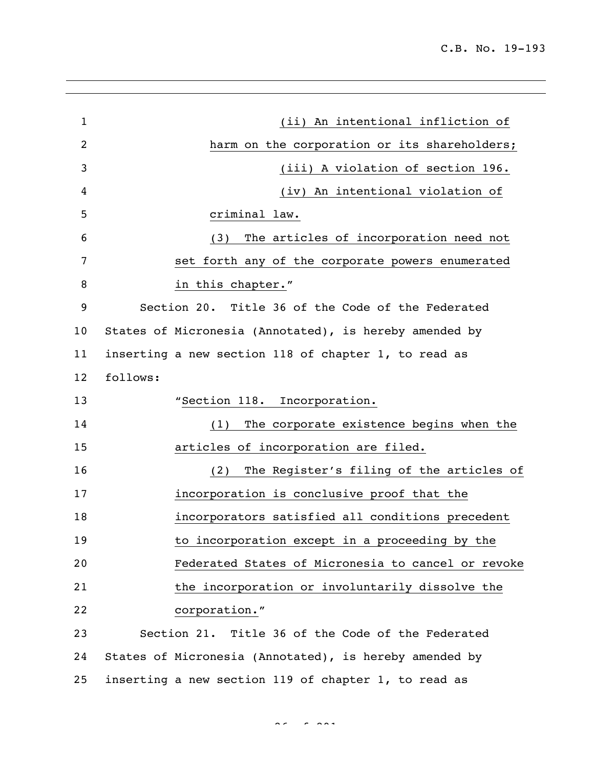| $\mathbf{1}$   | (ii) An intentional infliction of                      |
|----------------|--------------------------------------------------------|
| $\overline{2}$ | harm on the corporation or its shareholders;           |
| 3              | (iii) A violation of section 196.                      |
| 4              | (iv) An intentional violation of                       |
| 5              | criminal law.                                          |
| 6              | The articles of incorporation need not<br>(3)          |
| 7              | set forth any of the corporate powers enumerated       |
| 8              | in this chapter."                                      |
| 9              | Section 20. Title 36 of the Code of the Federated      |
| 10             | States of Micronesia (Annotated), is hereby amended by |
| 11             | inserting a new section 118 of chapter 1, to read as   |
| 12             | follows:                                               |
| 13             | "Section 118. Incorporation.                           |
| 14             | The corporate existence begins when the<br>(1)         |
| 15             | articles of incorporation are filed.                   |
| 16             | The Register's filing of the articles of<br>(2)        |
| 17             | incorporation is conclusive proof that the             |
| 18             | incorporators satisfied all conditions precedent       |
| 19             | to incorporation except in a proceeding by the         |
| 20             | Federated States of Micronesia to cancel or revoke     |
| 21             | the incorporation or involuntarily dissolve the        |
| 22             | corporation."                                          |
| 23             | Section 21. Title 36 of the Code of the Federated      |
| 24             | States of Micronesia (Annotated), is hereby amended by |
| 25             | inserting a new section 119 of chapter 1, to read as   |

 $26 - 6$  292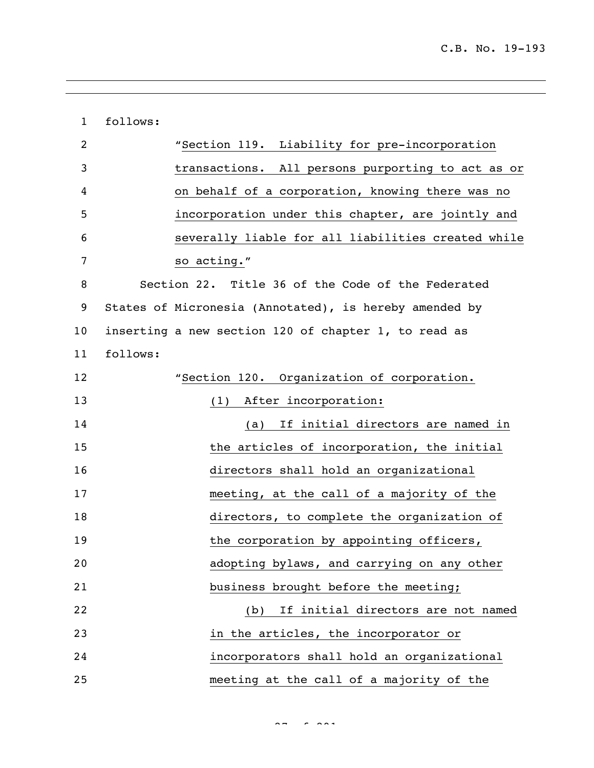| $\mathbf{1}$    | follows:                                               |
|-----------------|--------------------------------------------------------|
| 2               | "Section 119. Liability for pre-incorporation          |
| 3               | transactions. All persons purporting to act as or      |
| 4               | on behalf of a corporation, knowing there was no       |
| 5               | incorporation under this chapter, are jointly and      |
| 6               | severally liable for all liabilities created while     |
| 7               | so acting."                                            |
| 8               | Section 22. Title 36 of the Code of the Federated      |
| 9               | States of Micronesia (Annotated), is hereby amended by |
| 10 <sub>1</sub> | inserting a new section 120 of chapter 1, to read as   |
| 11              | follows:                                               |
| 12              | "Section 120. Organization of corporation.             |
| 13              | After incorporation:<br>(1)                            |
| 14              | If initial directors are named in<br>(a)               |
| 15              | the articles of incorporation, the initial             |
| 16              | directors shall hold an organizational                 |
| 17              | meeting, at the call of a majority of the              |
| 18              | directors, to complete the organization of             |
| 19              | the corporation by appointing officers,                |
| 20              | adopting bylaws, and carrying on any other             |
| 21              | business brought before the meeting;                   |
| 22              | If initial directors are not named<br>(b)              |
| 23              | in the articles, the incorporator or                   |
| 24              | incorporators shall hold an organizational             |
| 25              | meeting at the call of a majority of the               |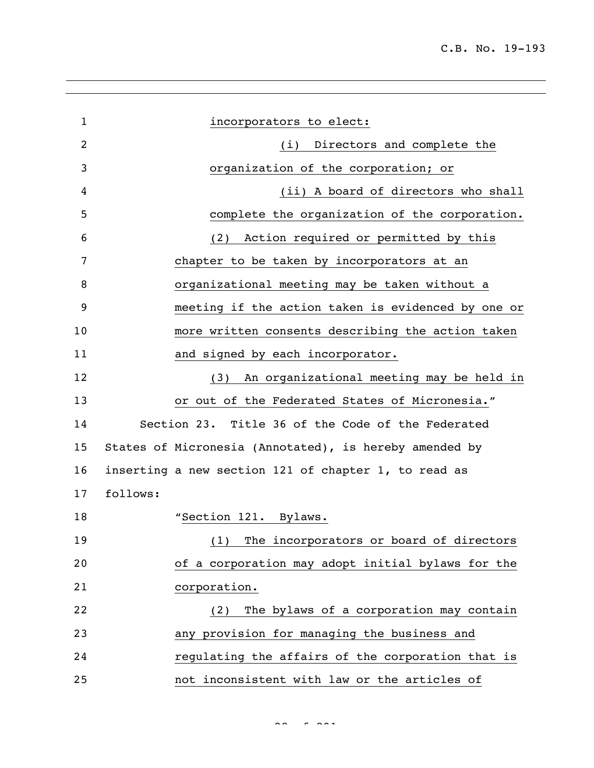| $\mathbf{1}$ | incorporators to elect:                                |
|--------------|--------------------------------------------------------|
| 2            | (i) Directors and complete the                         |
| 3            | organization of the corporation; or                    |
| 4            | (ii) A board of directors who shall                    |
| 5            | complete the organization of the corporation.          |
| 6            | Action required or permitted by this<br>(2)            |
| 7            | chapter to be taken by incorporators at an             |
| 8            | organizational meeting may be taken without a          |
| 9            | meeting if the action taken is evidenced by one or     |
| 10           | more written consents describing the action taken      |
| 11           | and signed by each incorporator.                       |
| 12           | An organizational meeting may be held in<br>(3)        |
| 13           | or out of the Federated States of Micronesia."         |
| 14           | Section 23. Title 36 of the Code of the Federated      |
| 15           | States of Micronesia (Annotated), is hereby amended by |
| 16           | inserting a new section 121 of chapter 1, to read as   |
| 17           | follows:                                               |
| 18           | "Section 121. Bylaws.                                  |
| 19           | (1) The incorporators or board of directors            |
| 20           | of a corporation may adopt initial bylaws for the      |
| 21           | corporation.                                           |
| 22           | The bylaws of a corporation may contain<br>(2)         |
| 23           | any provision for managing the business and            |
| 24           | regulating the affairs of the corporation that is      |
| 25           | not inconsistent with law or the articles of           |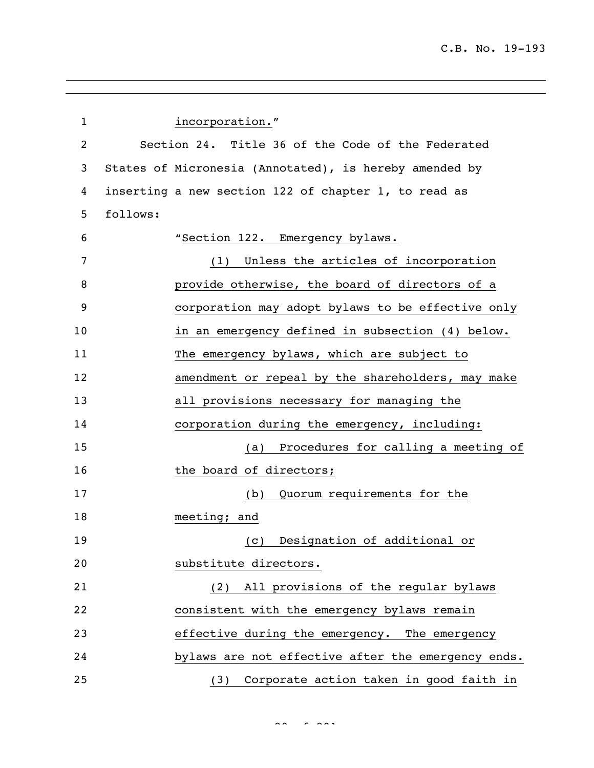| $\mathbf{1}$   | incorporation."                                        |
|----------------|--------------------------------------------------------|
| $\overline{c}$ | Section 24. Title 36 of the Code of the Federated      |
| 3              | States of Micronesia (Annotated), is hereby amended by |
| 4              | inserting a new section 122 of chapter 1, to read as   |
| 5              | follows:                                               |
| 6              | "Section 122. Emergency bylaws.                        |
| 7              | (1) Unless the articles of incorporation               |
| 8              | provide otherwise, the board of directors of a         |
| 9              | corporation may adopt bylaws to be effective only      |
| 10             | in an emergency defined in subsection (4) below.       |
| 11             | The emergency bylaws, which are subject to             |
| 12             | amendment or repeal by the shareholders, may make      |
| 13             | all provisions necessary for managing the              |
| 14             | corporation during the emergency, including:           |
| 15             | Procedures for calling a meeting of<br>(a)             |
| 16             | the board of directors;                                |
| 17             | (b) Quorum requirements for the                        |
| 18             | meeting; and                                           |
| 19             | (c) Designation of additional or                       |
| 20             | substitute directors.                                  |
| 21             | (2) All provisions of the regular bylaws               |
| 22             | consistent with the emergency bylaws remain            |
| 23             | effective during the emergency. The emergency          |
| 24             | bylaws are not effective after the emergency ends.     |
| 25             | (3) Corporate action taken in good faith in            |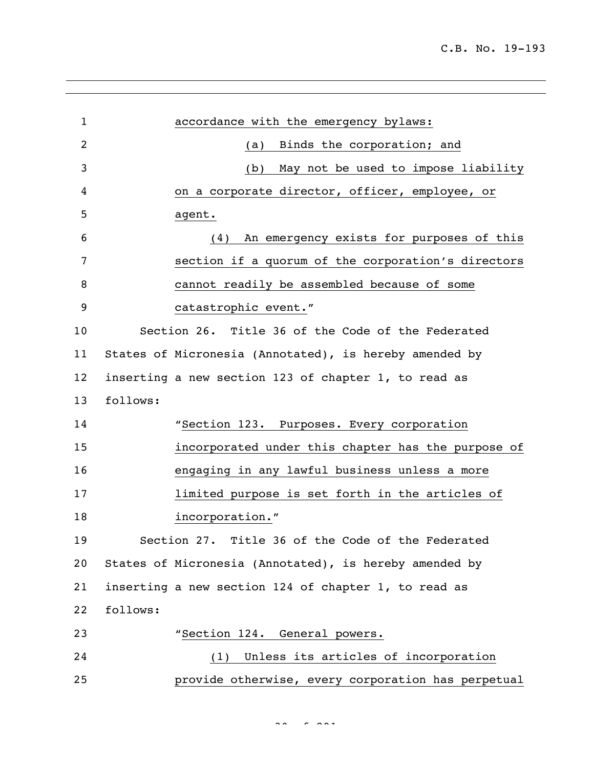| $\mathbf{1}$ |          | accordance with the emergency bylaws:                  |
|--------------|----------|--------------------------------------------------------|
| 2            |          | Binds the corporation; and<br>(a)                      |
| 3            |          | May not be used to impose liability<br>(b)             |
| 4            |          | on a corporate director, officer, employee, or         |
| 5            |          | agent.                                                 |
| 6            |          | An emergency exists for purposes of this<br>(4)        |
| 7            |          | section if a quorum of the corporation's directors     |
| 8            |          | cannot readily be assembled because of some            |
| 9            |          | catastrophic event."                                   |
| 10           |          | Section 26. Title 36 of the Code of the Federated      |
| 11           |          | States of Micronesia (Annotated), is hereby amended by |
| 12           |          | inserting a new section 123 of chapter 1, to read as   |
| 13           | follows: |                                                        |
| 14           |          | "Section 123. Purposes. Every corporation              |
| 15           |          | incorporated under this chapter has the purpose of     |
| 16           |          | engaging in any lawful business unless a more          |
| 17           |          | limited purpose is set forth in the articles of        |
| 18           |          | incorporation."                                        |
| 19           |          | Section 27. Title 36 of the Code of the Federated      |
| 20           |          | States of Micronesia (Annotated), is hereby amended by |
| 21           |          | inserting a new section 124 of chapter 1, to read as   |
| 22           | follows: |                                                        |
| 23           |          | "Section 124. General powers.                          |
| 24           |          | Unless its articles of incorporation<br>(1)            |
| 25           |          | provide otherwise, every corporation has perpetual     |

 $30<sup>o</sup>$  of 291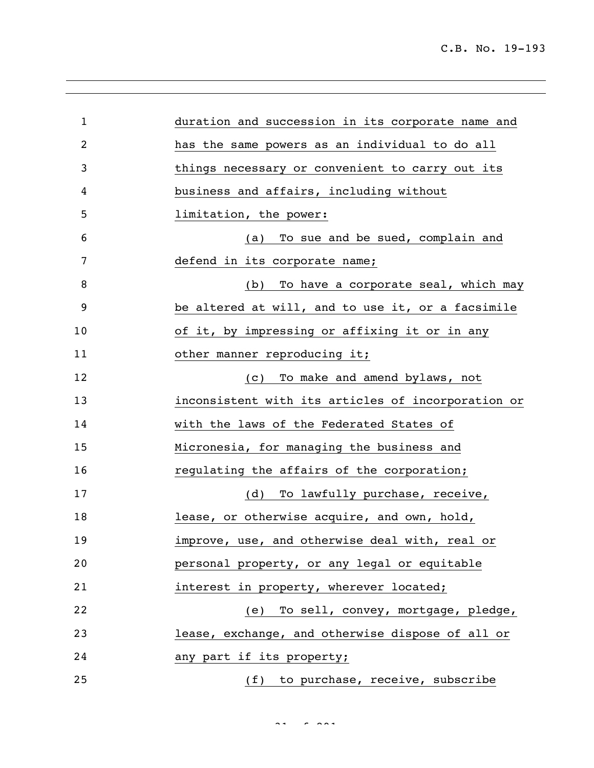| $\mathbf{1}$   | duration and succession in its corporate name and  |
|----------------|----------------------------------------------------|
| $\overline{2}$ | has the same powers as an individual to do all     |
| 3              | things necessary or convenient to carry out its    |
| 4              | business and affairs, including without            |
| 5              | limitation, the power:                             |
| 6              | To sue and be sued, complain and<br>(a)            |
| 7              | defend in its corporate name;                      |
| 8              | To have a corporate seal, which may<br>(b)         |
| 9              | be altered at will, and to use it, or a facsimile  |
| 10             | of it, by impressing or affixing it or in any      |
| 11             | other manner reproducing it;                       |
| 12             | To make and amend bylaws, not<br>(C)               |
| 13             | inconsistent with its articles of incorporation or |
| 14             | with the laws of the Federated States of           |
| 15             | Micronesia, for managing the business and          |
| 16             | regulating the affairs of the corporation;         |
| 17             | To lawfully purchase, receive,<br>(d)              |
| 18             | lease, or otherwise acquire, and own, hold,        |
| 19             | improve, use, and otherwise deal with, real or     |
| 20             | personal property, or any legal or equitable       |
| 21             | interest in property, wherever located;            |
| 22             | (e) To sell, convey, mortgage, pledge,             |
| 23             | lease, exchange, and otherwise dispose of all or   |
| 24             | any part if its property;                          |
| 25             | (f) to purchase, receive, subscribe                |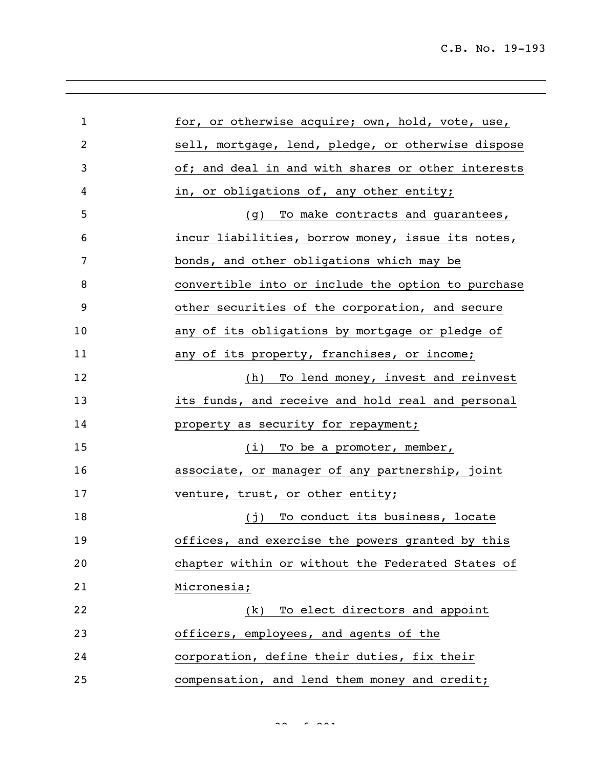| $\mathbf{1}$ | for, or otherwise acquire; own, hold, vote, use,   |
|--------------|----------------------------------------------------|
| 2            | sell, mortgage, lend, pledge, or otherwise dispose |
| 3            | of; and deal in and with shares or other interests |
| 4            | in, or obligations of, any other entity;           |
| 5            | To make contracts and guarantees,<br>(g)           |
| 6            | incur liabilities, borrow money, issue its notes,  |
| 7            | bonds, and other obligations which may be          |
| 8            | convertible into or include the option to purchase |
| 9            | other securities of the corporation, and secure    |
| 10           | any of its obligations by mortgage or pledge of    |
| 11           | any of its property, franchises, or income;        |
| 12           | (h) To lend money, invest and reinvest             |
| 13           | its funds, and receive and hold real and personal  |
| 14           | property as security for repayment;                |
| 15           | (i) To be a promoter, member,                      |
| 16           | associate, or manager of any partnership, joint    |
| 17           | venture, trust, or other entity;                   |
| 18           | To conduct its business, locate<br>(j)             |
| 19           | offices, and exercise the powers granted by this   |
| 20           | chapter within or without the Federated States of  |
| 21           | Micronesia;                                        |
| 22           | To elect directors and appoint<br>(k)              |
| 23           | officers, employees, and agents of the             |
| 24           | corporation, define their duties, fix their        |
| 25           | compensation, and lend them money and credit;      |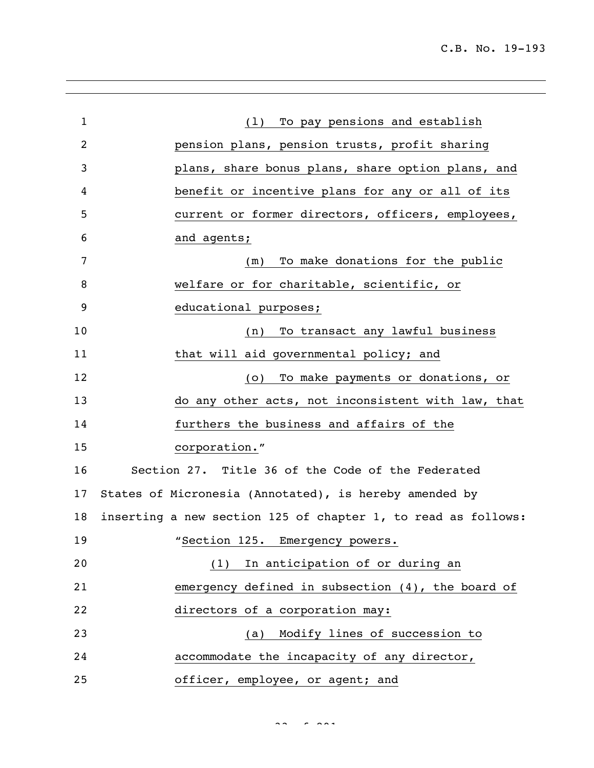| $\mathbf{1}$   | (1) To pay pensions and establish                             |
|----------------|---------------------------------------------------------------|
| $\overline{c}$ | pension plans, pension trusts, profit sharing                 |
| 3              | plans, share bonus plans, share option plans, and             |
| 4              | benefit or incentive plans for any or all of its              |
| 5              | current or former directors, officers, employees,             |
| 6              | and agents;                                                   |
| 7              | To make donations for the public<br>(m)                       |
| 8              | welfare or for charitable, scientific, or                     |
| 9              | educational purposes;                                         |
| 10             | To transact any lawful business<br>(n)                        |
| 11             | that will aid governmental policy; and                        |
| 12             | To make payments or donations, or<br>(0)                      |
| 13             | do any other acts, not inconsistent with law, that            |
| 14             | furthers the business and affairs of the                      |
| 15             | corporation."                                                 |
| 16             | Section 27. Title 36 of the Code of the Federated             |
| 17             | States of Micronesia (Annotated), is hereby amended by        |
| 18             | inserting a new section 125 of chapter 1, to read as follows: |
| 19             | "Section 125. Emergency powers.                               |
| 20             | (1) In anticipation of or during an                           |
| 21             | emergency defined in subsection $(4)$ , the board of          |
| 22             | directors of a corporation may:                               |
| 23             | (a) Modify lines of succession to                             |
| 24             | accommodate the incapacity of any director,                   |
| 25             | officer, employee, or agent; and                              |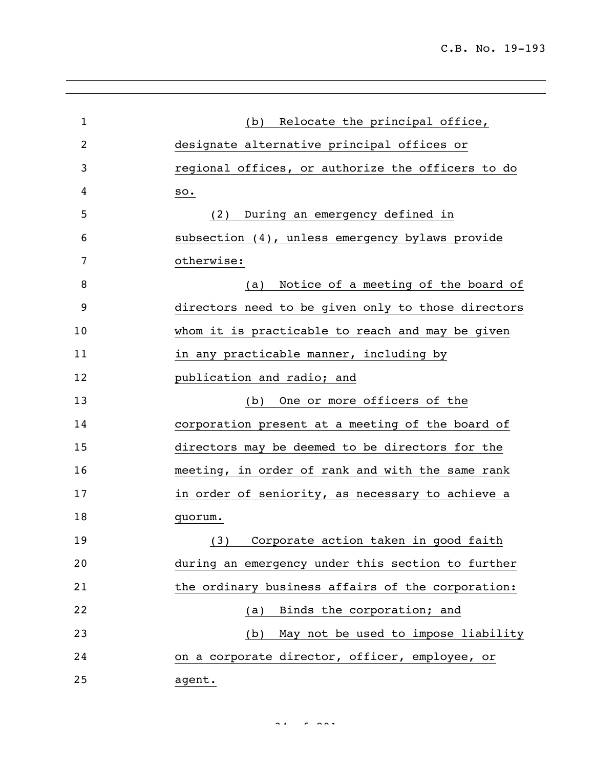C.B. No. 19-193

| $\mathbf{1}$   | Relocate the principal office,<br>(b)              |
|----------------|----------------------------------------------------|
| $\overline{2}$ | designate alternative principal offices or         |
| 3              | regional offices, or authorize the officers to do  |
| 4              | SO <sub>o</sub>                                    |
| 5              | During an emergency defined in<br>(2)              |
| 6              | subsection (4), unless emergency bylaws provide    |
| 7              | otherwise:                                         |
| 8              | Notice of a meeting of the board of<br>(a)         |
| 9              | directors need to be given only to those directors |
| 10             | whom it is practicable to reach and may be given   |
| 11             | in any practicable manner, including by            |
| 12             | publication and radio; and                         |
| 13             | One or more officers of the<br>(b)                 |
| 14             | corporation present at a meeting of the board of   |
| 15             | directors may be deemed to be directors for the    |
| 16             | meeting, in order of rank and with the same rank   |
| 17             | in order of seniority, as necessary to achieve a   |
| 18             | quorum.                                            |
| 19             | (3) Corporate action taken in good faith           |
| 20             | during an emergency under this section to further  |
| 21             | the ordinary business affairs of the corporation:  |
| 22             | Binds the corporation; and<br>(a)                  |
| 23             | May not be used to impose liability<br>(b)         |
| 24             | on a corporate director, officer, employee, or     |
| 25             | agent.                                             |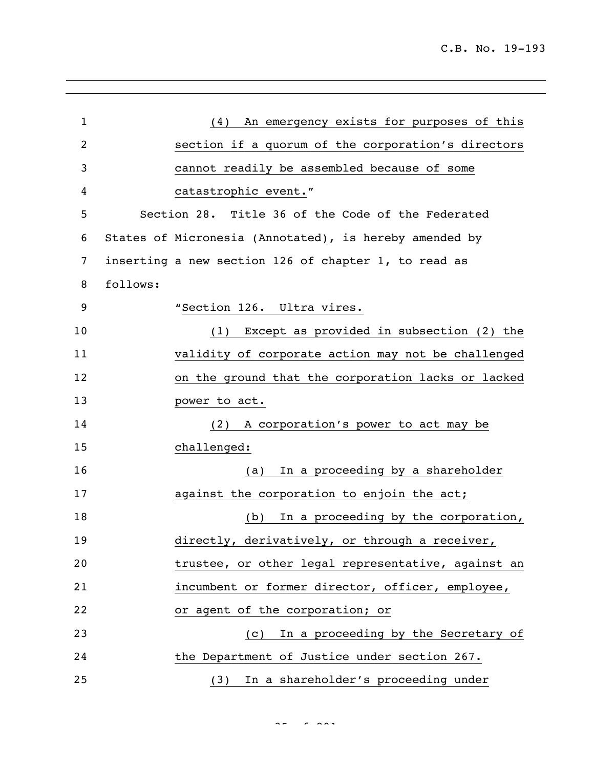| $\mathbf{1}$   | (4) An emergency exists for purposes of this           |
|----------------|--------------------------------------------------------|
| $\overline{c}$ | section if a quorum of the corporation's directors     |
| 3              | cannot readily be assembled because of some            |
| 4              | catastrophic event."                                   |
| 5              | Section 28. Title 36 of the Code of the Federated      |
| 6              | States of Micronesia (Annotated), is hereby amended by |
| 7              | inserting a new section 126 of chapter 1, to read as   |
| 8              | follows:                                               |
| 9              | "Section 126. Ultra vires.                             |
| 10             | (1) Except as provided in subsection (2) the           |
| 11             | validity of corporate action may not be challenged     |
| 12             | on the ground that the corporation lacks or lacked     |
| 13             | power to act.                                          |
| 14             | A corporation's power to act may be<br>(2)             |
| 15             | challenged:                                            |
| 16             | In a proceeding by a shareholder<br>(a)                |
| 17             | against the corporation to enjoin the act;             |
| 18             | In a proceeding by the corporation,<br>(b)             |
| 19             | directly, derivatively, or through a receiver,         |
| 20             | trustee, or other legal representative, against an     |
| 21             | incumbent or former director, officer, employee,       |
| 22             | or agent of the corporation; or                        |
| 23             | In a proceeding by the Secretary of<br>(C)             |
| 24             | the Department of Justice under section 267.           |
| 25             | In a shareholder's proceeding under<br>(3)             |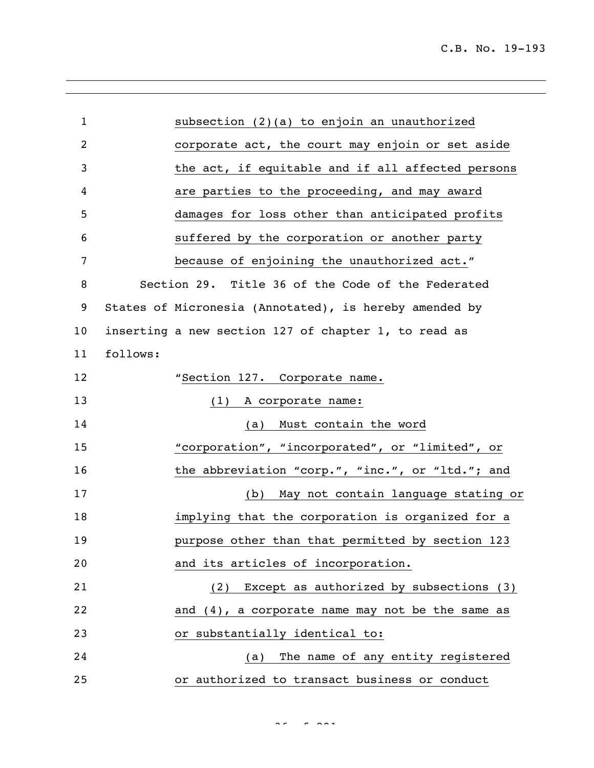| $\mathbf{1}$   | subsection (2)(a) to enjoin an unauthorized            |
|----------------|--------------------------------------------------------|
| $\overline{c}$ | corporate act, the court may enjoin or set aside       |
| 3              | the act, if equitable and if all affected persons      |
| 4              | are parties to the proceeding, and may award           |
| 5              | damages for loss other than anticipated profits        |
| 6              | suffered by the corporation or another party           |
| 7              | because of enjoining the unauthorized act."            |
| 8              | Section 29. Title 36 of the Code of the Federated      |
| 9              | States of Micronesia (Annotated), is hereby amended by |
| 10             | inserting a new section 127 of chapter 1, to read as   |
| 11             | follows:                                               |
| 12             | "Section 127. Corporate name.                          |
| 13             | A corporate name:<br>(1)                               |
| 14             | Must contain the word<br>(a)                           |
| 15             | "corporation", "incorporated", or "limited", or        |
| 16             | the abbreviation "corp.", "inc.", or "ltd."; and       |
| 17             | May not contain language stating or<br>(b)             |
| 18             | implying that the corporation is organized for a       |
| 19             | purpose other than that permitted by section 123       |
| 20             | and its articles of incorporation.                     |
| 21             | (2) Except as authorized by subsections (3)            |
| 22             | and (4), a corporate name may not be the same as       |
| 23             | or substantially identical to:                         |
| 24             | The name of any entity registered<br>(a)               |
| 25             | or authorized to transact business or conduct          |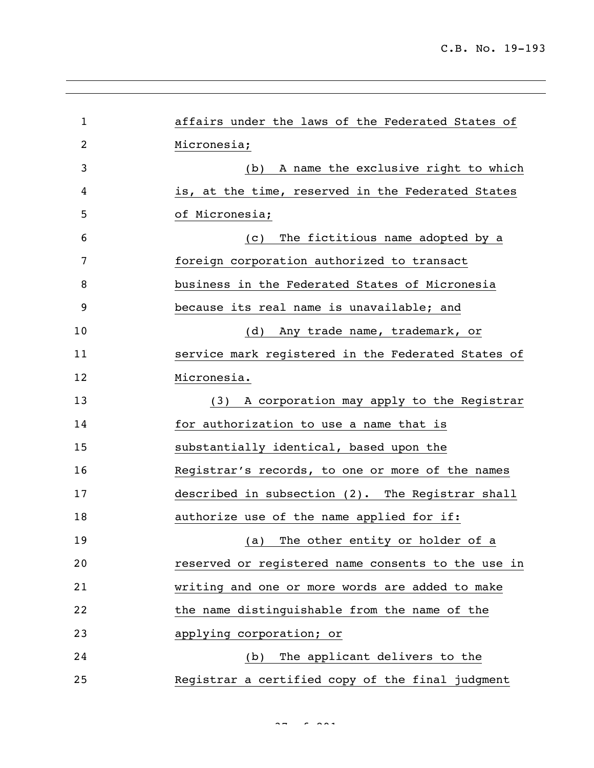| 1  | affairs under the laws of the Federated States of     |
|----|-------------------------------------------------------|
| 2  | Micronesia;                                           |
| 3  | A name the exclusive right to which<br>(b)            |
| 4  | is, at the time, reserved in the Federated States     |
| 5  | of Micronesia;                                        |
| 6  | The fictitious name adopted by a<br>$\left( c\right)$ |
| 7  | foreign corporation authorized to transact            |
| 8  | business in the Federated States of Micronesia        |
| 9  | because its real name is unavailable; and             |
| 10 | (d) Any trade name, trademark, or                     |
| 11 | service mark registered in the Federated States of    |
| 12 | Micronesia.                                           |
| 13 | A corporation may apply to the Registrar<br>(3)       |
| 14 | for authorization to use a name that is               |
| 15 | substantially identical, based upon the               |
| 16 | Registrar's records, to one or more of the names      |
| 17 | described in subsection (2). The Registrar shall      |
| 18 | authorize use of the name applied for if:             |
| 19 | The other entity or holder of a<br>(a)                |
| 20 | reserved or registered name consents to the use in    |
| 21 | writing and one or more words are added to make       |
| 22 | the name distinguishable from the name of the         |
| 23 | applying corporation; or                              |
| 24 | (b) The applicant delivers to the                     |
| 25 | Registrar a certified copy of the final judgment      |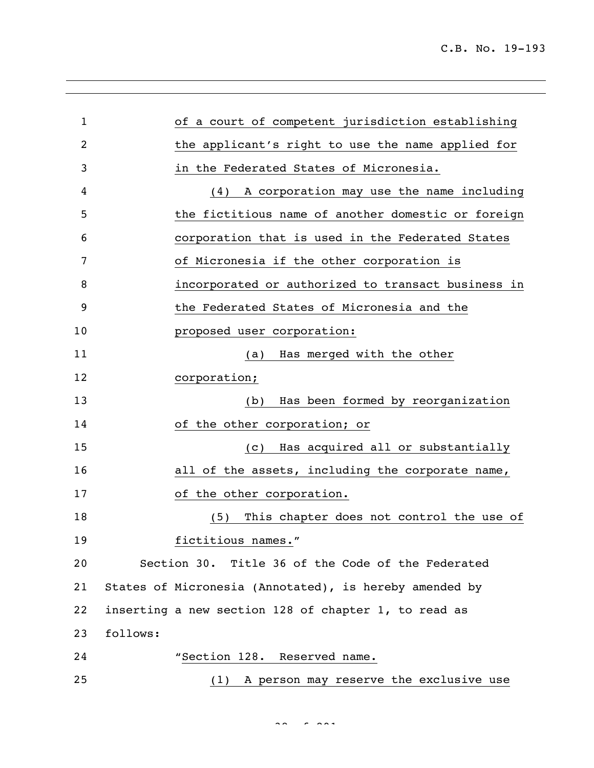| 1  | of a court of competent jurisdiction establishing      |  |
|----|--------------------------------------------------------|--|
| 2  | the applicant's right to use the name applied for      |  |
| 3  | in the Federated States of Micronesia.                 |  |
| 4  | A corporation may use the name including<br>(4)        |  |
| 5  | the fictitious name of another domestic or foreign     |  |
| 6  | corporation that is used in the Federated States       |  |
| 7  | of Micronesia if the other corporation is              |  |
| 8  | incorporated or authorized to transact business in     |  |
| 9  | the Federated States of Micronesia and the             |  |
| 10 | proposed user corporation:                             |  |
| 11 | Has merged with the other<br>(a)                       |  |
| 12 | corporation;                                           |  |
| 13 | Has been formed by reorganization<br>(b)               |  |
| 14 | of the other corporation; or                           |  |
| 15 | Has acquired all or substantially<br>(C)               |  |
| 16 | all of the assets, including the corporate name,       |  |
| 17 | of the other corporation.                              |  |
| 18 | This chapter does not control the use of<br>(5)        |  |
| 19 | fictitious names."                                     |  |
| 20 | Section 30. Title 36 of the Code of the Federated      |  |
| 21 | States of Micronesia (Annotated), is hereby amended by |  |
| 22 | inserting a new section 128 of chapter 1, to read as   |  |
| 23 | follows:                                               |  |
| 24 | "Section 128. Reserved name.                           |  |
| 25 | A person may reserve the exclusive use<br>(1)          |  |

 $38 < 29$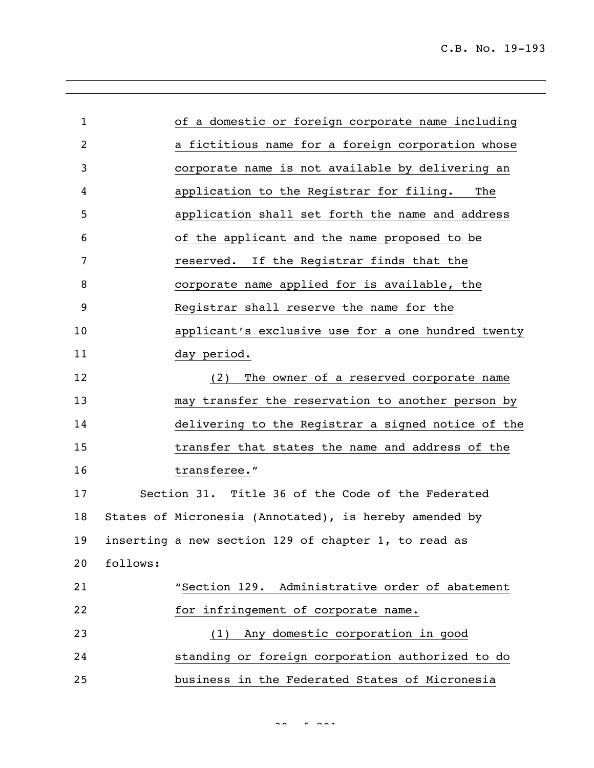| $\mathbf{1}$ |          | of a domestic or foreign corporate name including      |
|--------------|----------|--------------------------------------------------------|
| 2            |          | a fictitious name for a foreign corporation whose      |
| 3            |          | corporate name is not available by delivering an       |
| 4            |          | application to the Registrar for filing. The           |
| 5            |          | application shall set forth the name and address       |
| 6            |          | of the applicant and the name proposed to be           |
| 7            |          | reserved. If the Registrar finds that the              |
| 8            |          | corporate name applied for is available, the           |
| 9            |          | Registrar shall reserve the name for the               |
| 10           |          | applicant's exclusive use for a one hundred twenty     |
| 11           |          | day period.                                            |
| 12           |          | The owner of a reserved corporate name<br>(2)          |
| 13           |          | may transfer the reservation to another person by      |
| 14           |          | delivering to the Registrar a signed notice of the     |
| 15           |          | transfer that states the name and address of the       |
| 16           |          | transferee."                                           |
| 17           |          | Section 31. Title 36 of the Code of the Federated      |
| 18           |          | States of Micronesia (Annotated), is hereby amended by |
| 19           |          | inserting a new section 129 of chapter 1, to read as   |
| 20           | follows: |                                                        |
| 21           |          | "Section 129. Administrative order of abatement        |
| 22           |          | for infringement of corporate name.                    |
| 23           |          | (1) Any domestic corporation in good                   |
| 24           |          | standing or foreign corporation authorized to do       |
| 25           |          | business in the Federated States of Micronesia         |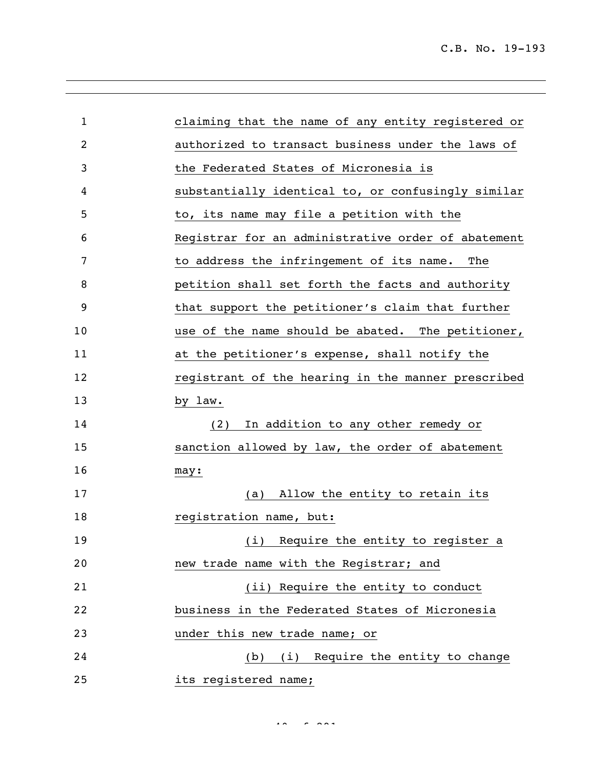| $\mathbf 1$ | claiming that the name of any entity registered or |
|-------------|----------------------------------------------------|
| 2           | authorized to transact business under the laws of  |
| 3           | the Federated States of Micronesia is              |
| 4           | substantially identical to, or confusingly similar |
| 5           | to, its name may file a petition with the          |
| 6           | Registrar for an administrative order of abatement |
| 7           | to address the infringement of its name. The       |
| 8           | petition shall set forth the facts and authority   |
| 9           | that support the petitioner's claim that further   |
| 10          | use of the name should be abated. The petitioner,  |
| 11          | at the petitioner's expense, shall notify the      |
| 12          | registrant of the hearing in the manner prescribed |
| 13          | by law.                                            |
| 14          | In addition to any other remedy or<br>(2)          |
| 15          | sanction allowed by law, the order of abatement    |
| 16          | may:                                               |
| 17          | Allow the entity to retain its<br>(a)              |
| 18          | registration name, but:                            |
| 19          | (i) Require the entity to register a               |
| 20          | new trade name with the Registrar; and             |
| 21          | (ii) Require the entity to conduct                 |
| 22          | business in the Federated States of Micronesia     |
| 23          | under this new trade name; or                      |
| 24          | (b) (i) Require the entity to change               |
| 25          | its registered name;                               |

 $400 - 80$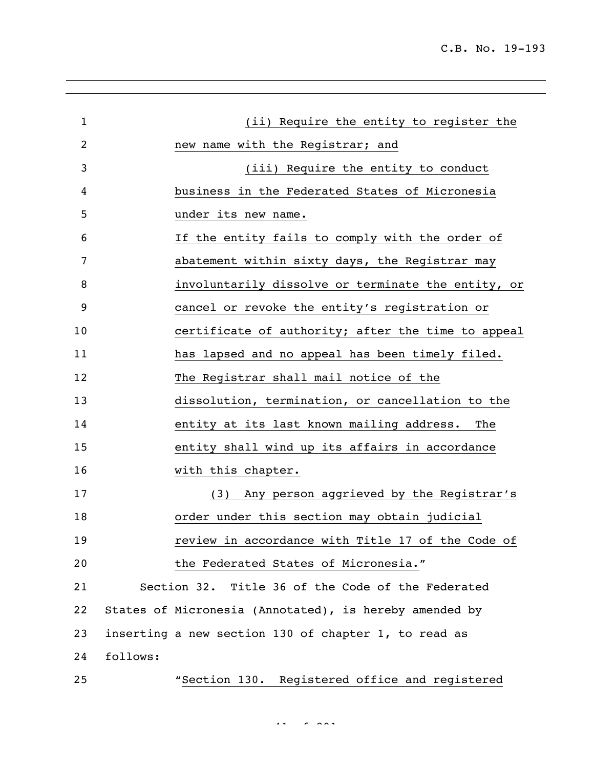| $\mathbf{1}$ |          | (ii) Require the entity to register the                |
|--------------|----------|--------------------------------------------------------|
| 2            |          | new name with the Registrar; and                       |
| 3            |          | (iii) Require the entity to conduct                    |
| 4            |          | business in the Federated States of Micronesia         |
| 5            |          | under its new name.                                    |
| 6            |          | If the entity fails to comply with the order of        |
| 7            |          | abatement within sixty days, the Registrar may         |
| 8            |          | involuntarily dissolve or terminate the entity, or     |
| 9            |          | cancel or revoke the entity's registration or          |
| 10           |          | certificate of authority; after the time to appeal     |
| 11           |          | has lapsed and no appeal has been timely filed.        |
| 12           |          | The Registrar shall mail notice of the                 |
| 13           |          | dissolution, termination, or cancellation to the       |
| 14           |          | entity at its last known mailing address. The          |
| 15           |          | entity shall wind up its affairs in accordance         |
| 16           |          | with this chapter.                                     |
| 17           |          | (3) Any person aggrieved by the Registrar's            |
| 18           |          | order under this section may obtain judicial           |
| 19           |          | review in accordance with Title 17 of the Code of      |
| 20           |          | the Federated States of Micronesia."                   |
| 21           |          | Section 32. Title 36 of the Code of the Federated      |
| 22           |          | States of Micronesia (Annotated), is hereby amended by |
| 23           |          | inserting a new section 130 of chapter 1, to read as   |
| 24           | follows: |                                                        |
| 25           |          | "Section 130. Registered office and registered         |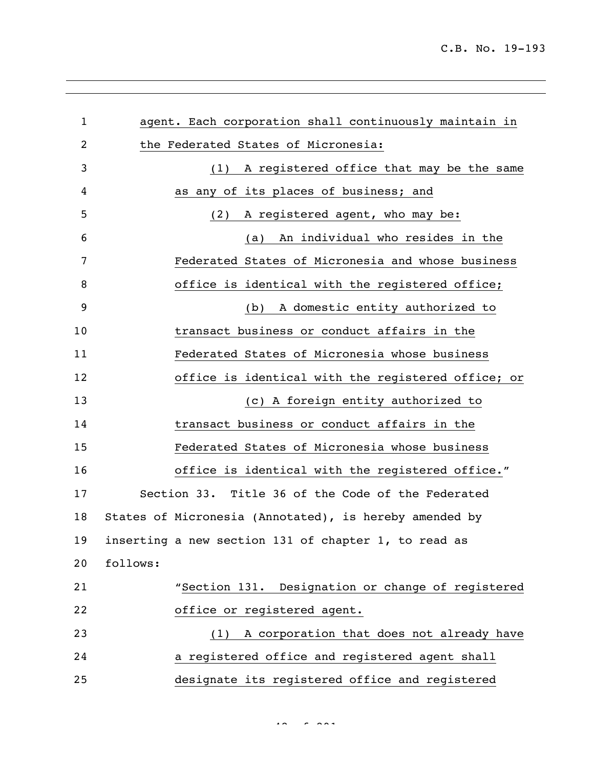| $\mathbf{1}$ | agent. Each corporation shall continuously maintain in |
|--------------|--------------------------------------------------------|
| 2            | the Federated States of Micronesia:                    |
| 3            | A registered office that may be the same<br>(1)        |
| 4            | as any of its places of business; and                  |
| 5            | A registered agent, who may be:<br>(2)                 |
| 6            | An individual who resides in the<br>(a)                |
| 7            | Federated States of Micronesia and whose business      |
| 8            | office is identical with the registered office;        |
| 9            | (b) A domestic entity authorized to                    |
| 10           | transact business or conduct affairs in the            |
| 11           | Federated States of Micronesia whose business          |
| 12           | office is identical with the registered office; or     |
| 13           | (c) A foreign entity authorized to                     |
| 14           | transact business or conduct affairs in the            |
| 15           | Federated States of Micronesia whose business          |
| 16           | office is identical with the registered office."       |
| 17           | Section 33. Title 36 of the Code of the Federated      |
| 18           | States of Micronesia (Annotated), is hereby amended by |
| 19           | inserting a new section 131 of chapter 1, to read as   |
| 20           | follows:                                               |
| 21           | "Section 131. Designation or change of registered      |
| 22           | office or registered agent.                            |
| 23           | A corporation that does not already have<br>(1)        |
| 24           | a registered office and registered agent shall         |
| 25           | designate its registered office and registered         |

 $42 - 29$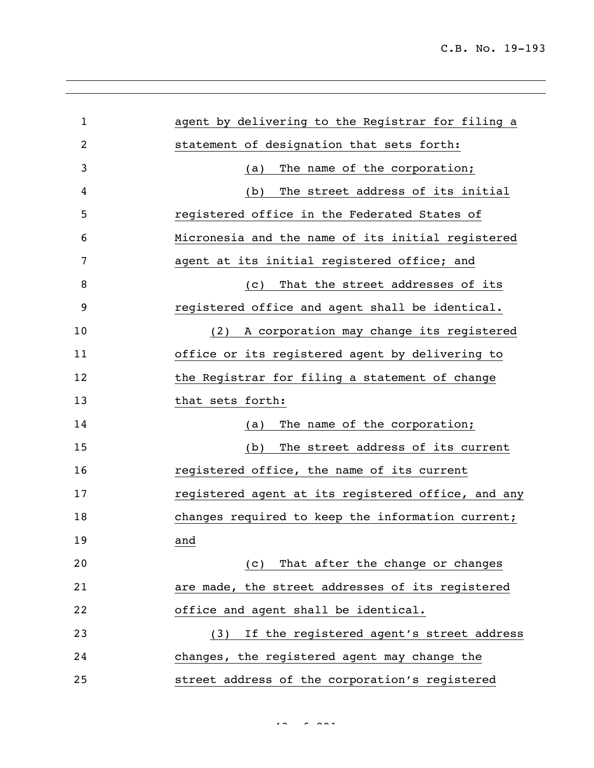| $\mathbf{1}$   | agent by delivering to the Registrar for filing a  |
|----------------|----------------------------------------------------|
| $\overline{2}$ | statement of designation that sets forth:          |
| 3              | The name of the corporation;<br>(a)                |
| 4              | The street address of its initial<br>(b)           |
| 5              | registered office in the Federated States of       |
| 6              | Micronesia and the name of its initial registered  |
| 7              | agent at its initial registered office; and        |
| 8              | That the street addresses of its<br>(C)            |
| 9              | registered office and agent shall be identical.    |
| 10             | A corporation may change its registered<br>(2)     |
| 11             | office or its registered agent by delivering to    |
| 12             | the Registrar for filing a statement of change     |
| 13             | that sets forth:                                   |
| 14             | The name of the corporation;<br>(a)                |
| 15             | The street address of its current<br>(b)           |
| 16             | registered office, the name of its current         |
| 17             | registered agent at its registered office, and any |
| 18             | changes required to keep the information current;  |
| 19             | and                                                |
| 20             | That after the change or changes<br>(C)            |
| 21             | are made, the street addresses of its registered   |
| 22             | office and agent shall be identical.               |
| 23             | If the registered agent's street address<br>(3)    |
| 24             | changes, the registered agent may change the       |
| 25             | street address of the corporation's registered     |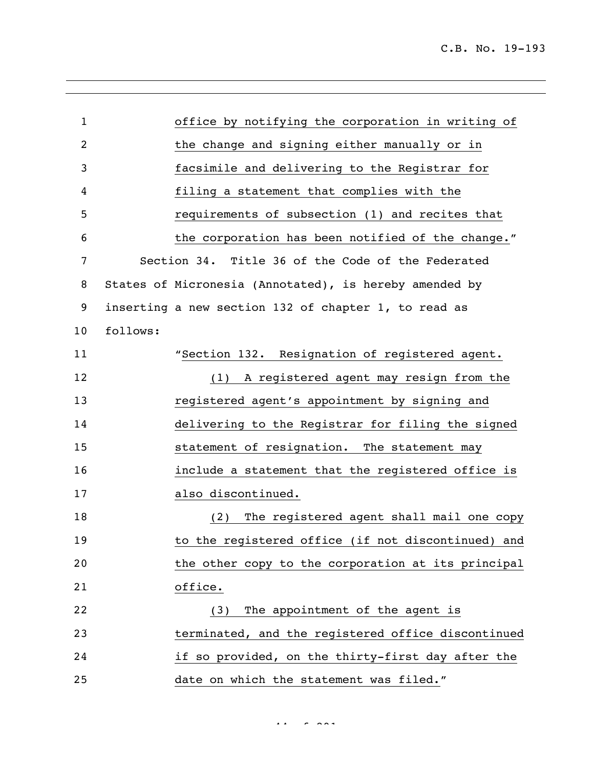| $\mathbf{1}$   |          | office by notifying the corporation in writing of      |
|----------------|----------|--------------------------------------------------------|
| $\overline{c}$ |          | the change and signing either manually or in           |
| 3              |          | facsimile and delivering to the Registrar for          |
| 4              |          | filing a statement that complies with the              |
| 5              |          | requirements of subsection (1) and recites that        |
| 6              |          | the corporation has been notified of the change."      |
| 7              |          | Section 34. Title 36 of the Code of the Federated      |
| 8              |          | States of Micronesia (Annotated), is hereby amended by |
| 9              |          | inserting a new section 132 of chapter 1, to read as   |
| 10             | follows: |                                                        |
| 11             |          | "Section 132. Resignation of registered agent.         |
| 12             |          | (1) A registered agent may resign from the             |
| 13             |          | registered agent's appointment by signing and          |
| 14             |          | delivering to the Registrar for filing the signed      |
| 15             |          | statement of resignation. The statement may            |
| 16             |          | include a statement that the registered office is      |
| 17             |          | also discontinued.                                     |
| 18             |          | The registered agent shall mail one copy<br>(2)        |
| 19             |          | to the registered office (if not discontinued) and     |
| 20             |          | the other copy to the corporation at its principal     |
| 21             |          | office.                                                |
| 22             |          | The appointment of the agent is<br>(3)                 |
| 23             |          | terminated, and the registered office discontinued     |
| 24             |          | if so provided, on the thirty-first day after the      |
| 25             |          | date on which the statement was filed."                |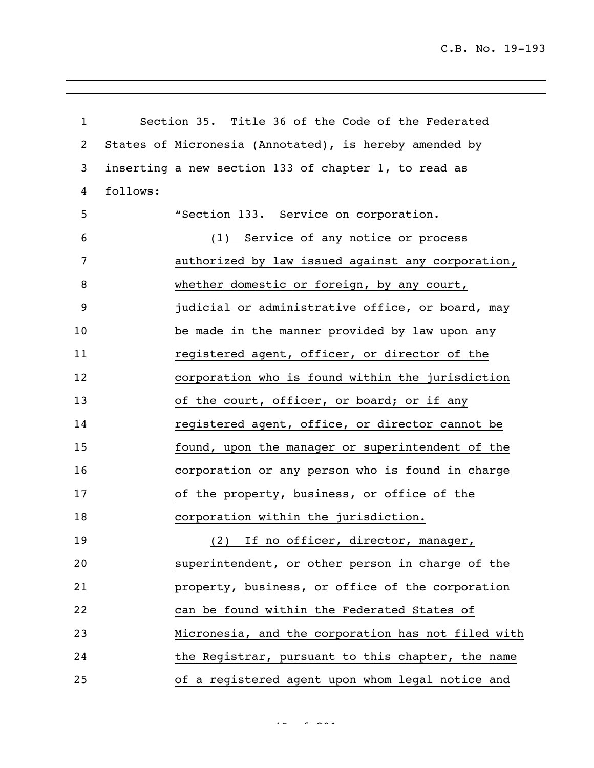C.B. No. 19-193

| $\mathbf{1}$ | Section 35. Title 36 of the Code of the Federated      |
|--------------|--------------------------------------------------------|
| 2            | States of Micronesia (Annotated), is hereby amended by |
| 3            | inserting a new section 133 of chapter 1, to read as   |
| 4            | follows:                                               |
| 5            | "Section 133. Service on corporation.                  |
| 6            | (1) Service of any notice or process                   |
| 7            | authorized by law issued against any corporation,      |
| 8            | whether domestic or foreign, by any court,             |
| 9            | judicial or administrative office, or board, may       |
| 10           | be made in the manner provided by law upon any         |
| 11           | registered agent, officer, or director of the          |
| 12           | corporation who is found within the jurisdiction       |
| 13           | of the court, officer, or board; or if any             |
| 14           | registered agent, office, or director cannot be        |
| 15           | found, upon the manager or superintendent of the       |
| 16           | corporation or any person who is found in charge       |
| 17           | of the property, business, or office of the            |
| 18           | corporation within the jurisdiction.                   |
| 19           | (2) If no officer, director, manager,                  |
| 20           | superintendent, or other person in charge of the       |
| 21           | property, business, or office of the corporation       |
| 22           | can be found within the Federated States of            |
| 23           | Micronesia, and the corporation has not filed with     |
| 24           | the Registrar, pursuant to this chapter, the name      |
| 25           | of a registered agent upon whom legal notice and       |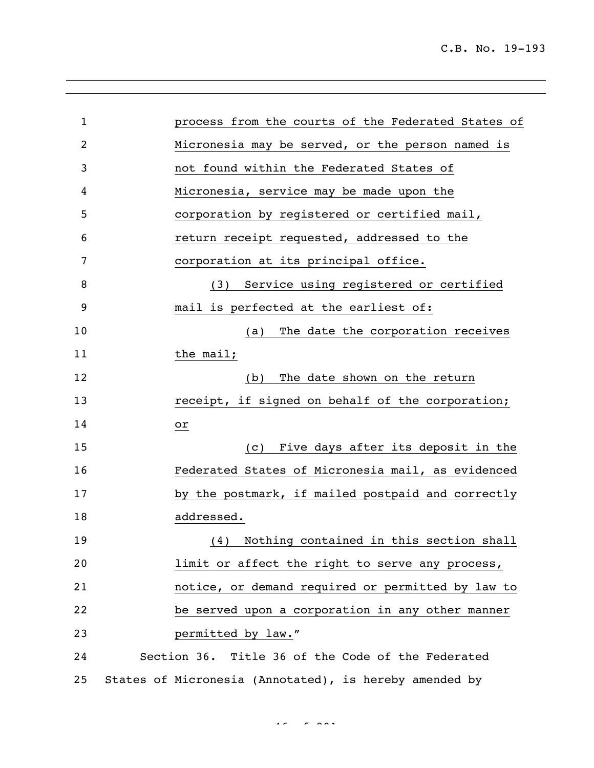| $\mathbf{1}$ | process from the courts of the Federated States of     |
|--------------|--------------------------------------------------------|
| 2            | Micronesia may be served, or the person named is       |
| 3            | not found within the Federated States of               |
| 4            | Micronesia, service may be made upon the               |
| 5            | corporation by registered or certified mail,           |
| 6            | return receipt requested, addressed to the             |
| 7            | corporation at its principal office.                   |
| 8            | (3) Service using registered or certified              |
| 9            | mail is perfected at the earliest of:                  |
| 10           | The date the corporation receives<br>(a)               |
| 11           | the mail;                                              |
| 12           | The date shown on the return<br>(b)                    |
| 13           | receipt, if signed on behalf of the corporation;       |
| 14           | оr                                                     |
| 15           | Five days after its deposit in the<br>(c)              |
| 16           | Federated States of Micronesia mail, as evidenced      |
| 17           | by the postmark, if mailed postpaid and correctly      |
| 18           | addressed.                                             |
| 19           | Nothing contained in this section shall<br>(4)         |
| 20           | limit or affect the right to serve any process,        |
| 21           | notice, or demand required or permitted by law to      |
| 22           | be served upon a corporation in any other manner       |
| 23           | permitted by law."                                     |
| 24           | Section 36. Title 36 of the Code of the Federated      |
| 25           | States of Micronesia (Annotated), is hereby amended by |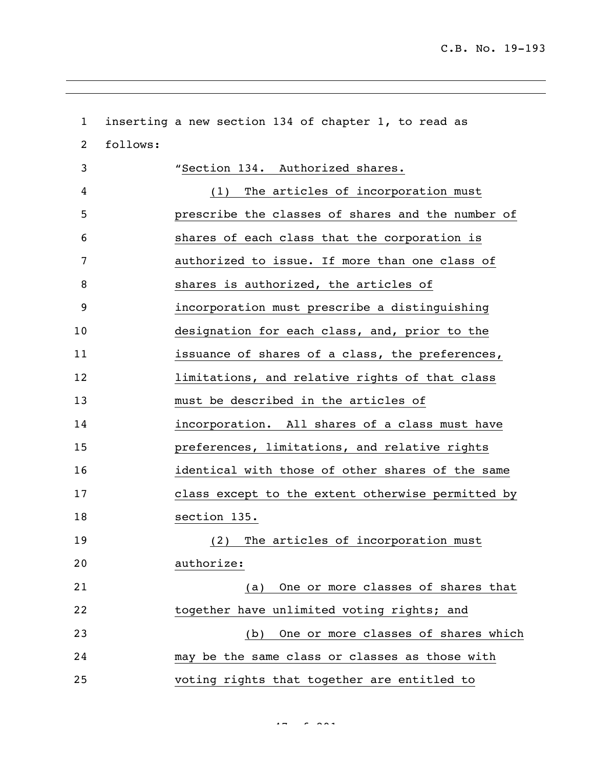inserting a new section 134 of chapter 1, to read as follows: "Section 134. Authorized shares. (1) The articles of incorporation must prescribe the classes of shares and the number of shares of each class that the corporation is authorized to issue. If more than one class of shares is authorized, the articles of incorporation must prescribe a distinguishing designation for each class, and, prior to the issuance of shares of a class, the preferences, limitations, and relative rights of that class must be described in the articles of incorporation. All shares of a class must have preferences, limitations, and relative rights identical with those of other shares of the same class except to the extent otherwise permitted by section 135. (2) The articles of incorporation must authorize: (a) One or more classes of shares that together have unlimited voting rights; and (b) One or more classes of shares which may be the same class or classes as those with voting rights that together are entitled to

 $47 - 29$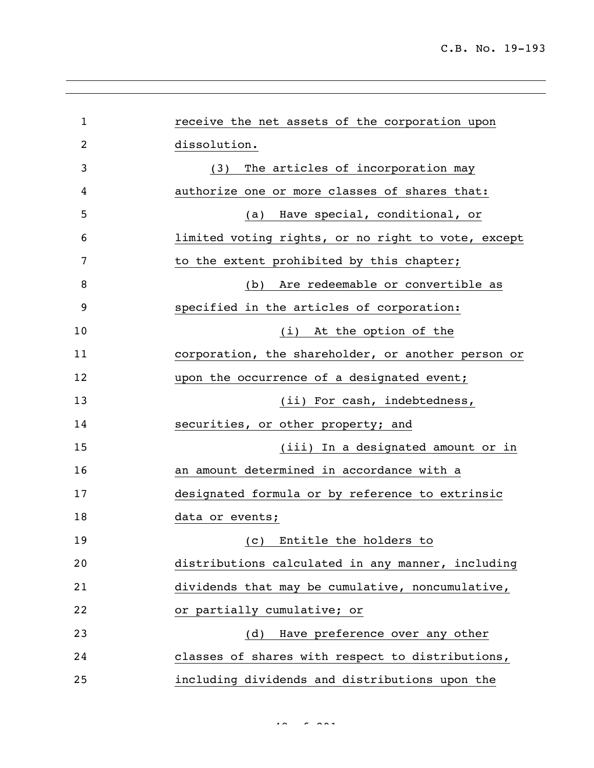| $\mathbf 1$ | receive the net assets of the corporation upon     |
|-------------|----------------------------------------------------|
| 2           | dissolution.                                       |
| 3           | The articles of incorporation may<br>(3)           |
| 4           | authorize one or more classes of shares that:      |
| 5           | Have special, conditional, or<br>(a)               |
| 6           | limited voting rights, or no right to vote, except |
| 7           | to the extent prohibited by this chapter;          |
| 8           | (b) Are redeemable or convertible as               |
| 9           | specified in the articles of corporation:          |
| 10          | At the option of the<br>(i)                        |
| 11          | corporation, the shareholder, or another person or |
| 12          | upon the occurrence of a designated event;         |
| 13          | (ii) For cash, indebtedness,                       |
| 14          | securities, or other property; and                 |
| 15          | (iii) In a designated amount or in                 |
| 16          | an amount determined in accordance with a          |
| 17          | designated formula or by reference to extrinsic    |
| 18          | data or events;                                    |
| 19          | (c) Entitle the holders to                         |
| 20          | distributions calculated in any manner, including  |
| 21          | dividends that may be cumulative, noncumulative,   |
| 22          | or partially cumulative; or                        |
| 23          | Have preference over any other<br>(d)              |
| 24          | classes of shares with respect to distributions,   |
| 25          | including dividends and distributions upon the     |

 $48.28$  of 291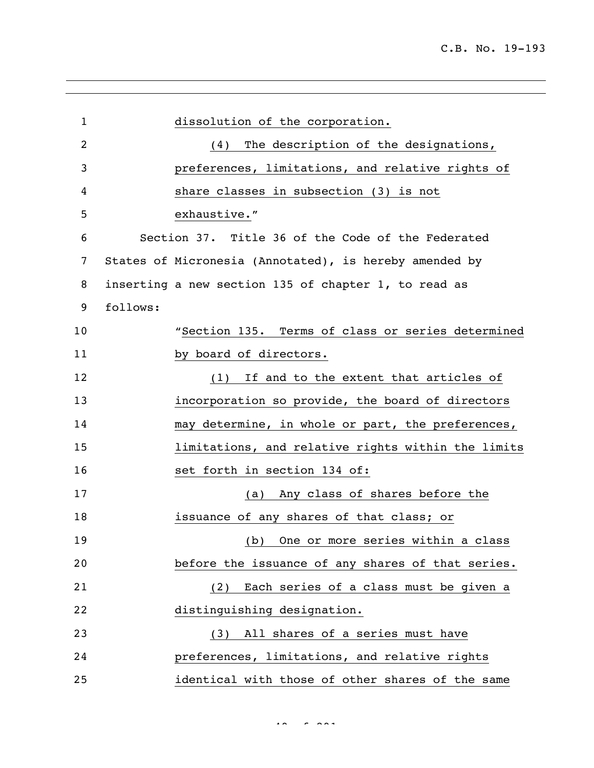| $\mathbf{1}$ | dissolution of the corporation.                        |
|--------------|--------------------------------------------------------|
| 2            | The description of the designations,<br>(4)            |
| 3            | preferences, limitations, and relative rights of       |
| 4            | share classes in subsection (3) is not                 |
| 5            | exhaustive."                                           |
| 6            | Section 37. Title 36 of the Code of the Federated      |
| 7            | States of Micronesia (Annotated), is hereby amended by |
| 8            | inserting a new section 135 of chapter 1, to read as   |
| 9            | follows:                                               |
| 10           | "Section 135. Terms of class or series determined      |
| 11           | by board of directors.                                 |
| 12           | (1) If and to the extent that articles of              |
| 13           | incorporation so provide, the board of directors       |
| 14           | may determine, in whole or part, the preferences,      |
| 15           | limitations, and relative rights within the limits     |
| 16           | set forth in section 134 of:                           |
| 17           | Any class of shares before the<br>(a)                  |
| 18           | issuance of any shares of that class; or               |
| 19           | (b) One or more series within a class                  |
| 20           | before the issuance of any shares of that series.      |
| 21           | (2) Each series of a class must be given a             |
| 22           | distinguishing designation.                            |
| 23           | (3) All shares of a series must have                   |
| 24           | preferences, limitations, and relative rights          |
| 25           | identical with those of other shares of the same       |

 $49.992$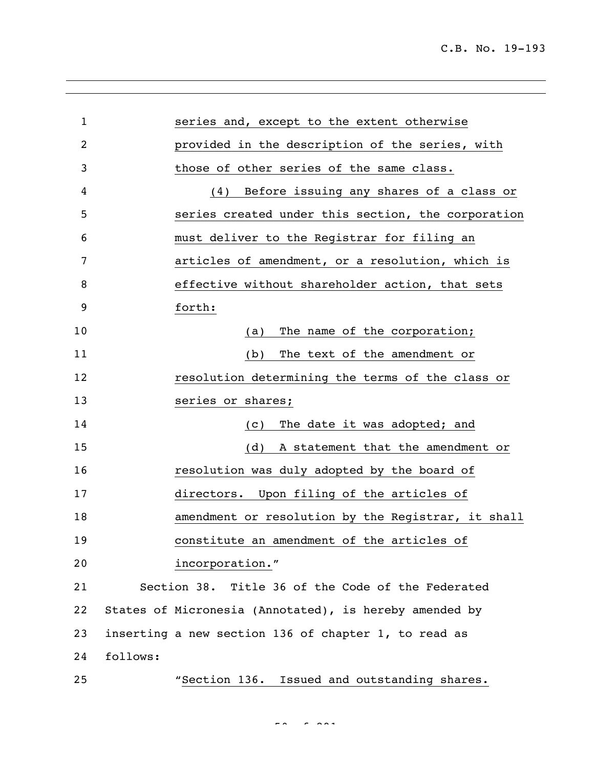| $\mathbf{1}$ | series and, except to the extent otherwise             |
|--------------|--------------------------------------------------------|
| 2            | provided in the description of the series, with        |
| 3            | those of other series of the same class.               |
| 4            | Before issuing any shares of a class or<br>(4)         |
| 5            | series created under this section, the corporation     |
| 6            | must deliver to the Registrar for filing an            |
| 7            | articles of amendment, or a resolution, which is       |
| 8            | effective without shareholder action, that sets        |
| 9            | forth:                                                 |
| 10           | The name of the corporation;<br>(a)                    |
| 11           | The text of the amendment or<br>(b)                    |
| 12           | resolution determining the terms of the class or       |
| 13           | series or shares;                                      |
| 14           | The date it was adopted; and<br>(C)                    |
| 15           | A statement that the amendment or<br>(d)               |
| 16           | resolution was duly adopted by the board of            |
| 17           | directors. Upon filing of the articles of              |
| 18           | amendment or resolution by the Registrar, it shall     |
| 19           | constitute an amendment of the articles of             |
| 20           | incorporation."                                        |
| 21           | Section 38. Title 36 of the Code of the Federated      |
| 22           | States of Micronesia (Annotated), is hereby amended by |
| 23           | inserting a new section 136 of chapter 1, to read as   |
| 24           | follows:                                               |
| 25           | "Section 136. Issued and outstanding shares.           |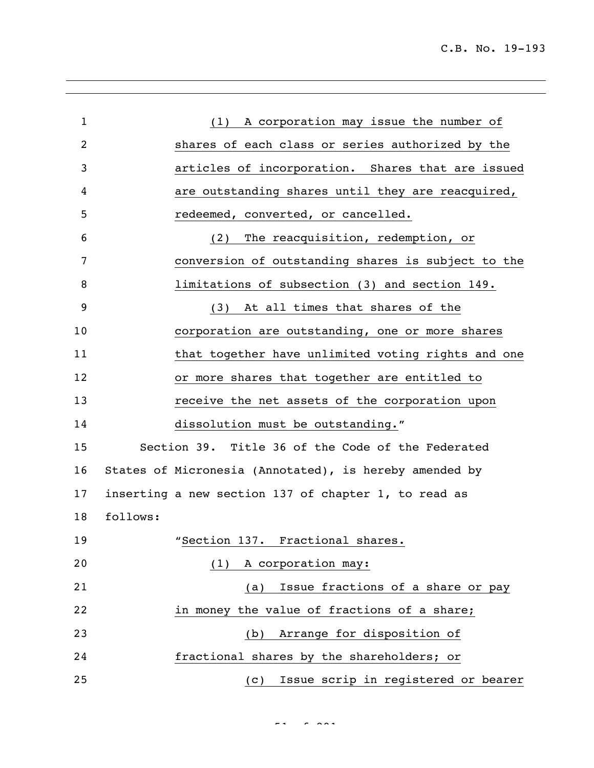| $\mathbf{1}$   | (1) A corporation may issue the number of              |
|----------------|--------------------------------------------------------|
| $\overline{c}$ | shares of each class or series authorized by the       |
| 3              | articles of incorporation. Shares that are issued      |
| 4              | are outstanding shares until they are reacquired,      |
| 5              | redeemed, converted, or cancelled.                     |
| 6              | (2) The reacquisition, redemption, or                  |
| 7              | conversion of outstanding shares is subject to the     |
| 8              | limitations of subsection (3) and section 149.         |
| 9              | At all times that shares of the<br>(3)                 |
| 10             | corporation are outstanding, one or more shares        |
| 11             | that together have unlimited voting rights and one     |
| 12             | or more shares that together are entitled to           |
| 13             | receive the net assets of the corporation upon         |
| 14             | dissolution must be outstanding."                      |
| 15             | Section 39. Title 36 of the Code of the Federated      |
| 16             | States of Micronesia (Annotated), is hereby amended by |
| 17             | inserting a new section 137 of chapter 1, to read as   |
| 18             | follows:                                               |
| 19             | "Section 137. Fractional shares.                       |
| 20             | A corporation may:<br>(1)                              |
| 21             | Issue fractions of a share or pay<br>(a)               |
| 22             | in money the value of fractions of a share;            |
| 23             | Arrange for disposition of<br>(b)                      |
| 24             | fractional shares by the shareholders; or              |
| 25             | Issue scrip in registered or bearer<br>(C)             |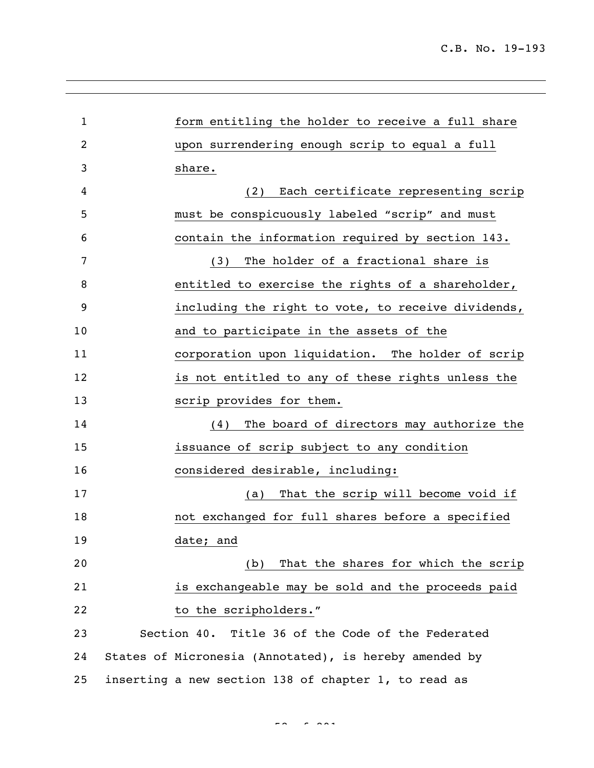| $\mathbf{1}$   | form entitling the holder to receive a full share      |
|----------------|--------------------------------------------------------|
| $\overline{2}$ | upon surrendering enough scrip to equal a full         |
| 3              | share.                                                 |
| 4              | Each certificate representing scrip<br>(2)             |
| 5              | must be conspicuously labeled "scrip" and must         |
| 6              | contain the information required by section 143.       |
| 7              | The holder of a fractional share is<br>(3)             |
| 8              | entitled to exercise the rights of a shareholder,      |
| 9              | including the right to vote, to receive dividends,     |
| 10             | and to participate in the assets of the                |
| 11             | corporation upon liquidation. The holder of scrip      |
| 12             | is not entitled to any of these rights unless the      |
| 13             | scrip provides for them.                               |
| 14             | The board of directors may authorize the<br>(4)        |
| 15             | issuance of scrip subject to any condition             |
| 16             | considered desirable, including:                       |
| 17             | That the scrip will become void if<br>(a)              |
| 18             | not exchanged for full shares before a specified       |
| 19             | date; and                                              |
| 20             | That the shares for which the scrip<br>(b)             |
| 21             | is exchangeable may be sold and the proceeds paid      |
| 22             | to the scripholders."                                  |
| 23             | Section 40. Title 36 of the Code of the Federated      |
| 24             | States of Micronesia (Annotated), is hereby amended by |
| 25             | inserting a new section 138 of chapter 1, to read as   |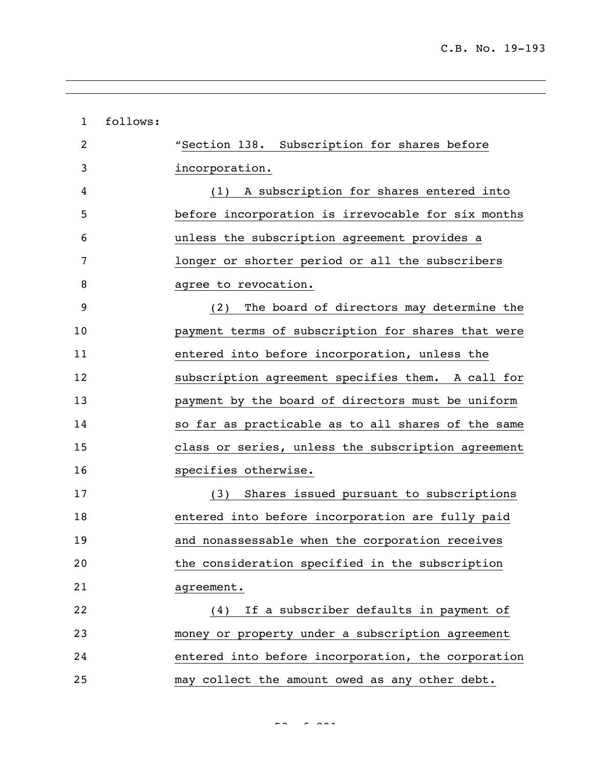| $\mathbf{1}$ | follows: |                                                    |
|--------------|----------|----------------------------------------------------|
| 2            |          | "Section 138. Subscription for shares before       |
| 3            |          | incorporation.                                     |
| 4            |          | (1) A subscription for shares entered into         |
| 5            |          | before incorporation is irrevocable for six months |
| 6            |          | unless the subscription agreement provides a       |
| 7            |          | longer or shorter period or all the subscribers    |
| 8            |          | agree to revocation.                               |
| 9            |          | The board of directors may determine the<br>(2)    |
| 10           |          | payment terms of subscription for shares that were |
| 11           |          | entered into before incorporation, unless the      |
| 12           |          | subscription agreement specifies them. A call for  |
| 13           |          | payment by the board of directors must be uniform  |
| 14           |          | so far as practicable as to all shares of the same |
| 15           |          | class or series, unless the subscription agreement |
| 16           |          | specifies otherwise.                               |
| 17           |          | (3) Shares issued pursuant to subscriptions        |
| 18           |          | entered into before incorporation are fully paid   |
| 19           |          | and nonassessable when the corporation receives    |
| 20           |          | the consideration specified in the subscription    |
| 21           |          | agreement.                                         |
| 22           |          | If a subscriber defaults in payment of<br>(4)      |
| 23           |          | money or property under a subscription agreement   |
| 24           |          | entered into before incorporation, the corporation |
| 25           |          | may collect the amount owed as any other debt.     |

 $\frac{1}{2}$  of  $\frac{1}{2}$  of  $\frac{1}{2}$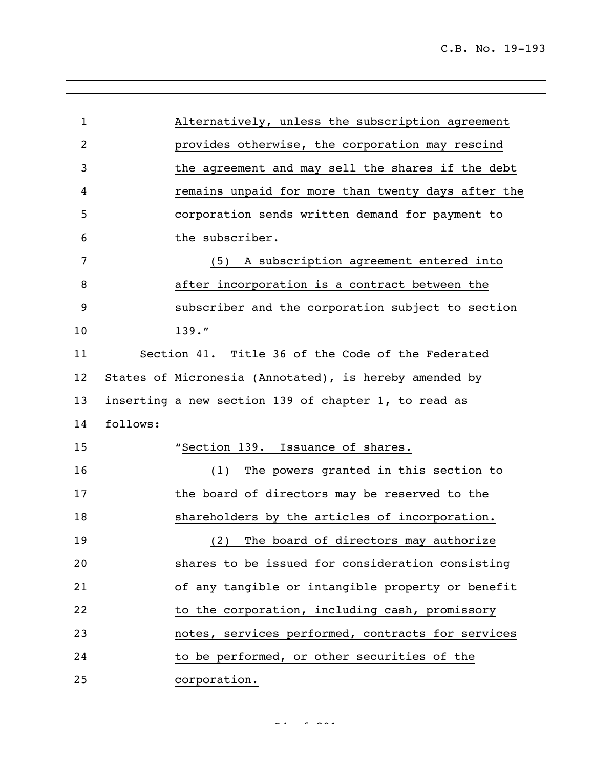| $\mathbf{1}$ | Alternatively, unless the subscription agreement       |
|--------------|--------------------------------------------------------|
| 2            | provides otherwise, the corporation may rescind        |
| 3            | the agreement and may sell the shares if the debt      |
| 4            | remains unpaid for more than twenty days after the     |
| 5            | corporation sends written demand for payment to        |
| 6            | the subscriber.                                        |
| 7            | A subscription agreement entered into<br>(5)           |
| 8            | after incorporation is a contract between the          |
| 9            | subscriber and the corporation subject to section      |
| 10           | $139.$ "                                               |
| 11           | Section 41. Title 36 of the Code of the Federated      |
| 12           | States of Micronesia (Annotated), is hereby amended by |
| 13           | inserting a new section 139 of chapter 1, to read as   |
| 14           | follows:                                               |
| 15           | "Section 139. Issuance of shares.                      |
| 16           | (1) The powers granted in this section to              |
| 17           | the board of directors may be reserved to the          |
| 18           | shareholders by the articles of incorporation.         |
| 19           | (2) The board of directors may authorize               |
| 20           | shares to be issued for consideration consisting       |
| 21           | of any tangible or intangible property or benefit      |
| 22           | to the corporation, including cash, promissory         |
| 23           | notes, services performed, contracts for services      |
| 24           | to be performed, or other securities of the            |
| 25           | corporation.                                           |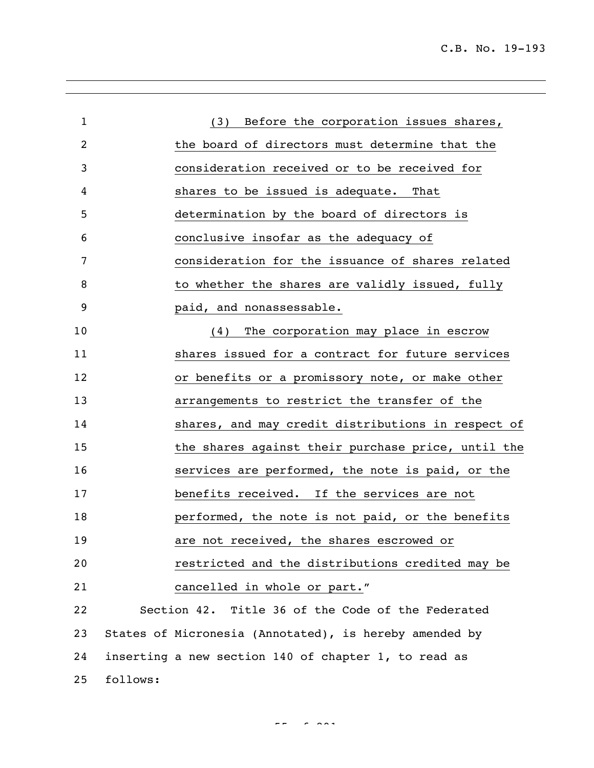C.B. No. 19-193

| $\mathbf{1}$ |          | (3) Before the corporation issues shares,              |
|--------------|----------|--------------------------------------------------------|
| 2            |          | the board of directors must determine that the         |
| 3            |          | consideration received or to be received for           |
| 4            |          | shares to be issued is adequate. That                  |
| 5            |          | determination by the board of directors is             |
| 6            |          | conclusive insofar as the adequacy of                  |
| 7            |          | consideration for the issuance of shares related       |
| 8            |          | to whether the shares are validly issued, fully        |
| 9            |          | paid, and nonassessable.                               |
| 10           |          | (4) The corporation may place in escrow                |
| 11           |          | shares issued for a contract for future services       |
| 12           |          | or benefits or a promissory note, or make other        |
| 13           |          | arrangements to restrict the transfer of the           |
| 14           |          | shares, and may credit distributions in respect of     |
| 15           |          | the shares against their purchase price, until the     |
| 16           |          | services are performed, the note is paid, or the       |
| 17           |          | benefits received. If the services are not             |
| 18           |          | performed, the note is not paid, or the benefits       |
| 19           |          | are not received, the shares escrowed or               |
| 20           |          | restricted and the distributions credited may be       |
| 21           |          | cancelled in whole or part."                           |
| 22           |          | Section 42. Title 36 of the Code of the Federated      |
| 23           |          | States of Micronesia (Annotated), is hereby amended by |
| 24           |          | inserting a new section 140 of chapter 1, to read as   |
| 25           | follows: |                                                        |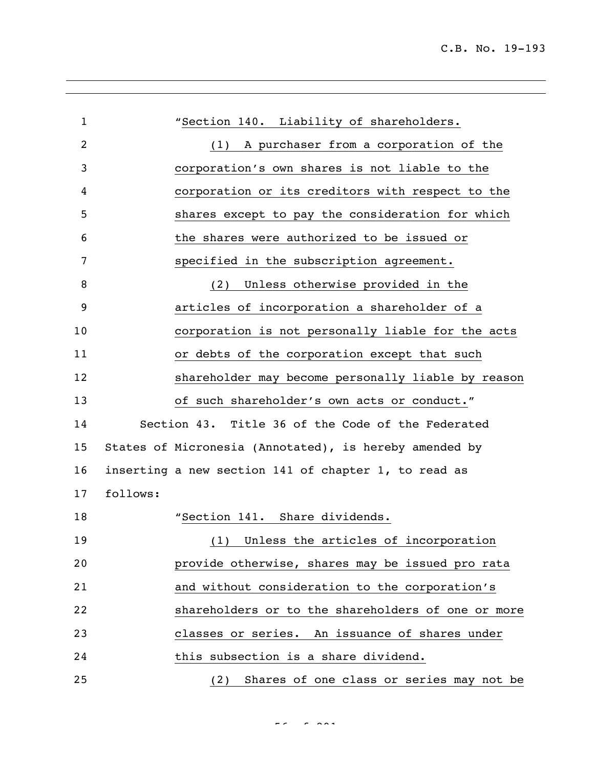| $\mathbf{1}$ |          | "Section 140. Liability of shareholders.               |
|--------------|----------|--------------------------------------------------------|
| 2            |          | A purchaser from a corporation of the<br>(1)           |
| 3            |          | corporation's own shares is not liable to the          |
| 4            |          | corporation or its creditors with respect to the       |
| 5            |          | shares except to pay the consideration for which       |
| 6            |          | the shares were authorized to be issued or             |
| 7            |          | specified in the subscription agreement.               |
| 8            |          | Unless otherwise provided in the<br>(2)                |
| 9            |          | articles of incorporation a shareholder of a           |
| 10           |          | corporation is not personally liable for the acts      |
| 11           |          | or debts of the corporation except that such           |
| 12           |          | shareholder may become personally liable by reason     |
| 13           |          | of such shareholder's own acts or conduct."            |
| 14           |          | Section 43. Title 36 of the Code of the Federated      |
| 15           |          | States of Micronesia (Annotated), is hereby amended by |
| 16           |          | inserting a new section 141 of chapter 1, to read as   |
| 17           | follows: |                                                        |
| 18           |          | "Section 141. Share dividends.                         |
| 19           |          | (1) Unless the articles of incorporation               |
| 20           |          | provide otherwise, shares may be issued pro rata       |
| 21           |          | and without consideration to the corporation's         |
| 22           |          | shareholders or to the shareholders of one or more     |
| 23           |          | classes or series. An issuance of shares under         |
| 24           |          | this subsection is a share dividend.                   |
| 25           |          | (2) Shares of one class or series may not be           |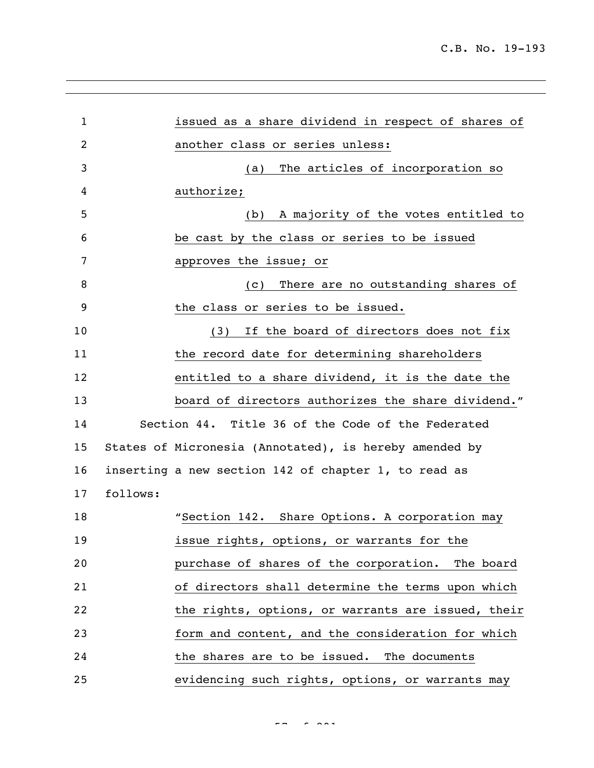| 1              |          | issued as a share dividend in respect of shares of     |
|----------------|----------|--------------------------------------------------------|
| $\overline{2}$ |          | another class or series unless:                        |
| 3              |          | The articles of incorporation so<br>(a)                |
| 4              |          | authorize;                                             |
| 5              |          | A majority of the votes entitled to<br>(b)             |
| 6              |          | be cast by the class or series to be issued            |
| 7              |          | approves the issue; or                                 |
| 8              |          | There are no outstanding shares of<br>(C)              |
| 9              |          | the class or series to be issued.                      |
| 10             |          | If the board of directors does not fix<br>(3)          |
| 11             |          | the record date for determining shareholders           |
| 12             |          | entitled to a share dividend, it is the date the       |
| 13             |          | board of directors authorizes the share dividend."     |
| 14             |          | Section 44. Title 36 of the Code of the Federated      |
| 15             |          | States of Micronesia (Annotated), is hereby amended by |
| 16             |          | inserting a new section 142 of chapter 1, to read as   |
| 17             | follows: |                                                        |
| 18             |          | "Section 142. Share Options. A corporation may         |
| 19             |          | issue rights, options, or warrants for the             |
| 20             |          | purchase of shares of the corporation. The board       |
| 21             |          | of directors shall determine the terms upon which      |
| 22             |          | the rights, options, or warrants are issued, their     |
| 23             |          | form and content, and the consideration for which      |
| 24             |          | the shares are to be issued. The documents             |
| 25             |          | evidencing such rights, options, or warrants may       |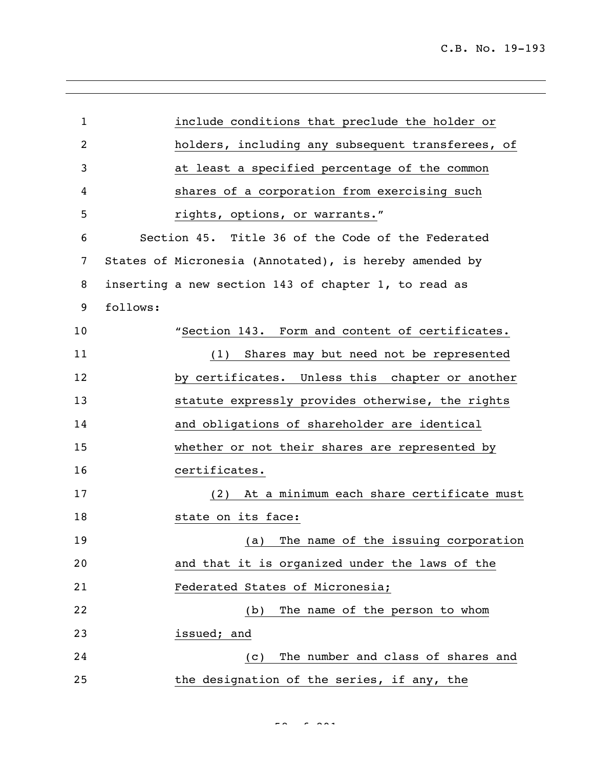| $\mathbf{1}$ |          | include conditions that preclude the holder or         |
|--------------|----------|--------------------------------------------------------|
| 2            |          | holders, including any subsequent transferees, of      |
| 3            |          | at least a specified percentage of the common          |
| 4            |          | shares of a corporation from exercising such           |
| 5            |          | rights, options, or warrants."                         |
| 6            |          | Section 45. Title 36 of the Code of the Federated      |
| 7            |          | States of Micronesia (Annotated), is hereby amended by |
| 8            |          | inserting a new section 143 of chapter 1, to read as   |
| 9            | follows: |                                                        |
| 10           |          | "Section 143. Form and content of certificates.        |
| 11           |          | (1) Shares may but need not be represented             |
| 12           |          | by certificates. Unless this chapter or another        |
| 13           |          | statute expressly provides otherwise, the rights       |
| 14           |          | and obligations of shareholder are identical           |
| 15           |          | whether or not their shares are represented by         |
| 16           |          | certificates.                                          |
| 17           |          | (2) At a minimum each share certificate must           |
| 18           |          | state on its face:                                     |
| 19           |          | (a) The name of the issuing corporation                |
| 20           |          | and that it is organized under the laws of the         |
| 21           |          | Federated States of Micronesia;                        |
| 22           |          | The name of the person to whom<br>(b)                  |
| 23           |          | issued; and                                            |
| 24           |          | The number and class of shares and<br>(C)              |
| 25           |          | the designation of the series, if any, the             |

 $58 < 8.881$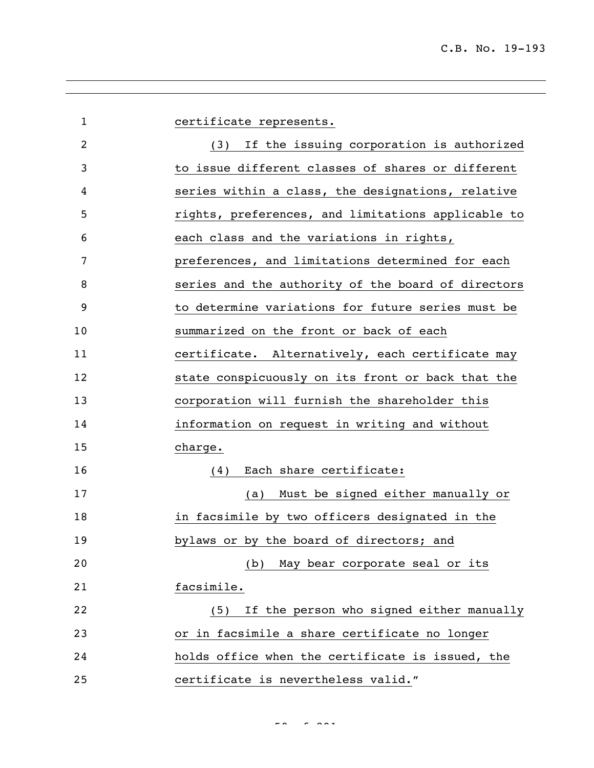| $\mathbf{1}$   | certificate represents.                            |
|----------------|----------------------------------------------------|
| $\overline{c}$ | (3) If the issuing corporation is authorized       |
| 3              | to issue different classes of shares or different  |
| 4              | series within a class, the designations, relative  |
| 5              | rights, preferences, and limitations applicable to |
| 6              | each class and the variations in rights,           |
| 7              | preferences, and limitations determined for each   |
| 8              | series and the authority of the board of directors |
| 9              | to determine variations for future series must be  |
| 10             | summarized on the front or back of each            |
| 11             | certificate. Alternatively, each certificate may   |
| 12             | state conspicuously on its front or back that the  |
| 13             | corporation will furnish the shareholder this      |
| 14             | information on request in writing and without      |
| 15             | charge.                                            |
| 16             | Each share certificate:<br>(4)                     |
| 17             | Must be signed either manually or<br>(a)           |
| 18             | in facsimile by two officers designated in the     |
| 19             | bylaws or by the board of directors; and           |
| 20             | May bear corporate seal or its<br>(b)              |
| 21             | facsimile.                                         |
| 22             | If the person who signed either manually<br>(5)    |
| 23             | or in facsimile a share certificate no longer      |
| 24             | holds office when the certificate is issued, the   |
| 25             | certificate is nevertheless valid."                |

 $59.992$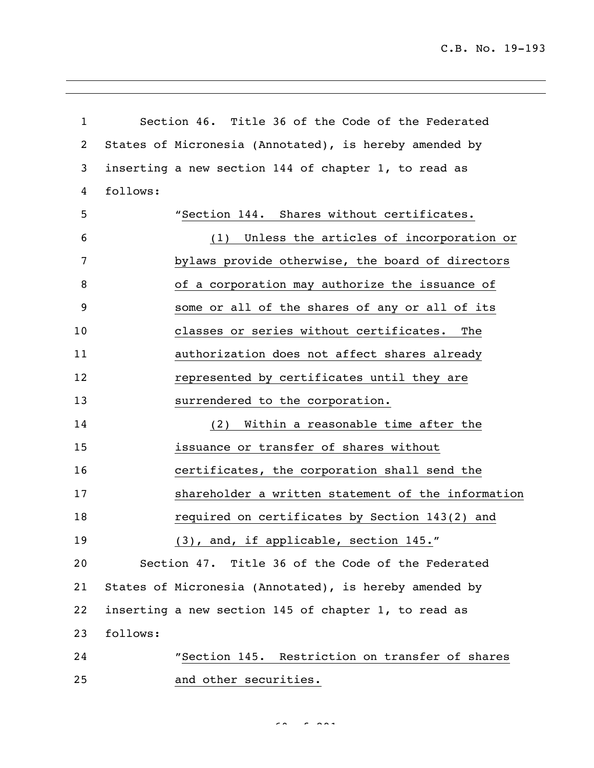C.B. No. 19-193

| $\mathbf 1$ |          | Section 46. Title 36 of the Code of the Federated      |
|-------------|----------|--------------------------------------------------------|
| 2           |          | States of Micronesia (Annotated), is hereby amended by |
| 3           |          | inserting a new section 144 of chapter 1, to read as   |
| 4           | follows: |                                                        |
| 5           |          | "Section 144. Shares without certificates.             |
| 6           |          | Unless the articles of incorporation or<br>(1)         |
| 7           |          | bylaws provide otherwise, the board of directors       |
| 8           |          | of a corporation may authorize the issuance of         |
| 9           |          | some or all of the shares of any or all of its         |
| 10          |          | classes or series without certificates.<br>The         |
| 11          |          | authorization does not affect shares already           |
| 12          |          | represented by certificates until they are             |
| 13          |          | surrendered to the corporation.                        |
| 14          |          | Within a reasonable time after the<br>(2)              |
| 15          |          | issuance or transfer of shares without                 |
| 16          |          | certificates, the corporation shall send the           |
| 17          |          | shareholder a written statement of the information     |
| 18          |          | required on certificates by Section 143(2) and         |
| 19          |          | (3), and, if applicable, section 145."                 |
| 20          |          | Section 47. Title 36 of the Code of the Federated      |
| 21          |          | States of Micronesia (Annotated), is hereby amended by |
| 22          |          | inserting a new section 145 of chapter 1, to read as   |
| 23          | follows: |                                                        |
| 24          |          | "Section 145. Restriction on transfer of shares        |
| 25          |          | and other securities.                                  |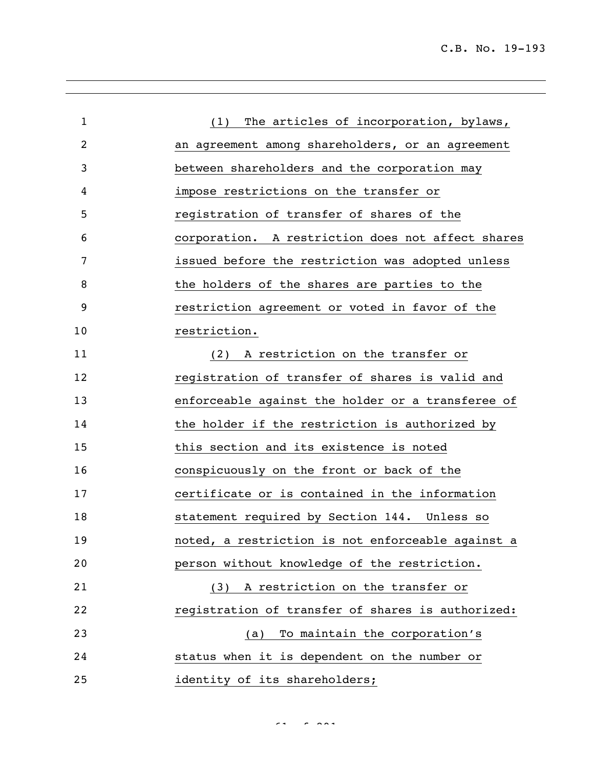| $\mathbf{1}$ | The articles of incorporation, bylaws,<br>(1)     |
|--------------|---------------------------------------------------|
| 2            | an agreement among shareholders, or an agreement  |
| 3            | between shareholders and the corporation may      |
| 4            | impose restrictions on the transfer or            |
| 5            | registration of transfer of shares of the         |
| 6            | corporation. A restriction does not affect shares |
| 7            | issued before the restriction was adopted unless  |
| 8            | the holders of the shares are parties to the      |
| 9            | restriction agreement or voted in favor of the    |
| 10           | restriction.                                      |
| 11           | A restriction on the transfer or<br>(2)           |
| 12           | registration of transfer of shares is valid and   |
| 13           | enforceable against the holder or a transferee of |
| 14           | the holder if the restriction is authorized by    |
| 15           | this section and its existence is noted           |
| 16           | conspicuously on the front or back of the         |
| 17           | certificate or is contained in the information    |
| 18           | statement required by Section 144. Unless so      |
| 19           | noted, a restriction is not enforceable against a |
| 20           | person without knowledge of the restriction.      |
| 21           | (3) A restriction on the transfer or              |
| 22           | registration of transfer of shares is authorized: |
| 23           | To maintain the corporation's<br>(a)              |
| 24           | status when it is dependent on the number or      |
| 25           | identity of its shareholders;                     |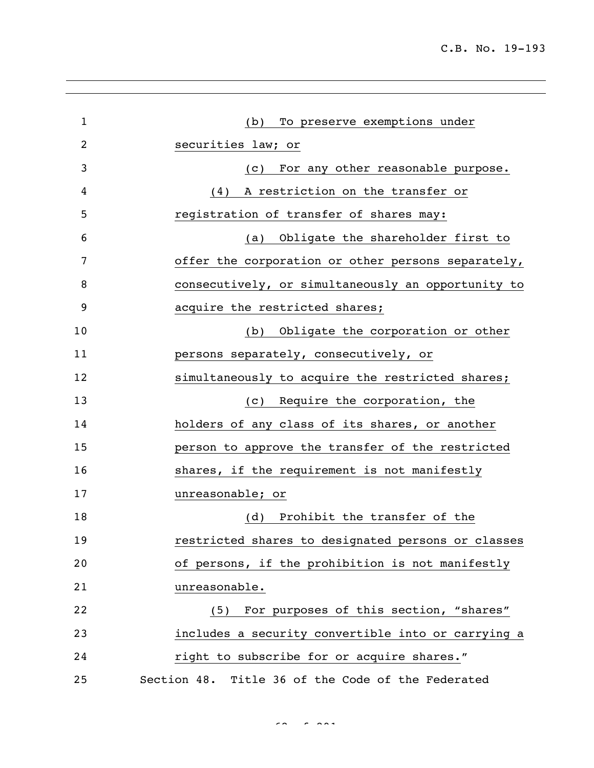| $\mathbf{1}$ | (b) To preserve exemptions under                   |  |
|--------------|----------------------------------------------------|--|
| 2            | securities law; or                                 |  |
| 3            | For any other reasonable purpose.<br>(c)           |  |
| 4            | A restriction on the transfer or<br>(4)            |  |
| 5            | registration of transfer of shares may:            |  |
| 6            | (a) Obligate the shareholder first to              |  |
| 7            | offer the corporation or other persons separately, |  |
| 8            | consecutively, or simultaneously an opportunity to |  |
| 9            | acquire the restricted shares;                     |  |
| 10           | Obligate the corporation or other<br>(b)           |  |
| 11           | persons separately, consecutively, or              |  |
| 12           | simultaneously to acquire the restricted shares;   |  |
| 13           | Require the corporation, the<br>(C)                |  |
| 14           | holders of any class of its shares, or another     |  |
| 15           | person to approve the transfer of the restricted   |  |
| 16           | shares, if the requirement is not manifestly       |  |
| 17           | unreasonable; or                                   |  |
| 18           | Prohibit the transfer of the<br>(d)                |  |
| 19           | restricted shares to designated persons or classes |  |
| 20           | of persons, if the prohibition is not manifestly   |  |
| 21           | unreasonable.                                      |  |
| 22           | (5) For purposes of this section, "shares"         |  |
| 23           | includes a security convertible into or carrying a |  |
| 24           | right to subscribe for or acquire shares."         |  |
| 25           | Section 48. Title 36 of the Code of the Federated  |  |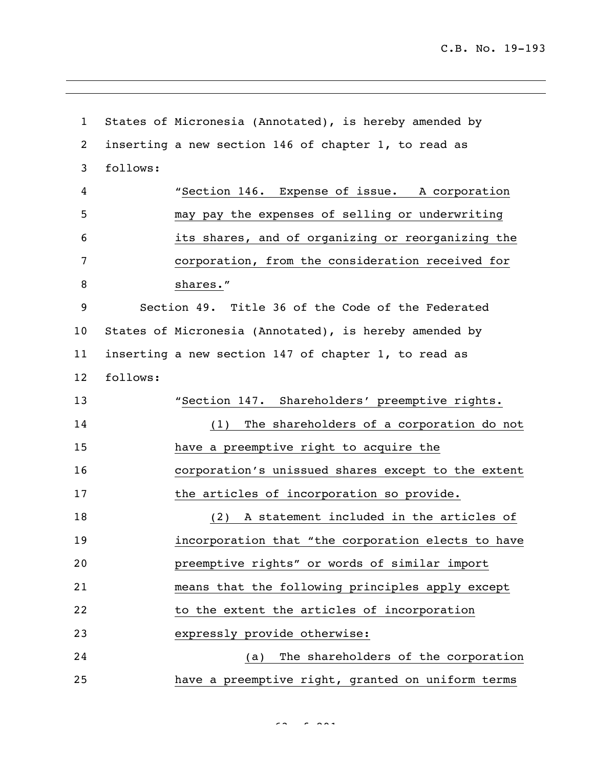States of Micronesia (Annotated), is hereby amended by inserting a new section 146 of chapter 1, to read as follows: "Section 146. Expense of issue. A corporation may pay the expenses of selling or underwriting its shares, and of organizing or reorganizing the corporation, from the consideration received for 8 shares." Section 49. Title 36 of the Code of the Federated States of Micronesia (Annotated), is hereby amended by inserting a new section 147 of chapter 1, to read as follows: "Section 147. Shareholders' preemptive rights. (1) The shareholders of a corporation do not have a preemptive right to acquire the corporation's unissued shares except to the extent 17 the articles of incorporation so provide. (2) A statement included in the articles of incorporation that "the corporation elects to have preemptive rights" or words of similar import means that the following principles apply except 22 to the extent the articles of incorporation expressly provide otherwise: (a) The shareholders of the corporation have a preemptive right, granted on uniform terms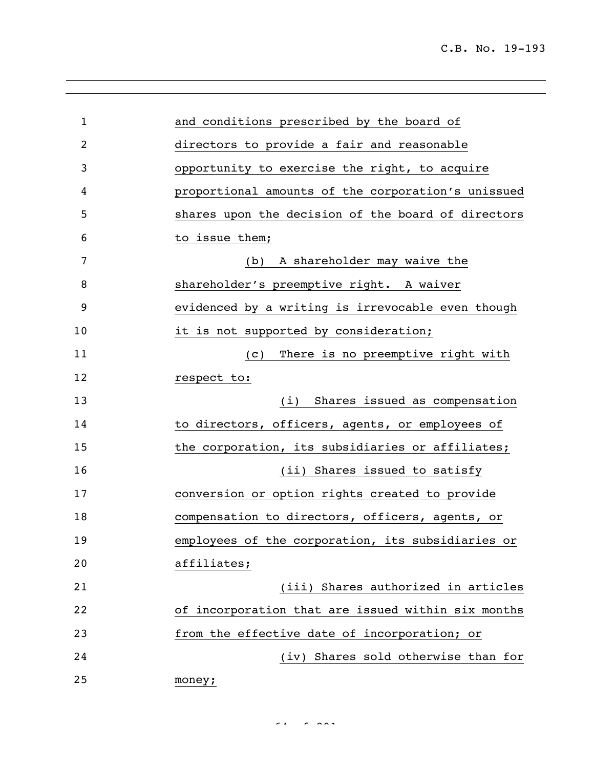| $\mathbf{1}$   | and conditions prescribed by the board of          |
|----------------|----------------------------------------------------|
| $\overline{2}$ | directors to provide a fair and reasonable         |
| 3              | opportunity to exercise the right, to acquire      |
| 4              | proportional amounts of the corporation's unissued |
| 5              | shares upon the decision of the board of directors |
| 6              | to issue them;                                     |
| 7              | A shareholder may waive the<br>(b)                 |
| 8              | shareholder's preemptive right. A waiver           |
| 9              | evidenced by a writing is irrevocable even though  |
| 10             | it is not supported by consideration;              |
| 11             | There is no preemptive right with<br>(C)           |
| 12             | respect to:                                        |
| 13             | Shares issued as compensation<br>(i)               |
| 14             | to directors, officers, agents, or employees of    |
| 15             | the corporation, its subsidiaries or affiliates;   |
| 16             | (ii) Shares issued to satisfy                      |
| 17             | conversion or option rights created to provide     |
| 18             | compensation to directors, officers, agents, or    |
| 19             | employees of the corporation, its subsidiaries or  |
| 20             | affiliates;                                        |
| 21             | (iii) Shares authorized in articles                |
| 22             | of incorporation that are issued within six months |
| 23             | from the effective date of incorporation; or       |
| 24             | (iv) Shares sold otherwise than for                |
| 25             | money;                                             |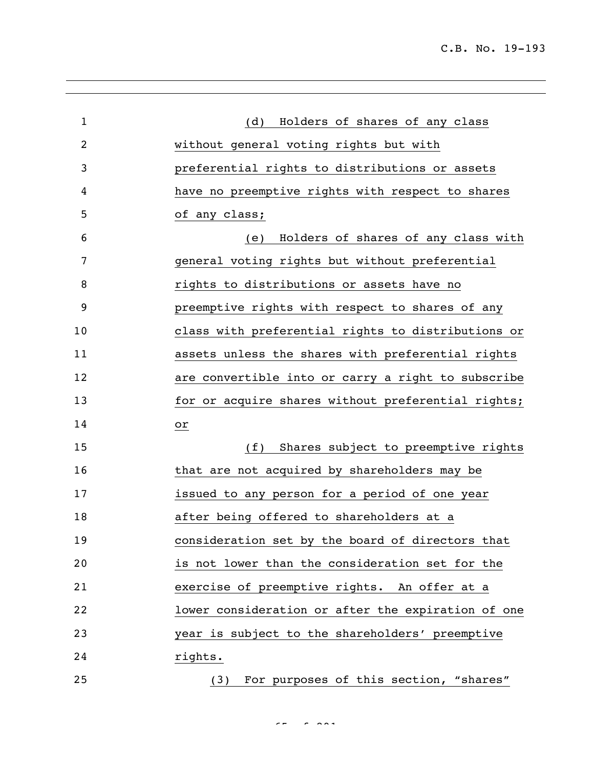C.B. No. 19-193

| $\mathbf{1}$   | Holders of shares of any class<br>(d)              |
|----------------|----------------------------------------------------|
| $\overline{2}$ | without general voting rights but with             |
| 3              | preferential rights to distributions or assets     |
| 4              | have no preemptive rights with respect to shares   |
| 5              | of any class;                                      |
| 6              | Holders of shares of any class with<br>(e)         |
| 7              | general voting rights but without preferential     |
| 8              | rights to distributions or assets have no          |
| 9              | preemptive rights with respect to shares of any    |
| 10             | class with preferential rights to distributions or |
| 11             | assets unless the shares with preferential rights  |
| 12             | are convertible into or carry a right to subscribe |
| 13             | for or acquire shares without preferential rights; |
| 14             | or                                                 |
| 15             | (f)<br>Shares subject to preemptive rights         |
| 16             | that are not acquired by shareholders may be       |
| 17             | issued to any person for a period of one year      |
| 18             | after being offered to shareholders at a           |
| 19             | consideration set by the board of directors that   |
| 20             | is not lower than the consideration set for the    |
| 21             | exercise of preemptive rights. An offer at a       |
| 22             | lower consideration or after the expiration of one |
| 23             | year is subject to the shareholders' preemptive    |
| 24             | rights.                                            |
| 25             | For purposes of this section, "shares"<br>(3)      |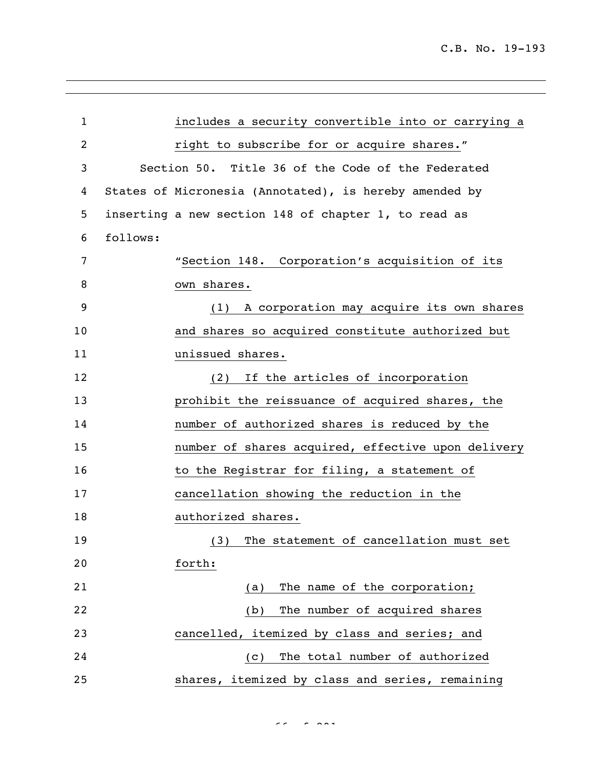| $\mathbf{1}$ | includes a security convertible into or carrying a     |  |  |
|--------------|--------------------------------------------------------|--|--|
| 2            | right to subscribe for or acquire shares."             |  |  |
| 3            | Section 50. Title 36 of the Code of the Federated      |  |  |
| 4            | States of Micronesia (Annotated), is hereby amended by |  |  |
| 5            | inserting a new section 148 of chapter 1, to read as   |  |  |
| 6            | follows:                                               |  |  |
| 7            | "Section 148. Corporation's acquisition of its         |  |  |
| 8            | own shares.                                            |  |  |
| 9            | A corporation may acquire its own shares<br>(1)        |  |  |
| 10           | and shares so acquired constitute authorized but       |  |  |
| 11           | unissued shares.                                       |  |  |
| 12           | If the articles of incorporation<br>(2)                |  |  |
| 13           | prohibit the reissuance of acquired shares, the        |  |  |
| 14           | number of authorized shares is reduced by the          |  |  |
| 15           | number of shares acquired, effective upon delivery     |  |  |
| 16           | to the Registrar for filing, a statement of            |  |  |
| 17           | cancellation showing the reduction in the              |  |  |
| 18           | authorized shares.                                     |  |  |
| 19           | (3) The statement of cancellation must set             |  |  |
| 20           | forth:                                                 |  |  |
| 21           | The name of the corporation;<br>(a)                    |  |  |
| 22           | The number of acquired shares<br>(b)                   |  |  |
| 23           | cancelled, itemized by class and series; and           |  |  |
| 24           | The total number of authorized<br>(C)                  |  |  |
| 25           | shares, itemized by class and series, remaining        |  |  |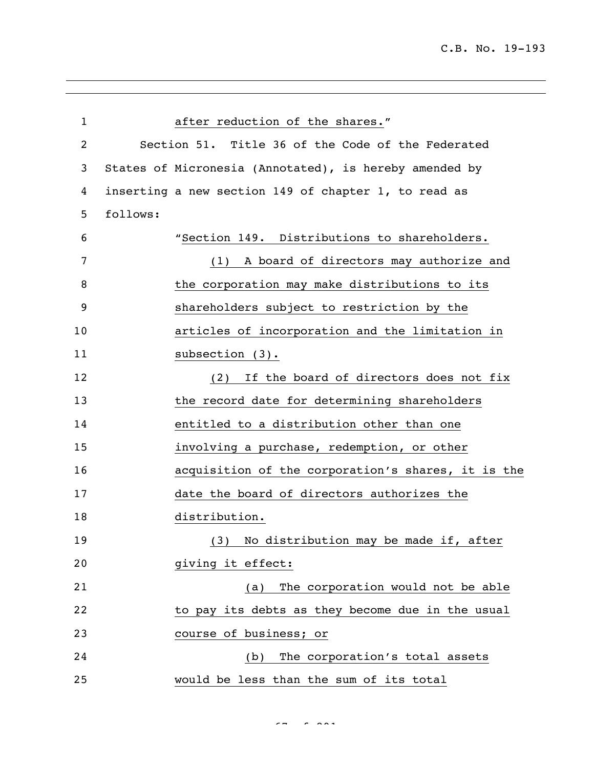| $\mathbf{1}$ | after reduction of the shares."                        |  |
|--------------|--------------------------------------------------------|--|
| 2            | Section 51. Title 36 of the Code of the Federated      |  |
| 3            | States of Micronesia (Annotated), is hereby amended by |  |
| 4            | inserting a new section 149 of chapter 1, to read as   |  |
| 5            | follows:                                               |  |
| 6            | "Section 149. Distributions to shareholders.           |  |
| 7            | A board of directors may authorize and<br>(1)          |  |
| 8            | the corporation may make distributions to its          |  |
| 9            | shareholders subject to restriction by the             |  |
| 10           | articles of incorporation and the limitation in        |  |
| 11           | subsection $(3)$ .                                     |  |
| 12           | If the board of directors does not fix<br>(2)          |  |
| 13           | the record date for determining shareholders           |  |
| 14           | entitled to a distribution other than one              |  |
| 15           | involving a purchase, redemption, or other             |  |
| 16           | acquisition of the corporation's shares, it is the     |  |
| 17           | date the board of directors authorizes the             |  |
| 18           | distribution.                                          |  |
| 19           | No distribution may be made if, after<br>(3)           |  |
| 20           | giving it effect:                                      |  |
| 21           | The corporation would not be able<br>(a)               |  |
| 22           | to pay its debts as they become due in the usual       |  |
| 23           | course of business; or                                 |  |
| 24           | The corporation's total assets<br>(b)                  |  |
| 25           | would be less than the sum of its total                |  |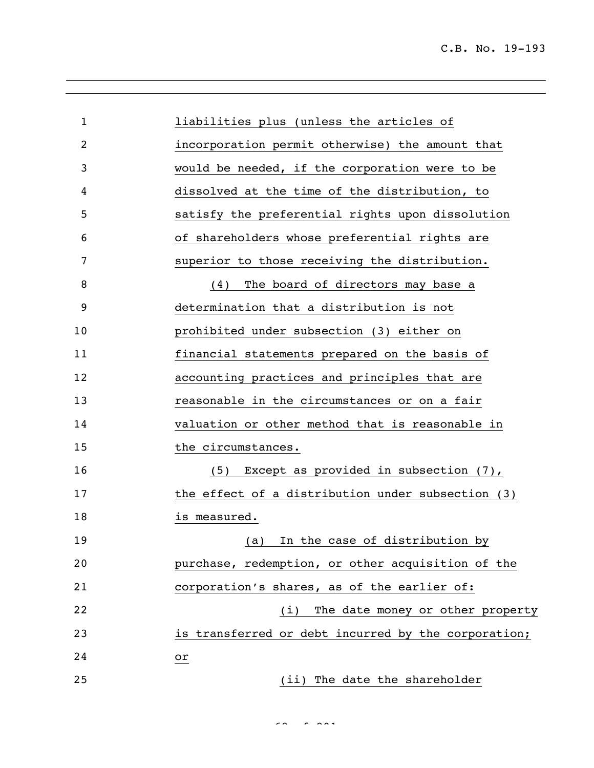| $\mathbf{1}$ | liabilities plus (unless the articles of            |
|--------------|-----------------------------------------------------|
| 2            | incorporation permit otherwise) the amount that     |
| 3            | would be needed, if the corporation were to be      |
| 4            | dissolved at the time of the distribution, to       |
| 5            | satisfy the preferential rights upon dissolution    |
| 6            | of shareholders whose preferential rights are       |
| 7            | superior to those receiving the distribution.       |
| 8            | The board of directors may base a<br>(4)            |
| 9            | determination that a distribution is not            |
| 10           | prohibited under subsection (3) either on           |
| 11           | financial statements prepared on the basis of       |
| 12           | accounting practices and principles that are        |
| 13           | reasonable in the circumstances or on a fair        |
| 14           | valuation or other method that is reasonable in     |
| 15           | the circumstances.                                  |
| 16           | Except as provided in subsection $(7)$ ,<br>(5)     |
| 17           | the effect of a distribution under subsection (3)   |
| 18           | is measured.                                        |
| 19           | In the case of distribution by<br>(a)               |
| 20           | purchase, redemption, or other acquisition of the   |
| 21           | corporation's shares, as of the earlier of:         |
| 22           | (i) The date money or other property                |
| 23           | is transferred or debt incurred by the corporation; |
| 24           | or                                                  |
| 25           | (ii) The date the shareholder                       |

 $\epsilon$ 8 of 291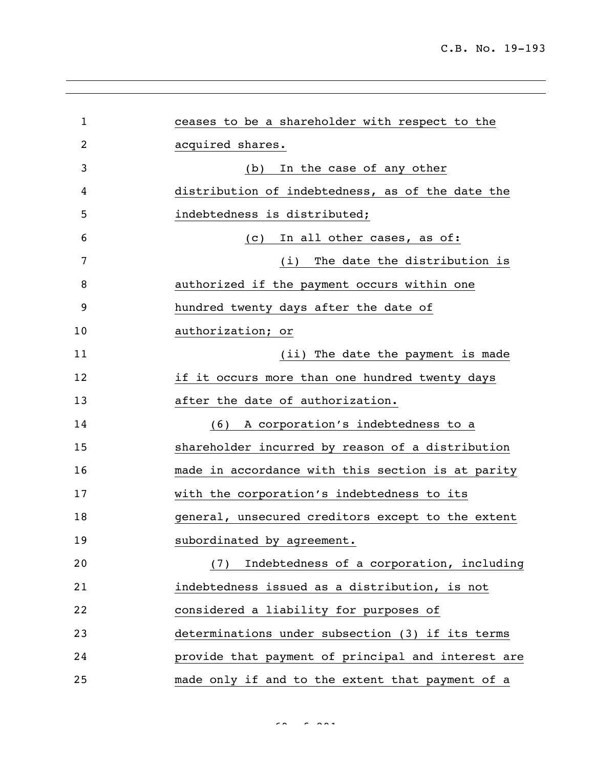| 1  | ceases to be a shareholder with respect to the     |
|----|----------------------------------------------------|
| 2  | acquired shares.                                   |
| 3  | In the case of any other<br>(b)                    |
| 4  | distribution of indebtedness, as of the date the   |
| 5  | indebtedness is distributed;                       |
| 6  | In all other cases, as of:<br>(C)                  |
| 7  | (i) The date the distribution is                   |
| 8  | authorized if the payment occurs within one        |
| 9  | hundred twenty days after the date of              |
| 10 | authorization; or                                  |
| 11 | (ii) The date the payment is made                  |
| 12 | if it occurs more than one hundred twenty days     |
| 13 | after the date of authorization.                   |
| 14 | A corporation's indebtedness to a<br>(6)           |
| 15 | shareholder incurred by reason of a distribution   |
| 16 | made in accordance with this section is at parity  |
| 17 | with the corporation's indebtedness to its         |
| 18 | general, unsecured creditors except to the extent  |
| 19 | subordinated by agreement.                         |
| 20 | (7) Indebtedness of a corporation, including       |
| 21 | indebtedness issued as a distribution, is not      |
| 22 | considered a liability for purposes of             |
| 23 | determinations under subsection (3) if its terms   |
| 24 | provide that payment of principal and interest are |
| 25 | made only if and to the extent that payment of a   |

 $\sigma$   $\sigma$   $\sigma$   $\sigma$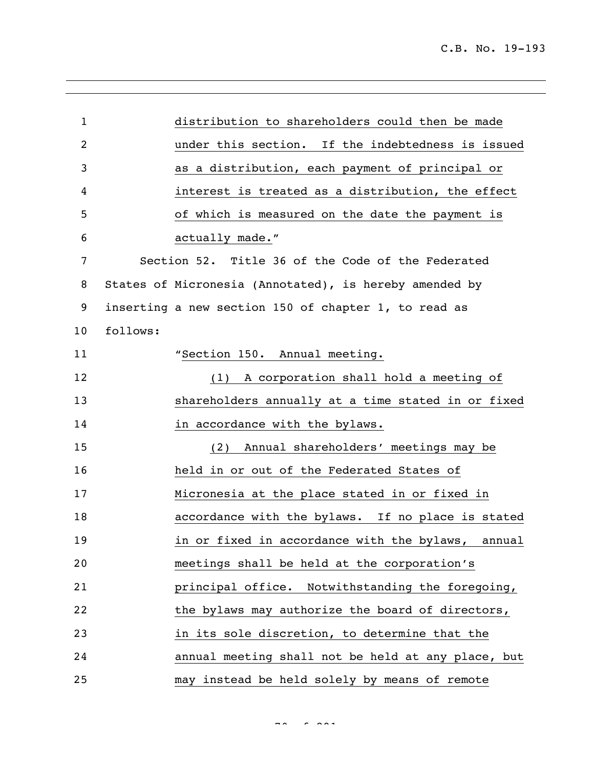| $\mathbf{1}$ |                                                   | distribution to shareholders could then be made        |  |
|--------------|---------------------------------------------------|--------------------------------------------------------|--|
| 2            |                                                   | under this section. If the indebtedness is issued      |  |
| 3            |                                                   | as a distribution, each payment of principal or        |  |
| 4            |                                                   | interest is treated as a distribution, the effect      |  |
| 5            |                                                   | of which is measured on the date the payment is        |  |
| 6            | actually made."                                   |                                                        |  |
| 7            | Section 52. Title 36 of the Code of the Federated |                                                        |  |
| 8            |                                                   | States of Micronesia (Annotated), is hereby amended by |  |
| 9            |                                                   | inserting a new section 150 of chapter 1, to read as   |  |
| 10           | follows:                                          |                                                        |  |
| 11           |                                                   | "Section 150. Annual meeting.                          |  |
| 12           |                                                   | (1) A corporation shall hold a meeting of              |  |
| 13           |                                                   | shareholders annually at a time stated in or fixed     |  |
| 14           |                                                   | in accordance with the bylaws.                         |  |
| 15           |                                                   | Annual shareholders' meetings may be<br>(2)            |  |
| 16           |                                                   | held in or out of the Federated States of              |  |
| 17           |                                                   | Micronesia at the place stated in or fixed in          |  |
| 18           |                                                   | accordance with the bylaws. If no place is stated      |  |
| 19           |                                                   | in or fixed in accordance with the bylaws, annual      |  |
| 20           |                                                   | meetings shall be held at the corporation's            |  |
| 21           |                                                   | principal office. Notwithstanding the foregoing,       |  |
| 22           |                                                   | the bylaws may authorize the board of directors,       |  |
| 23           |                                                   | in its sole discretion, to determine that the          |  |
| 24           |                                                   | annual meeting shall not be held at any place, but     |  |
| 25           |                                                   | may instead be held solely by means of remote          |  |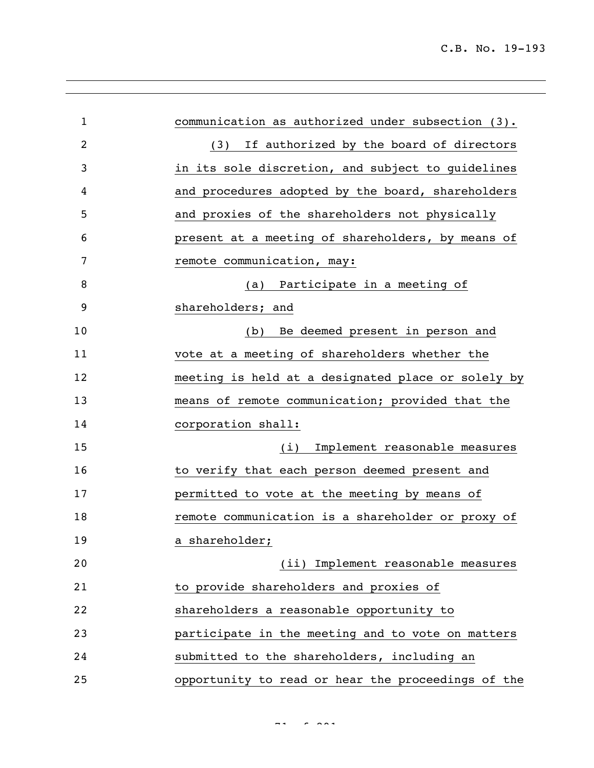| $\mathbf{1}$   | communication as authorized under subsection (3).  |
|----------------|----------------------------------------------------|
| $\overline{2}$ | If authorized by the board of directors<br>(3)     |
| 3              | in its sole discretion, and subject to guidelines  |
| 4              | and procedures adopted by the board, shareholders  |
| 5              | and proxies of the shareholders not physically     |
| 6              | present at a meeting of shareholders, by means of  |
| 7              | remote communication, may:                         |
| 8              | (a) Participate in a meeting of                    |
| 9              | shareholders; and                                  |
| 10             | Be deemed present in person and<br>(b)             |
| 11             | vote at a meeting of shareholders whether the      |
| 12             | meeting is held at a designated place or solely by |
| 13             | means of remote communication; provided that the   |
| 14             | corporation shall:                                 |
| 15             | Implement reasonable measures<br>(i)               |
| 16             | to verify that each person deemed present and      |
| 17             | permitted to vote at the meeting by means of       |
| 18             | remote communication is a shareholder or proxy of  |
| 19             | a shareholder;                                     |
| 20             | (ii) Implement reasonable measures                 |
| 21             | to provide shareholders and proxies of             |
| 22             | shareholders a reasonable opportunity to           |
| 23             | participate in the meeting and to vote on matters  |
| 24             | submitted to the shareholders, including an        |
| 25             | opportunity to read or hear the proceedings of the |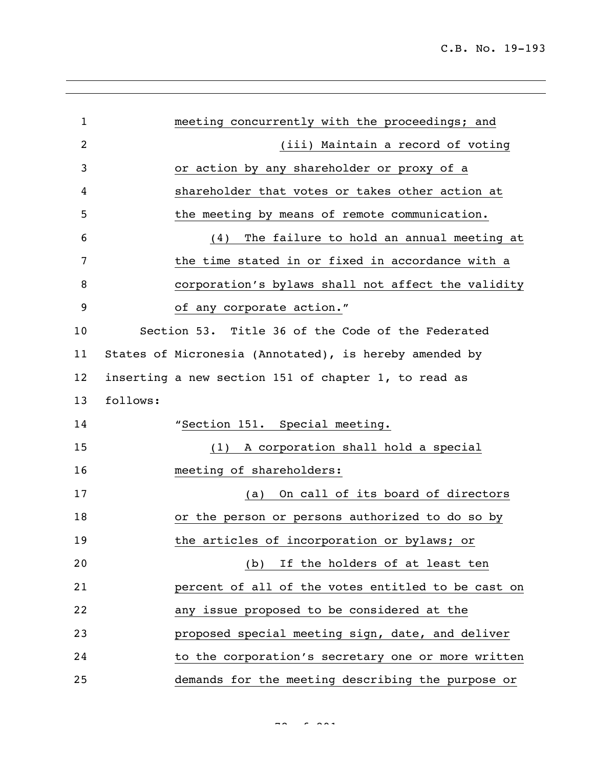| $\mathbf{1}$ | meeting concurrently with the proceedings; and         |                                    |  |
|--------------|--------------------------------------------------------|------------------------------------|--|
| 2            |                                                        | (iii) Maintain a record of voting  |  |
| 3            | or action by any shareholder or proxy of a             |                                    |  |
| 4            | shareholder that votes or takes other action at        |                                    |  |
| 5            | the meeting by means of remote communication.          |                                    |  |
| 6            | The failure to hold an annual meeting at<br>(4)        |                                    |  |
| 7            | the time stated in or fixed in accordance with a       |                                    |  |
| 8            | corporation's bylaws shall not affect the validity     |                                    |  |
| 9            | of any corporate action."                              |                                    |  |
| 10           | Section 53. Title 36 of the Code of the Federated      |                                    |  |
| 11           | States of Micronesia (Annotated), is hereby amended by |                                    |  |
| 12           | inserting a new section 151 of chapter 1, to read as   |                                    |  |
| 13           | follows:                                               |                                    |  |
| 14           | "Section 151. Special meeting.                         |                                    |  |
| 15           | (1)                                                    | A corporation shall hold a special |  |
| 16           | meeting of shareholders:                               |                                    |  |
| 17           | (a)                                                    | On call of its board of directors  |  |
| 18           | or the person or persons authorized to do so by        |                                    |  |
| 19           | the articles of incorporation or bylaws; or            |                                    |  |
| 20           |                                                        | (b) If the holders of at least ten |  |
| 21           | percent of all of the votes entitled to be cast on     |                                    |  |
| 22           | any issue proposed to be considered at the             |                                    |  |
| 23           | proposed special meeting sign, date, and deliver       |                                    |  |
| 24           | to the corporation's secretary one or more written     |                                    |  |
| 25           | demands for the meeting describing the purpose or      |                                    |  |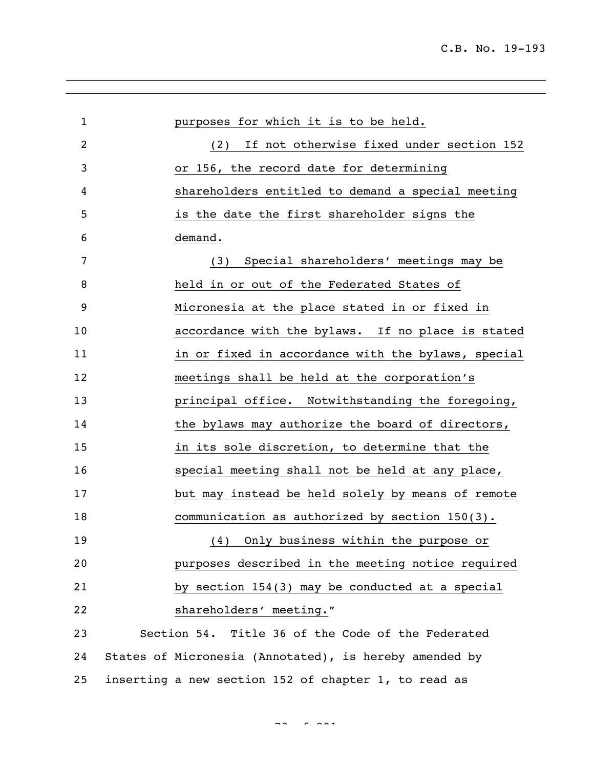| $\mathbf 1$ | purposes for which it is to be held.                   |
|-------------|--------------------------------------------------------|
| 2           | If not otherwise fixed under section 152<br>(2)        |
| 3           | or 156, the record date for determining                |
| 4           | shareholders entitled to demand a special meeting      |
| 5           | is the date the first shareholder signs the            |
| 6           | demand.                                                |
| 7           | Special shareholders' meetings may be<br>(3)           |
| 8           | held in or out of the Federated States of              |
| 9           | Micronesia at the place stated in or fixed in          |
| 10          | accordance with the bylaws. If no place is stated      |
| 11          | in or fixed in accordance with the bylaws, special     |
| 12          | meetings shall be held at the corporation's            |
| 13          | principal office. Notwithstanding the foregoing,       |
| 14          | the bylaws may authorize the board of directors,       |
| 15          | in its sole discretion, to determine that the          |
| 16          | special meeting shall not be held at any place,        |
| 17          | but may instead be held solely by means of remote      |
| 18          | communication as authorized by section 150(3).         |
| 19          | (4) Only business within the purpose or                |
| 20          | purposes described in the meeting notice required      |
| 21          | by section 154(3) may be conducted at a special        |
| 22          | shareholders' meeting."                                |
| 23          | Section 54. Title 36 of the Code of the Federated      |
| 24          | States of Micronesia (Annotated), is hereby amended by |
| 25          | inserting a new section 152 of chapter 1, to read as   |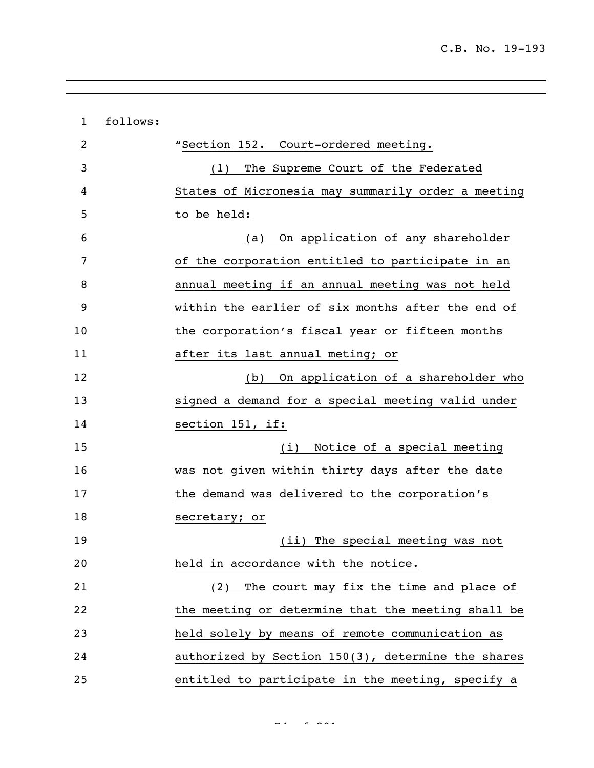| $\mathbf{1}$ | follows: |                                                    |
|--------------|----------|----------------------------------------------------|
| 2            |          | "Section 152. Court-ordered meeting.               |
| 3            |          | The Supreme Court of the Federated<br>(1)          |
| 4            |          | States of Micronesia may summarily order a meeting |
| 5            |          | to be held:                                        |
| 6            |          | On application of any shareholder<br>(a)           |
| 7            |          | of the corporation entitled to participate in an   |
| 8            |          | annual meeting if an annual meeting was not held   |
| 9            |          | within the earlier of six months after the end of  |
| 10           |          | the corporation's fiscal year or fifteen months    |
| 11           |          | after its last annual meting; or                   |
| 12           |          | On application of a shareholder who<br>(b)         |
| 13           |          | signed a demand for a special meeting valid under  |
| 14           |          | section 151, if:                                   |
| 15           |          | Notice of a special meeting<br>(i)                 |
| 16           |          | was not given within thirty days after the date    |
| 17           |          | the demand was delivered to the corporation's      |
| 18           |          | secretary; or                                      |
| 19           |          | (ii) The special meeting was not                   |
| 20           |          | held in accordance with the notice.                |
| 21           |          | (2) The court may fix the time and place of        |
| 22           |          | the meeting or determine that the meeting shall be |
| 23           |          | held solely by means of remote communication as    |
| 24           |          | authorized by Section 150(3), determine the shares |
| 25           |          | entitled to participate in the meeting, specify a  |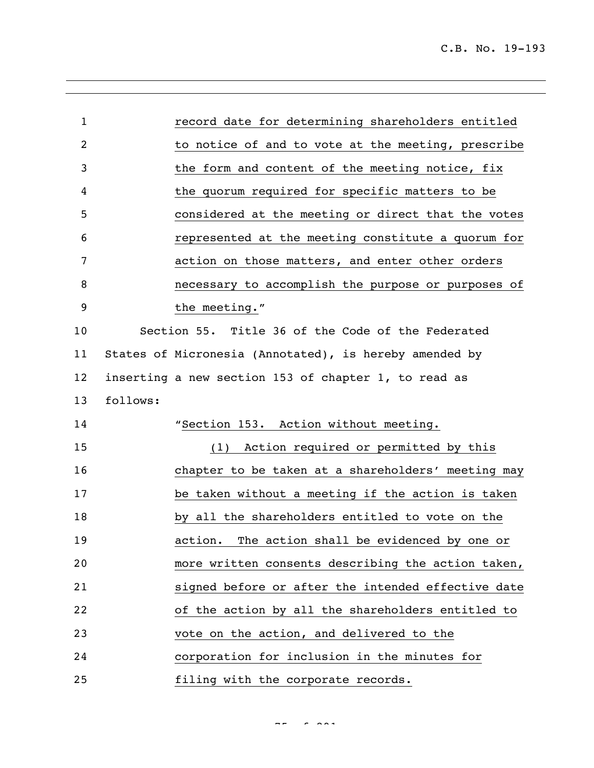| $\mathbf{1}$ | record date for determining shareholders entitled      |
|--------------|--------------------------------------------------------|
| 2            | to notice of and to vote at the meeting, prescribe     |
| 3            | the form and content of the meeting notice, fix        |
| 4            | the quorum required for specific matters to be         |
| 5            | considered at the meeting or direct that the votes     |
| 6            | represented at the meeting constitute a quorum for     |
| 7            | action on those matters, and enter other orders        |
| 8            | necessary to accomplish the purpose or purposes of     |
| 9            | the meeting."                                          |
| 10           | Section 55. Title 36 of the Code of the Federated      |
| 11           | States of Micronesia (Annotated), is hereby amended by |
| 12           | inserting a new section 153 of chapter 1, to read as   |
| 13           | follows:                                               |
| 14           | "Section 153. Action without meeting.                  |
| 15           | (1) Action required or permitted by this               |
| 16           | chapter to be taken at a shareholders' meeting may     |
| 17           | be taken without a meeting if the action is taken      |
| 18           | by all the shareholders entitled to vote on the        |
| 19           | action. The action shall be evidenced by one or        |
| 20           | more written consents describing the action taken,     |
| 21           | signed before or after the intended effective date     |
| 22           | of the action by all the shareholders entitled to      |
| 23           | vote on the action, and delivered to the               |
| 24           | corporation for inclusion in the minutes for           |
| 25           | filing with the corporate records.                     |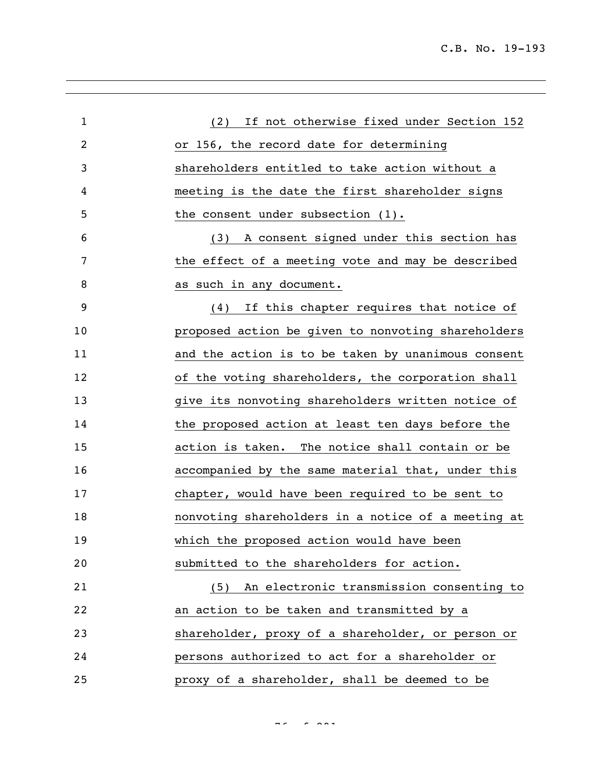| $\mathbf 1$ | (2) If not otherwise fixed under Section 152       |
|-------------|----------------------------------------------------|
| 2           | or 156, the record date for determining            |
| 3           | shareholders entitled to take action without a     |
| 4           | meeting is the date the first shareholder signs    |
| 5           | the consent under subsection (1).                  |
| 6           | A consent signed under this section has<br>(3)     |
| 7           | the effect of a meeting vote and may be described  |
| 8           | as such in any document.                           |
| 9           | (4) If this chapter requires that notice of        |
| 10          | proposed action be given to nonvoting shareholders |
| 11          | and the action is to be taken by unanimous consent |
| 12          | of the voting shareholders, the corporation shall  |
| 13          | give its nonvoting shareholders written notice of  |
| 14          | the proposed action at least ten days before the   |
| 15          | action is taken. The notice shall contain or be    |
| 16          | accompanied by the same material that, under this  |
| 17          | chapter, would have been required to be sent to    |
| 18          | nonvoting shareholders in a notice of a meeting at |
| 19          | which the proposed action would have been          |
| 20          | submitted to the shareholders for action.          |
| 21          | (5) An electronic transmission consenting to       |
| 22          | an action to be taken and transmitted by a         |
| 23          | shareholder, proxy of a shareholder, or person or  |
| 24          | persons authorized to act for a shareholder or     |
| 25          | proxy of a shareholder, shall be deemed to be      |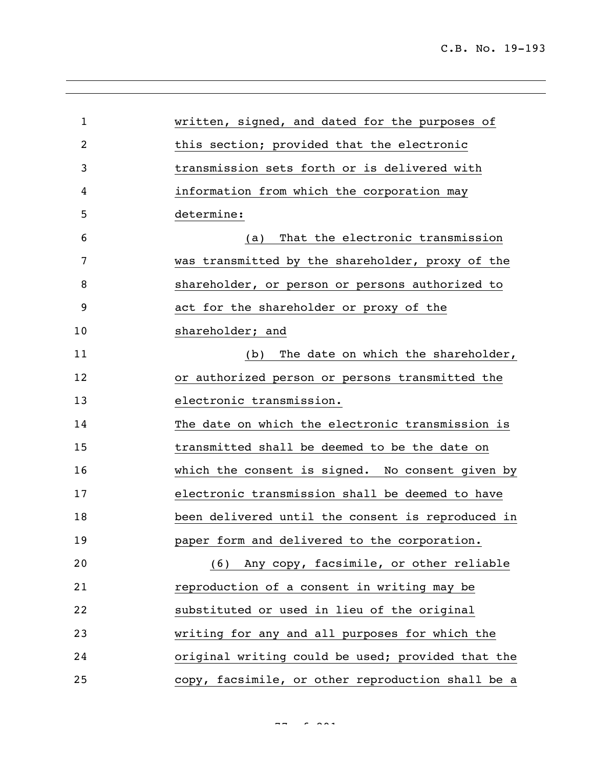| $\mathbf{1}$ | written, signed, and dated for the purposes of    |
|--------------|---------------------------------------------------|
| 2            | this section; provided that the electronic        |
| 3            | transmission sets forth or is delivered with      |
| 4            | information from which the corporation may        |
| 5            | determine:                                        |
| 6            | That the electronic transmission<br>(a)           |
| 7            | was transmitted by the shareholder, proxy of the  |
| 8            | shareholder, or person or persons authorized to   |
| 9            | act for the shareholder or proxy of the           |
| 10           | shareholder; and                                  |
| 11           | (b) The date on which the shareholder,            |
| 12           | or authorized person or persons transmitted the   |
| 13           | electronic transmission.                          |
| 14           | The date on which the electronic transmission is  |
| 15           | transmitted shall be deemed to be the date on     |
| 16           | which the consent is signed. No consent given by  |
| 17           | electronic transmission shall be deemed to have   |
| 18           | been delivered until the consent is reproduced in |
| 19           | paper form and delivered to the corporation.      |
| 20           | (6) Any copy, facsimile, or other reliable        |
| 21           | reproduction of a consent in writing may be       |
| 22           | substituted or used in lieu of the original       |
| 23           | writing for any and all purposes for which the    |
| 24           | original writing could be used; provided that the |
| 25           | copy, facsimile, or other reproduction shall be a |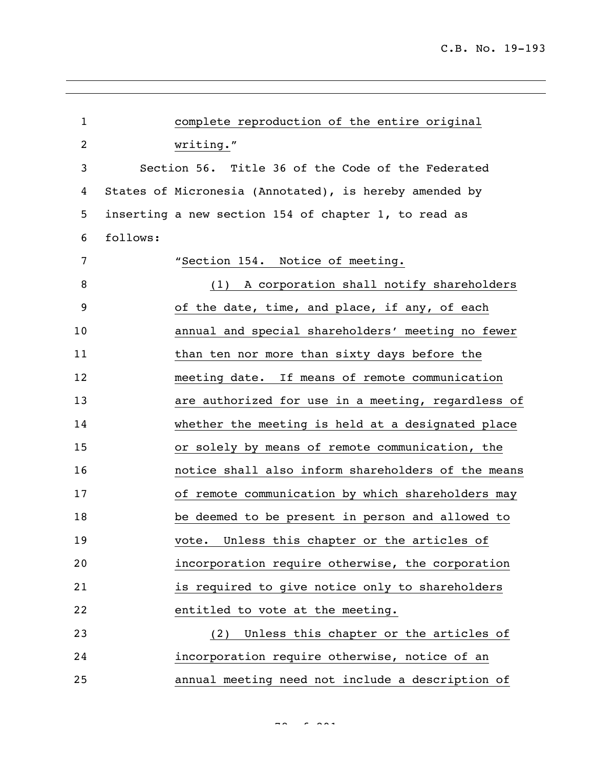| $\mathbf{1}$   |          | complete reproduction of the entire original           |
|----------------|----------|--------------------------------------------------------|
| $\overline{2}$ |          | writing."                                              |
| 3              |          | Section 56. Title 36 of the Code of the Federated      |
| 4              |          | States of Micronesia (Annotated), is hereby amended by |
| 5              |          | inserting a new section 154 of chapter 1, to read as   |
| 6              | follows: |                                                        |
| 7              |          | "Section 154. Notice of meeting.                       |
| 8              |          | (1) A corporation shall notify shareholders            |
| 9              |          | of the date, time, and place, if any, of each          |
| 10             |          | annual and special shareholders' meeting no fewer      |
| 11             |          | than ten nor more than sixty days before the           |
| 12             |          | meeting date. If means of remote communication         |
| 13             |          | are authorized for use in a meeting, regardless of     |
| 14             |          | whether the meeting is held at a designated place      |
| 15             |          | or solely by means of remote communication, the        |
| 16             |          | notice shall also inform shareholders of the means     |
| 17             |          | of remote communication by which shareholders may      |
| 18             |          | be deemed to be present in person and allowed to       |
| 19             |          | vote. Unless this chapter or the articles of           |
| 20             |          | incorporation require otherwise, the corporation       |
| 21             |          | is required to give notice only to shareholders        |
| 22             |          | entitled to vote at the meeting.                       |
| 23             |          | (2) Unless this chapter or the articles of             |
| 24             |          | incorporation require otherwise, notice of an          |
| 25             |          | annual meeting need not include a description of       |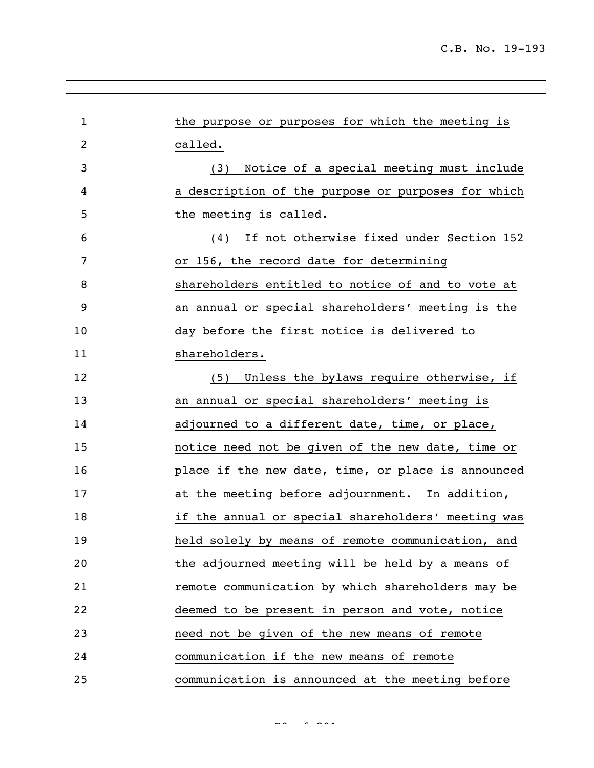| $\mathbf{1}$ | the purpose or purposes for which the meeting is   |
|--------------|----------------------------------------------------|
| 2            | called.                                            |
| 3            | (3) Notice of a special meeting must include       |
| 4            | a description of the purpose or purposes for which |
| 5            | the meeting is called.                             |
| 6            | If not otherwise fixed under Section 152<br>(4)    |
| 7            | or 156, the record date for determining            |
| 8            | shareholders entitled to notice of and to vote at  |
| 9            | an annual or special shareholders' meeting is the  |
| 10           | day before the first notice is delivered to        |
| 11           | shareholders.                                      |
| 12           | (5) Unless the bylaws require otherwise, if        |
| 13           | an annual or special shareholders' meeting is      |
| 14           | adjourned to a different date, time, or place,     |
| 15           | notice need not be given of the new date, time or  |
| 16           | place if the new date, time, or place is announced |
| 17           | at the meeting before adjournment. In addition,    |
| 18           | if the annual or special shareholders' meeting was |
| 19           | held solely by means of remote communication, and  |
| 20           | the adjourned meeting will be held by a means of   |
| 21           | remote communication by which shareholders may be  |
| 22           | deemed to be present in person and vote, notice    |
| 23           | need not be given of the new means of remote       |
| 24           | communication if the new means of remote           |
| 25           | communication is announced at the meeting before   |

 $79.992$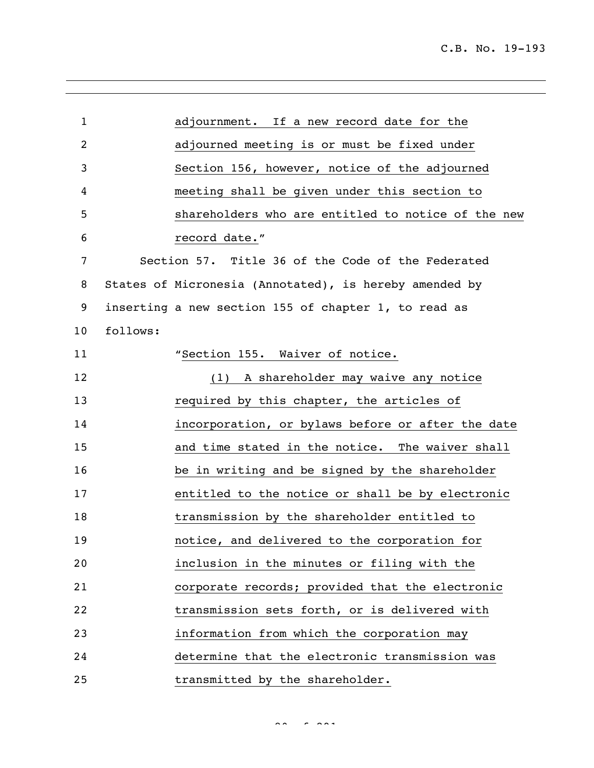| $\mathbf{1}$   |          | adjournment. If a new record date for the              |
|----------------|----------|--------------------------------------------------------|
| $\overline{c}$ |          | adjourned meeting is or must be fixed under            |
| 3              |          | Section 156, however, notice of the adjourned          |
| 4              |          | meeting shall be given under this section to           |
| 5              |          | shareholders who are entitled to notice of the new     |
| 6              |          | record date."                                          |
| 7              |          | Section 57. Title 36 of the Code of the Federated      |
| 8              |          | States of Micronesia (Annotated), is hereby amended by |
| 9              |          | inserting a new section 155 of chapter 1, to read as   |
| 10             | follows: |                                                        |
| 11             |          | "Section 155. Waiver of notice.                        |
| 12             |          | (1) A shareholder may waive any notice                 |
| 13             |          | required by this chapter, the articles of              |
| 14             |          | incorporation, or bylaws before or after the date      |
| 15             |          | and time stated in the notice. The waiver shall        |
| 16             |          | be in writing and be signed by the shareholder         |
| 17             |          | entitled to the notice or shall be by electronic       |
| 18             |          | transmission by the shareholder entitled to            |
| 19             |          | notice, and delivered to the corporation for           |
| 20             |          | inclusion in the minutes or filing with the            |
| 21             |          | corporate records; provided that the electronic        |
| 22             |          | transmission sets forth, or is delivered with          |
| 23             |          | information from which the corporation may             |
| 24             |          | determine that the electronic transmission was         |
| 25             |          | transmitted by the shareholder.                        |

 $80<sup>2</sup>$   $80<sup>2</sup>$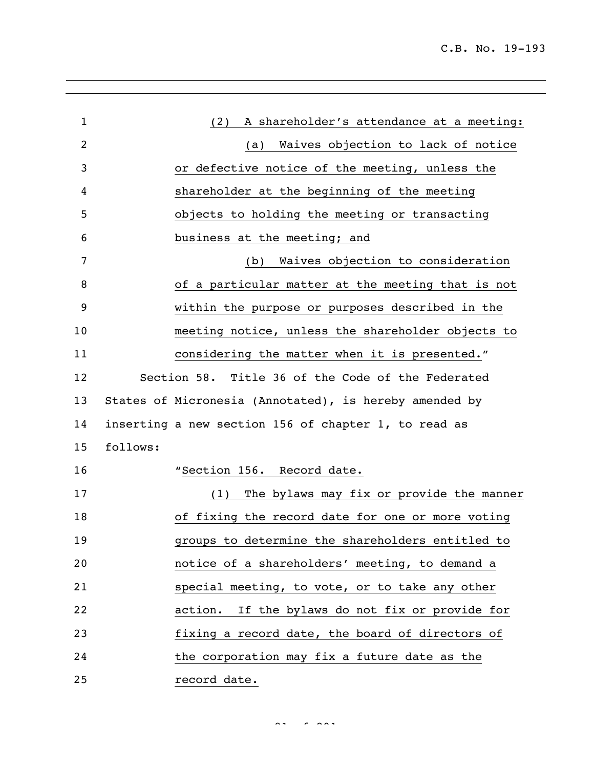| $\mathbf{1}$ | A shareholder's attendance at a meeting:<br>(2)        |
|--------------|--------------------------------------------------------|
| 2            | Waives objection to lack of notice<br>(a)              |
| 3            | or defective notice of the meeting, unless the         |
| 4            | shareholder at the beginning of the meeting            |
| 5            | objects to holding the meeting or transacting          |
| 6            | business at the meeting; and                           |
| 7            | Waives objection to consideration<br>(b)               |
| 8            | of a particular matter at the meeting that is not      |
| 9            | within the purpose or purposes described in the        |
| 10           | meeting notice, unless the shareholder objects to      |
| 11           | considering the matter when it is presented."          |
| 12           | Section 58. Title 36 of the Code of the Federated      |
| 13           | States of Micronesia (Annotated), is hereby amended by |
| 14           | inserting a new section 156 of chapter 1, to read as   |
| 15           | follows:                                               |
| 16           | "Section 156. Record date.                             |
| 17           | The bylaws may fix or provide the manner<br>(1)        |
| 18           | of fixing the record date for one or more voting       |
| 19           | groups to determine the shareholders entitled to       |
| 20           | notice of a shareholders' meeting, to demand a         |
| 21           | special meeting, to vote, or to take any other         |
| 22           | action. If the bylaws do not fix or provide for        |
| 23           | fixing a record date, the board of directors of        |
| 24           | the corporation may fix a future date as the           |
| 25           | record date.                                           |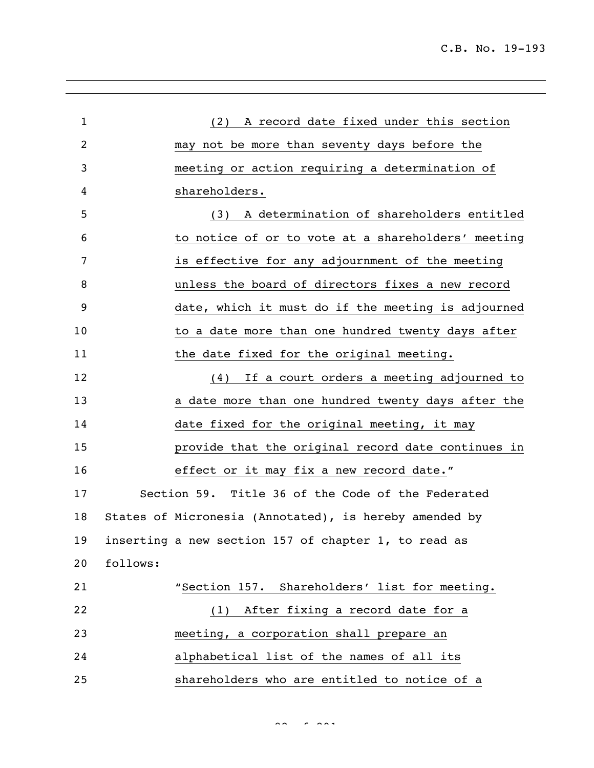| $\mathbf{1}$ | A record date fixed under this section<br>(2)          |
|--------------|--------------------------------------------------------|
| 2            | may not be more than seventy days before the           |
| 3            | meeting or action requiring a determination of         |
| 4            | shareholders.                                          |
| 5            | A determination of shareholders entitled<br>(3)        |
| 6            | to notice of or to vote at a shareholders' meeting     |
| 7            | is effective for any adjournment of the meeting        |
| 8            | unless the board of directors fixes a new record       |
| 9            | date, which it must do if the meeting is adjourned     |
| 10           | to a date more than one hundred twenty days after      |
| 11           | the date fixed for the original meeting.               |
| 12           | (4) If a court orders a meeting adjourned to           |
| 13           | a date more than one hundred twenty days after the     |
| 14           | date fixed for the original meeting, it may            |
| 15           | provide that the original record date continues in     |
| 16           | effect or it may fix a new record date."               |
| 17           | Section 59. Title 36 of the Code of the Federated      |
| 18           | States of Micronesia (Annotated), is hereby amended by |
| 19           | inserting a new section 157 of chapter 1, to read as   |
| 20           | follows:                                               |
| 21           | "Section 157. Shareholders' list for meeting.          |
| 22           | (1) After fixing a record date for a                   |
| 23           | meeting, a corporation shall prepare an                |
| 24           | alphabetical list of the names of all its              |
| 25           | shareholders who are entitled to notice of a           |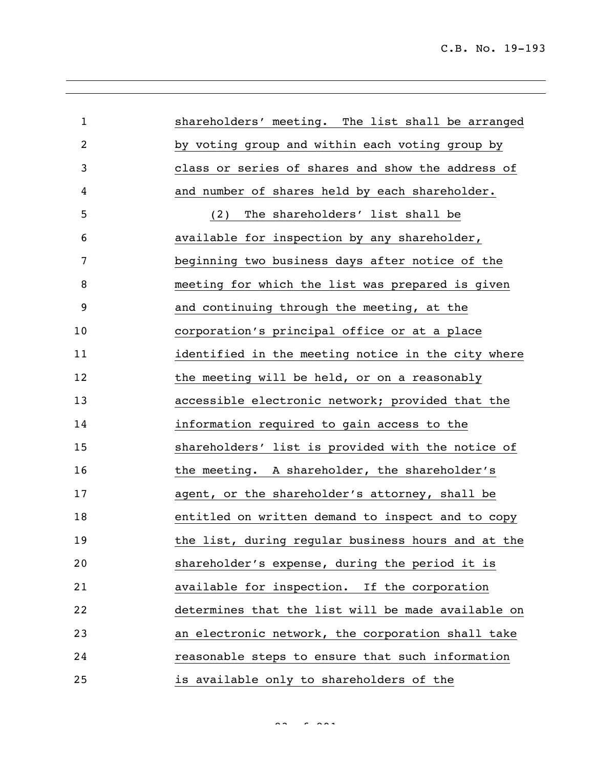| $\mathbf{1}$   | shareholders' meeting. The list shall be arranged  |
|----------------|----------------------------------------------------|
| $\overline{c}$ | by voting group and within each voting group by    |
| 3              | class or series of shares and show the address of  |
| 4              | and number of shares held by each shareholder.     |
| 5              | The shareholders' list shall be<br>(2)             |
| 6              | available for inspection by any shareholder,       |
| 7              | beginning two business days after notice of the    |
| 8              | meeting for which the list was prepared is given   |
| 9              | and continuing through the meeting, at the         |
| 10             | corporation's principal office or at a place       |
| 11             | identified in the meeting notice in the city where |
| 12             | the meeting will be held, or on a reasonably       |
| 13             | accessible electronic network; provided that the   |
| 14             | information required to gain access to the         |
| 15             | shareholders' list is provided with the notice of  |
| 16             | the meeting. A shareholder, the shareholder's      |
| 17             | agent, or the shareholder's attorney, shall be     |
| 18             | entitled on written demand to inspect and to copy  |
| 19             | the list, during regular business hours and at the |
| 20             | shareholder's expense, during the period it is     |
| 21             | available for inspection. If the corporation       |
| 22             | determines that the list will be made available on |
| 23             | an electronic network, the corporation shall take  |
| 24             | reasonable steps to ensure that such information   |
| 25             | is available only to shareholders of the           |

 $83 < 8.881$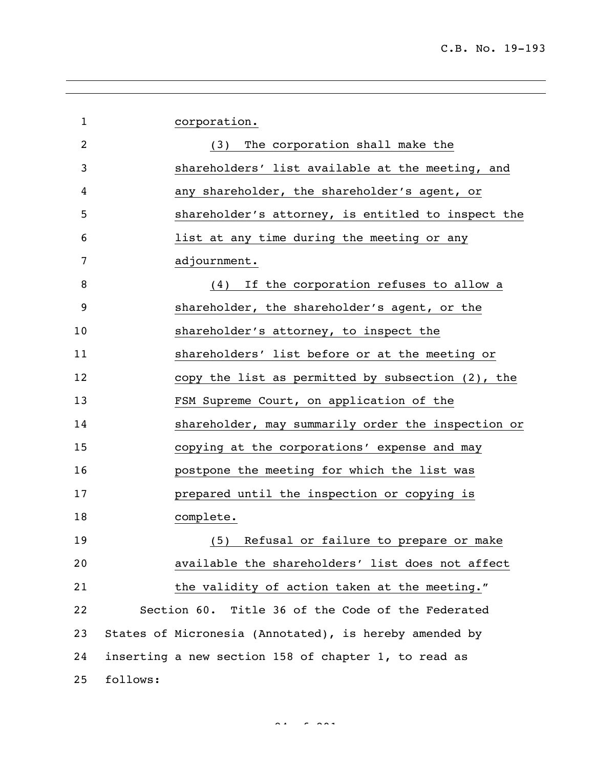| $\mathbf 1$    |          | corporation.                                           |
|----------------|----------|--------------------------------------------------------|
| $\overline{2}$ |          | The corporation shall make the<br>(3)                  |
| 3              |          | shareholders' list available at the meeting, and       |
| 4              |          | any shareholder, the shareholder's agent, or           |
| 5              |          | shareholder's attorney, is entitled to inspect the     |
| 6              |          | list at any time during the meeting or any             |
| 7              |          | adjournment.                                           |
| 8              |          | If the corporation refuses to allow a<br>(4)           |
| 9              |          | shareholder, the shareholder's agent, or the           |
| 10             |          | shareholder's attorney, to inspect the                 |
| 11             |          | shareholders' list before or at the meeting or         |
| 12             |          | copy the list as permitted by subsection (2), the      |
| 13             |          | FSM Supreme Court, on application of the               |
| 14             |          | shareholder, may summarily order the inspection or     |
| 15             |          | copying at the corporations' expense and may           |
| 16             |          | postpone the meeting for which the list was            |
| 17             |          | prepared until the inspection or copying is            |
| 18             |          | complete.                                              |
| 19             |          | (5) Refusal or failure to prepare or make              |
| 20             |          | available the shareholders' list does not affect       |
| 21             |          | the validity of action taken at the meeting."          |
| 22             |          | Section 60. Title 36 of the Code of the Federated      |
| 23             |          | States of Micronesia (Annotated), is hereby amended by |
| 24             |          | inserting a new section 158 of chapter 1, to read as   |
| 25             | follows: |                                                        |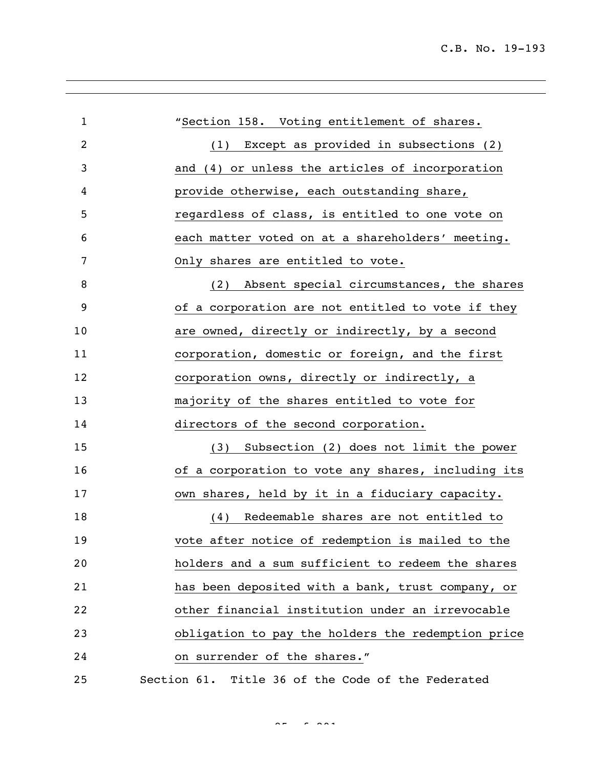| $\mathbf{1}$ | "Section 158. Voting entitlement of shares.        |
|--------------|----------------------------------------------------|
| 2            | (1) Except as provided in subsections (2)          |
| 3            | and (4) or unless the articles of incorporation    |
| 4            | provide otherwise, each outstanding share,         |
| 5            | regardless of class, is entitled to one vote on    |
| 6            | each matter voted on at a shareholders' meeting.   |
| 7            | Only shares are entitled to vote.                  |
| 8            | Absent special circumstances, the shares<br>(2)    |
| 9            | of a corporation are not entitled to vote if they  |
| 10           | are owned, directly or indirectly, by a second     |
| 11           | corporation, domestic or foreign, and the first    |
| 12           | corporation owns, directly or indirectly, a        |
| 13           | majority of the shares entitled to vote for        |
| 14           | directors of the second corporation.               |
| 15           | (3) Subsection (2) does not limit the power        |
| 16           | of a corporation to vote any shares, including its |
| 17           | own shares, held by it in a fiduciary capacity.    |
| 18           | Redeemable shares are not entitled to<br>(4)       |
| 19           | vote after notice of redemption is mailed to the   |
| 20           | holders and a sum sufficient to redeem the shares  |
| 21           | has been deposited with a bank, trust company, or  |
| 22           | other financial institution under an irrevocable   |
| 23           | obligation to pay the holders the redemption price |
| 24           | on surrender of the shares."                       |
| 25           | Section 61. Title 36 of the Code of the Federated  |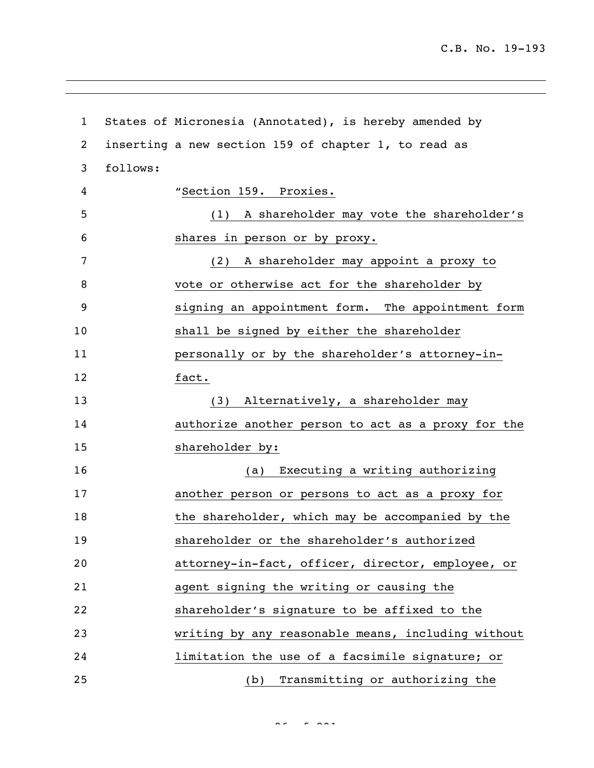| $\mathbf 1$    |          | States of Micronesia (Annotated), is hereby amended by |
|----------------|----------|--------------------------------------------------------|
| $\overline{c}$ |          | inserting a new section 159 of chapter 1, to read as   |
| 3              | follows: |                                                        |
| 4              |          | "Section 159. Proxies.                                 |
| 5              |          | A shareholder may vote the shareholder's<br>(1)        |
| 6              |          | shares in person or by proxy.                          |
| 7              |          | (2) A shareholder may appoint a proxy to               |
| 8              |          | vote or otherwise act for the shareholder by           |
| 9              |          | signing an appointment form. The appointment form      |
| 10             |          | shall be signed by either the shareholder              |
| 11             |          | personally or by the shareholder's attorney-in-        |
| 12             |          | fact.                                                  |
| 13             |          | (3) Alternatively, a shareholder may                   |
| 14             |          | authorize another person to act as a proxy for the     |
| 15             |          | shareholder by:                                        |
| 16             |          | Executing a writing authorizing<br>(a)                 |
| 17             |          | another person or persons to act as a proxy for        |
| 18             |          | the shareholder, which may be accompanied by the       |
| 19             |          | shareholder or the shareholder's authorized            |
| 20             |          | attorney-in-fact, officer, director, employee, or      |
| 21             |          | agent signing the writing or causing the               |
| 22             |          | shareholder's signature to be affixed to the           |
| 23             |          | writing by any reasonable means, including without     |
| 24             |          | limitation the use of a facsimile signature; or        |
| 25             |          | (b) Transmitting or authorizing the                    |

 $86 - 888$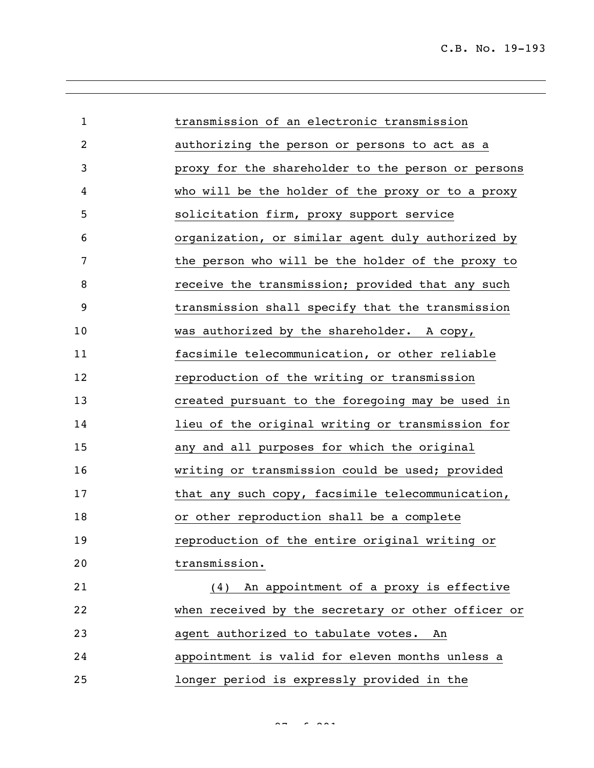| $\mathbf{1}$ | transmission of an electronic transmission         |
|--------------|----------------------------------------------------|
| 2            | authorizing the person or persons to act as a      |
| 3            | proxy for the shareholder to the person or persons |
| 4            | who will be the holder of the proxy or to a proxy  |
| 5            | solicitation firm, proxy support service           |
| 6            | organization, or similar agent duly authorized by  |
| 7            | the person who will be the holder of the proxy to  |
| 8            | receive the transmission; provided that any such   |
| 9            | transmission shall specify that the transmission   |
| 10           | was authorized by the shareholder. A copy,         |
| 11           | facsimile telecommunication, or other reliable     |
| 12           | reproduction of the writing or transmission        |
| 13           | created pursuant to the foregoing may be used in   |
| 14           | lieu of the original writing or transmission for   |
| 15           | any and all purposes for which the original        |
| 16           | writing or transmission could be used; provided    |
| 17           | that any such copy, facsimile telecommunication,   |
| 18           | or other reproduction shall be a complete          |
| 19           | reproduction of the entire original writing or     |
| 20           | transmission.                                      |
| 21           | An appointment of a proxy is effective<br>(4)      |
| 22           | when received by the secretary or other officer or |
| 23           | agent authorized to tabulate votes.<br>An          |
| 24           | appointment is valid for eleven months unless a    |
| 25           | longer period is expressly provided in the         |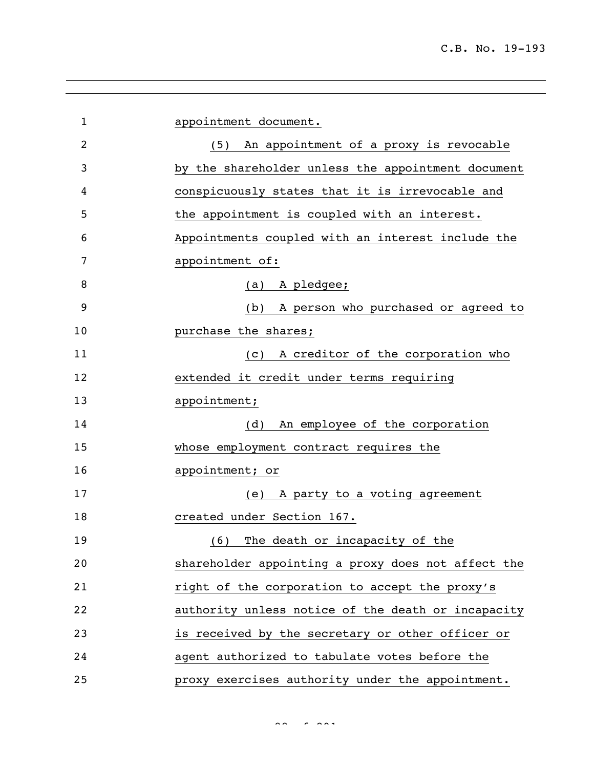| $\mathbf{1}$   | appointment document.                                  |
|----------------|--------------------------------------------------------|
| $\overline{2}$ | (5) An appointment of a proxy is revocable             |
| 3              | by the shareholder unless the appointment document     |
| 4              | conspicuously states that it is irrevocable and        |
| 5              | the appointment is coupled with an interest.           |
| 6              | Appointments coupled with an interest include the      |
| 7              | appointment of:                                        |
| 8              | (a) A pledgee;                                         |
| 9              | A person who purchased or agreed to<br>(b)             |
| 10             | purchase the shares;                                   |
| 11             | A creditor of the corporation who<br>$\left( c\right)$ |
| 12             | extended it credit under terms requiring               |
| 13             | appointment;                                           |
| 14             | An employee of the corporation<br>(d)                  |
| 15             | whose employment contract requires the                 |
| 16             | appointment; or                                        |
| 17             | A party to a voting agreement<br>(e)                   |
| 18             | created under Section 167.                             |
| 19             | The death or incapacity of the<br>(6)                  |
| 20             | shareholder appointing a proxy does not affect the     |
| 21             | right of the corporation to accept the proxy's         |
| 22             | authority unless notice of the death or incapacity     |
| 23             | is received by the secretary or other officer or       |
| 24             | agent authorized to tabulate votes before the          |
| 25             | proxy exercises authority under the appointment.       |

 $88.88$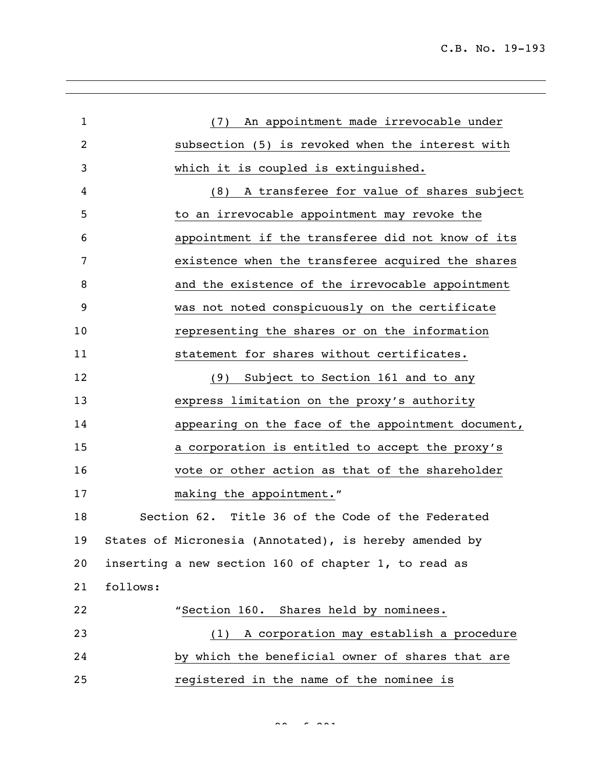| $\mathbf{1}$ | (7) An appointment made irrevocable under              |
|--------------|--------------------------------------------------------|
| 2            | subsection (5) is revoked when the interest with       |
| 3            | which it is coupled is extinguished.                   |
| 4            | A transferee for value of shares subject<br>(8)        |
| 5            | to an irrevocable appointment may revoke the           |
| 6            | appointment if the transferee did not know of its      |
| 7            | existence when the transferee acquired the shares      |
| 8            | and the existence of the irrevocable appointment       |
| 9            | was not noted conspicuously on the certificate         |
| 10           | representing the shares or on the information          |
| 11           | statement for shares without certificates.             |
| 12           | (9) Subject to Section 161 and to any                  |
| 13           | express limitation on the proxy's authority            |
| 14           | appearing on the face of the appointment document,     |
| 15           | a corporation is entitled to accept the proxy's        |
| 16           | vote or other action as that of the shareholder        |
| 17           | making the appointment."                               |
| 18           | Section 62. Title 36 of the Code of the Federated      |
| 19           | States of Micronesia (Annotated), is hereby amended by |
| 20           | inserting a new section 160 of chapter 1, to read as   |
| 21           | follows:                                               |
| 22           | "Section 160. Shares held by nominees.                 |
| 23           | (1) A corporation may establish a procedure            |
| 24           | by which the beneficial owner of shares that are       |
| 25           | registered in the name of the nominee is               |

 $88.88$  cm  $29.88$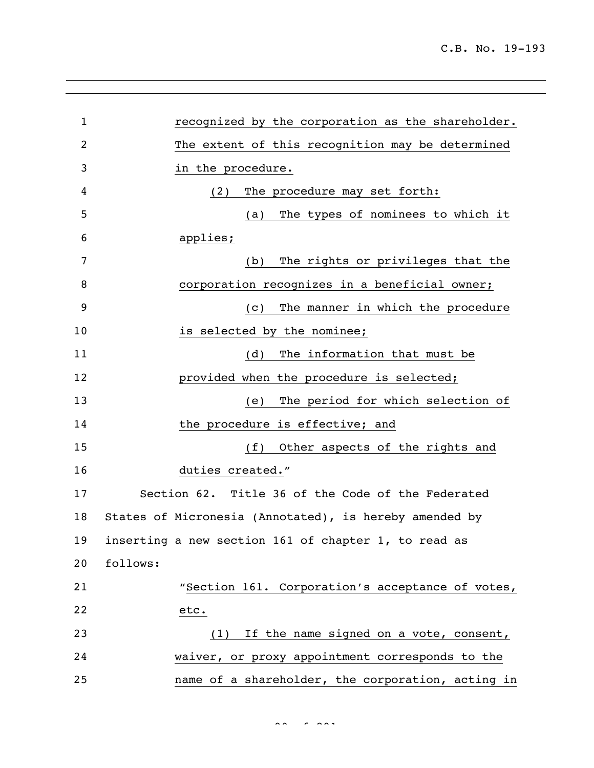| $\mathbf 1$ | recognized by the corporation as the shareholder.      |
|-------------|--------------------------------------------------------|
| 2           | The extent of this recognition may be determined       |
| 3           | in the procedure.                                      |
| 4           | The procedure may set forth:<br>(2)                    |
| 5           | The types of nominees to which it<br>(a)               |
| 6           | applies;                                               |
| 7           | The rights or privileges that the<br>(b)               |
| 8           | corporation recognizes in a beneficial owner;          |
| 9           | The manner in which the procedure<br>(C)               |
| 10          | is selected by the nominee;                            |
| 11          | The information that must be<br>(d)                    |
| 12          | provided when the procedure is selected;               |
| 13          | The period for which selection of<br>(e)               |
| 14          | the procedure is effective; and                        |
| 15          | (f)<br>Other aspects of the rights and                 |
| 16          | duties created."                                       |
| 17          | Section 62. Title 36 of the Code of the Federated      |
| 18          | States of Micronesia (Annotated), is hereby amended by |
| 19          | inserting a new section 161 of chapter 1, to read as   |
| 20          | follows:                                               |
| 21          | "Section 161. Corporation's acceptance of votes,       |
| 22          | etc.                                                   |
| 23          | (1) If the name signed on a vote, consent,             |
| 24          | waiver, or proxy appointment corresponds to the        |
| 25          | name of a shareholder, the corporation, acting in      |

 $\frac{1}{2}$ 90 of 291 of 291 of 291 of 291 of 291 of 291 of 291 of 291 of 291 of 291 of 291 of 291 of 291 of 291 of 291 of 291 of 291 of 291 of 291 of 291 of 291 of 291 of 291 of 291 of 291 of 291 of 291 of 291 of 291 of 291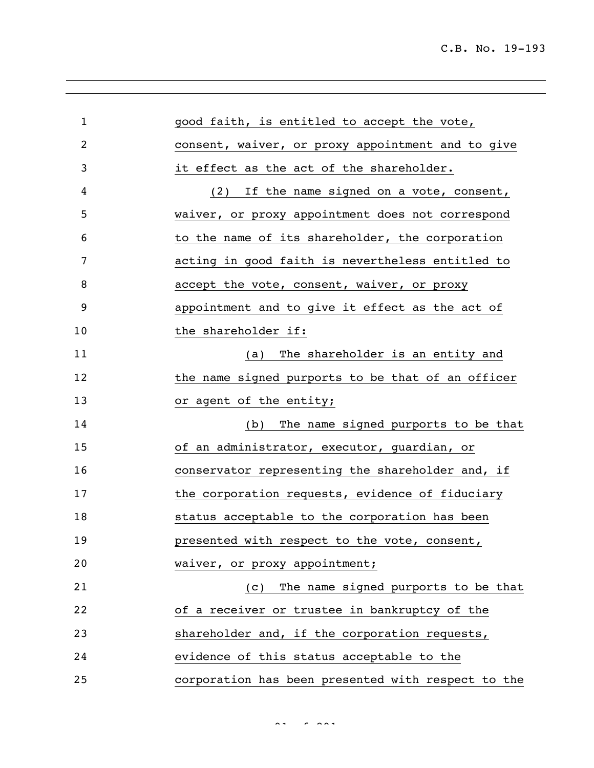| $\mathbf{1}$   | good faith, is entitled to accept the vote,        |
|----------------|----------------------------------------------------|
| $\overline{c}$ | consent, waiver, or proxy appointment and to give  |
| 3              | it effect as the act of the shareholder.           |
| 4              | (2) If the name signed on a vote, consent,         |
| 5              | waiver, or proxy appointment does not correspond   |
| 6              | to the name of its shareholder, the corporation    |
| 7              | acting in good faith is nevertheless entitled to   |
| 8              | accept the vote, consent, waiver, or proxy         |
| 9              | appointment and to give it effect as the act of    |
| 10             | the shareholder if:                                |
| 11             | The shareholder is an entity and<br>(a)            |
| 12             | the name signed purports to be that of an officer  |
| 13             | or agent of the entity;                            |
| 14             | The name signed purports to be that<br>(b)         |
| 15             | of an administrator, executor, guardian, or        |
| 16             | conservator representing the shareholder and, if   |
| 17             | the corporation requests, evidence of fiduciary    |
| 18             | status acceptable to the corporation has been      |
| 19             | presented with respect to the vote, consent,       |
| 20             | waiver, or proxy appointment;                      |
| 21             | The name signed purports to be that<br>(C)         |
| 22             | of a receiver or trustee in bankruptcy of the      |
| 23             | shareholder and, if the corporation requests,      |
| 24             | evidence of this status acceptable to the          |
| 25             | corporation has been presented with respect to the |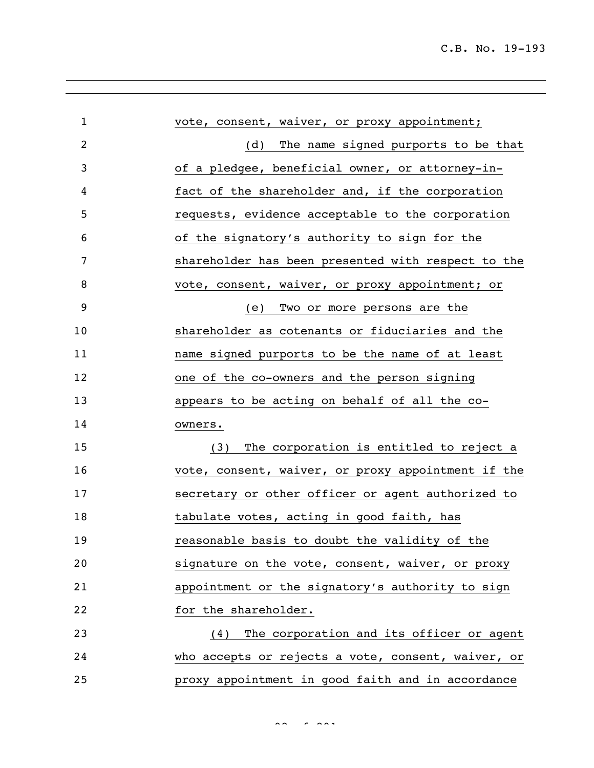| $\mathbf{1}$   | vote, consent, waiver, or proxy appointment;       |
|----------------|----------------------------------------------------|
| $\overline{2}$ | The name signed purports to be that<br>(d)         |
| 3              | of a pledgee, beneficial owner, or attorney-in-    |
| 4              | fact of the shareholder and, if the corporation    |
| 5              | requests, evidence acceptable to the corporation   |
| 6              | of the signatory's authority to sign for the       |
| 7              | shareholder has been presented with respect to the |
| 8              | vote, consent, waiver, or proxy appointment; or    |
| 9              | Two or more persons are the<br>(e)                 |
| 10             | shareholder as cotenants or fiduciaries and the    |
| 11             | name signed purports to be the name of at least    |
| 12             | one of the co-owners and the person signing        |
| 13             | appears to be acting on behalf of all the co-      |
| 14             | owners.                                            |
| 15             | The corporation is entitled to reject a<br>(3)     |
| 16             | vote, consent, waiver, or proxy appointment if the |
| 17             | secretary or other officer or agent authorized to  |
| 18             | tabulate votes, acting in good faith, has          |
| 19             | reasonable basis to doubt the validity of the      |
| 20             | signature on the vote, consent, waiver, or proxy   |
| 21             | appointment or the signatory's authority to sign   |
| 22             | for the shareholder.                               |
| 23             | The corporation and its officer or agent<br>(4)    |
| 24             | who accepts or rejects a vote, consent, waiver, or |
| 25             | proxy appointment in good faith and in accordance  |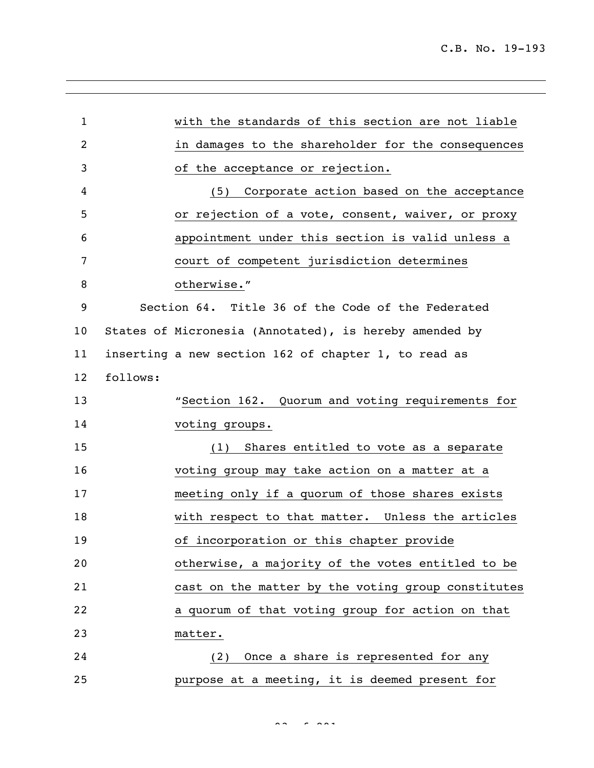| $\mathbf{1}$   |                | with the standards of this section are not liable      |
|----------------|----------------|--------------------------------------------------------|
| $\overline{c}$ |                | in damages to the shareholder for the consequences     |
| 3              |                | of the acceptance or rejection.                        |
| 4              |                | (5) Corporate action based on the acceptance           |
| 5              |                | or rejection of a vote, consent, waiver, or proxy      |
| 6              |                | appointment under this section is valid unless a       |
| 7              |                | court of competent jurisdiction determines             |
| 8              | otherwise."    |                                                        |
| 9              |                | Section 64. Title 36 of the Code of the Federated      |
| 10             |                | States of Micronesia (Annotated), is hereby amended by |
| 11             |                | inserting a new section 162 of chapter 1, to read as   |
| 12             | follows:       |                                                        |
| 13             |                | "Section 162. Quorum and voting requirements for       |
| 14             | voting groups. |                                                        |
| 15             |                | (1) Shares entitled to vote as a separate              |
| 16             |                | voting group may take action on a matter at a          |
| 17             |                | meeting only if a quorum of those shares exists        |
| 18             |                | with respect to that matter. Unless the articles       |
| 19             |                | of incorporation or this chapter provide               |
| 20             |                | otherwise, a majority of the votes entitled to be      |
| 21             |                | cast on the matter by the voting group constitutes     |
| 22             |                | a quorum of that voting group for action on that       |
| 23             | matter.        |                                                        |
| 24             | (2)            | Once a share is represented for any                    |
| 25             |                | purpose at a meeting, it is deemed present for         |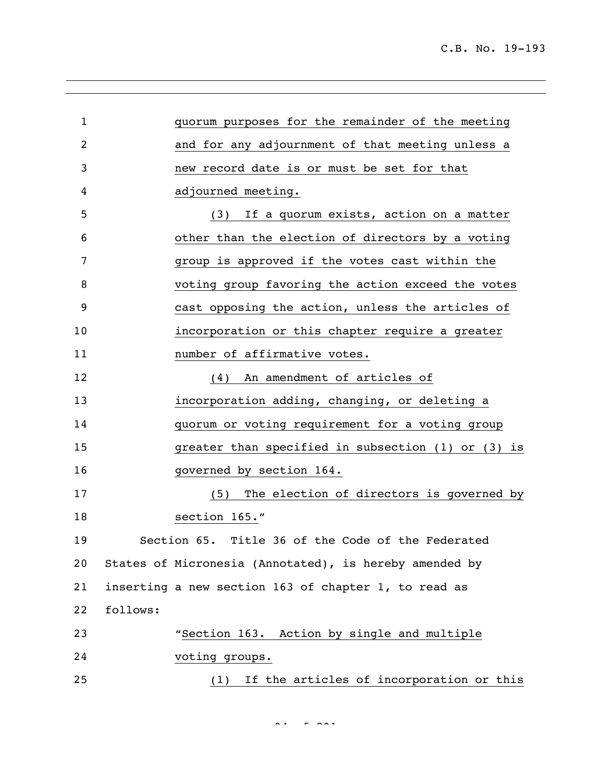| $\mathbf 1$ |          | quorum purposes for the remainder of the meeting       |
|-------------|----------|--------------------------------------------------------|
| 2           |          | and for any adjournment of that meeting unless a       |
| 3           |          | new record date is or must be set for that             |
| 4           |          | adjourned meeting.                                     |
| 5           |          | (3) If a quorum exists, action on a matter             |
| 6           |          | other than the election of directors by a voting       |
| 7           |          | group is approved if the votes cast within the         |
| 8           |          | voting group favoring the action exceed the votes      |
| 9           |          | cast opposing the action, unless the articles of       |
| 10          |          | incorporation or this chapter require a greater        |
| 11          |          | number of affirmative votes.                           |
| 12          |          | An amendment of articles of<br>(4)                     |
| 13          |          | incorporation adding, changing, or deleting a          |
| 14          |          | quorum or voting requirement for a voting group        |
| 15          |          | greater than specified in subsection (1) or (3) is     |
| 16          |          | governed by section 164.                               |
| 17          |          | The election of directors is governed by<br>(5)        |
| 18          |          | section 165."                                          |
| 19          |          | Section 65. Title 36 of the Code of the Federated      |
| 20          |          | States of Micronesia (Annotated), is hereby amended by |
| 21          |          | inserting a new section 163 of chapter 1, to read as   |
| 22          | follows: |                                                        |
| 23          |          | "Section 163. Action by single and multiple            |
| 24          |          | voting groups.                                         |
| 25          |          | (1) If the articles of incorporation or this           |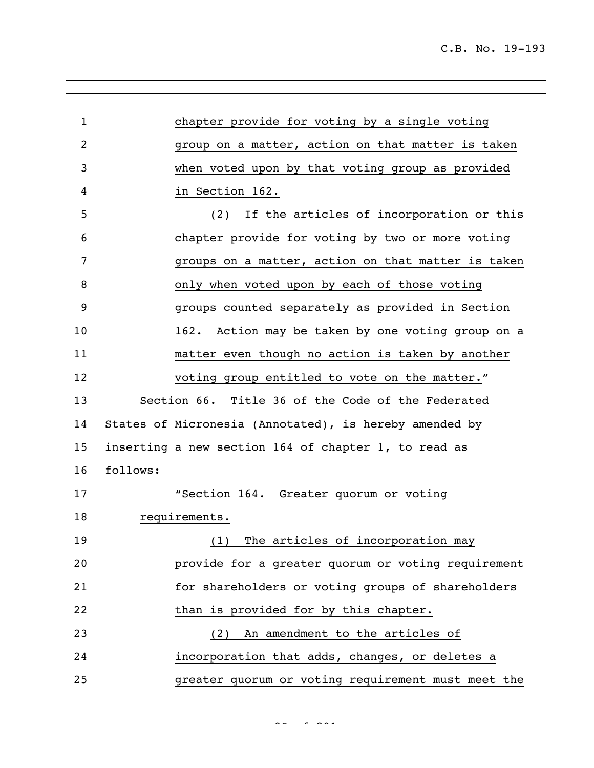| $\mathbf{1}$ | chapter provide for voting by a single voting          |
|--------------|--------------------------------------------------------|
| 2            | group on a matter, action on that matter is taken      |
| 3            | when voted upon by that voting group as provided       |
| 4            | in Section 162.                                        |
| 5            | If the articles of incorporation or this<br>(2)        |
|              |                                                        |
| 6            | chapter provide for voting by two or more voting       |
| 7            | groups on a matter, action on that matter is taken     |
| 8            | only when voted upon by each of those voting           |
| 9            | groups counted separately as provided in Section       |
| 10           | 162. Action may be taken by one voting group on a      |
| 11           | matter even though no action is taken by another       |
| 12           | voting group entitled to vote on the matter."          |
| 13           | Section 66. Title 36 of the Code of the Federated      |
| 14           | States of Micronesia (Annotated), is hereby amended by |
| 15           | inserting a new section 164 of chapter 1, to read as   |
| 16           | follows:                                               |
| 17           | "Section 164. Greater quorum or voting                 |
| 18           | requirements.                                          |
| 19           | The articles of incorporation may<br>(1)               |
| 20           | provide for a greater quorum or voting requirement     |
| 21           | for shareholders or voting groups of shareholders      |
| 22           | than is provided for by this chapter.                  |
| 23           | (2) An amendment to the articles of                    |
| 24           | incorporation that adds, changes, or deletes a         |
| 25           | greater quorum or voting requirement must meet the     |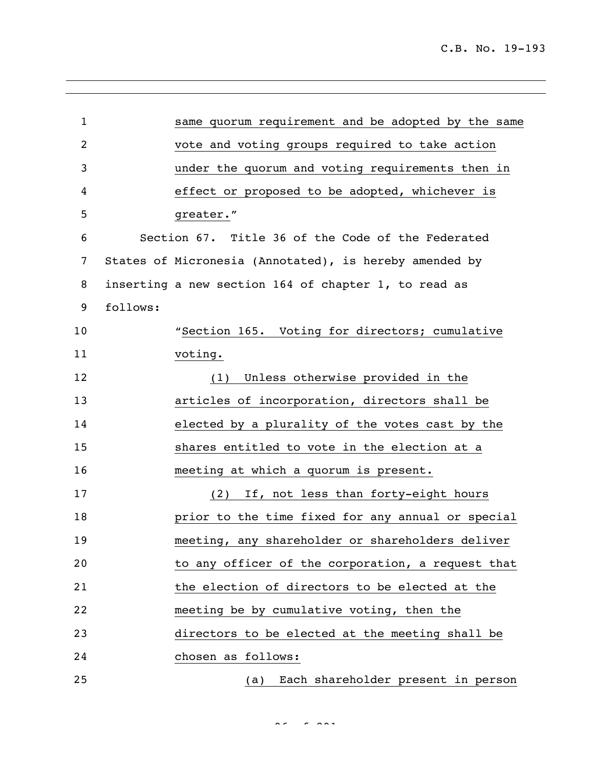| $\mathbf{1}$   |          | same quorum requirement and be adopted by the same     |
|----------------|----------|--------------------------------------------------------|
| $\overline{c}$ |          | vote and voting groups required to take action         |
| 3              |          | under the quorum and voting requirements then in       |
| 4              |          | effect or proposed to be adopted, whichever is         |
| 5              |          | greater."                                              |
| 6              |          | Section 67. Title 36 of the Code of the Federated      |
| 7              |          | States of Micronesia (Annotated), is hereby amended by |
| 8              |          | inserting a new section 164 of chapter 1, to read as   |
| 9              | follows: |                                                        |
| 10             |          | "Section 165. Voting for directors; cumulative         |
| 11             |          | voting.                                                |
| 12             |          | Unless otherwise provided in the<br>(1)                |
| 13             |          | articles of incorporation, directors shall be          |
| 14             |          | elected by a plurality of the votes cast by the        |
| 15             |          | shares entitled to vote in the election at a           |
| 16             |          | meeting at which a quorum is present.                  |
| 17             |          | (2) If, not less than forty-eight hours                |
| 18             |          | prior to the time fixed for any annual or special      |
| 19             |          | meeting, any shareholder or shareholders deliver       |
| 20             |          | to any officer of the corporation, a request that      |
| 21             |          | the election of directors to be elected at the         |
| 22             |          | meeting be by cumulative voting, then the              |
| 23             |          | directors to be elected at the meeting shall be        |
| 24             |          | chosen as follows:                                     |
| 25             |          | Each shareholder present in person<br>(a)              |

 $96 - 929$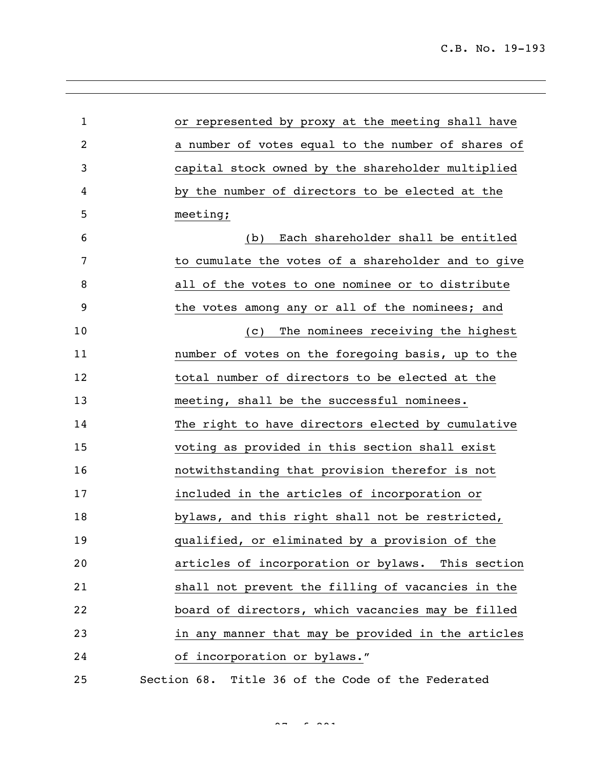| $\mathbf{1}$   | or represented by proxy at the meeting shall have  |
|----------------|----------------------------------------------------|
| $\overline{c}$ | a number of votes equal to the number of shares of |
| 3              | capital stock owned by the shareholder multiplied  |
| 4              | by the number of directors to be elected at the    |
| 5              | meeting;                                           |
| 6              | Each shareholder shall be entitled<br>(b)          |
| 7              | to cumulate the votes of a shareholder and to give |
| 8              | all of the votes to one nominee or to distribute   |
| 9              | the votes among any or all of the nominees; and    |
| 10             | The nominees receiving the highest<br>(C)          |
| 11             | number of votes on the foregoing basis, up to the  |
| 12             | total number of directors to be elected at the     |
| 13             | meeting, shall be the successful nominees.         |
| 14             | The right to have directors elected by cumulative  |
| 15             | voting as provided in this section shall exist     |
| 16             | notwithstanding that provision therefor is not     |
| 17             | included in the articles of incorporation or       |
| 18             | bylaws, and this right shall not be restricted,    |
| 19             | qualified, or eliminated by a provision of the     |
| 20             | articles of incorporation or bylaws. This section  |
| 21             | shall not prevent the filling of vacancies in the  |
| 22             | board of directors, which vacancies may be filled  |
| 23             | in any manner that may be provided in the articles |
| 24             | of incorporation or bylaws."                       |
| 25             | Section 68. Title 36 of the Code of the Federated  |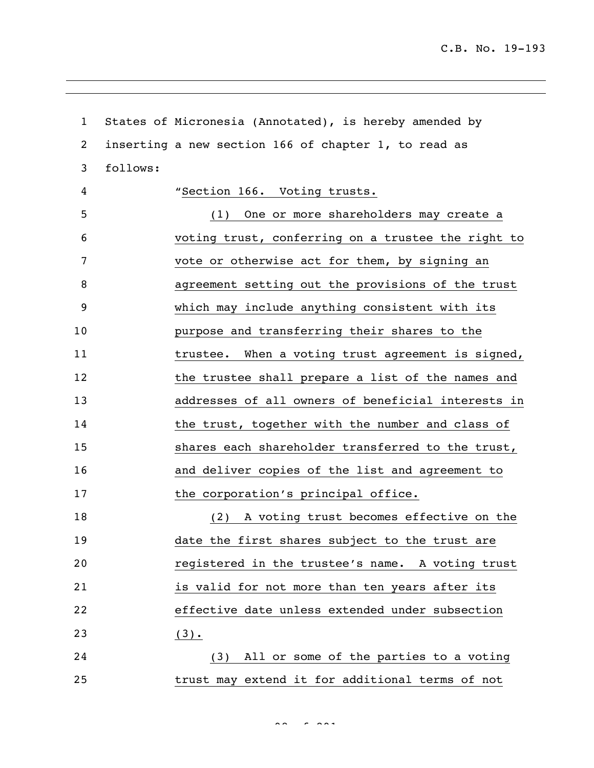C.B. No. 19-193

| $\mathbf{1}$ |          | States of Micronesia (Annotated), is hereby amended by |
|--------------|----------|--------------------------------------------------------|
| 2            |          | inserting a new section 166 of chapter 1, to read as   |
| 3            | follows: |                                                        |
| 4            |          | "Section 166. Voting trusts.                           |
| 5            |          | (1) One or more shareholders may create a              |
| 6            |          | voting trust, conferring on a trustee the right to     |
| 7            |          | vote or otherwise act for them, by signing an          |
| 8            |          | agreement setting out the provisions of the trust      |
| 9            |          | which may include anything consistent with its         |
| 10           |          | purpose and transferring their shares to the           |
| 11           |          | trustee. When a voting trust agreement is signed,      |
| 12           |          | the trustee shall prepare a list of the names and      |
| 13           |          | addresses of all owners of beneficial interests in     |
| 14           |          | the trust, together with the number and class of       |
| 15           |          | shares each shareholder transferred to the trust,      |
| 16           |          | and deliver copies of the list and agreement to        |
| 17           |          | the corporation's principal office.                    |
| 18           |          | (2) A voting trust becomes effective on the            |
| 19           |          | date the first shares subject to the trust are         |
| 20           |          | registered in the trustee's name. A voting trust       |
| 21           |          | is valid for not more than ten years after its         |
| 22           |          | effective date unless extended under subsection        |
| 23           |          | $\left(\frac{3}{2}\right)$ .                           |
| 24           |          | (3) All or some of the parties to a voting             |
| 25           |          | trust may extend it for additional terms of not        |

 $\frac{1}{2}$  of  $\frac{1}{2}$   $\frac{1}{2}$   $\frac{1}{2}$   $\frac{1}{2}$   $\frac{1}{2}$   $\frac{1}{2}$   $\frac{1}{2}$   $\frac{1}{2}$   $\frac{1}{2}$   $\frac{1}{2}$   $\frac{1}{2}$   $\frac{1}{2}$   $\frac{1}{2}$   $\frac{1}{2}$   $\frac{1}{2}$   $\frac{1}{2}$   $\frac{1}{2}$   $\frac{1}{2}$   $\frac{1}{2}$   $\frac{1}{2}$   $\frac{1}{2}$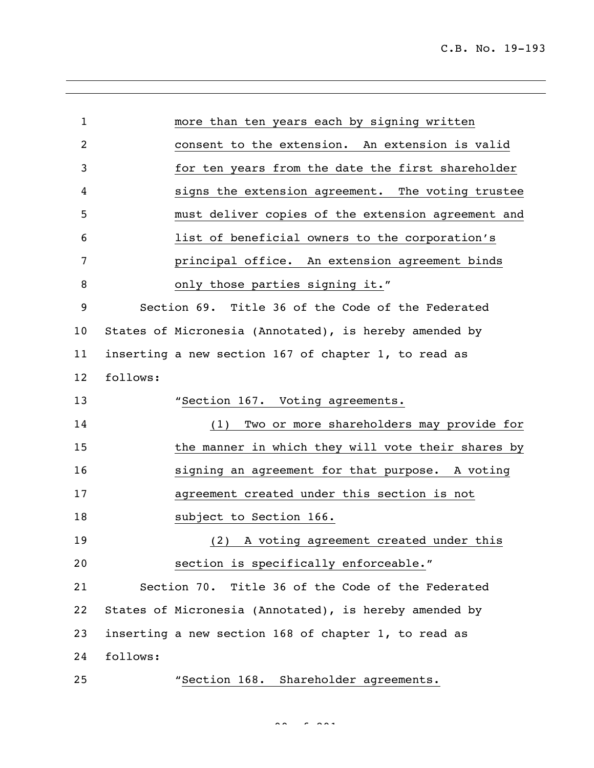| $\mathbf 1$ | more than ten years each by signing written            |
|-------------|--------------------------------------------------------|
| 2           | consent to the extension. An extension is valid        |
| 3           | for ten years from the date the first shareholder      |
| 4           | signs the extension agreement. The voting trustee      |
| 5           | must deliver copies of the extension agreement and     |
| 6           | list of beneficial owners to the corporation's         |
| 7           | principal office. An extension agreement binds         |
| 8           | only those parties signing it."                        |
| 9           | Section 69. Title 36 of the Code of the Federated      |
| 10          | States of Micronesia (Annotated), is hereby amended by |
| 11          | inserting a new section 167 of chapter 1, to read as   |
| 12          | follows:                                               |
| 13          | "Section 167. Voting agreements.                       |
| 14          | (1) Two or more shareholders may provide for           |
| 15          | the manner in which they will vote their shares by     |
| 16          | signing an agreement for that purpose. A voting        |
| 17          | agreement created under this section is not            |
| 18          | subject to Section 166.                                |
| 19          | (2)<br>A voting agreement created under this           |
| 20          | section is specifically enforceable."                  |
| 21          | Section 70. Title 36 of the Code of the Federated      |
| 22          | States of Micronesia (Annotated), is hereby amended by |
| 23          | inserting a new section 168 of chapter 1, to read as   |
| 24          | follows:                                               |
| 25          | "Section 168. Shareholder agreements.                  |

 $\frac{1}{2}$  of  $\frac{1}{2}$   $\frac{1}{2}$   $\frac{1}{2}$   $\frac{1}{2}$   $\frac{1}{2}$   $\frac{1}{2}$   $\frac{1}{2}$   $\frac{1}{2}$   $\frac{1}{2}$   $\frac{1}{2}$   $\frac{1}{2}$   $\frac{1}{2}$   $\frac{1}{2}$   $\frac{1}{2}$   $\frac{1}{2}$   $\frac{1}{2}$   $\frac{1}{2}$   $\frac{1}{2}$   $\frac{1}{2}$   $\frac{1}{2}$   $\frac{1}{2}$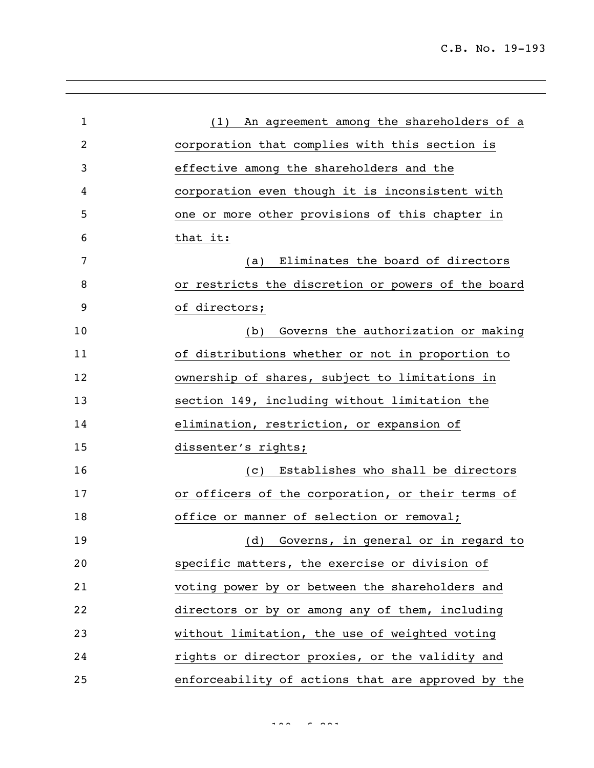| $\mathbf 1$ | (1) An agreement among the shareholders of a       |
|-------------|----------------------------------------------------|
| 2           | corporation that complies with this section is     |
| 3           | effective among the shareholders and the           |
| 4           | corporation even though it is inconsistent with    |
| 5           | one or more other provisions of this chapter in    |
| 6           | that it:                                           |
| 7           | Eliminates the board of directors<br>(a)           |
| 8           | or restricts the discretion or powers of the board |
| 9           | of directors;                                      |
| 10          | Governs the authorization or making<br>(b)         |
| 11          | of distributions whether or not in proportion to   |
| 12          | ownership of shares, subject to limitations in     |
| 13          | section 149, including without limitation the      |
| 14          | elimination, restriction, or expansion of          |
| 15          | dissenter's rights;                                |
| 16          | Establishes who shall be directors<br>(C)          |
| 17          | or officers of the corporation, or their terms of  |
| 18          | office or manner of selection or removal;          |
| 19          | (d) Governs, in general or in regard to            |
| 20          | specific matters, the exercise or division of      |
| 21          | voting power by or between the shareholders and    |
| 22          | directors or by or among any of them, including    |
| 23          | without limitation, the use of weighted voting     |
| 24          | rights or director proxies, or the validity and    |
| 25          | enforceability of actions that are approved by the |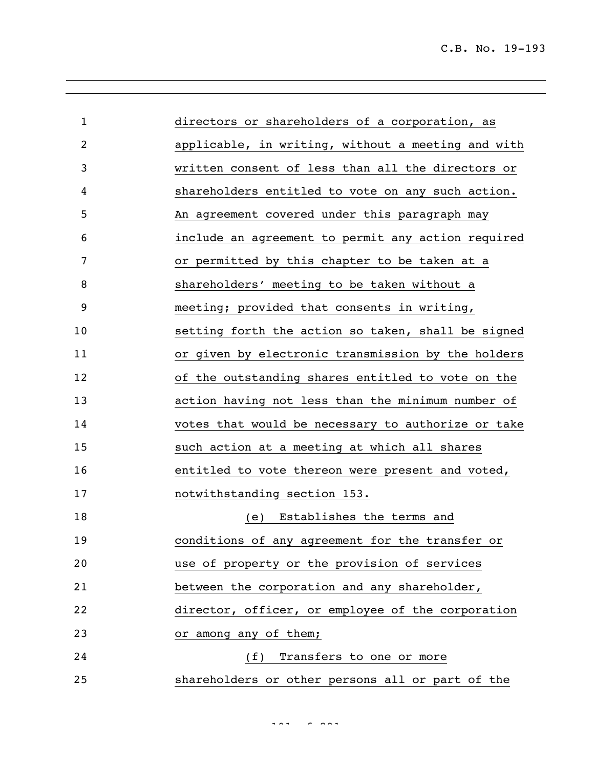| 1  | directors or shareholders of a corporation, as     |
|----|----------------------------------------------------|
| 2  | applicable, in writing, without a meeting and with |
| 3  | written consent of less than all the directors or  |
| 4  | shareholders entitled to vote on any such action.  |
| 5  | An agreement covered under this paragraph may      |
| 6  | include an agreement to permit any action required |
| 7  | or permitted by this chapter to be taken at a      |
| 8  | shareholders' meeting to be taken without a        |
| 9  | meeting; provided that consents in writing,        |
| 10 | setting forth the action so taken, shall be signed |
| 11 | or given by electronic transmission by the holders |
| 12 | of the outstanding shares entitled to vote on the  |
| 13 | action having not less than the minimum number of  |
| 14 | votes that would be necessary to authorize or take |
| 15 | such action at a meeting at which all shares       |
| 16 | entitled to vote thereon were present and voted,   |
| 17 | notwithstanding section 153.                       |
| 18 | Establishes the terms and<br>(e)                   |
| 19 | conditions of any agreement for the transfer or    |
| 20 | use of property or the provision of services       |
| 21 | between the corporation and any shareholder,       |
| 22 | director, officer, or employee of the corporation  |
| 23 | or among any of them;                              |
| 24 | (f) Transfers to one or more                       |
| 25 | shareholders or other persons all or part of the   |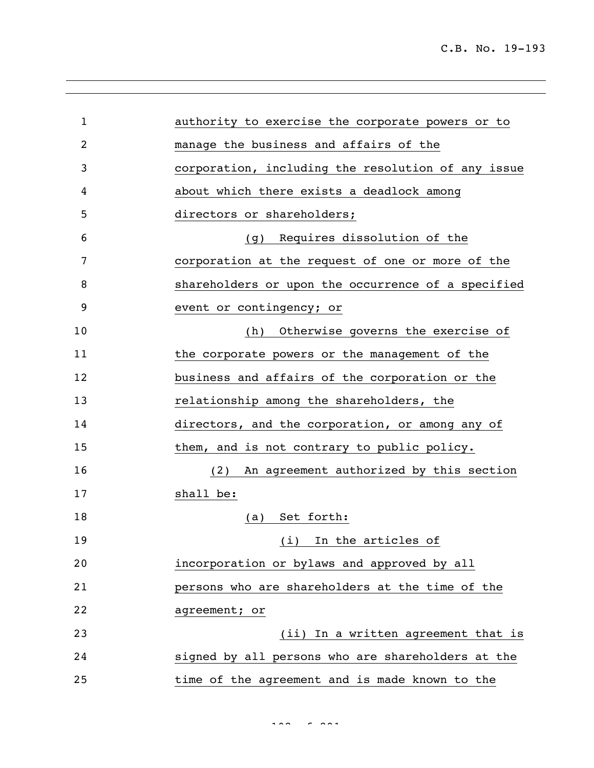| 1  | authority to exercise the corporate powers or to   |
|----|----------------------------------------------------|
| 2  | manage the business and affairs of the             |
| 3  | corporation, including the resolution of any issue |
| 4  | about which there exists a deadlock among          |
| 5  | directors or shareholders;                         |
| 6  | (g) Requires dissolution of the                    |
| 7  | corporation at the request of one or more of the   |
| 8  | shareholders or upon the occurrence of a specified |
| 9  | event or contingency; or                           |
| 10 | Otherwise governs the exercise of<br>(h)           |
| 11 | the corporate powers or the management of the      |
| 12 | business and affairs of the corporation or the     |
| 13 | relationship among the shareholders, the           |
| 14 | directors, and the corporation, or among any of    |
| 15 | them, and is not contrary to public policy.        |
| 16 | An agreement authorized by this section<br>(2)     |
| 17 | shall be:                                          |
| 18 | (a) Set forth:                                     |
| 19 | (i) In the articles of                             |
| 20 | incorporation or bylaws and approved by all        |
| 21 | persons who are shareholders at the time of the    |
| 22 | agreement; or                                      |
| 23 | (ii) In a written agreement that is                |
| 24 | signed by all persons who are shareholders at the  |
| 25 | time of the agreement and is made known to the     |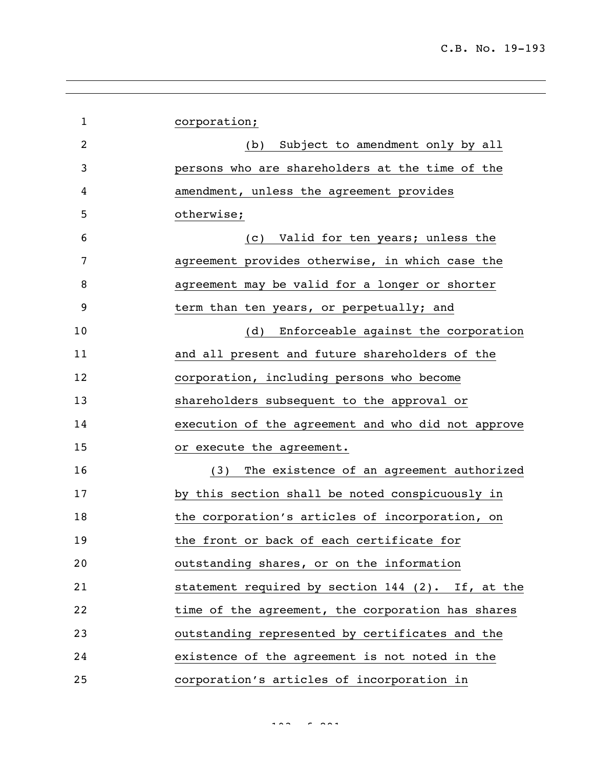| $\mathbf 1$ | corporation;                                       |
|-------------|----------------------------------------------------|
| 2           | (b) Subject to amendment only by all               |
| 3           | persons who are shareholders at the time of the    |
| 4           | amendment, unless the agreement provides           |
| 5           | otherwise;                                         |
| 6           | (c) Valid for ten years; unless the                |
| 7           | agreement provides otherwise, in which case the    |
| 8           | agreement may be valid for a longer or shorter     |
| 9           | term than ten years, or perpetually; and           |
| 10          | Enforceable against the corporation<br>(d)         |
| 11          | and all present and future shareholders of the     |
| 12          | corporation, including persons who become          |
| 13          | shareholders subsequent to the approval or         |
| 14          | execution of the agreement and who did not approve |
| 15          | or execute the agreement.                          |
| 16          | The existence of an agreement authorized<br>(3)    |
| 17          | by this section shall be noted conspicuously in    |
| 18          | the corporation's articles of incorporation, on    |
| 19          | the front or back of each certificate for          |
| 20          | outstanding shares, or on the information          |
| 21          | statement required by section 144 (2). If, at the  |
| 22          | time of the agreement, the corporation has shares  |
| 23          | outstanding represented by certificates and the    |
| 24          | existence of the agreement is not noted in the     |
| 25          | corporation's articles of incorporation in         |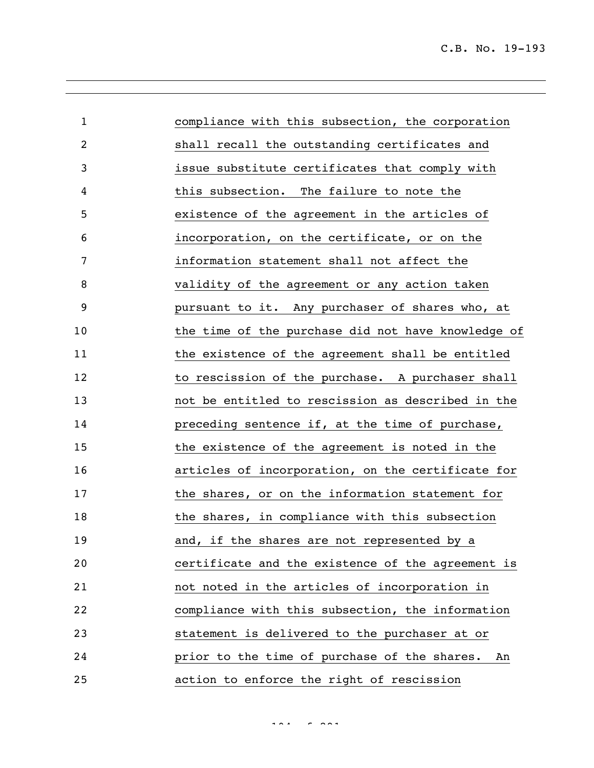| $\mathbf 1$ | compliance with this subsection, the corporation   |
|-------------|----------------------------------------------------|
| 2           | shall recall the outstanding certificates and      |
| 3           | issue substitute certificates that comply with     |
| 4           | this subsection. The failure to note the           |
| 5           | existence of the agreement in the articles of      |
| 6           | incorporation, on the certificate, or on the       |
| 7           | information statement shall not affect the         |
| 8           | validity of the agreement or any action taken      |
| 9           | pursuant to it. Any purchaser of shares who, at    |
| 10          | the time of the purchase did not have knowledge of |
| 11          | the existence of the agreement shall be entitled   |
| 12          | to rescission of the purchase. A purchaser shall   |
| 13          | not be entitled to rescission as described in the  |
| 14          | preceding sentence if, at the time of purchase,    |
| 15          | the existence of the agreement is noted in the     |
| 16          | articles of incorporation, on the certificate for  |
| 17          | the shares, or on the information statement for    |
| 18          | the shares, in compliance with this subsection     |
| 19          | and, if the shares are not represented by a        |
| 20          | certificate and the existence of the agreement is  |
| 21          | not noted in the articles of incorporation in      |
| 22          | compliance with this subsection, the information   |
| 23          | statement is delivered to the purchaser at or      |
| 24          | prior to the time of purchase of the shares.<br>An |
| 25          | action to enforce the right of rescission          |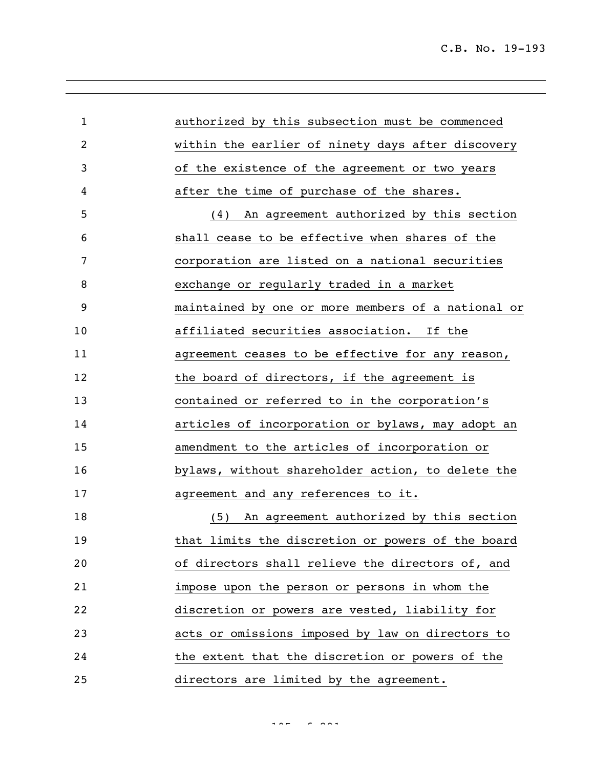| $\mathbf{1}$   | authorized by this subsection must be commenced    |
|----------------|----------------------------------------------------|
| $\overline{2}$ | within the earlier of ninety days after discovery  |
| 3              | of the existence of the agreement or two years     |
| 4              | after the time of purchase of the shares.          |
| 5              | (4) An agreement authorized by this section        |
| 6              | shall cease to be effective when shares of the     |
| 7              | corporation are listed on a national securities    |
| 8              | exchange or regularly traded in a market           |
| 9              | maintained by one or more members of a national or |
| 10             | affiliated securities association. If the          |
| 11             | agreement ceases to be effective for any reason,   |
| 12             | the board of directors, if the agreement is        |
| 13             | contained or referred to in the corporation's      |
| 14             | articles of incorporation or bylaws, may adopt an  |
| 15             | amendment to the articles of incorporation or      |
| 16             | bylaws, without shareholder action, to delete the  |
| 17             | agreement and any references to it.                |
| 18             | An agreement authorized by this section<br>(5)     |
| 19             | that limits the discretion or powers of the board  |
| 20             | of directors shall relieve the directors of, and   |
| 21             | impose upon the person or persons in whom the      |
| 22             | discretion or powers are vested, liability for     |
| 23             | acts or omissions imposed by law on directors to   |
| 24             | the extent that the discretion or powers of the    |
| 25             | directors are limited by the agreement.            |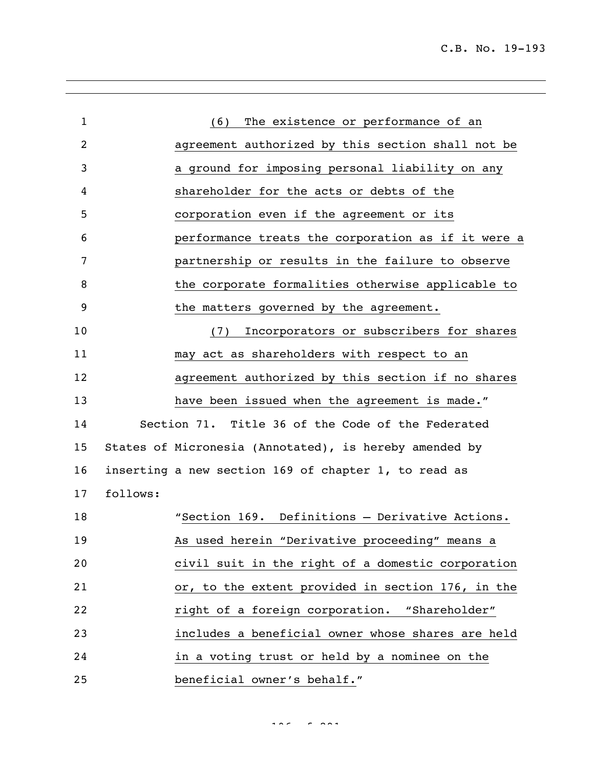| $\mathbf{1}$ |          | (6) The existence or performance of an                 |
|--------------|----------|--------------------------------------------------------|
| 2            |          | agreement authorized by this section shall not be      |
| 3            |          | a ground for imposing personal liability on any        |
| 4            |          | shareholder for the acts or debts of the               |
| 5            |          | corporation even if the agreement or its               |
| 6            |          | performance treats the corporation as if it were a     |
| 7            |          | partnership or results in the failure to observe       |
| 8            |          | the corporate formalities otherwise applicable to      |
| 9            |          | the matters governed by the agreement.                 |
| 10           |          | Incorporators or subscribers for shares<br>(7)         |
| 11           |          | may act as shareholders with respect to an             |
| 12           |          | agreement authorized by this section if no shares      |
| 13           |          | have been issued when the agreement is made."          |
| 14           |          | Section 71. Title 36 of the Code of the Federated      |
| 15           |          | States of Micronesia (Annotated), is hereby amended by |
| 16           |          | inserting a new section 169 of chapter 1, to read as   |
| 17           | follows: |                                                        |
| 18           |          | "Section 169. Definitions - Derivative Actions.        |
| 19           |          | <u>As used herein "Derivative proceeding" means a</u>  |
| 20           |          | civil suit in the right of a domestic corporation      |
| 21           |          | or, to the extent provided in section 176, in the      |
| 22           |          | right of a foreign corporation. "Shareholder"          |
| 23           |          | includes a beneficial owner whose shares are held      |
| 24           |          | in a voting trust or held by a nominee on the          |
| 25           |          | beneficial owner's behalf."                            |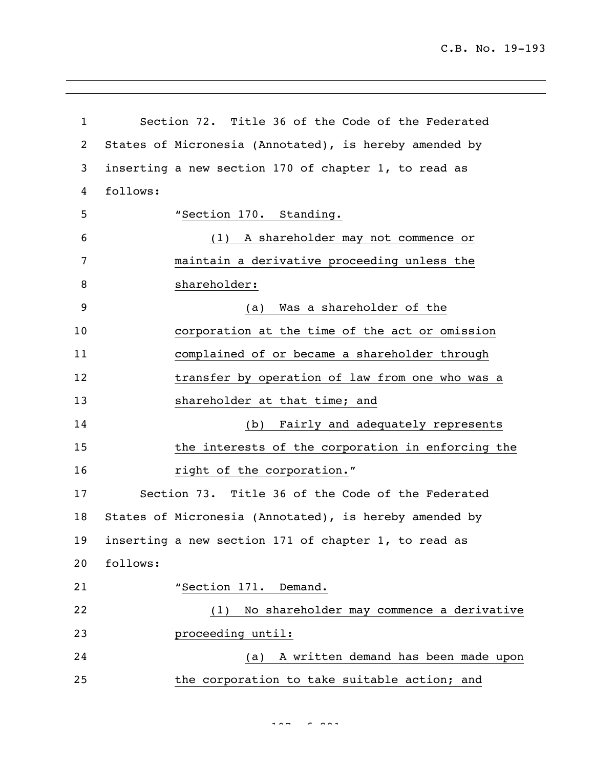C.B. No. 19-193

 Section 72. Title 36 of the Code of the Federated States of Micronesia (Annotated), is hereby amended by inserting a new section 170 of chapter 1, to read as follows: "Section 170. Standing. (1) A shareholder may not commence or maintain a derivative proceeding unless the shareholder: (a) Was a shareholder of the corporation at the time of the act or omission complained of or became a shareholder through 12 transfer by operation of law from one who was a 13 shareholder at that time; and (b) Fairly and adequately represents the interests of the corporation in enforcing the **right of the corporation.**" Section 73. Title 36 of the Code of the Federated States of Micronesia (Annotated), is hereby amended by inserting a new section 171 of chapter 1, to read as follows: 21 "Section 171. Demand. (1) No shareholder may commence a derivative proceeding until: (a) A written demand has been made upon the corporation to take suitable action; and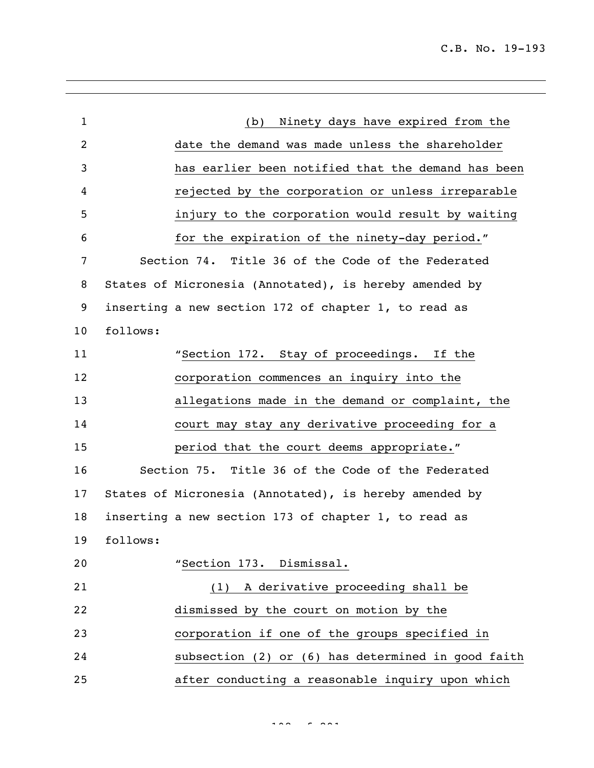C.B. No. 19-193

| $\mathbf{1}$   |          | Ninety days have expired from the<br>(b)               |
|----------------|----------|--------------------------------------------------------|
| $\overline{2}$ |          | date the demand was made unless the shareholder        |
| 3              |          | has earlier been notified that the demand has been     |
| 4              |          | rejected by the corporation or unless irreparable      |
| 5              |          | injury to the corporation would result by waiting      |
| 6              |          | for the expiration of the ninety-day period."          |
| 7              |          | Section 74. Title 36 of the Code of the Federated      |
| 8              |          | States of Micronesia (Annotated), is hereby amended by |
| 9              |          | inserting a new section 172 of chapter 1, to read as   |
| 10             | follows: |                                                        |
| 11             |          | "Section 172. Stay of proceedings. If the              |
| 12             |          | corporation commences an inquiry into the              |
| 13             |          | allegations made in the demand or complaint, the       |
| 14             |          | court may stay any derivative proceeding for a         |
| 15             |          | period that the court deems appropriate."              |
| 16             |          | Section 75. Title 36 of the Code of the Federated      |
| 17             |          | States of Micronesia (Annotated), is hereby amended by |
| 18             |          | inserting a new section 173 of chapter 1, to read as   |
| 19             | follows: |                                                        |
| 20             |          | "Section 173. Dismissal.                               |
| 21             |          | (1) A derivative proceeding shall be                   |
| 22             |          | dismissed by the court on motion by the                |
| 23             |          | corporation if one of the groups specified in          |
| 24             |          | subsection (2) or (6) has determined in good faith     |
| 25             |          | after conducting a reasonable inquiry upon which       |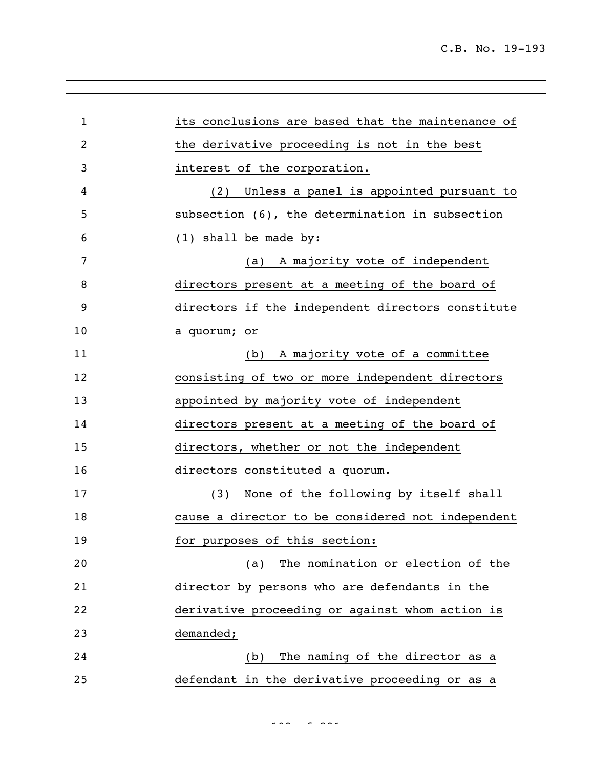| $\mathbf 1$ | its conclusions are based that the maintenance of |
|-------------|---------------------------------------------------|
| 2           | the derivative proceeding is not in the best      |
| 3           | interest of the corporation.                      |
| 4           | (2) Unless a panel is appointed pursuant to       |
| 5           | subsection (6), the determination in subsection   |
| 6           | $(1)$ shall be made by:                           |
| 7           | A majority vote of independent<br>(a)             |
| 8           | directors present at a meeting of the board of    |
| 9           | directors if the independent directors constitute |
| 10          | a quorum; or                                      |
| 11          | (b) A majority vote of a committee                |
| 12          | consisting of two or more independent directors   |
| 13          | appointed by majority vote of independent         |
| 14          | directors present at a meeting of the board of    |
| 15          | directors, whether or not the independent         |
| 16          | directors constituted a quorum.                   |
| 17          | None of the following by itself shall<br>(3)      |
| 18          | cause a director to be considered not independent |
| 19          | for purposes of this section:                     |
| 20          | The nomination or election of the<br>(a)          |
| 21          | director by persons who are defendants in the     |
| 22          | derivative proceeding or against whom action is   |
| 23          | demanded;                                         |
| 24          | The naming of the director as a<br>(b)            |
| 25          | defendant in the derivative proceeding or as a    |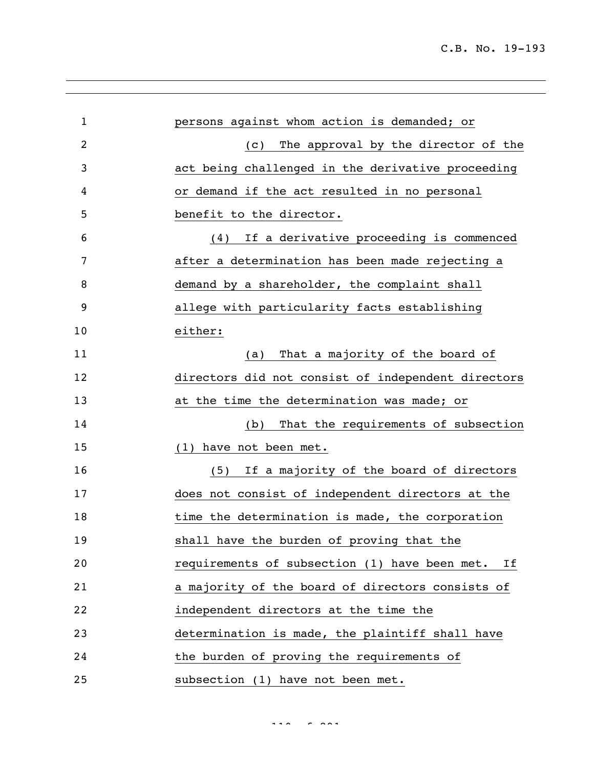| $\mathbf{1}$ |                                                    |
|--------------|----------------------------------------------------|
|              | persons against whom action is demanded; or        |
| 2            | The approval by the director of the<br>(C)         |
| 3            | act being challenged in the derivative proceeding  |
| 4            | or demand if the act resulted in no personal       |
| 5            | benefit to the director.                           |
| 6            | If a derivative proceeding is commenced<br>(4)     |
| 7            | after a determination has been made rejecting a    |
| 8            | demand by a shareholder, the complaint shall       |
| 9            | allege with particularity facts establishing       |
| 10           | either:                                            |
| 11           | That a majority of the board of<br>(a)             |
| 12           | directors did not consist of independent directors |
| 13           | at the time the determination was made; or         |
| 14           | That the requirements of subsection<br>(b)         |
| 15           | (1) have not been met.                             |
| 16           | If a majority of the board of directors<br>(5)     |
| 17           | does not consist of independent directors at the   |
| 18           | time the determination is made, the corporation    |
| 19           | shall have the burden of proving that the          |
| 20           | requirements of subsection (1) have been met. If   |
| 21           | a majority of the board of directors consists of   |
| 22           | independent directors at the time the              |
| 23           | determination is made, the plaintiff shall have    |
| 24           | the burden of proving the requirements of          |
| 25           | subsection (1) have not been met.                  |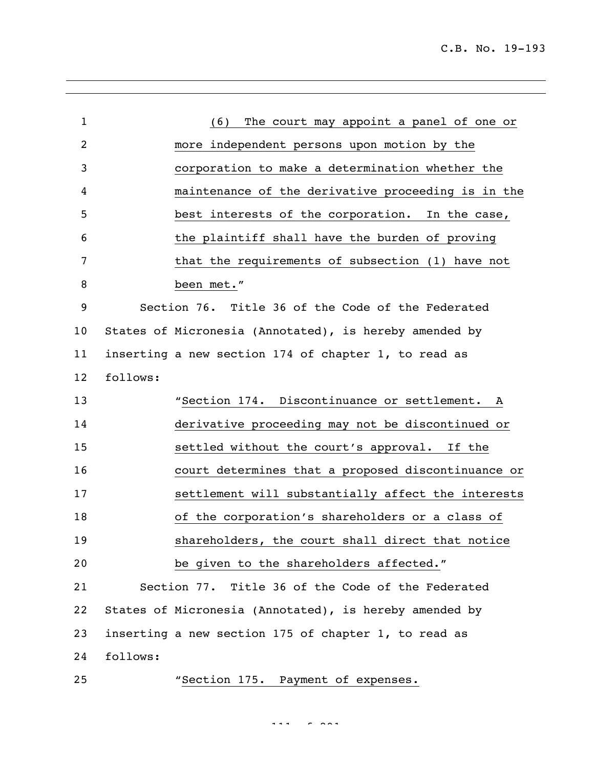| $\mathbf{1}$   | (6) The court may appoint a panel of one or            |  |
|----------------|--------------------------------------------------------|--|
| $\overline{c}$ | more independent persons upon motion by the            |  |
| 3              | corporation to make a determination whether the        |  |
| 4              | maintenance of the derivative proceeding is in the     |  |
| 5              | best interests of the corporation. In the case,        |  |
| 6              | the plaintiff shall have the burden of proving         |  |
| 7              | that the requirements of subsection (1) have not       |  |
| 8              | been met."                                             |  |
| 9              | Section 76. Title 36 of the Code of the Federated      |  |
| 10             | States of Micronesia (Annotated), is hereby amended by |  |
| 11             | inserting a new section 174 of chapter 1, to read as   |  |
| 12             | follows:                                               |  |
| 13             | "Section 174. Discontinuance or settlement. A          |  |
| 14             | derivative proceeding may not be discontinued or       |  |
| 15             | settled without the court's approval. If the           |  |
| 16             | court determines that a proposed discontinuance or     |  |
| 17             | settlement will substantially affect the interests     |  |
| 18             | of the corporation's shareholders or a class of        |  |
| 19             | shareholders, the court shall direct that notice       |  |
| 20             | be given to the shareholders affected."                |  |
| 21             | Section 77. Title 36 of the Code of the Federated      |  |
| 22             | States of Micronesia (Annotated), is hereby amended by |  |
| 23             | inserting a new section 175 of chapter 1, to read as   |  |
| 24             | follows:                                               |  |
| $25$           | "Section 175. Payment of expenses.                     |  |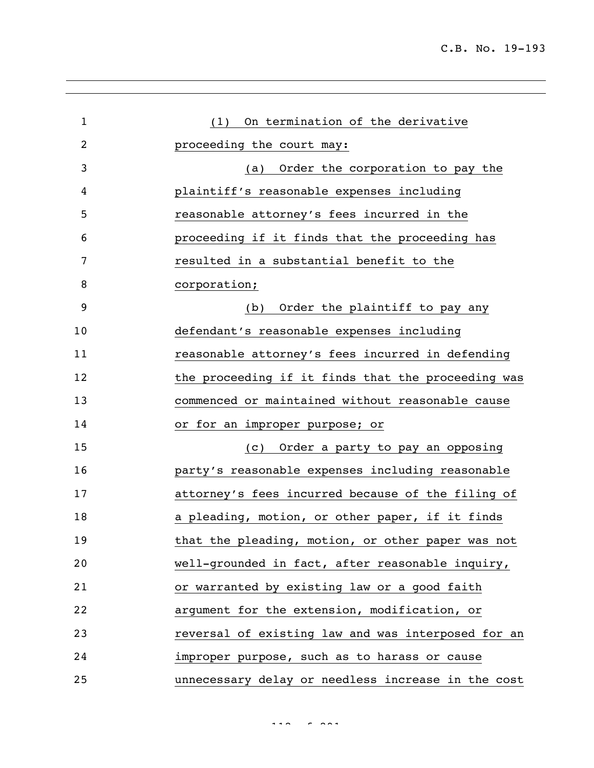| $\mathbf 1$ | (1) On termination of the derivative               |
|-------------|----------------------------------------------------|
| 2           | proceeding the court may:                          |
| 3           | Order the corporation to pay the<br>(a)            |
| 4           | plaintiff's reasonable expenses including          |
| 5           | reasonable attorney's fees incurred in the         |
| 6           | proceeding if it finds that the proceeding has     |
| 7           | resulted in a substantial benefit to the           |
| 8           | corporation;                                       |
| 9           | Order the plaintiff to pay any<br>(b)              |
| 10          | defendant's reasonable expenses including          |
| 11          | reasonable attorney's fees incurred in defending   |
| 12          | the proceeding if it finds that the proceeding was |
| 13          | commenced or maintained without reasonable cause   |
| 14          | or for an improper purpose; or                     |
| 15          | Order a party to pay an opposing<br>(C)            |
| 16          | party's reasonable expenses including reasonable   |
| 17          | attorney's fees incurred because of the filing of  |
| 18          | a pleading, motion, or other paper, if it finds    |
| 19          | that the pleading, motion, or other paper was not  |
| 20          | well-grounded in fact, after reasonable inquiry,   |
| 21          | or warranted by existing law or a good faith       |
| 22          | argument for the extension, modification, or       |
| 23          | reversal of existing law and was interposed for an |
| 24          | improper purpose, such as to harass or cause       |
| 25          | unnecessary delay or needless increase in the cost |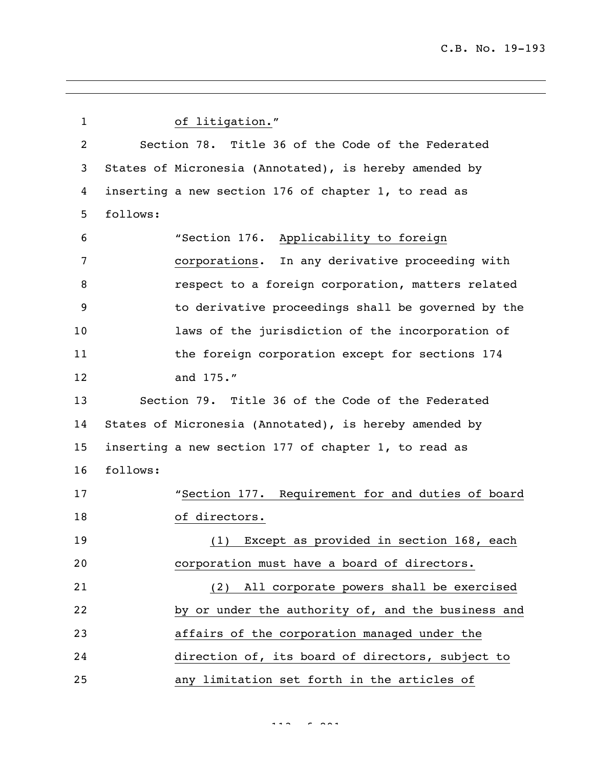| $\mathbf{1}$   | of litigation."                                        |
|----------------|--------------------------------------------------------|
| $\overline{c}$ | Section 78. Title 36 of the Code of the Federated      |
| 3              | States of Micronesia (Annotated), is hereby amended by |
| 4              | inserting a new section 176 of chapter 1, to read as   |
| 5              | follows:                                               |
| 6              | "Section 176. Applicability to foreign                 |
| 7              | corporations. In any derivative proceeding with        |
| 8              | respect to a foreign corporation, matters related      |
| 9              | to derivative proceedings shall be governed by the     |
| 10             | laws of the jurisdiction of the incorporation of       |
| 11             | the foreign corporation except for sections 174        |
| 12             | and 175."                                              |
| 13             | Section 79. Title 36 of the Code of the Federated      |
| 14             | States of Micronesia (Annotated), is hereby amended by |
| 15             | inserting a new section 177 of chapter 1, to read as   |
| 16             | follows:                                               |
| 17             | "Section 177. Requirement for and duties of board      |
| 18             | of directors.                                          |
| 19             | (1) Except as provided in section 168, each            |
| 20             | corporation must have a board of directors.            |
| 21             | (2) All corporate powers shall be exercised            |
| 22             | by or under the authority of, and the business and     |
| 23             | affairs of the corporation managed under the           |
| 24             | direction of, its board of directors, subject to       |
| 25             | any limitation set forth in the articles of            |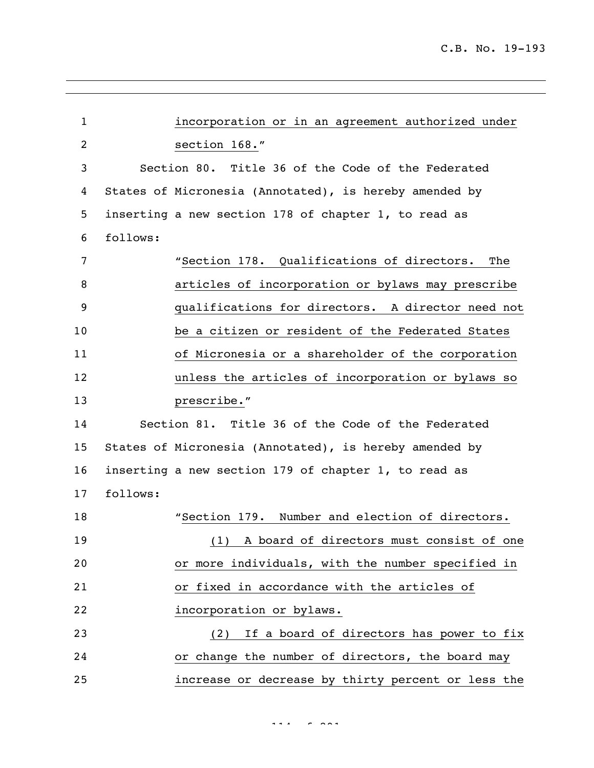| $\mathbf{1}$   |          | incorporation or in an agreement authorized under      |
|----------------|----------|--------------------------------------------------------|
| $\overline{c}$ |          | section 168."                                          |
| 3              |          | Section 80. Title 36 of the Code of the Federated      |
| 4              |          | States of Micronesia (Annotated), is hereby amended by |
| 5              |          | inserting a new section 178 of chapter 1, to read as   |
| 6              | follows: |                                                        |
| 7              |          | "Section 178. Qualifications of directors.<br>The      |
| 8              |          | articles of incorporation or bylaws may prescribe      |
| 9              |          | qualifications for directors. A director need not      |
| 10             |          | be a citizen or resident of the Federated States       |
| 11             |          | of Micronesia or a shareholder of the corporation      |
| 12             |          | unless the articles of incorporation or bylaws so      |
| 13             |          | prescribe."                                            |
| 14             |          | Section 81. Title 36 of the Code of the Federated      |
| 15             |          | States of Micronesia (Annotated), is hereby amended by |
| 16             |          | inserting a new section 179 of chapter 1, to read as   |
| 17             | follows: |                                                        |
| 18             |          | "Section 179. Number and election of directors.        |
| 19             |          | (1) A board of directors must consist of one           |
| 20             |          | or more individuals, with the number specified in      |
| 21             |          | or fixed in accordance with the articles of            |
| 22             |          | incorporation or bylaws.                               |
| 23             |          | If a board of directors has power to fix<br>(2)        |
| 24             |          | or change the number of directors, the board may       |
| 25             |          | increase or decrease by thirty percent or less the     |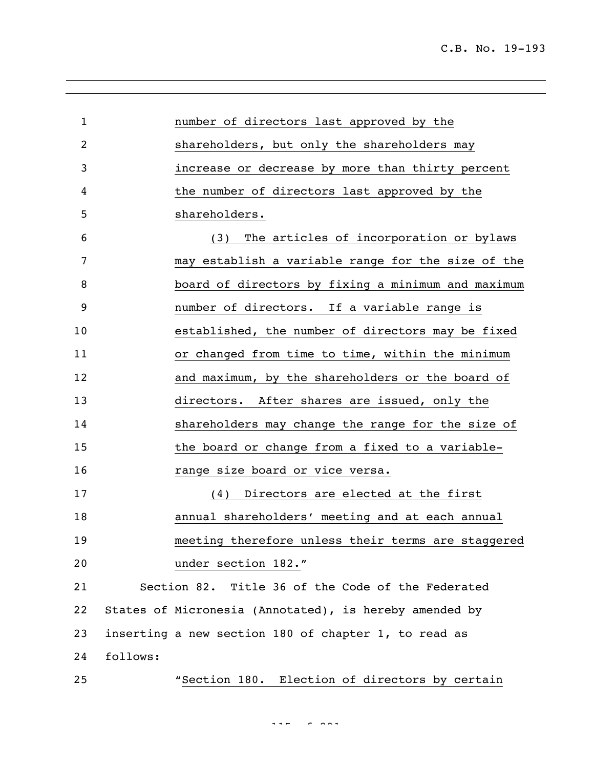| $\mathbf{1}$ |          | number of directors last approved by the               |
|--------------|----------|--------------------------------------------------------|
| 2            |          | shareholders, but only the shareholders may            |
| 3            |          | increase or decrease by more than thirty percent       |
| 4            |          | the number of directors last approved by the           |
| 5            |          | shareholders.                                          |
| 6            |          | The articles of incorporation or bylaws<br>(3)         |
| 7            |          | may establish a variable range for the size of the     |
| 8            |          | board of directors by fixing a minimum and maximum     |
| 9            |          | number of directors. If a variable range is            |
| 10           |          | established, the number of directors may be fixed      |
| 11           |          | or changed from time to time, within the minimum       |
| 12           |          | and maximum, by the shareholders or the board of       |
| 13           |          | directors. After shares are issued, only the           |
| 14           |          | shareholders may change the range for the size of      |
| 15           |          | the board or change from a fixed to a variable-        |
| 16           |          | range size board or vice versa.                        |
| 17           |          | (4) Directors are elected at the first                 |
| 18           |          | annual shareholders' meeting and at each annual        |
| 19           |          | meeting therefore unless their terms are staggered     |
| 20           |          | under section 182."                                    |
| 21           |          | Section 82. Title 36 of the Code of the Federated      |
| 22           |          | States of Micronesia (Annotated), is hereby amended by |
| 23           |          | inserting a new section 180 of chapter 1, to read as   |
| 24           | follows: |                                                        |
| 25           |          | "Section 180. Election of directors by certain         |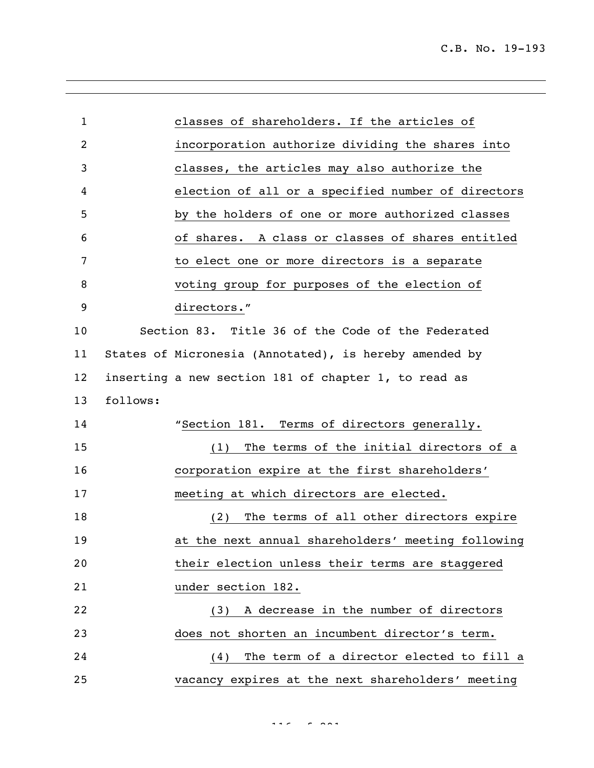| $\mathbf{1}$      |          | classes of shareholders. If the articles of            |
|-------------------|----------|--------------------------------------------------------|
| 2                 |          | incorporation authorize dividing the shares into       |
| 3                 |          | classes, the articles may also authorize the           |
| 4                 |          | election of all or a specified number of directors     |
| 5                 |          | by the holders of one or more authorized classes       |
| 6                 |          | of shares. A class or classes of shares entitled       |
| 7                 |          | to elect one or more directors is a separate           |
| 8                 |          | voting group for purposes of the election of           |
| 9                 |          | directors."                                            |
| 10                |          | Section 83. Title 36 of the Code of the Federated      |
| 11                |          | States of Micronesia (Annotated), is hereby amended by |
| $12 \overline{ }$ |          | inserting a new section 181 of chapter 1, to read as   |
| 13                | follows: |                                                        |
|                   |          |                                                        |
| 14                |          | "Section 181. Terms of directors generally.            |
| 15                |          | The terms of the initial directors of a<br>(1)         |
| 16                |          | corporation expire at the first shareholders'          |
| 17                |          | meeting at which directors are elected.                |
| 18                |          | The terms of all other directors expire<br>(2)         |
| 19                |          | at the next annual shareholders' meeting following     |
| 20                |          | their election unless their terms are staggered        |
| 21                |          | under section 182.                                     |
| 22                |          | (3) A decrease in the number of directors              |
| 23                |          | does not shorten an incumbent director's term.         |
| 24                |          | (4) The term of a director elected to fill a           |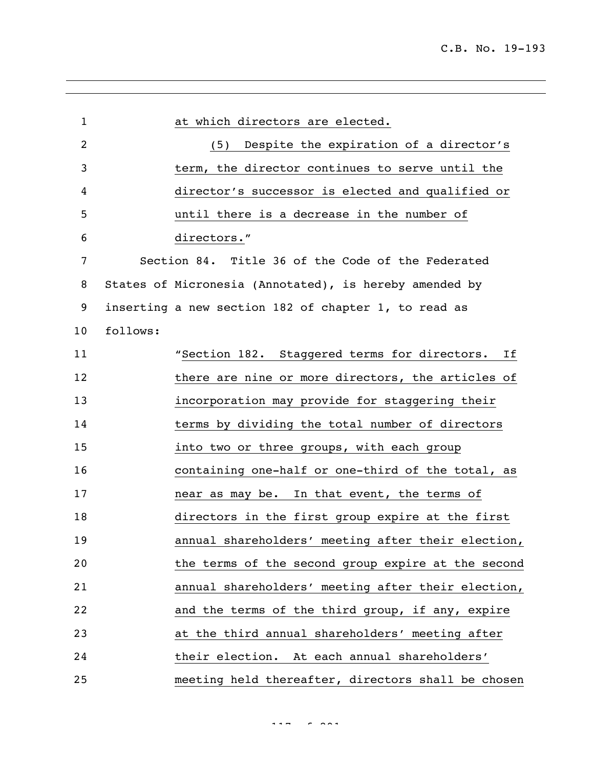| $\mathbf{1}$ |          | at which directors are elected.                        |
|--------------|----------|--------------------------------------------------------|
| 2            |          | (5) Despite the expiration of a director's             |
| 3            |          | term, the director continues to serve until the        |
| 4            |          | director's successor is elected and qualified or       |
| 5            |          | until there is a decrease in the number of             |
| 6            |          | directors."                                            |
| 7            |          | Section 84. Title 36 of the Code of the Federated      |
| 8            |          | States of Micronesia (Annotated), is hereby amended by |
| 9            |          | inserting a new section 182 of chapter 1, to read as   |
| 10           | follows: |                                                        |
| 11           |          | "Section 182. Staggered terms for directors.<br>Ιf     |
| 12           |          | there are nine or more directors, the articles of      |
| 13           |          | incorporation may provide for staggering their         |
| 14           |          | terms by dividing the total number of directors        |
| 15           |          | into two or three groups, with each group              |
| 16           |          | containing one-half or one-third of the total, as      |
| 17           |          | near as may be. In that event, the terms of            |
| 18           |          | directors in the first group expire at the first       |
| 19           |          | annual shareholders' meeting after their election,     |
| 20           |          | the terms of the second group expire at the second     |
| 21           |          | annual shareholders' meeting after their election,     |
| 22           |          | and the terms of the third group, if any, expire       |
| 23           |          | at the third annual shareholders' meeting after        |
| 24           |          | their election. At each annual shareholders'           |
| 25           |          | meeting held thereafter, directors shall be chosen     |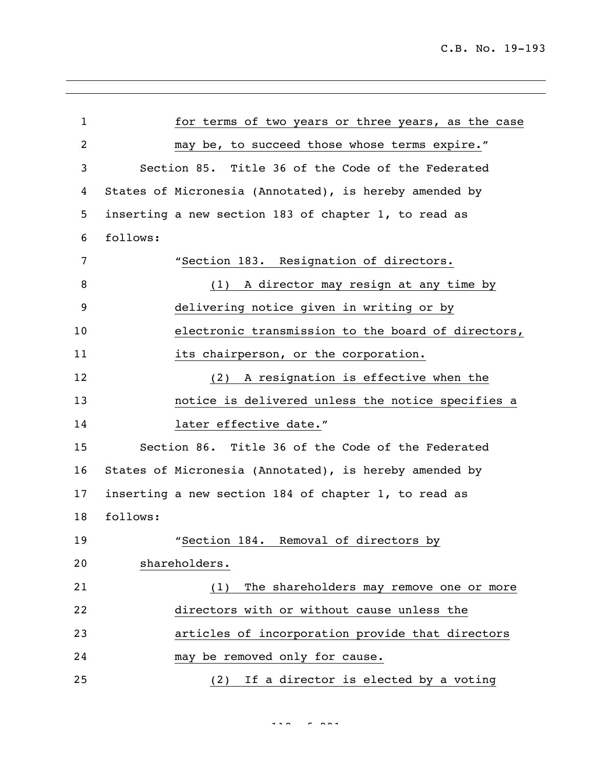| $\mathbf{1}$   | for terms of two years or three years, as the case     |
|----------------|--------------------------------------------------------|
| $\overline{c}$ | may be, to succeed those whose terms expire."          |
| 3              | Section 85. Title 36 of the Code of the Federated      |
| 4              | States of Micronesia (Annotated), is hereby amended by |
| 5              | inserting a new section 183 of chapter 1, to read as   |
| 6              | follows:                                               |
| 7              | "Section 183. Resignation of directors.                |
| 8              | (1) A director may resign at any time by               |
| 9              | delivering notice given in writing or by               |
| 10             | electronic transmission to the board of directors,     |
| 11             | its chairperson, or the corporation.                   |
| 12             | A resignation is effective when the<br>(2)             |
| 13             | notice is delivered unless the notice specifies a      |
| 14             | later effective date."                                 |
| 15             | Section 86. Title 36 of the Code of the Federated      |
| 16             | States of Micronesia (Annotated), is hereby amended by |
| 17             | inserting a new section 184 of chapter 1, to read as   |
| 18             | follows:                                               |
| 19             | Removal of directors by<br>"Section 184.               |
| 20             | shareholders.                                          |
| 21             | The shareholders may remove one or more<br>(1)         |
| 22             | directors with or without cause unless the             |
| 23             | articles of incorporation provide that directors       |
| 24             | may be removed only for cause.                         |
| 25             | (2) If a director is elected by a voting               |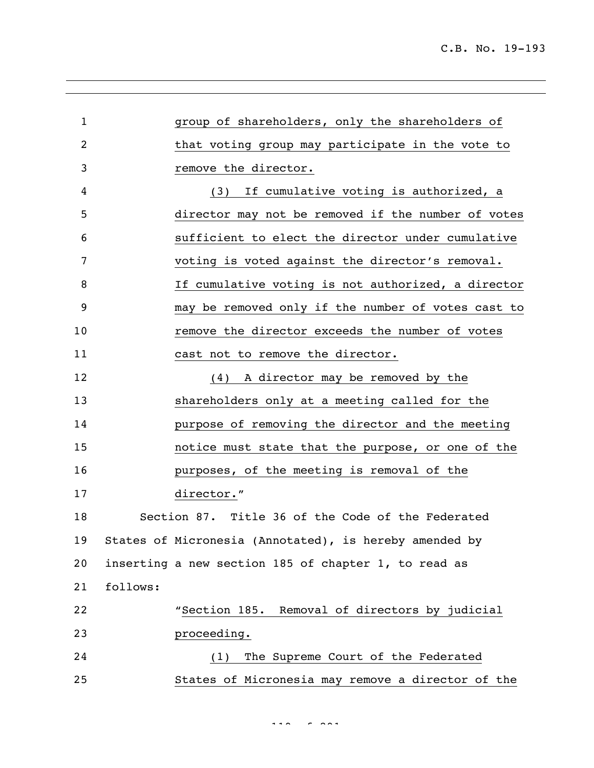| $\mathbf{1}$ |          | group of shareholders, only the shareholders of        |
|--------------|----------|--------------------------------------------------------|
| 2            |          | that voting group may participate in the vote to       |
| 3            |          | remove the director.                                   |
| 4            |          | (3) If cumulative voting is authorized, a              |
| 5            |          | director may not be removed if the number of votes     |
| 6            |          | sufficient to elect the director under cumulative      |
| 7            |          | voting is voted against the director's removal.        |
| 8            |          | If cumulative voting is not authorized, a director     |
| 9            |          | may be removed only if the number of votes cast to     |
| 10           |          | remove the director exceeds the number of votes        |
| 11           |          | cast not to remove the director.                       |
| 12           |          | (4) A director may be removed by the                   |
| 13           |          | shareholders only at a meeting called for the          |
| 14           |          | purpose of removing the director and the meeting       |
| 15           |          | notice must state that the purpose, or one of the      |
| 16           |          | purposes, of the meeting is removal of the             |
| 17           |          | director."                                             |
| 18           |          | Section 87. Title 36 of the Code of the Federated      |
| 19           |          | States of Micronesia (Annotated), is hereby amended by |
| 20           |          | inserting a new section 185 of chapter 1, to read as   |
| 21           | follows: |                                                        |
| 22           |          | "Section 185. Removal of directors by judicial         |
| 23           |          | proceeding.                                            |
| 24           |          | The Supreme Court of the Federated<br>(1)              |
| 25           |          | States of Micronesia may remove a director of the      |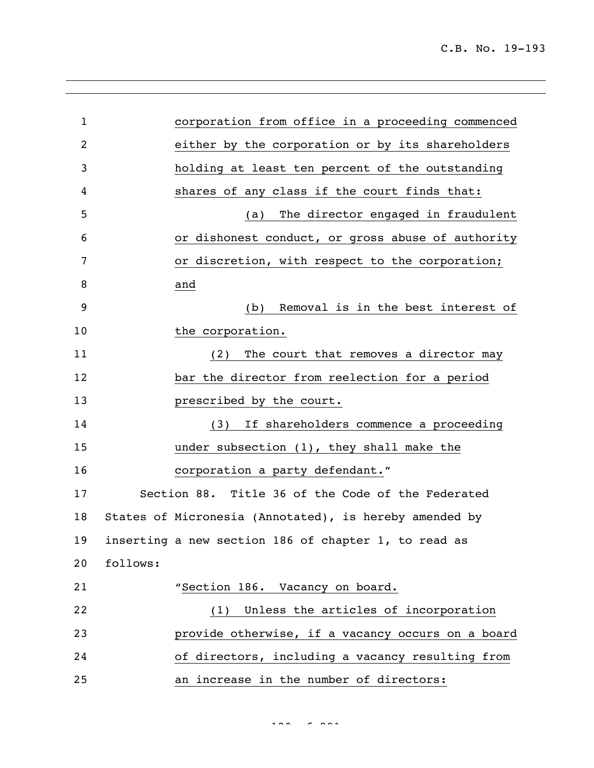corporation from office in a proceeding commenced either by the corporation or by its shareholders holding at least ten percent of the outstanding shares of any class if the court finds that: (a) The director engaged in fraudulent or dishonest conduct, or gross abuse of authority or discretion, with respect to the corporation; and (b) Removal is in the best interest of 10 the corporation. 11 (2) The court that removes a director may bar the director from reelection for a period **prescribed by the court.**  (3) If shareholders commence a proceeding under subsection (1), they shall make the corporation a party defendant." Section 88. Title 36 of the Code of the Federated States of Micronesia (Annotated), is hereby amended by inserting a new section 186 of chapter 1, to read as follows: "Section 186. Vacancy on board. (1) Unless the articles of incorporation provide otherwise, if a vacancy occurs on a board of directors, including a vacancy resulting from an increase in the number of directors: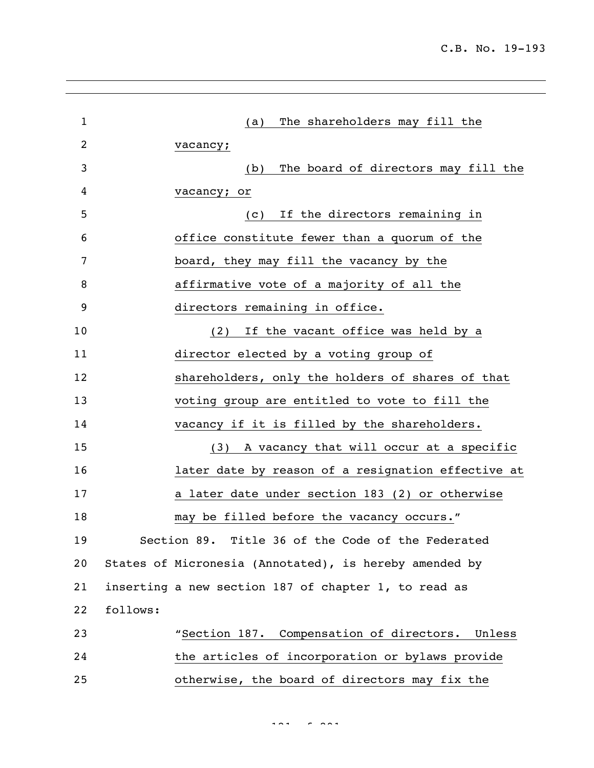| $\mathbf{1}$ | The shareholders may fill the<br>(a)                   |
|--------------|--------------------------------------------------------|
| 2            | vacancy;                                               |
| 3            | The board of directors may fill the<br>(b)             |
| 4            | vacancy; or                                            |
| 5            | If the directors remaining in<br>(C)                   |
| 6            | office constitute fewer than a quorum of the           |
| 7            | board, they may fill the vacancy by the                |
| 8            | affirmative vote of a majority of all the              |
| 9            | directors remaining in office.                         |
| 10           | (2) If the vacant office was held by a                 |
| 11           | director elected by a voting group of                  |
| 12           | shareholders, only the holders of shares of that       |
| 13           | voting group are entitled to vote to fill the          |
| 14           | vacancy if it is filled by the shareholders.           |
| 15           | (3) A vacancy that will occur at a specific            |
| 16           | later date by reason of a resignation effective at     |
| 17           | a later date under section 183 (2) or otherwise        |
| 18           | may be filled before the vacancy occurs."              |
| 19           | Section 89. Title 36 of the Code of the Federated      |
| 20           | States of Micronesia (Annotated), is hereby amended by |
| 21           | inserting a new section 187 of chapter 1, to read as   |
| 22           | follows:                                               |
| 23           | "Section 187. Compensation of directors. Unless        |
| 24           | the articles of incorporation or bylaws provide        |
| 25           | otherwise, the board of directors may fix the          |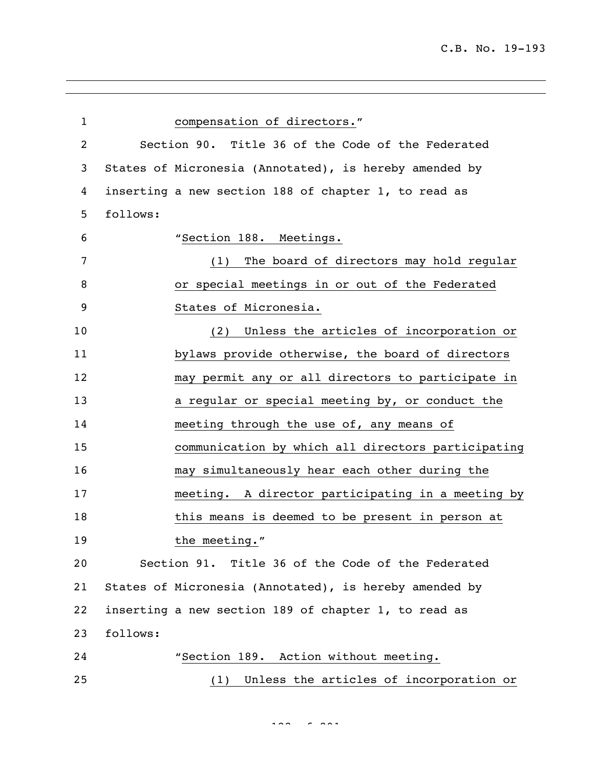| $\mathbf{1}$ | compensation of directors."                            |
|--------------|--------------------------------------------------------|
| 2            | Section 90. Title 36 of the Code of the Federated      |
| 3            | States of Micronesia (Annotated), is hereby amended by |
| 4            | inserting a new section 188 of chapter 1, to read as   |
| 5            | follows:                                               |
| 6            | "Section 188. Meetings.                                |
| 7            | The board of directors may hold regular<br>(1)         |
| 8            | or special meetings in or out of the Federated         |
| 9            | States of Micronesia.                                  |
| 10           | Unless the articles of incorporation or<br>(2)         |
| 11           | bylaws provide otherwise, the board of directors       |
| 12           | may permit any or all directors to participate in      |
| 13           | a regular or special meeting by, or conduct the        |
| 14           | meeting through the use of, any means of               |
| 15           | communication by which all directors participating     |
| 16           | may simultaneously hear each other during the          |
| 17           | meeting. A director participating in a meeting by      |
| 18           | this means is deemed to be present in person at        |
| 19           | the meeting."                                          |
| 20           | Section 91. Title 36 of the Code of the Federated      |
| 21           | States of Micronesia (Annotated), is hereby amended by |
| 22           | inserting a new section 189 of chapter 1, to read as   |
| 23           | follows:                                               |
| 24           | "Section 189. Action without meeting.                  |
| 25           | Unless the articles of incorporation or<br>(1)         |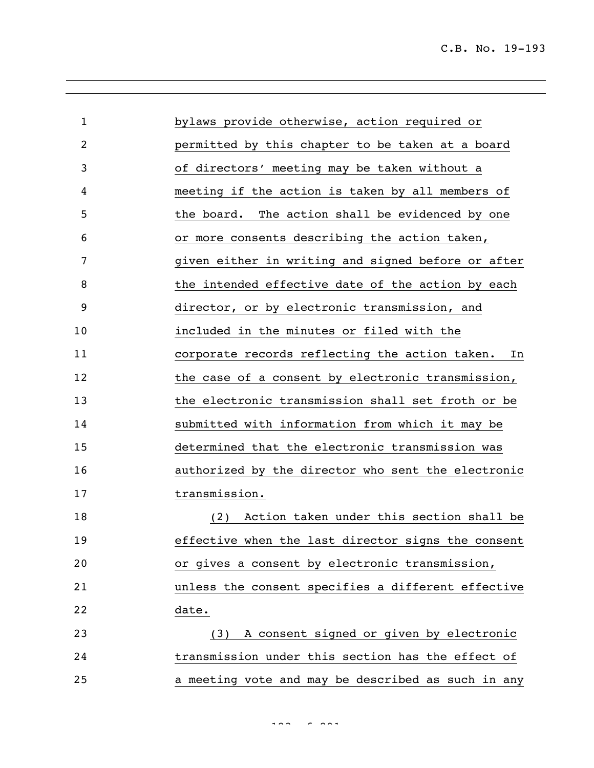| $\mathbf{1}$ | bylaws provide otherwise, action required or         |
|--------------|------------------------------------------------------|
| 2            | permitted by this chapter to be taken at a board     |
| 3            | of directors' meeting may be taken without a         |
| 4            | meeting if the action is taken by all members of     |
| 5            | The action shall be evidenced by one<br>the board.   |
| 6            | or more consents describing the action taken,        |
| 7            | given either in writing and signed before or after   |
| 8            | the intended effective date of the action by each    |
| 9            | director, or by electronic transmission, and         |
| 10           | included in the minutes or filed with the            |
| 11           | corporate records reflecting the action taken.<br>In |
| 12           | the case of a consent by electronic transmission,    |
| 13           | the electronic transmission shall set froth or be    |
| 14           | submitted with information from which it may be      |
| 15           | determined that the electronic transmission was      |
| 16           | authorized by the director who sent the electronic   |
| 17           | transmission.                                        |
| 18           | Action taken under this section shall be<br>(2)      |
| 19           | effective when the last director signs the consent   |
| 20           | or gives a consent by electronic transmission,       |
| 21           | unless the consent specifies a different effective   |
| 22           | date.                                                |
| 23           | (3) A consent signed or given by electronic          |
| 24           | transmission under this section has the effect of    |
| 25           | a meeting vote and may be described as such in any   |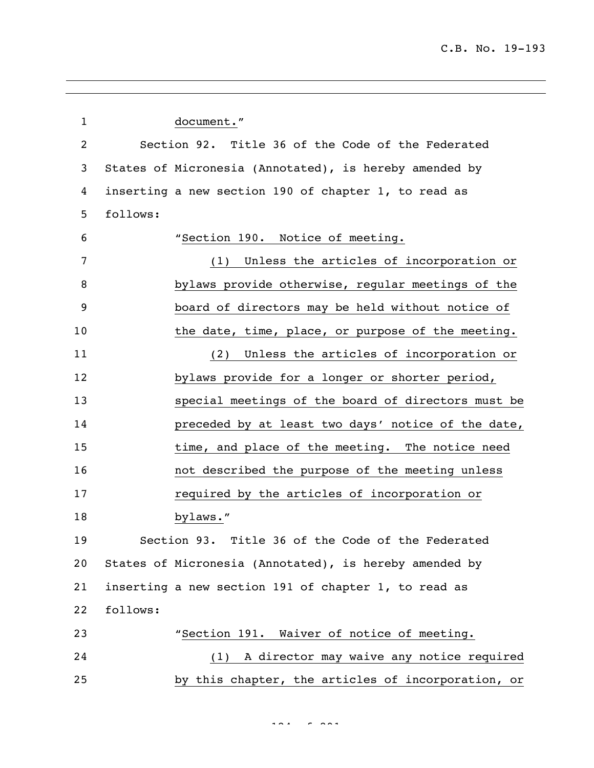| $\mathbf{1}$ |          | document."                                             |
|--------------|----------|--------------------------------------------------------|
| 2            |          | Section 92. Title 36 of the Code of the Federated      |
| 3            |          | States of Micronesia (Annotated), is hereby amended by |
| 4            |          | inserting a new section 190 of chapter 1, to read as   |
| 5            | follows: |                                                        |
| 6            |          | "Section 190. Notice of meeting.                       |
| 7            |          | (1) Unless the articles of incorporation or            |
| 8            |          | bylaws provide otherwise, regular meetings of the      |
| 9            |          | board of directors may be held without notice of       |
| 10           |          | the date, time, place, or purpose of the meeting.      |
| 11           |          | Unless the articles of incorporation or<br>(2)         |
| 12           |          | bylaws provide for a longer or shorter period,         |
| 13           |          | special meetings of the board of directors must be     |
| 14           |          | preceded by at least two days' notice of the date,     |
| 15           |          | time, and place of the meeting. The notice need        |
| 16           |          | not described the purpose of the meeting unless        |
| 17           |          | required by the articles of incorporation or           |
| 18           |          | bylaws."                                               |
| 19           |          | Section 93. Title 36 of the Code of the Federated      |
| 20           |          | States of Micronesia (Annotated), is hereby amended by |
| 21           |          | inserting a new section 191 of chapter 1, to read as   |
| 22           | follows: |                                                        |
| 23           |          | "Section 191. Waiver of notice of meeting.             |
| 24           |          | A director may waive any notice required<br>(1)        |
| 25           |          | by this chapter, the articles of incorporation, or     |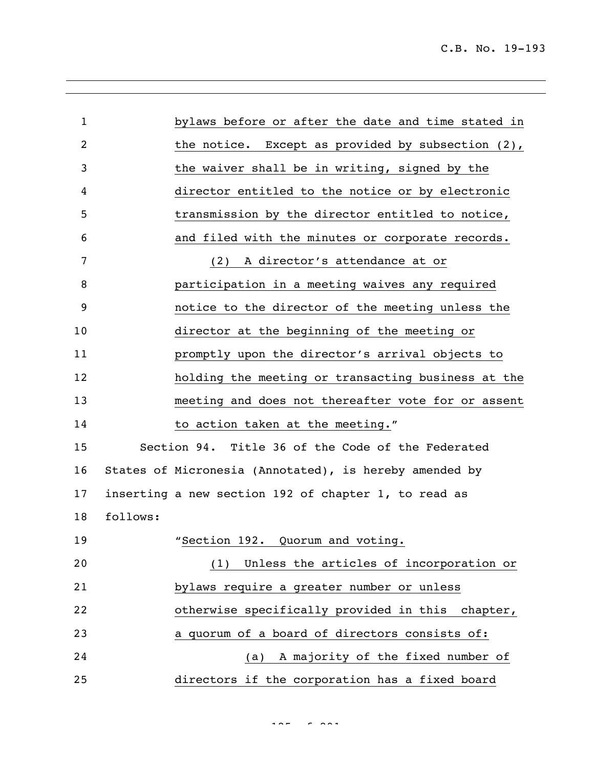| $\mathbf{1}$ |          | bylaws before or after the date and time stated in     |
|--------------|----------|--------------------------------------------------------|
| 2            |          | the notice. Except as provided by subsection $(2)$ ,   |
| 3            |          | the waiver shall be in writing, signed by the          |
| 4            |          | director entitled to the notice or by electronic       |
| 5            |          | transmission by the director entitled to notice,       |
| 6            |          | and filed with the minutes or corporate records.       |
| 7            |          | A director's attendance at or<br>(2)                   |
| 8            |          | participation in a meeting waives any required         |
| 9            |          | notice to the director of the meeting unless the       |
| 10           |          | director at the beginning of the meeting or            |
| 11           |          | promptly upon the director's arrival objects to        |
| 12           |          | holding the meeting or transacting business at the     |
| 13           |          | meeting and does not thereafter vote for or assent     |
| 14           |          | to action taken at the meeting."                       |
| 15           |          | Section 94. Title 36 of the Code of the Federated      |
| 16           |          | States of Micronesia (Annotated), is hereby amended by |
| 17           |          | inserting a new section 192 of chapter 1, to read as   |
| 18           | follows: |                                                        |
| 19           |          | "Section 192. Quorum and voting.                       |
| 20           |          | (1) Unless the articles of incorporation or            |
| 21           |          | bylaws require a greater number or unless              |
| 22           |          | otherwise specifically provided in this chapter,       |
| 23           |          | a quorum of a board of directors consists of:          |
| 24           |          | (a) A majority of the fixed number of                  |
| 25           |          | directors if the corporation has a fixed board         |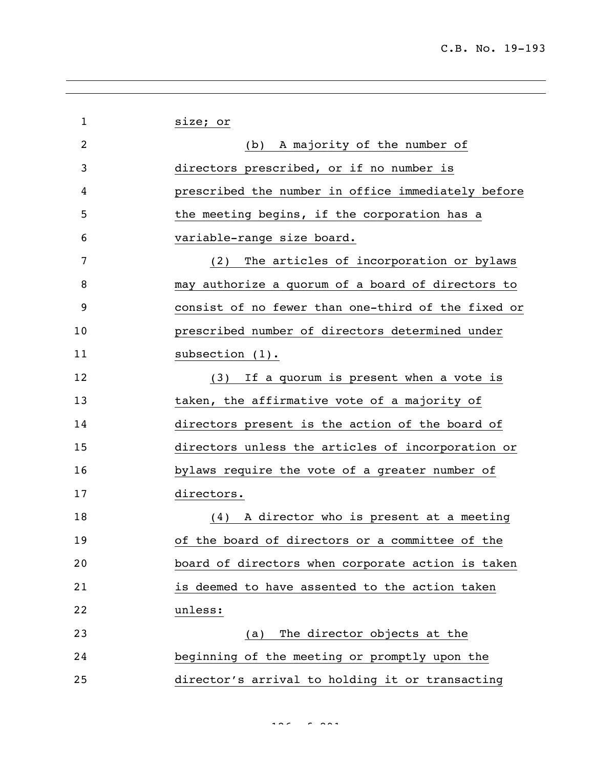| $\mathbf 1$ | size; or                                           |
|-------------|----------------------------------------------------|
| 2           | (b) A majority of the number of                    |
| 3           | directors prescribed, or if no number is           |
| 4           | prescribed the number in office immediately before |
| 5           | the meeting begins, if the corporation has a       |
| 6           | variable-range size board.                         |
| 7           | The articles of incorporation or bylaws<br>(2)     |
| 8           | may authorize a quorum of a board of directors to  |
| 9           | consist of no fewer than one-third of the fixed or |
| 10          | prescribed number of directors determined under    |
| 11          | subsection $(1)$ .                                 |
| 12          | (3) If a quorum is present when a vote is          |
| 13          | taken, the affirmative vote of a majority of       |
| 14          | directors present is the action of the board of    |
| 15          | directors unless the articles of incorporation or  |
| 16          | bylaws require the vote of a greater number of     |
| 17          | directors.                                         |
| 18          | (4) A director who is present at a meeting         |
| 19          | of the board of directors or a committee of the    |
| 20          | board of directors when corporate action is taken  |
| 21          | is deemed to have assented to the action taken     |
| 22          | unless:                                            |
| 23          | The director objects at the<br>(a)                 |
| 24          | beginning of the meeting or promptly upon the      |
| 25          | director's arrival to holding it or transacting    |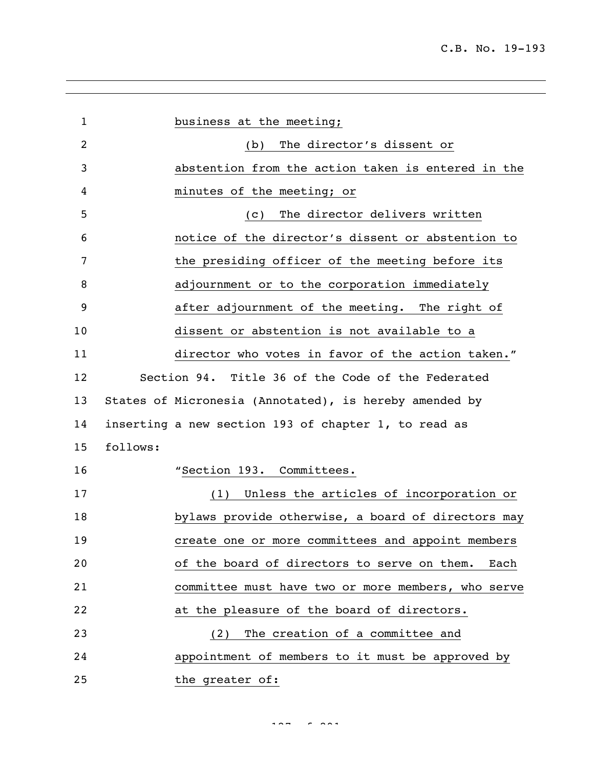| $\mathbf{1}$ | business at the meeting;                               |
|--------------|--------------------------------------------------------|
| 2            | The director's dissent or<br>(b)                       |
| 3            | abstention from the action taken is entered in the     |
| 4            | minutes of the meeting; or                             |
| 5            | The director delivers written<br>(C)                   |
| 6            | notice of the director's dissent or abstention to      |
| 7            | the presiding officer of the meeting before its        |
| 8            | adjournment or to the corporation immediately          |
| 9            | after adjournment of the meeting. The right of         |
| 10           | dissent or abstention is not available to a            |
| 11           | director who votes in favor of the action taken."      |
| 12           | Section 94. Title 36 of the Code of the Federated      |
| 13           | States of Micronesia (Annotated), is hereby amended by |
| 14           | inserting a new section 193 of chapter 1, to read as   |
| 15           | follows:                                               |
| 16           | "Section 193. Committees.                              |
| 17           | Unless the articles of incorporation or<br>(1)         |
| 18           | bylaws provide otherwise, a board of directors may     |
| 19           | create one or more committees and appoint members      |
| 20           | of the board of directors to serve on them.<br>Each    |
| 21           | committee must have two or more members, who serve     |
| 22           | at the pleasure of the board of directors.             |
| 23           | The creation of a committee and<br>(2)                 |
| 24           | appointment of members to it must be approved by       |
| 25           | the greater of:                                        |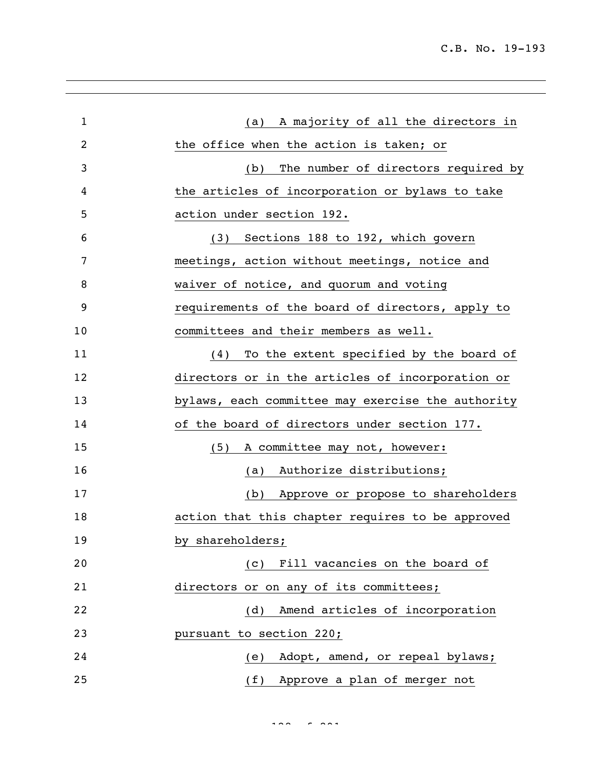| $\mathbf{1}$ | (a) A majority of all the directors in            |
|--------------|---------------------------------------------------|
| 2            | the office when the action is taken; or           |
| 3            | The number of directors required by<br>(b)        |
| 4            | the articles of incorporation or bylaws to take   |
| 5            | action under section 192.                         |
| 6            | (3) Sections 188 to 192, which govern             |
| 7            | meetings, action without meetings, notice and     |
| 8            | waiver of notice, and quorum and voting           |
| 9            | requirements of the board of directors, apply to  |
| 10           | committees and their members as well.             |
| 11           | To the extent specified by the board of<br>(4)    |
| 12           | directors or in the articles of incorporation or  |
| 13           | bylaws, each committee may exercise the authority |
| 14           | of the board of directors under section 177.      |
| 15           | A committee may not, however:<br>(5)              |
| 16           | (a) Authorize distributions;                      |
| 17           | (b) Approve or propose to shareholders            |
| 18           | action that this chapter requires to be approved  |
| 19           | by shareholders;                                  |
| 20           | (c) Fill vacancies on the board of                |
| 21           | directors or on any of its committees;            |
| 22           | Amend articles of incorporation<br>(d)            |
| 23           | pursuant to section 220;                          |
| 24           | Adopt, amend, or repeal bylaws;<br>(e)            |
| 25           | (f) Approve a plan of merger not                  |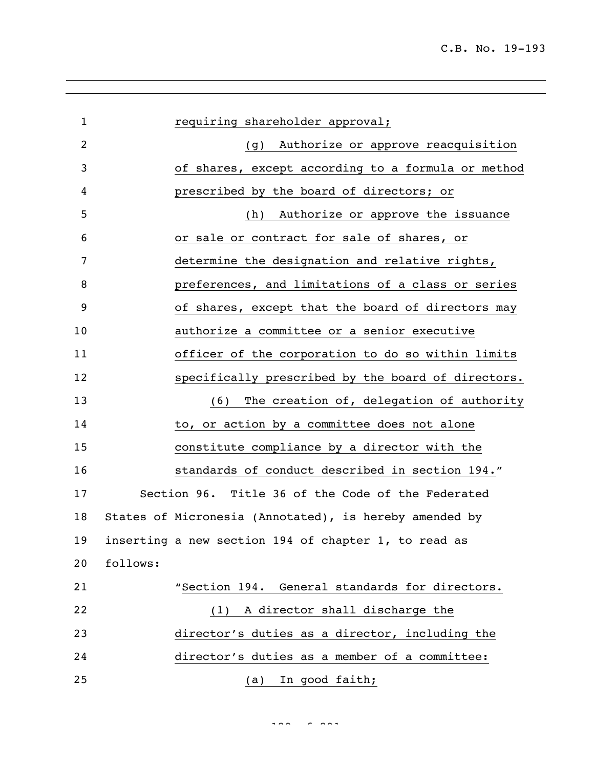| $\mathbf{1}$   | requiring shareholder approval;                        |
|----------------|--------------------------------------------------------|
| $\overline{2}$ | (g) Authorize or approve reacquisition                 |
| 3              | of shares, except according to a formula or method     |
| 4              | prescribed by the board of directors; or               |
| 5              | Authorize or approve the issuance<br>(h)               |
| 6              | or sale or contract for sale of shares, or             |
| 7              | determine the designation and relative rights,         |
| 8              | preferences, and limitations of a class or series      |
| 9              | of shares, except that the board of directors may      |
| 10             | authorize a committee or a senior executive            |
| 11             | officer of the corporation to do so within limits      |
| 12             | specifically prescribed by the board of directors.     |
| 13             | The creation of, delegation of authority<br>(6)        |
| 14             | to, or action by a committee does not alone            |
| 15             | constitute compliance by a director with the           |
| 16             | standards of conduct described in section 194."        |
| 17             | Section 96. Title 36 of the Code of the Federated      |
| 18             | States of Micronesia (Annotated), is hereby amended by |
| 19             | inserting a new section 194 of chapter 1, to read as   |
| 20             | follows:                                               |
| 21             | "Section 194. General standards for directors.         |
| 22             | A director shall discharge the<br>(1)                  |
| 23             | director's duties as a director, including the         |
| 24             | director's duties as a member of a committee:          |
| 25             | In good faith;<br>(a)                                  |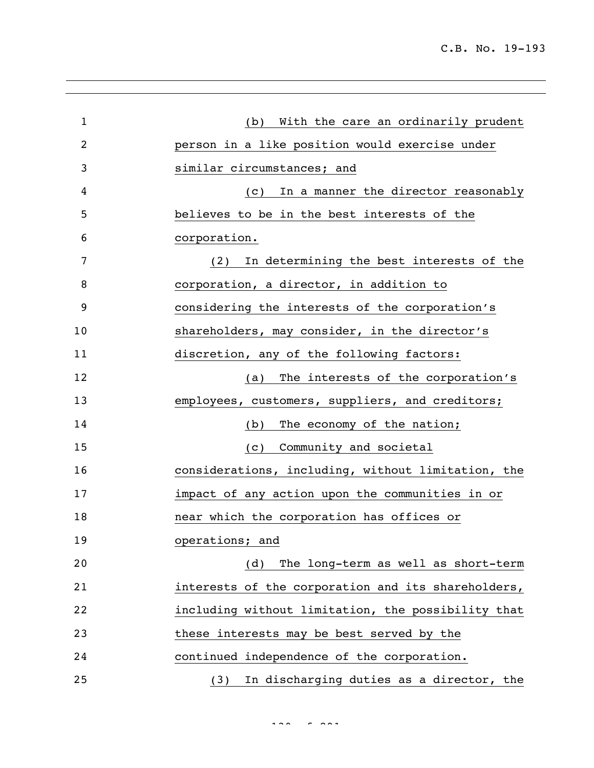| $\mathbf{1}$ | With the care an ordinarily prudent<br>(b)         |
|--------------|----------------------------------------------------|
| 2            | person in a like position would exercise under     |
| 3            | similar circumstances; and                         |
| 4            | In a manner the director reasonably<br>(C)         |
| 5            | believes to be in the best interests of the        |
| 6            | corporation.                                       |
| 7            | In determining the best interests of the<br>(2)    |
| 8            | corporation, a director, in addition to            |
| 9            | considering the interests of the corporation's     |
| 10           | shareholders, may consider, in the director's      |
| 11           | discretion, any of the following factors:          |
| 12           | The interests of the corporation's<br>(a)          |
| 13           | employees, customers, suppliers, and creditors;    |
| 14           | The economy of the nation;<br>(b)                  |
| 15           | Community and societal<br>(C)                      |
| 16           | considerations, including, without limitation, the |
| 17           | impact of any action upon the communities in or    |
| 18           | near which the corporation has offices or          |
| 19           | operations; and                                    |
| 20           | The long-term as well as short-term<br>(d)         |
| 21           | interests of the corporation and its shareholders, |
| 22           | including without limitation, the possibility that |
| 23           | these interests may be best served by the          |
| 24           | continued independence of the corporation.         |
| 25           | In discharging duties as a director, the<br>(3)    |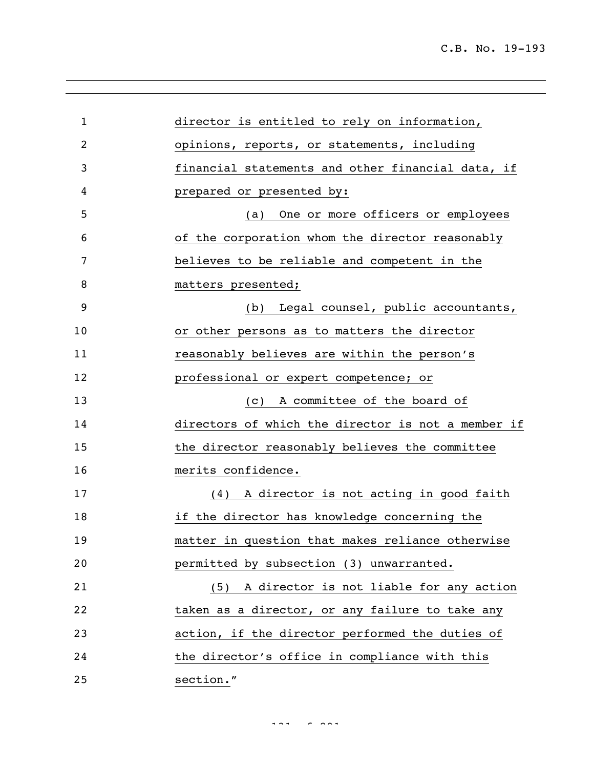| $\mathbf{1}$ | director is entitled to rely on information,       |
|--------------|----------------------------------------------------|
| 2            | opinions, reports, or statements, including        |
| 3            | financial statements and other financial data, if  |
| 4            | prepared or presented by:                          |
| 5            | One or more officers or employees<br>(a)           |
| 6            | of the corporation whom the director reasonably    |
| 7            | believes to be reliable and competent in the       |
| 8            | matters presented;                                 |
| 9            | Legal counsel, public accountants,<br>(b)          |
| 10           | or other persons as to matters the director        |
| 11           | reasonably believes are within the person's        |
| 12           | professional or expert competence; or              |
| 13           | A committee of the board of<br>(C)                 |
| 14           | directors of which the director is not a member if |
| 15           | the director reasonably believes the committee     |
| 16           | merits confidence.                                 |
| 17           | (4) A director is not acting in good faith         |
| 18           | if the director has knowledge concerning the       |
| 19           | matter in question that makes reliance otherwise   |
| 20           | permitted by subsection (3) unwarranted.           |
| 21           | (5) A director is not liable for any action        |
| 22           | taken as a director, or any failure to take any    |
| 23           | action, if the director performed the duties of    |
| 24           | the director's office in compliance with this      |
| 25           | section."                                          |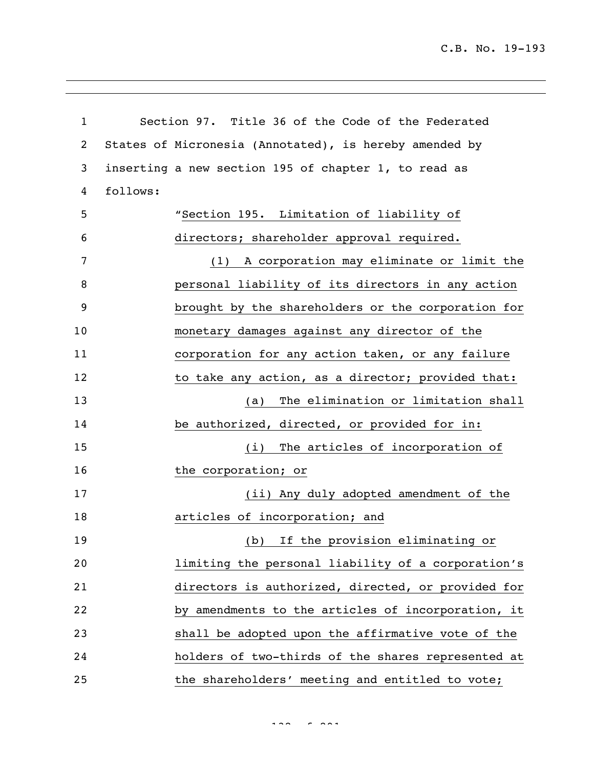C.B. No. 19-193

| $\mathbf{1}$   | Section 97. Title 36 of the Code of the Federated      |
|----------------|--------------------------------------------------------|
| $\overline{c}$ | States of Micronesia (Annotated), is hereby amended by |
| 3              | inserting a new section 195 of chapter 1, to read as   |
| 4              | follows:                                               |
| 5              | "Section 195. Limitation of liability of               |
| 6              | directors; shareholder approval required.              |
| 7              | (1) A corporation may eliminate or limit the           |
| 8              | personal liability of its directors in any action      |
| 9              | brought by the shareholders or the corporation for     |
| 10             | monetary damages against any director of the           |
| 11             | corporation for any action taken, or any failure       |
| 12             | to take any action, as a director; provided that:      |
| 13             | The elimination or limitation shall<br>(a)             |
| 14             | be authorized, directed, or provided for in:           |
| 15             | The articles of incorporation of<br>(i)                |
| 16             | the corporation; or                                    |
| 17             | (ii) Any duly adopted amendment of the                 |
| 18             | articles of incorporation; and                         |
| 19             | (b) If the provision eliminating or                    |
| 20             | limiting the personal liability of a corporation's     |
| 21             | directors is authorized, directed, or provided for     |
| 22             | by amendments to the articles of incorporation, it     |
| 23             | shall be adopted upon the affirmative vote of the      |
| 24             | holders of two-thirds of the shares represented at     |
| 25             | the shareholders' meeting and entitled to vote;        |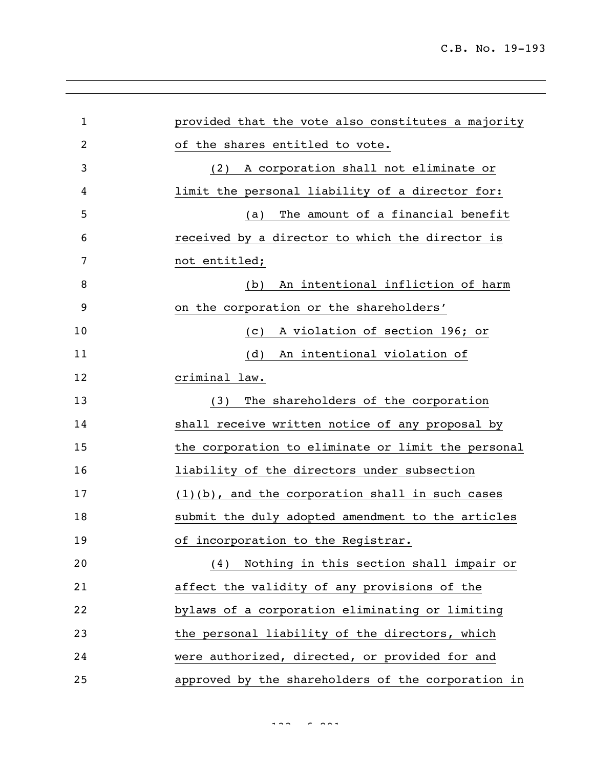| $\mathbf{1}$   | provided that the vote also constitutes a majority |
|----------------|----------------------------------------------------|
| $\overline{2}$ | of the shares entitled to vote.                    |
| 3              | A corporation shall not eliminate or<br>(2)        |
| 4              | limit the personal liability of a director for:    |
| 5              | The amount of a financial benefit<br>(a)           |
| 6              | received by a director to which the director is    |
| 7              | not entitled;                                      |
| 8              | An intentional infliction of harm<br>(b)           |
| 9              | on the corporation or the shareholders'            |
| 10             | A violation of section 196; or<br>(C)              |
| 11             | An intentional violation of<br>(d)                 |
| 12             | criminal law.                                      |
| 13             | The shareholders of the corporation<br>(3)         |
| 14             | shall receive written notice of any proposal by    |
| 15             | the corporation to eliminate or limit the personal |
| 16             | liability of the directors under subsection        |
| 17             | $(1)(b)$ , and the corporation shall in such cases |
| 18             | submit the duly adopted amendment to the articles  |
| 19             | of incorporation to the Registrar.                 |
| 20             | (4) Nothing in this section shall impair or        |
| 21             | affect the validity of any provisions of the       |
| 22             | bylaws of a corporation eliminating or limiting    |
| 23             | the personal liability of the directors, which     |
| 24             | were authorized, directed, or provided for and     |
| 25             | approved by the shareholders of the corporation in |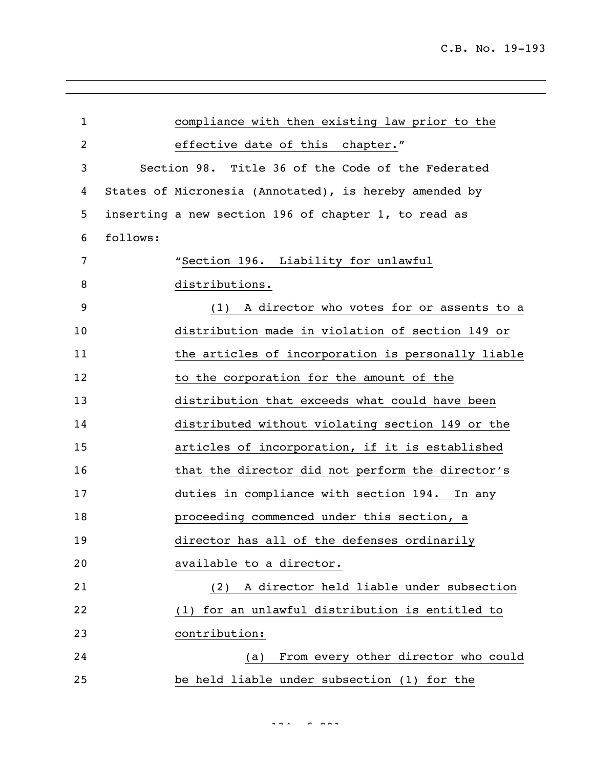| $\mathbf{1}$ |          | compliance with then existing law prior to the         |
|--------------|----------|--------------------------------------------------------|
| 2            |          | effective date of this chapter."                       |
| 3            |          | Section 98. Title 36 of the Code of the Federated      |
| 4            |          | States of Micronesia (Annotated), is hereby amended by |
| 5            |          | inserting a new section 196 of chapter 1, to read as   |
| 6            | follows: |                                                        |
| 7            |          | "Section 196. Liability for unlawful                   |
| 8            |          | distributions.                                         |
| 9            |          | A director who votes for or assents to a<br>(1)        |
| 10           |          | distribution made in violation of section 149 or       |
| 11           |          | the articles of incorporation is personally liable     |
| 12           |          | to the corporation for the amount of the               |
| 13           |          | distribution that exceeds what could have been         |
| 14           |          | distributed without violating section 149 or the       |
| 15           |          | articles of incorporation, if it is established        |
| 16           |          | that the director did not perform the director's       |
| 17           |          | duties in compliance with section 194.<br>In any       |
| 18           |          | proceeding commenced under this section, a             |
| 19           |          | director has all of the defenses ordinarily            |
| 20           |          | available to a director.                               |
| 21           |          | A director held liable under subsection<br>(2)         |
| 22           |          | for an unlawful distribution is entitled to<br>(1)     |
| 23           |          | contribution:                                          |
| 24           |          | From every other director who could<br>(a)             |
| 25           |          | be held liable under subsection (1) for the            |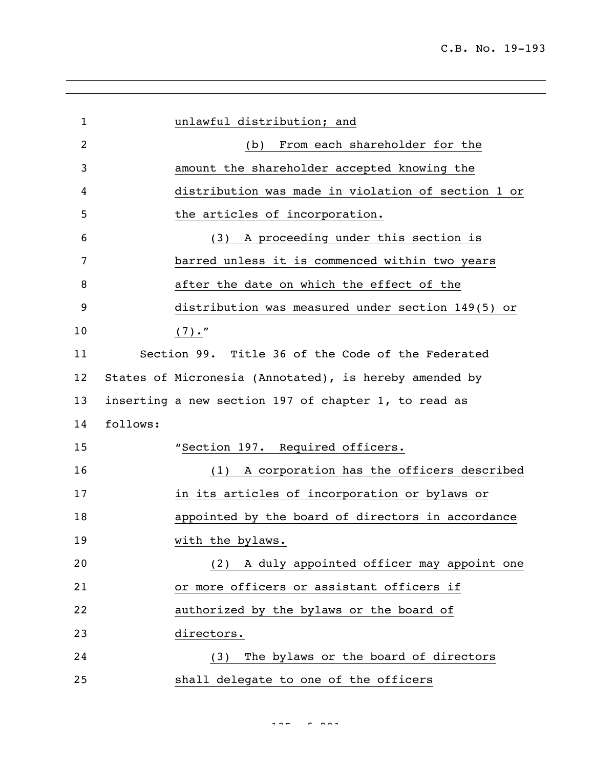| $\mathbf{1}$    | unlawful distribution; and                             |
|-----------------|--------------------------------------------------------|
| 2               | From each shareholder for the<br>(b)                   |
| 3               | amount the shareholder accepted knowing the            |
| 4               | distribution was made in violation of section 1 or     |
| 5               | the articles of incorporation.                         |
| 6               | A proceeding under this section is<br>(3)              |
| 7               | barred unless it is commenced within two years         |
| 8               | after the date on which the effect of the              |
| 9               | distribution was measured under section 149(5) or      |
| 10              | $(7)$ ."                                               |
| 11              | Section 99. Title 36 of the Code of the Federated      |
| 12 <sub>2</sub> | States of Micronesia (Annotated), is hereby amended by |
| 13              | inserting a new section 197 of chapter 1, to read as   |
| 14              | follows:                                               |
| 15              | "Section 197. Required officers.                       |
| 16              | A corporation has the officers described<br>(1)        |
| 17              | in its articles of incorporation or bylaws or          |
| 18              | appointed by the board of directors in accordance      |
| 19              | with the bylaws.                                       |
| 20              | (2) A duly appointed officer may appoint one           |
| 21              | or more officers or assistant officers if              |
| 22              | authorized by the bylaws or the board of               |
| 23              | directors.                                             |
| 24              | The bylaws or the board of directors<br>(3)            |
| 25              | shall delegate to one of the officers                  |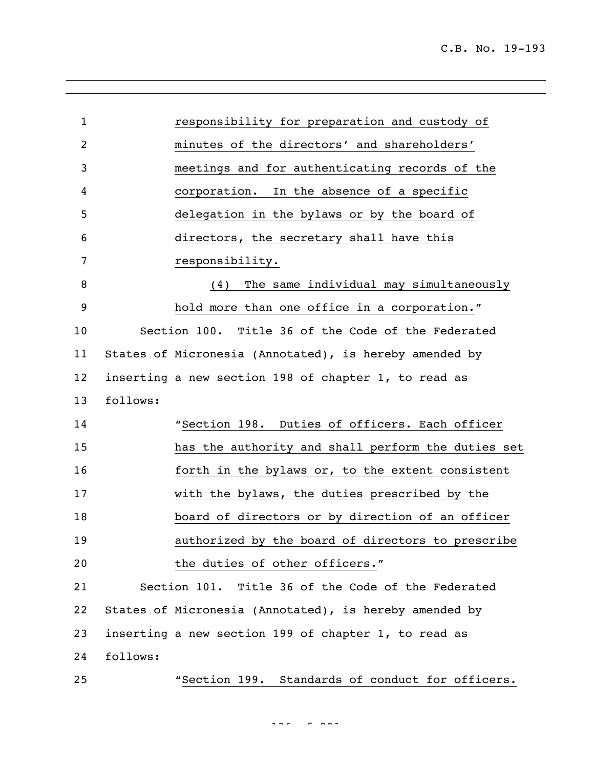| $\mathbf{1}$ |          | responsibility for preparation and custody of          |
|--------------|----------|--------------------------------------------------------|
| 2            |          | minutes of the directors' and shareholders'            |
| 3            |          | meetings and for authenticating records of the         |
| 4            |          | In the absence of a specific<br>corporation.           |
| 5            |          | delegation in the bylaws or by the board of            |
| 6            |          | directors, the secretary shall have this               |
| 7            |          | responsibility.                                        |
| 8            |          | The same individual may simultaneously<br>(4)          |
| 9            |          | hold more than one office in a corporation."           |
| 10           |          | Section 100. Title 36 of the Code of the Federated     |
| 11           |          | States of Micronesia (Annotated), is hereby amended by |
| 12           |          | inserting a new section 198 of chapter 1, to read as   |
| 13           | follows: |                                                        |
| 14           |          | "Section 198. Duties of officers. Each officer         |
| 15           |          | has the authority and shall perform the duties set     |
| 16           |          | forth in the bylaws or, to the extent consistent       |
| 17           |          | with the bylaws, the duties prescribed by the          |
| 18           |          | board of directors or by direction of an officer       |
| 19           |          | authorized by the board of directors to prescribe      |
| 20           |          | the duties of other officers."                         |
| 21           |          | Section 101. Title 36 of the Code of the Federated     |
| 22           |          | States of Micronesia (Annotated), is hereby amended by |
| 23           |          | inserting a new section 199 of chapter 1, to read as   |
| 24           | follows: |                                                        |
| 25           |          | "Section 199. Standards of conduct for officers.       |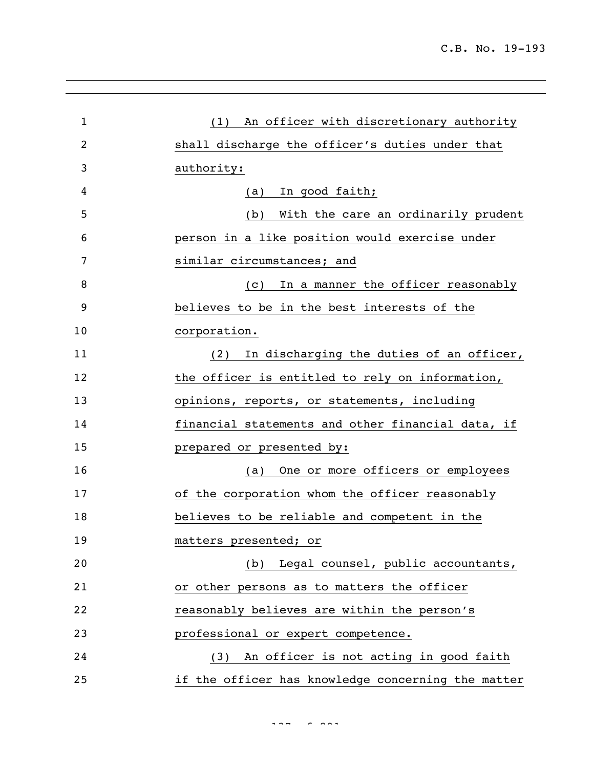| $\mathbf{1}$ | (1) An officer with discretionary authority        |
|--------------|----------------------------------------------------|
| 2            | shall discharge the officer's duties under that    |
| 3            | authority:                                         |
| 4            | In good faith;<br>(a)                              |
| 5            | With the care an ordinarily prudent<br>(b)         |
| 6            | person in a like position would exercise under     |
| 7            | similar circumstances; and                         |
| 8            | In a manner the officer reasonably<br>(C)          |
| 9            | believes to be in the best interests of the        |
| 10           | corporation.                                       |
| 11           | In discharging the duties of an officer,<br>(2)    |
| 12           | the officer is entitled to rely on information,    |
| 13           | opinions, reports, or statements, including        |
| 14           | financial statements and other financial data, if  |
| 15           | prepared or presented by:                          |
| 16           | One or more officers or employees<br>(a)           |
| 17           | of the corporation whom the officer reasonably     |
| 18           | believes to be reliable and competent in the       |
| 19           | matters presented; or                              |
| 20           | (b) Legal counsel, public accountants,             |
| 21           | or other persons as to matters the officer         |
| 22           | reasonably believes are within the person's        |
| 23           | professional or expert competence.                 |
| 24           | (3) An officer is not acting in good faith         |
| 25           | if the officer has knowledge concerning the matter |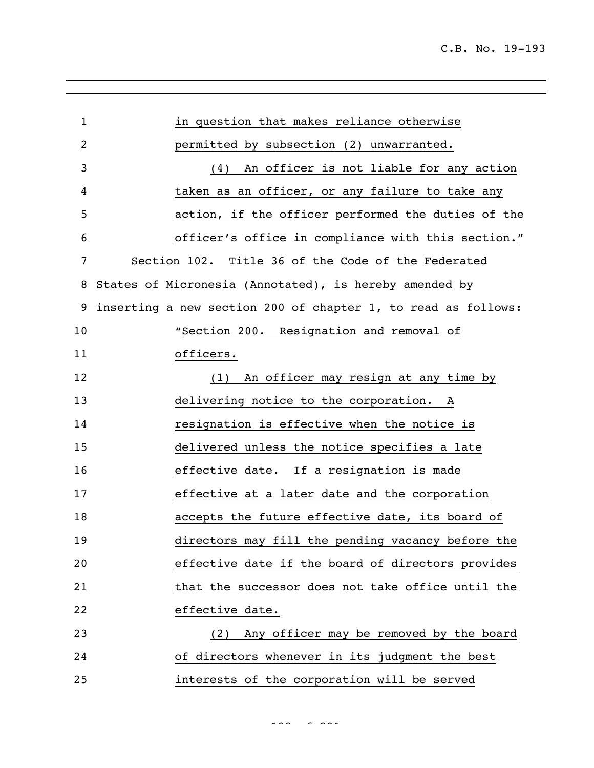| $\mathbf{1}$   | in question that makes reliance otherwise                     |
|----------------|---------------------------------------------------------------|
| $\overline{2}$ | permitted by subsection (2) unwarranted.                      |
| 3              | An officer is not liable for any action<br>(4)                |
| 4              | taken as an officer, or any failure to take any               |
| 5              | action, if the officer performed the duties of the            |
| 6              | officer's office in compliance with this section."            |
| 7              | Section 102. Title 36 of the Code of the Federated            |
| 8              | States of Micronesia (Annotated), is hereby amended by        |
| 9              | inserting a new section 200 of chapter 1, to read as follows: |
| 10             | "Section 200. Resignation and removal of                      |
| 11             | officers.                                                     |
| 12             | (1) An officer may resign at any time by                      |
| 13             | delivering notice to the corporation. A                       |
| 14             | resignation is effective when the notice is                   |
| 15             | delivered unless the notice specifies a late                  |
| 16             | effective date. If a resignation is made                      |
| 17             | effective at a later date and the corporation                 |
| 18             | accepts the future effective date, its board of               |
| 19             | directors may fill the pending vacancy before the             |
| 20             | effective date if the board of directors provides             |
| 21             | that the successor does not take office until the             |
| 22             | effective date.                                               |
| 23             | Any officer may be removed by the board<br>(2)                |
| 24             | of directors whenever in its judgment the best                |
| 25             | interests of the corporation will be served                   |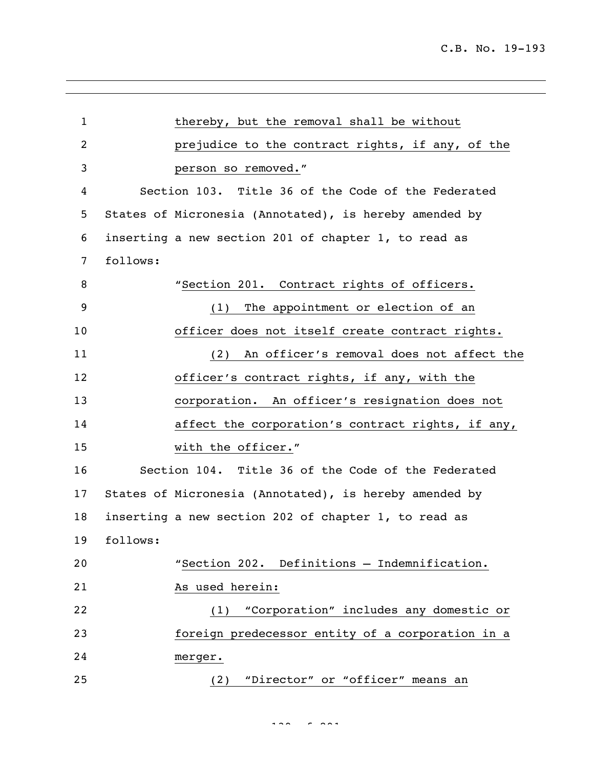| $\mathbf{1}$   | thereby, but the removal shall be without              |
|----------------|--------------------------------------------------------|
| $\overline{c}$ | prejudice to the contract rights, if any, of the       |
| 3              | person so removed."                                    |
| 4              | Section 103. Title 36 of the Code of the Federated     |
| 5              | States of Micronesia (Annotated), is hereby amended by |
| 6              | inserting a new section 201 of chapter 1, to read as   |
| 7              | follows:                                               |
| 8              | "Section 201. Contract rights of officers.             |
| 9              | (1) The appointment or election of an                  |
| 10             | officer does not itself create contract rights.        |
| 11             | An officer's removal does not affect the<br>(2)        |
| 12             | officer's contract rights, if any, with the            |
| 13             | corporation. An officer's resignation does not         |
| 14             | affect the corporation's contract rights, if any,      |
| 15             | with the officer."                                     |
| 16             | Section 104. Title 36 of the Code of the Federated     |
| 17             | States of Micronesia (Annotated), is hereby amended by |
| 18             | inserting a new section 202 of chapter 1, to read as   |
| 19             | follows:                                               |
| 20             | "Section 202. Definitions - Indemnification.           |
| 21             | As used herein:                                        |
| 22             | "Corporation" includes any domestic or<br>(1)          |
| 23             | foreign predecessor entity of a corporation in a       |
| 24             | merger.                                                |
| 25             | (2) "Director" or "officer" means an                   |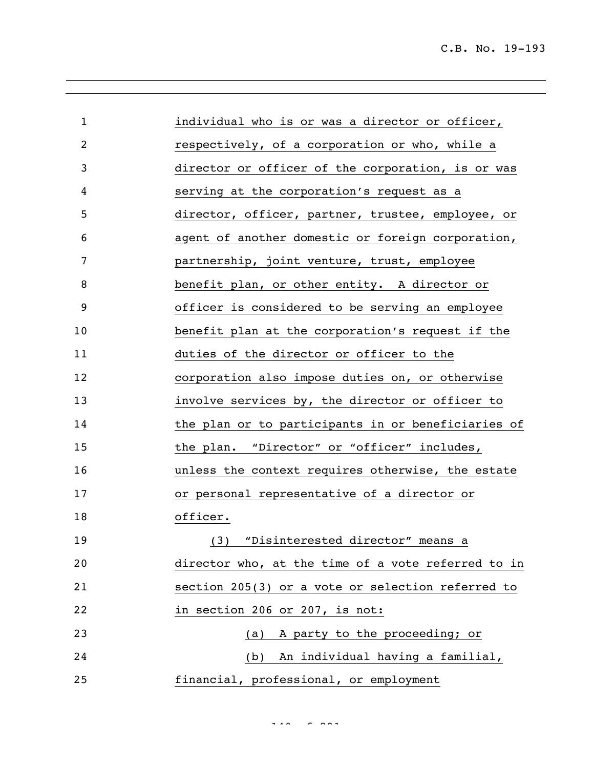| $\mathbf{1}$   | individual who is or was a director or officer,    |
|----------------|----------------------------------------------------|
| $\overline{2}$ | respectively, of a corporation or who, while a     |
| 3              | director or officer of the corporation, is or was  |
| 4              | serving at the corporation's request as a          |
| 5              | director, officer, partner, trustee, employee, or  |
| 6              | agent of another domestic or foreign corporation,  |
| 7              | partnership, joint venture, trust, employee        |
| 8              | benefit plan, or other entity. A director or       |
| 9              | officer is considered to be serving an employee    |
| 10             | benefit plan at the corporation's request if the   |
| 11             | duties of the director or officer to the           |
| 12             | corporation also impose duties on, or otherwise    |
| 13             | involve services by, the director or officer to    |
| 14             | the plan or to participants in or beneficiaries of |
| 15             | the plan. "Director" or "officer" includes,        |
| 16             | unless the context requires otherwise, the estate  |
| 17             | or personal representative of a director or        |
| 18             | officer.                                           |
| 19             | (3) "Disinterested director" means a               |
| 20             | director who, at the time of a vote referred to in |
| 21             | section 205(3) or a vote or selection referred to  |
| 22             | in section 206 or 207, is not:                     |
| 23             | (a) A party to the proceeding; or                  |
| 24             | (b) An individual having a familial,               |
| 25             | financial, professional, or employment             |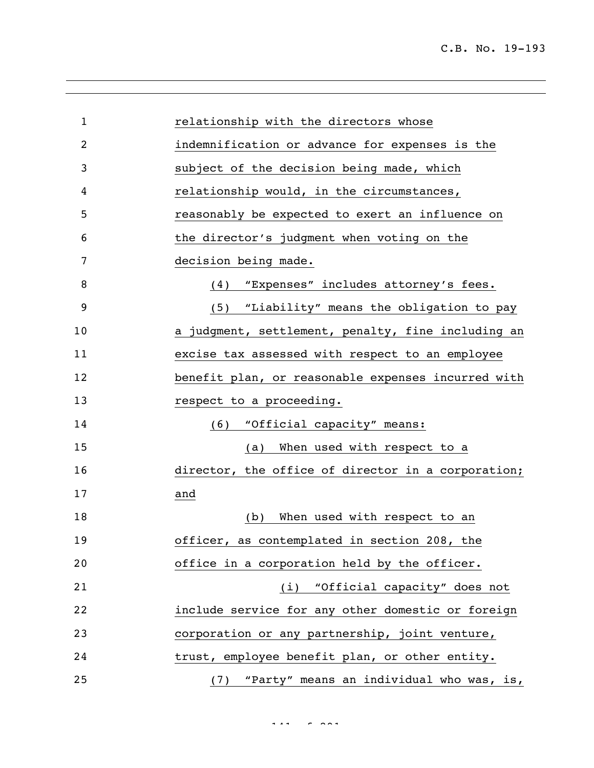| $\mathbf{1}$ | relationship with the directors whose              |
|--------------|----------------------------------------------------|
| 2            | indemnification or advance for expenses is the     |
| 3            | subject of the decision being made, which          |
| 4            | relationship would, in the circumstances,          |
| 5            | reasonably be expected to exert an influence on    |
| 6            | the director's judgment when voting on the         |
| 7            | decision being made.                               |
| 8            | "Expenses" includes attorney's fees.<br>(4)        |
| 9            | (5) "Liability" means the obligation to pay        |
| 10           | a judgment, settlement, penalty, fine including an |
| 11           | excise tax assessed with respect to an employee    |
| 12           | benefit plan, or reasonable expenses incurred with |
| 13           | respect to a proceeding.                           |
| 14           | (6) "Official capacity" means:                     |
| 15           | When used with respect to a<br>(a)                 |
| 16           | director, the office of director in a corporation; |
| 17           | and                                                |
| 18           | When used with respect to an<br>(b)                |
| 19           | officer, as contemplated in section 208, the       |
| 20           | office in a corporation held by the officer.       |
| 21           | (i) "Official capacity" does not                   |
| 22           | include service for any other domestic or foreign  |
| 23           | corporation or any partnership, joint venture,     |
| 24           | trust, employee benefit plan, or other entity.     |
| 25           | "Party" means an individual who was, is,<br>(7)    |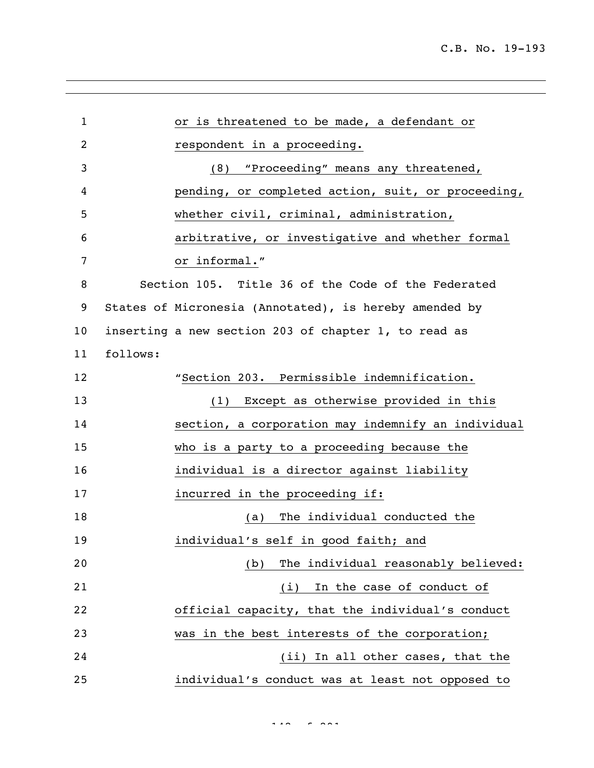| $\mathbf{1}$   |          | or is threatened to be made, a defendant or            |
|----------------|----------|--------------------------------------------------------|
| $\overline{2}$ |          | respondent in a proceeding.                            |
| 3              |          | "Proceeding" means any threatened,<br>(8)              |
| 4              |          | pending, or completed action, suit, or proceeding,     |
| 5              |          | whether civil, criminal, administration,               |
| 6              |          | arbitrative, or investigative and whether formal       |
| 7              |          | or informal."                                          |
| 8              |          | Section 105. Title 36 of the Code of the Federated     |
| 9              |          | States of Micronesia (Annotated), is hereby amended by |
| 10             |          | inserting a new section 203 of chapter 1, to read as   |
| 11             | follows: |                                                        |
| 12             |          | "Section 203. Permissible indemnification.             |
| 13             |          | (1) Except as otherwise provided in this               |
| 14             |          | section, a corporation may indemnify an individual     |
| 15             |          | who is a party to a proceeding because the             |
| 16             |          | individual is a director against liability             |
| 17             |          | incurred in the proceeding if:                         |
| 18             |          | The individual conducted the<br>(a)                    |
| 19             |          | individual's self in good faith; and                   |
| 20             |          | The individual reasonably believed:<br>(b)             |
| 21             |          | In the case of conduct of<br>(i)                       |
| 22             |          | official capacity, that the individual's conduct       |
| 23             |          | was in the best interests of the corporation;          |
| 24             |          | (ii) In all other cases, that the                      |
| 25             |          | individual's conduct was at least not opposed to       |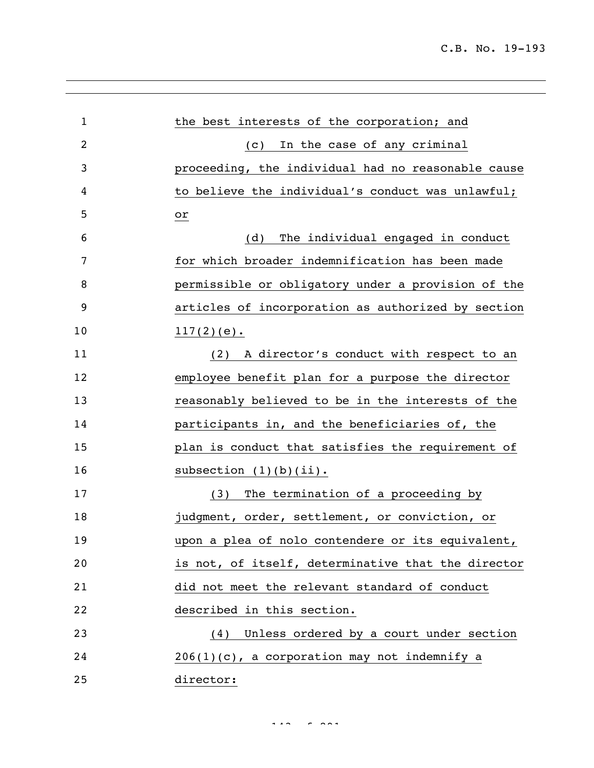| $\mathbf 1$    | the best interests of the corporation; and         |
|----------------|----------------------------------------------------|
| $\overline{2}$ | In the case of any criminal<br>$\left( c \right)$  |
| 3              | proceeding, the individual had no reasonable cause |
| 4              | to believe the individual's conduct was unlawful;  |
| 5              | or                                                 |
| 6              | The individual engaged in conduct<br>(d)           |
| 7              | for which broader indemnification has been made    |
| 8              | permissible or obligatory under a provision of the |
| 9              | articles of incorporation as authorized by section |
| 10             | $117(2)(e)$ .                                      |
| 11             | (2) A director's conduct with respect to an        |
| 12             | employee benefit plan for a purpose the director   |
| 13             | reasonably believed to be in the interests of the  |
| 14             | participants in, and the beneficiaries of, the     |
| 15             | plan is conduct that satisfies the requirement of  |
| 16             | subsection $(1)(b)(ii)$ .                          |
| 17             | The termination of a proceeding by<br>(3)          |
| 18             | judgment, order, settlement, or conviction, or     |
| 19             | upon a plea of nolo contendere or its equivalent,  |
| 20             | is not, of itself, determinative that the director |
| 21             | did not meet the relevant standard of conduct      |
| 22             | described in this section.                         |
| 23             | (4) Unless ordered by a court under section        |
| 24             | $206(1)(c)$ , a corporation may not indemnify a    |
| 25             | director:                                          |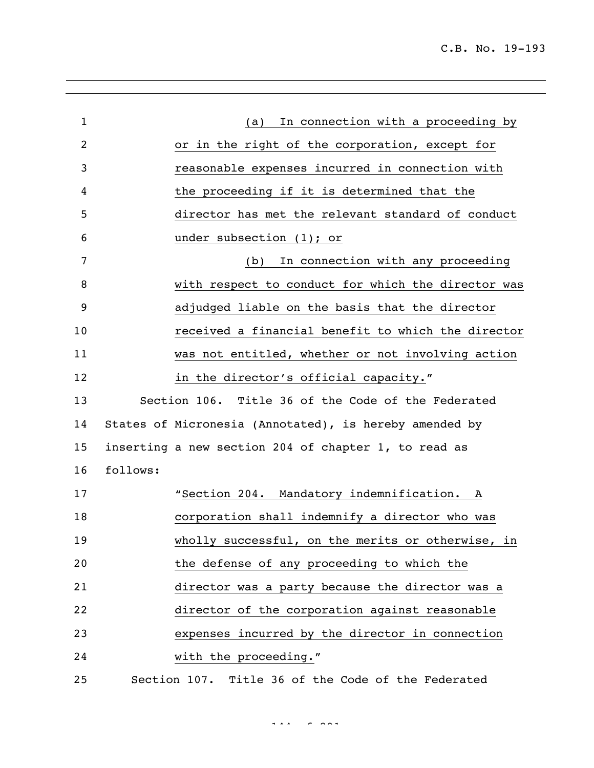| $\mathbf{1}$ |          | In connection with a proceeding by<br>(a)              |
|--------------|----------|--------------------------------------------------------|
| 2            |          | or in the right of the corporation, except for         |
| 3            |          | reasonable expenses incurred in connection with        |
| 4            |          | the proceeding if it is determined that the            |
| 5            |          | director has met the relevant standard of conduct      |
| 6            |          | under subsection $(1)$ ; or                            |
| 7            |          | In connection with any proceeding<br>(b)               |
| 8            |          | with respect to conduct for which the director was     |
| 9            |          | adjudged liable on the basis that the director         |
| 10           |          | received a financial benefit to which the director     |
| 11           |          | was not entitled, whether or not involving action      |
| 12           |          | in the director's official capacity."                  |
| 13           |          | Section 106. Title 36 of the Code of the Federated     |
| 14           |          | States of Micronesia (Annotated), is hereby amended by |
| 15           |          | inserting a new section 204 of chapter 1, to read as   |
| 16           | follows: |                                                        |
| 17           |          | "Section 204. Mandatory indemnification.<br>A          |
| 18           |          | corporation shall indemnify a director who was         |
| 19           |          | wholly successful, on the merits or otherwise, in      |
| 20           |          | the defense of any proceeding to which the             |
| 21           |          | director was a party because the director was a        |
| 22           |          | director of the corporation against reasonable         |
| 23           |          | expenses incurred by the director in connection        |
| 24           |          | with the proceeding."                                  |
| 25           |          | Section 107. Title 36 of the Code of the Federated     |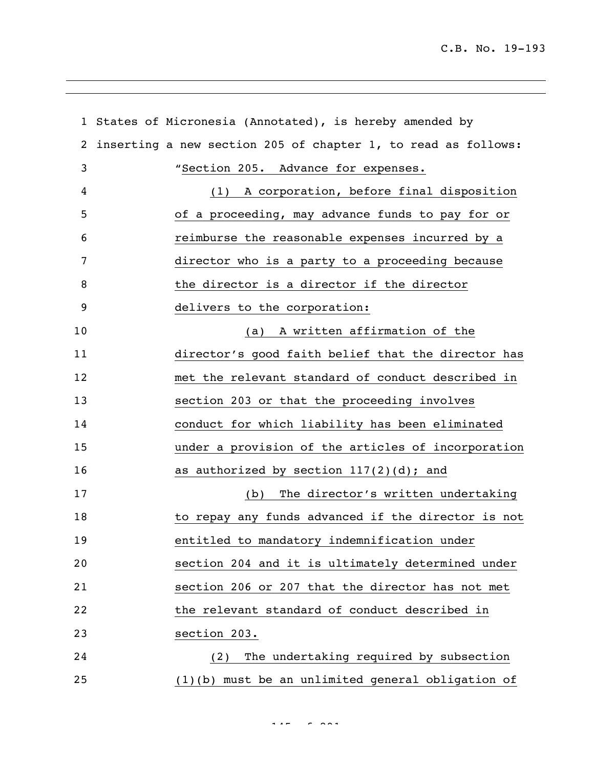|    | 1 States of Micronesia (Annotated), is hereby amended by      |
|----|---------------------------------------------------------------|
| 2  | inserting a new section 205 of chapter 1, to read as follows: |
| 3  | "Section 205. Advance for expenses.                           |
| 4  | A corporation, before final disposition<br>(1)                |
| 5  | of a proceeding, may advance funds to pay for or              |
| 6  | reimburse the reasonable expenses incurred by a               |
| 7  | director who is a party to a proceeding because               |
| 8  | the director is a director if the director                    |
| 9  | delivers to the corporation:                                  |
| 10 | (a) A written affirmation of the                              |
| 11 | director's good faith belief that the director has            |
| 12 | met the relevant standard of conduct described in             |
| 13 | section 203 or that the proceeding involves                   |
| 14 | conduct for which liability has been eliminated               |
| 15 | under a provision of the articles of incorporation            |
| 16 | as authorized by section $117(2)(d)$ ; and                    |
| 17 | The director's written undertaking<br>(b)                     |
| 18 | to repay any funds advanced if the director is not            |
| 19 | entitled to mandatory indemnification under                   |
| 20 | section 204 and it is ultimately determined under             |
| 21 | section 206 or 207 that the director has not met              |
| 22 | the relevant standard of conduct described in                 |
| 23 | section 203.                                                  |
| 24 | The undertaking required by subsection<br>(2)                 |
| 25 | $(1)(b)$ must be an unlimited general obligation of           |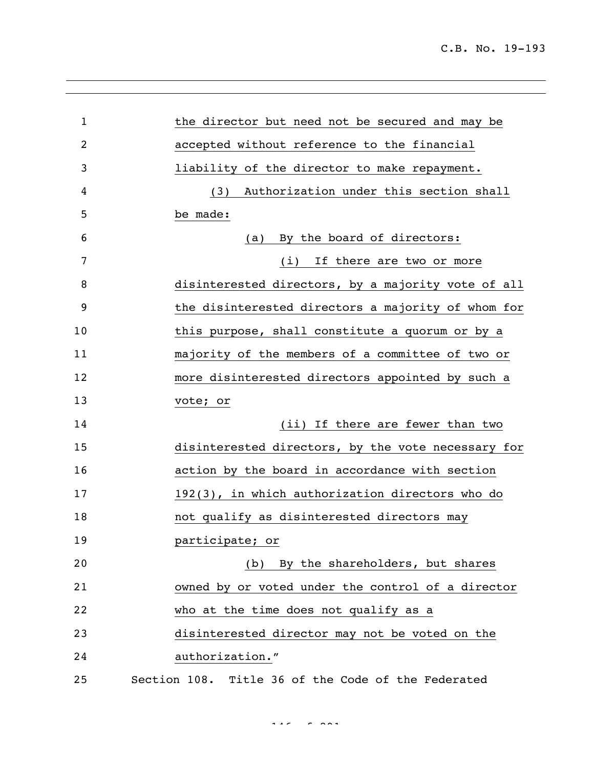| $\mathbf{1}$ | the director but need not be secured and may be    |
|--------------|----------------------------------------------------|
| 2            | accepted without reference to the financial        |
| 3            | liability of the director to make repayment.       |
| 4            | Authorization under this section shall<br>(3)      |
| 5            | be made:                                           |
| 6            | By the board of directors:<br>(a)                  |
| 7            | If there are two or more<br>(i)                    |
| 8            | disinterested directors, by a majority vote of all |
| 9            | the disinterested directors a majority of whom for |
| 10           | this purpose, shall constitute a quorum or by a    |
| 11           | majority of the members of a committee of two or   |
| 12           | more disinterested directors appointed by such a   |
| 13           | vote; or                                           |
| 14           | (ii) If there are fewer than two                   |
| 15           | disinterested directors, by the vote necessary for |
| 16           | action by the board in accordance with section     |
| 17           | 192(3), in which authorization directors who do    |
| 18           | not qualify as disinterested directors may         |
| 19           | participate; or                                    |
| 20           | (b) By the shareholders, but shares                |
| 21           | owned by or voted under the control of a director  |
| 22           | who at the time does not qualify as a              |
| 23           | disinterested director may not be voted on the     |
| 24           | authorization."                                    |
| 25           | Section 108. Title 36 of the Code of the Federated |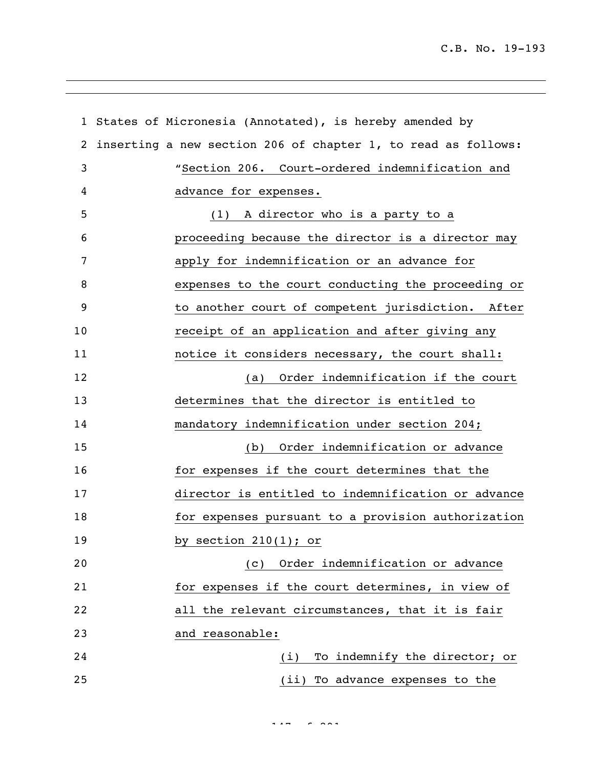|                | 1 States of Micronesia (Annotated), is hereby amended by      |
|----------------|---------------------------------------------------------------|
| $\overline{2}$ | inserting a new section 206 of chapter 1, to read as follows: |
| 3              | "Section 206. Court-ordered indemnification and               |
| 4              | advance for expenses.                                         |
| 5              | (1) A director who is a party to a                            |
| 6              | proceeding because the director is a director may             |
| 7              | apply for indemnification or an advance for                   |
| 8              | expenses to the court conducting the proceeding or            |
| 9              | to another court of competent jurisdiction. After             |
| 10             | receipt of an application and after giving any                |
| 11             | notice it considers necessary, the court shall:               |
| 12             | (a) Order indemnification if the court                        |
| 13             | determines that the director is entitled to                   |
| 14             | mandatory indemnification under section 204;                  |
| 15             | (b) Order indemnification or advance                          |
| 16             | for expenses if the court determines that the                 |
| 17             | director is entitled to indemnification or advance            |
| 18             | for expenses pursuant to a provision authorization            |
| 19             | by section $210(1)$ ; or                                      |
| 20             | Order indemnification or advance<br>(C)                       |
| 21             | for expenses if the court determines, in view of              |
| 22             | all the relevant circumstances, that it is fair               |
| 23             | and reasonable:                                               |
| 24             | To indemnify the director; or<br>(i)                          |
| 25             | (ii) To advance expenses to the                               |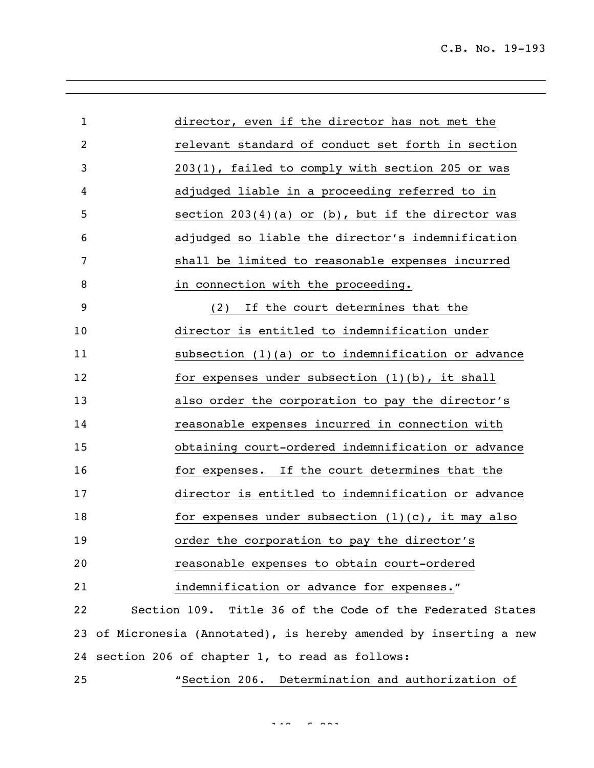| 1              | director, even if the director has not met the                     |
|----------------|--------------------------------------------------------------------|
| $\overline{c}$ | relevant standard of conduct set forth in section                  |
| 3              | 203(1), failed to comply with section 205 or was                   |
| 4              | adjudged liable in a proceeding referred to in                     |
| 5              | section $203(4)(a)$ or (b), but if the director was                |
| 6              | adjudged so liable the director's indemnification                  |
| 7              | shall be limited to reasonable expenses incurred                   |
| 8              | in connection with the proceeding.                                 |
| 9              | If the court determines that the<br>(2)                            |
| 10             | director is entitled to indemnification under                      |
| 11             | subsection (1)(a) or to indemnification or advance                 |
| 12             | for expenses under subsection $(1)(b)$ , it shall                  |
| 13             | also order the corporation to pay the director's                   |
| 14             | reasonable expenses incurred in connection with                    |
| 15             | obtaining court-ordered indemnification or advance                 |
| 16             | for expenses. If the court determines that the                     |
| 17             | director is entitled to indemnification or advance                 |
| 18             | for expenses under subsection $(1)(c)$ , it may also               |
| 19             | order the corporation to pay the director's                        |
| 20             | reasonable expenses to obtain court-ordered                        |
| 21             | indemnification or advance for expenses."                          |
| 22             | Section 109. Title 36 of the Code of the Federated States          |
|                | 23 of Micronesia (Annotated), is hereby amended by inserting a new |
|                | 24 section 206 of chapter 1, to read as follows:                   |
| 25             | "Section 206. Determination and authorization of                   |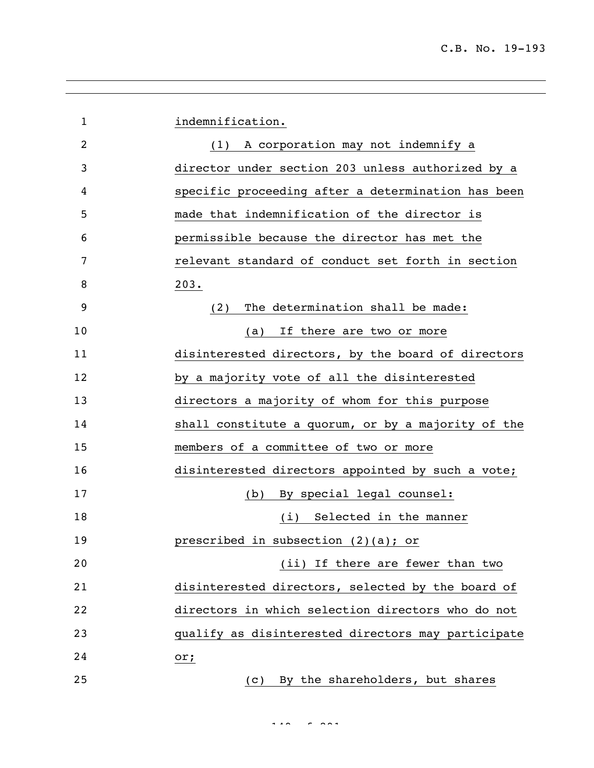| $\mathbf{1}$ | indemnification.                                   |
|--------------|----------------------------------------------------|
| 2            | (1) A corporation may not indemnify a              |
| 3            | director under section 203 unless authorized by a  |
| 4            | specific proceeding after a determination has been |
| 5            | made that indemnification of the director is       |
| 6            | permissible because the director has met the       |
| 7            | relevant standard of conduct set forth in section  |
| 8            | 203.                                               |
| 9            | The determination shall be made:<br>(2)            |
| 10           | If there are two or more<br>(a)                    |
| 11           | disinterested directors, by the board of directors |
| 12           | by a majority vote of all the disinterested        |
| 13           | directors a majority of whom for this purpose      |
| 14           | shall constitute a quorum, or by a majority of the |
| 15           | members of a committee of two or more              |
| 16           | disinterested directors appointed by such a vote;  |
| 17           | By special legal counsel:<br>(b)                   |
| 18           | Selected in the manner<br>(i)                      |
| 19           | prescribed in subsection (2)(a); or                |
| 20           | (ii) If there are fewer than two                   |
| 21           | disinterested directors, selected by the board of  |
| 22           | directors in which selection directors who do not  |
| 23           | qualify as disinterested directors may participate |
| 24           | or;                                                |
| 25           | By the shareholders, but shares<br>(C)             |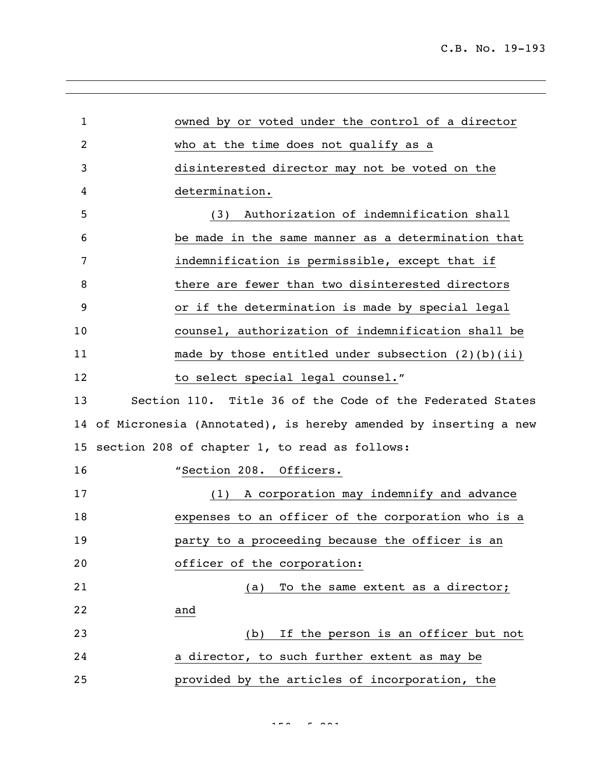| $\mathbf 1$ | owned by or voted under the control of a director                  |
|-------------|--------------------------------------------------------------------|
| 2           | who at the time does not qualify as a                              |
| 3           | disinterested director may not be voted on the                     |
| 4           | determination.                                                     |
| 5           | Authorization of indemnification shall<br>(3)                      |
| 6           | be made in the same manner as a determination that                 |
| 7           | indemnification is permissible, except that if                     |
| 8           | there are fewer than two disinterested directors                   |
| 9           | or if the determination is made by special legal                   |
| 10          | counsel, authorization of indemnification shall be                 |
| 11          | made by those entitled under subsection $(2)(b)(ii)$               |
| 12          | to select special legal counsel."                                  |
| 13          | Section 110. Title 36 of the Code of the Federated States          |
|             | 14 of Micronesia (Annotated), is hereby amended by inserting a new |
|             | 15 section 208 of chapter 1, to read as follows:                   |
| 16          | "Section 208. Officers.                                            |
| 17          | A corporation may indemnify and advance<br>(1)                     |
| 18          | expenses to an officer of the corporation who is a                 |
| 19          | party to a proceeding because the officer is an                    |
| 20          | officer of the corporation:                                        |
| 21          | (a) To the same extent as a director;                              |
| 22          | and                                                                |
| 23          | If the person is an officer but not<br>(b)                         |
| 24          | a director, to such further extent as may be                       |
| 25          | provided by the articles of incorporation, the                     |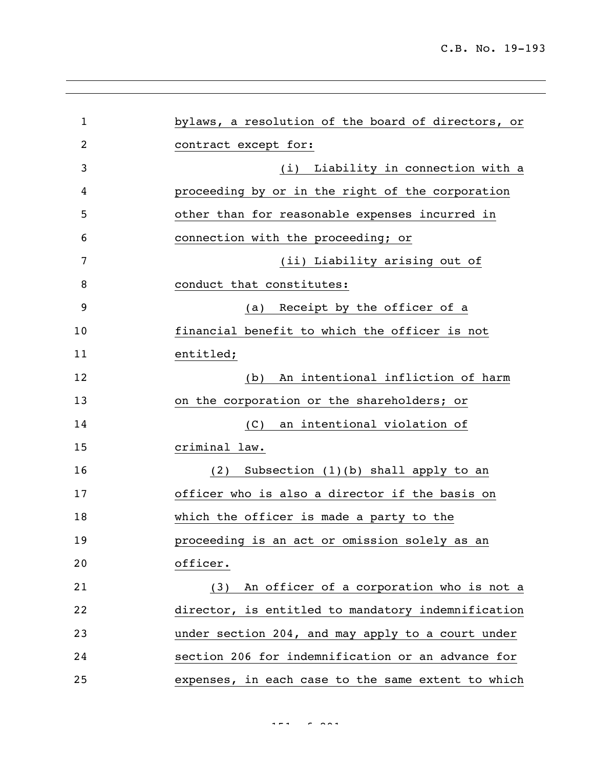| $\mathbf{1}$   | bylaws, a resolution of the board of directors, or |
|----------------|----------------------------------------------------|
| $\overline{c}$ | contract except for:                               |
| 3              | (i) Liability in connection with a                 |
| 4              | proceeding by or in the right of the corporation   |
| 5              | other than for reasonable expenses incurred in     |
| 6              | connection with the proceeding; or                 |
| 7              | (ii) Liability arising out of                      |
| 8              | conduct that constitutes:                          |
| 9              | Receipt by the officer of a<br>(a)                 |
| 10             | financial benefit to which the officer is not      |
| 11             | entitled;                                          |
| 12             | An intentional infliction of harm<br>(b)           |
| 13             | on the corporation or the shareholders; or         |
| 14             | an intentional violation of<br>(C)                 |
| 15             | criminal law.                                      |
| 16             | Subsection $(1)(b)$ shall apply to an<br>(2)       |
| 17             | officer who is also a director if the basis on     |
| 18             | which the officer is made a party to the           |
| 19             | proceeding is an act or omission solely as an      |
| 20             | officer.                                           |
| 21             | An officer of a corporation who is not a<br>(3)    |
| 22             | director, is entitled to mandatory indemnification |
| 23             | under section 204, and may apply to a court under  |
| 24             | section 206 for indemnification or an advance for  |
| 25             | expenses, in each case to the same extent to which |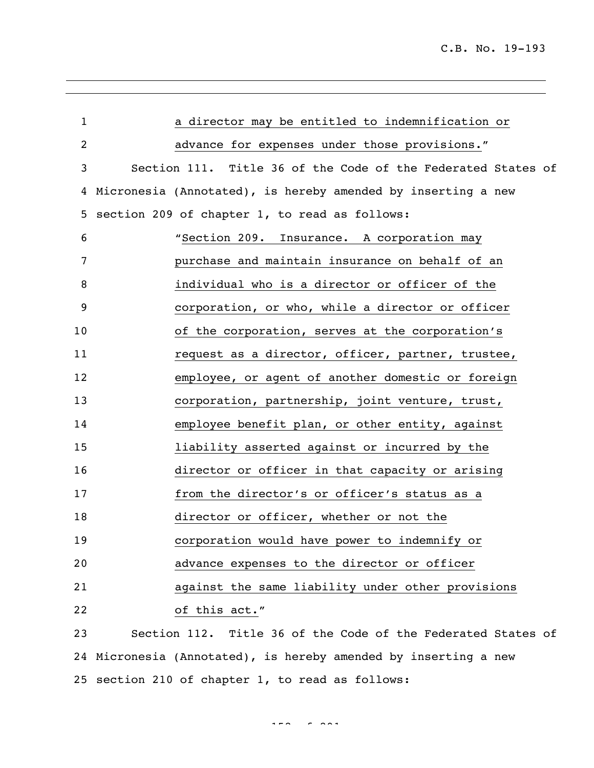| $\mathbf{1}$ | a director may be entitled to indemnification or             |
|--------------|--------------------------------------------------------------|
| 2            | advance for expenses under those provisions."                |
| 3            | Section 111. Title 36 of the Code of the Federated States of |
| 4            | Micronesia (Annotated), is hereby amended by inserting a new |
| 5            | section 209 of chapter 1, to read as follows:                |
| 6            | "Section 209. Insurance. A corporation may                   |
| 7            | purchase and maintain insurance on behalf of an              |
| 8            | individual who is a director or officer of the               |
| 9            | corporation, or who, while a director or officer             |
| 10           | of the corporation, serves at the corporation's              |
| 11           | request as a director, officer, partner, trustee,            |
| 12           | employee, or agent of another domestic or foreign            |
| 13           | corporation, partnership, joint venture, trust,              |
| 14           | employee benefit plan, or other entity, against              |
| 15           | liability asserted against or incurred by the                |
| 16           | director or officer in that capacity or arising              |
| 17           | from the director's or officer's status as a                 |
| 18           | director or officer, whether or not the                      |
| 19           | corporation would have power to indemnify or                 |
| 20           | advance expenses to the director or officer                  |
| 21           | against the same liability under other provisions            |
| 22           | of this act."                                                |
| 23           | Section 112. Title 36 of the Code of the Federated States of |
|              |                                                              |

 Micronesia (Annotated), is hereby amended by inserting a new section 210 of chapter 1, to read as follows: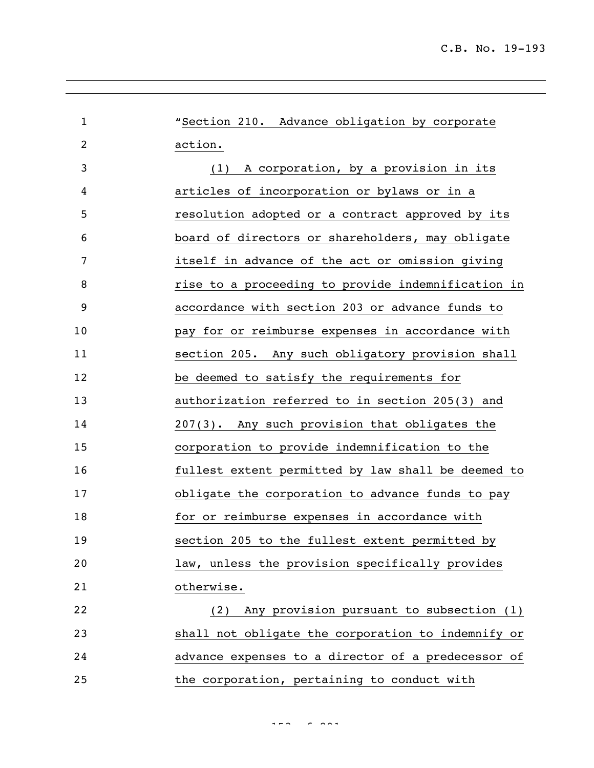| $\mathbf 1$ | "Section 210. Advance obligation by corporate      |
|-------------|----------------------------------------------------|
| 2           | action.                                            |
| 3           | A corporation, by a provision in its<br>(1)        |
| 4           | articles of incorporation or bylaws or in a        |
| 5           | resolution adopted or a contract approved by its   |
| 6           | board of directors or shareholders, may obligate   |
| 7           | itself in advance of the act or omission giving    |
| 8           | rise to a proceeding to provide indemnification in |
| 9           | accordance with section 203 or advance funds to    |
| 10          | pay for or reimburse expenses in accordance with   |
| 11          | section 205. Any such obligatory provision shall   |
| 12          | be deemed to satisfy the requirements for          |
| 13          | authorization referred to in section 205(3) and    |
| 14          | 207(3). Any such provision that obligates the      |
| 15          | corporation to provide indemnification to the      |
| 16          | fullest extent permitted by law shall be deemed to |
| 17          | obligate the corporation to advance funds to pay   |
| 18          | for or reimburse expenses in accordance with       |
| 19          | section 205 to the fullest extent permitted by     |
| 20          | law, unless the provision specifically provides    |
| 21          | otherwise.                                         |
| 22          | Any provision pursuant to subsection (1)<br>(2)    |
| 23          | shall not obligate the corporation to indemnify or |
| 24          | advance expenses to a director of a predecessor of |
| 25          | the corporation, pertaining to conduct with        |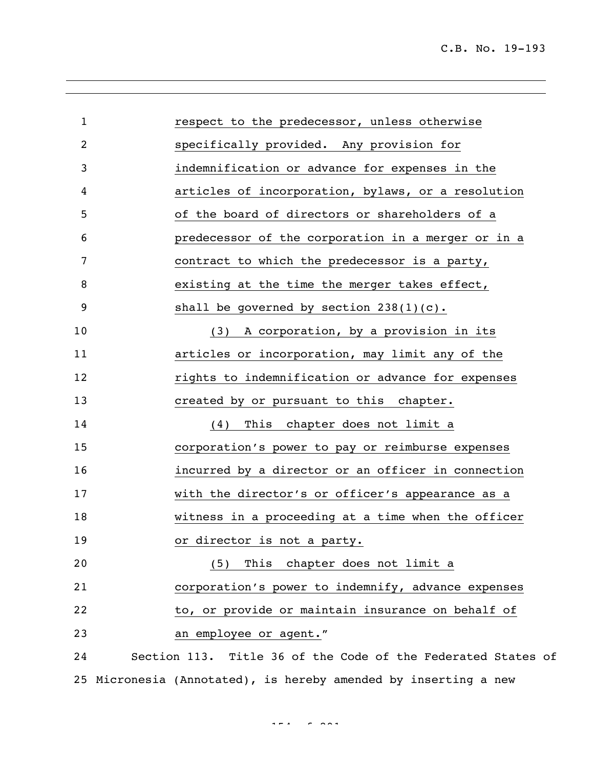| $\mathbf{1}$ | respect to the predecessor, unless otherwise                    |
|--------------|-----------------------------------------------------------------|
| 2            | specifically provided. Any provision for                        |
| 3            | indemnification or advance for expenses in the                  |
| 4            | articles of incorporation, bylaws, or a resolution              |
| 5            | of the board of directors or shareholders of a                  |
| 6            | predecessor of the corporation in a merger or in a              |
| 7            | contract to which the predecessor is a party,                   |
| 8            | existing at the time the merger takes effect,                   |
| 9            | shall be governed by section $238(1)(c)$ .                      |
| 10           | A corporation, by a provision in its<br>(3)                     |
| 11           | articles or incorporation, may limit any of the                 |
| 12           | rights to indemnification or advance for expenses               |
| 13           | created by or pursuant to this chapter.                         |
| 14           | This chapter does not limit a<br>(4)                            |
| 15           | corporation's power to pay or reimburse expenses                |
| 16           | incurred by a director or an officer in connection              |
| 17           | with the director's or officer's appearance as a                |
| 18           | witness in a proceeding at a time when the officer              |
| 19           | or director is not a party.                                     |
| 20           | This chapter does not limit a<br>(5)                            |
| 21           | corporation's power to indemnify, advance expenses              |
| 22           | to, or provide or maintain insurance on behalf of               |
| 23           | an employee or agent."                                          |
| 24           | Section 113. Title 36 of the Code of the Federated States of    |
|              | 25 Micronesia (Annotated), is hereby amended by inserting a new |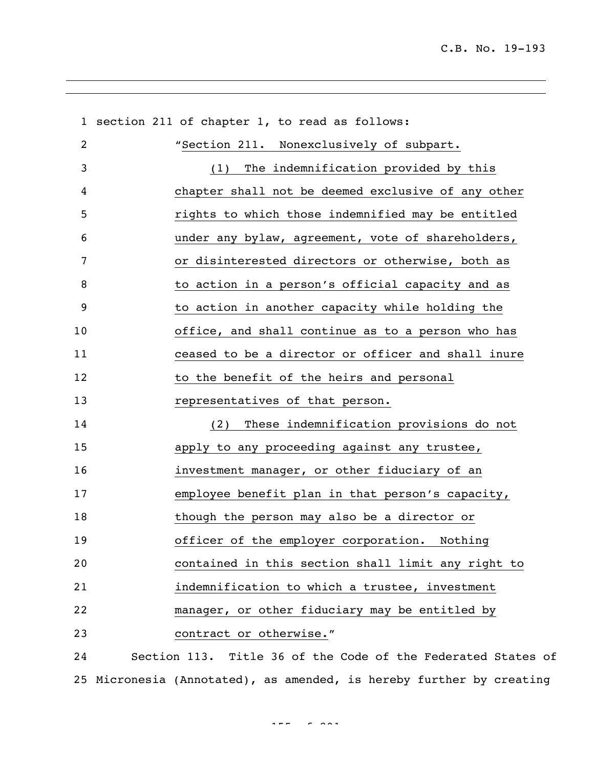|    | 1 section 211 of chapter 1, to read as follows:              |
|----|--------------------------------------------------------------|
| 2  | "Section 211. Nonexclusively of subpart.                     |
| 3  | The indemnification provided by this<br>(1)                  |
| 4  | chapter shall not be deemed exclusive of any other           |
| 5  | rights to which those indemnified may be entitled            |
| 6  | under any bylaw, agreement, vote of shareholders,            |
| 7  | or disinterested directors or otherwise, both as             |
| 8  | to action in a person's official capacity and as             |
| 9  | to action in another capacity while holding the              |
| 10 | office, and shall continue as to a person who has            |
| 11 | ceased to be a director or officer and shall inure           |
| 12 | to the benefit of the heirs and personal                     |
| 13 | representatives of that person.                              |
| 14 | These indemnification provisions do not<br>(2)               |
| 15 | apply to any proceeding against any trustee,                 |
| 16 | investment manager, or other fiduciary of an                 |
| 17 | employee benefit plan in that person's capacity,             |
| 18 | though the person may also be a director or                  |
| 19 | officer of the employer corporation. Nothing                 |
| 20 | contained in this section shall limit any right to           |
| 21 | indemnification to which a trustee, investment               |
| 22 | manager, or other fiduciary may be entitled by               |
| 23 | contract or otherwise."                                      |
| 24 | Section 113. Title 36 of the Code of the Federated States of |

Micronesia (Annotated), as amended, is hereby further by creating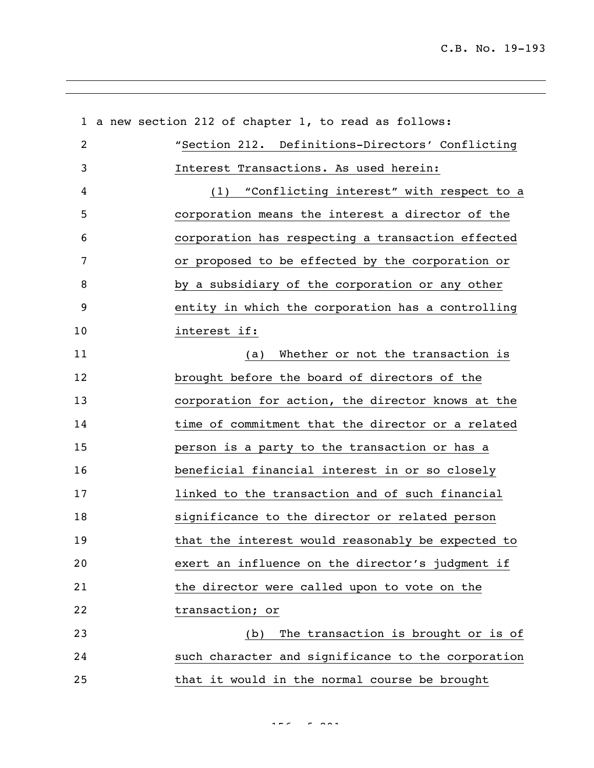|    | 1 a new section 212 of chapter 1, to read as follows: |
|----|-------------------------------------------------------|
| 2  | "Section 212. Definitions-Directors' Conflicting      |
| 3  | Interest Transactions. As used herein:                |
| 4  | (1) "Conflicting interest" with respect to a          |
| 5  | corporation means the interest a director of the      |
| 6  | corporation has respecting a transaction effected     |
| 7  | or proposed to be effected by the corporation or      |
| 8  | by a subsidiary of the corporation or any other       |
| 9  | entity in which the corporation has a controlling     |
| 10 | interest if:                                          |
| 11 | Whether or not the transaction is<br>(a)              |
| 12 | brought before the board of directors of the          |
| 13 | corporation for action, the director knows at the     |
| 14 | time of commitment that the director or a related     |
| 15 | person is a party to the transaction or has a         |
| 16 | beneficial financial interest in or so closely        |
| 17 | linked to the transaction and of such financial       |
| 18 | significance to the director or related person        |
| 19 | that the interest would reasonably be expected to     |
| 20 | exert an influence on the director's judgment if      |
| 21 | the director were called upon to vote on the          |
| 22 | transaction; or                                       |
| 23 | The transaction is brought or is of<br>(b)            |
| 24 | such character and significance to the corporation    |
| 25 | that it would in the normal course be brought         |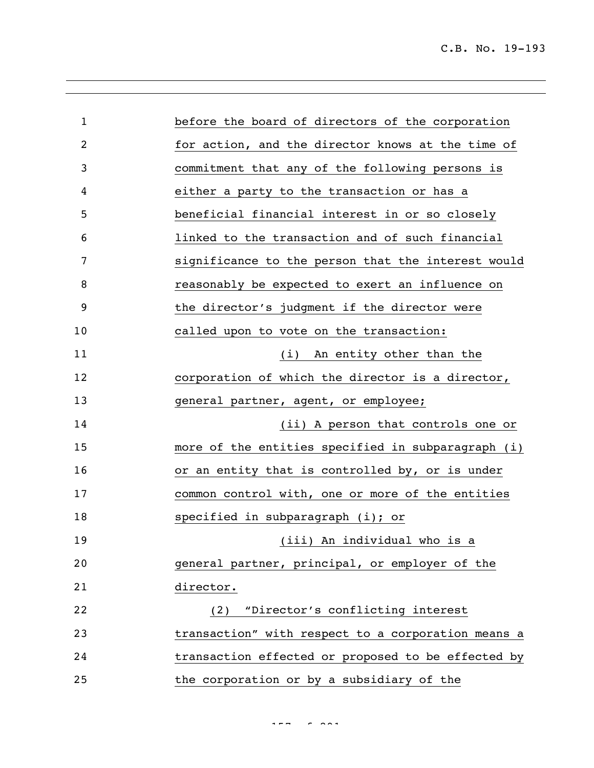| $\mathbf{1}$ | before the board of directors of the corporation   |
|--------------|----------------------------------------------------|
| 2            | for action, and the director knows at the time of  |
| 3            | commitment that any of the following persons is    |
| 4            | either a party to the transaction or has a         |
| 5            | beneficial financial interest in or so closely     |
| 6            | linked to the transaction and of such financial    |
| 7            | significance to the person that the interest would |
| 8            | reasonably be expected to exert an influence on    |
| 9            | the director's judgment if the director were       |
| 10           | called upon to vote on the transaction:            |
| 11           | (i) An entity other than the                       |
| 12           | corporation of which the director is a director,   |
| 13           | general partner, agent, or employee;               |
| 14           | (ii) A person that controls one or                 |
| 15           | more of the entities specified in subparagraph (i) |
| 16           | or an entity that is controlled by, or is under    |
| 17           | common control with, one or more of the entities   |
| 18           | specified in subparagraph (i); or                  |
| 19           | (iii) An individual who is a                       |
| 20           | general partner, principal, or employer of the     |
| 21           | director.                                          |
| 22           | (2) "Director's conflicting interest               |
| 23           | transaction" with respect to a corporation means a |
| 24           | transaction effected or proposed to be effected by |
| 25           | the corporation or by a subsidiary of the          |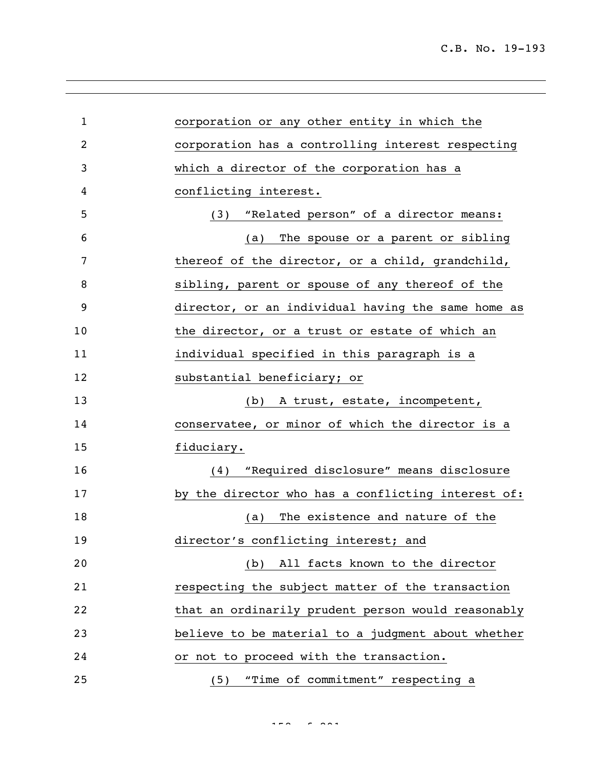| $\mathbf 1$ | corporation or any other entity in which the       |
|-------------|----------------------------------------------------|
| 2           | corporation has a controlling interest respecting  |
| 3           | which a director of the corporation has a          |
| 4           | conflicting interest.                              |
| 5           | (3) "Related person" of a director means:          |
| 6           | The spouse or a parent or sibling<br>(a)           |
| 7           | thereof of the director, or a child, grandchild,   |
| 8           | sibling, parent or spouse of any thereof of the    |
| 9           | director, or an individual having the same home as |
| 10          | the director, or a trust or estate of which an     |
| 11          | individual specified in this paragraph is a        |
| 12          | substantial beneficiary; or                        |
| 13          | (b) A trust, estate, incompetent,                  |
| 14          | conservatee, or minor of which the director is a   |
| 15          | fiduciary.                                         |
| 16          | "Required disclosure" means disclosure<br>(4)      |
| 17          | by the director who has a conflicting interest of: |
| 18          | The existence and nature of the<br>(a)             |
| 19          | director's conflicting interest; and               |
| 20          | All facts known to the director<br>(b)             |
| 21          | respecting the subject matter of the transaction   |
| 22          | that an ordinarily prudent person would reasonably |
| 23          | believe to be material to a judgment about whether |
| 24          | or not to proceed with the transaction.            |
| 25          | "Time of commitment" respecting a<br>(5)           |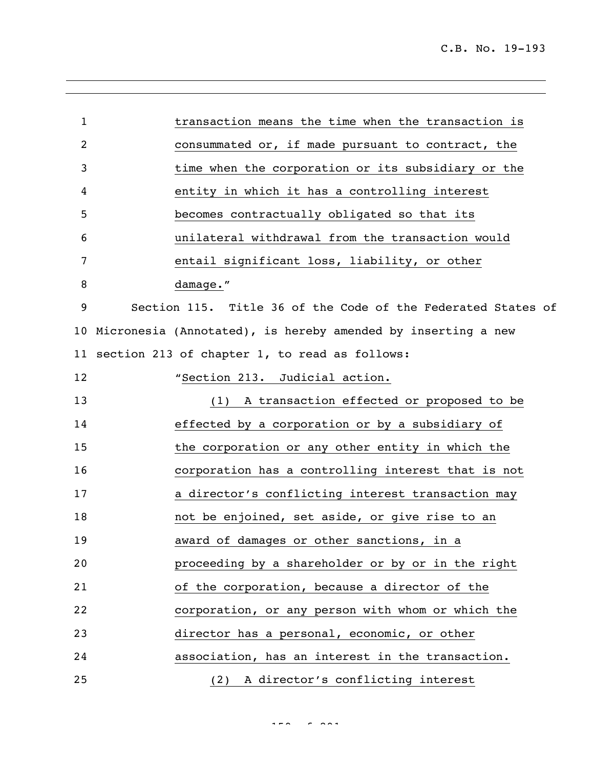| $\mathbf{1}$ | transaction means the time when the transaction is              |
|--------------|-----------------------------------------------------------------|
| 2            | consummated or, if made pursuant to contract, the               |
| 3            | time when the corporation or its subsidiary or the              |
| 4            | entity in which it has a controlling interest                   |
| 5            | becomes contractually obligated so that its                     |
| 6            | unilateral withdrawal from the transaction would                |
| 7            | entail significant loss, liability, or other                    |
| 8            | damage."                                                        |
| 9            | Section 115. Title 36 of the Code of the Federated States of    |
|              | 10 Micronesia (Annotated), is hereby amended by inserting a new |
|              | 11 section 213 of chapter 1, to read as follows:                |
| 12           | "Section 213.<br>Judicial action.                               |
| 13           | A transaction effected or proposed to be<br>(1)                 |
| 14           | effected by a corporation or by a subsidiary of                 |
| 15           | the corporation or any other entity in which the                |
| 16           | corporation has a controlling interest that is not              |
| 17           | a director's conflicting interest transaction may               |
| 18           | not be enjoined, set aside, or give rise to an                  |
| 19           | award of damages or other sanctions, in a                       |
| 20           | proceeding by a shareholder or by or in the right               |
| 21           | of the corporation, because a director of the                   |
| 22           | corporation, or any person with whom or which the               |
| 23           | director has a personal, economic, or other                     |
| 24           | association, has an interest in the transaction.                |
| 25           | A director's conflicting interest<br>(2)                        |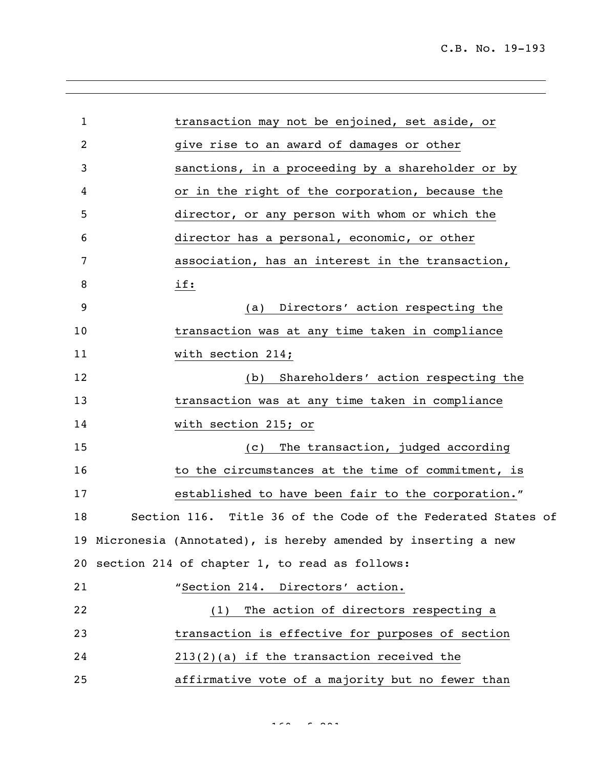| $\mathbf 1$ | transaction may not be enjoined, set aside, or                  |
|-------------|-----------------------------------------------------------------|
| 2           | give rise to an award of damages or other                       |
| 3           | sanctions, in a proceeding by a shareholder or by               |
| 4           | or in the right of the corporation, because the                 |
| 5           | director, or any person with whom or which the                  |
| 6           | director has a personal, economic, or other                     |
| 7           | association, has an interest in the transaction,                |
| 8           | if:                                                             |
| 9           | Directors' action respecting the<br>(a)                         |
| 10          | transaction was at any time taken in compliance                 |
| 11          | with section 214;                                               |
| 12          | Shareholders' action respecting the<br>(b)                      |
| 13          | transaction was at any time taken in compliance                 |
| 14          | with section 215; or                                            |
| 15          | The transaction, judged according<br>(C)                        |
| 16          | to the circumstances at the time of commitment, is              |
| 17          | established to have been fair to the corporation."              |
| 18          | Section 116. Title 36 of the Code of the Federated States of    |
|             | 19 Micronesia (Annotated), is hereby amended by inserting a new |
|             | 20 section 214 of chapter 1, to read as follows:                |
| 21          | "Section 214. Directors' action.                                |
| 22          | The action of directors respecting a<br>(1)                     |
| 23          | transaction is effective for purposes of section                |
| 24          | $213(2)(a)$ if the transaction received the                     |
| 25          | affirmative vote of a majority but no fewer than                |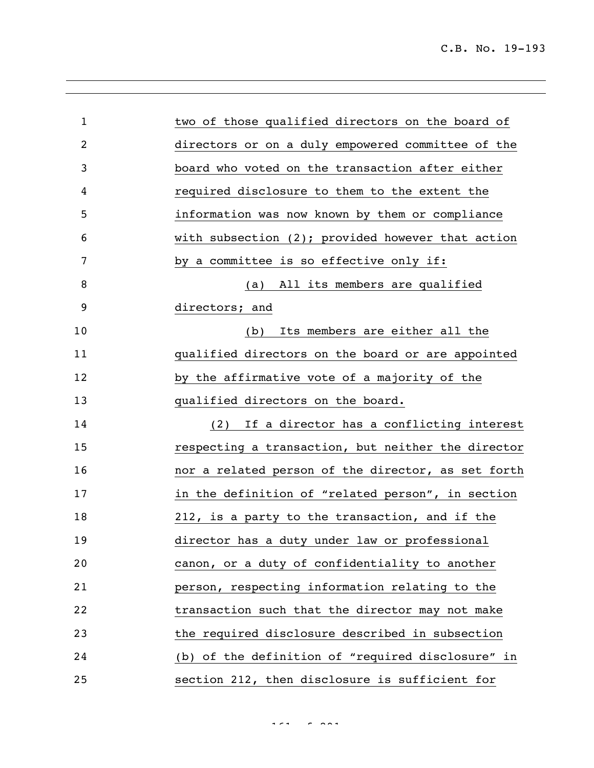| $\mathbf{1}$   | two of those qualified directors on the board of     |
|----------------|------------------------------------------------------|
| $\overline{2}$ | directors or on a duly empowered committee of the    |
| 3              | board who voted on the transaction after either      |
| 4              | required disclosure to them to the extent the        |
| 5              | information was now known by them or compliance      |
| 6              | with subsection $(2)$ ; provided however that action |
| 7              | by a committee is so effective only if:              |
| 8              | (a) All its members are qualified                    |
| 9              | directors; and                                       |
| 10             | Its members are either all the<br>(b)                |
| 11             | qualified directors on the board or are appointed    |
| 12             | by the affirmative vote of a majority of the         |
| 13             | qualified directors on the board.                    |
| 14             | If a director has a conflicting interest<br>(2)      |
| 15             | respecting a transaction, but neither the director   |
| 16             | nor a related person of the director, as set forth   |
| 17             | in the definition of "related person", in section    |
| 18             | 212, is a party to the transaction, and if the       |
| 19             | director has a duty under law or professional        |
| 20             | canon, or a duty of confidentiality to another       |
| 21             | person, respecting information relating to the       |
| 22             | transaction such that the director may not make      |
| 23             | the required disclosure described in subsection      |
| 24             | (b) of the definition of "required disclosure" in    |
| 25             | section 212, then disclosure is sufficient for       |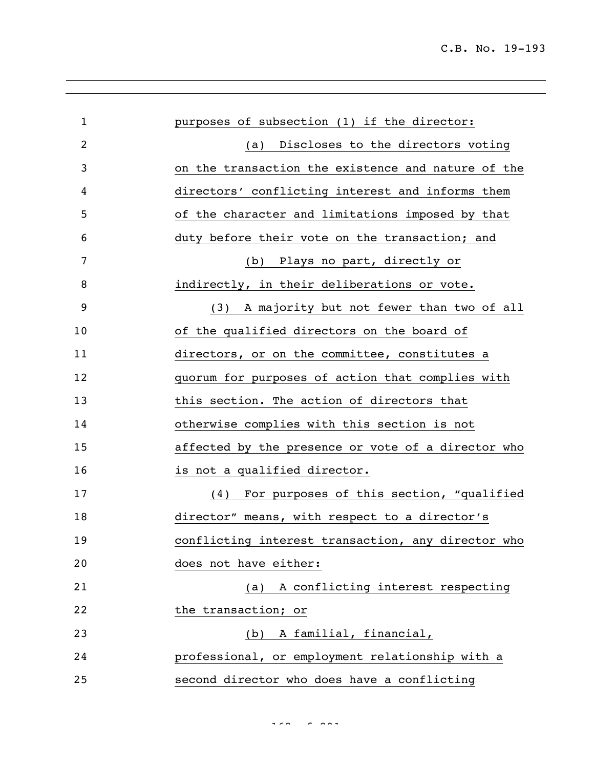| $\mathbf{1}$ | purposes of subsection (1) if the director:        |
|--------------|----------------------------------------------------|
| 2            | (a) Discloses to the directors voting              |
| 3            | on the transaction the existence and nature of the |
| 4            | directors' conflicting interest and informs them   |
| 5            | of the character and limitations imposed by that   |
| 6            | duty before their vote on the transaction; and     |
| 7            | (b) Plays no part, directly or                     |
| 8            | indirectly, in their deliberations or vote.        |
| 9            | (3) A majority but not fewer than two of all       |
| 10           | of the qualified directors on the board of         |
| 11           | directors, or on the committee, constitutes a      |
| 12           | quorum for purposes of action that complies with   |
| 13           | this section. The action of directors that         |
| 14           | otherwise complies with this section is not        |
| 15           | affected by the presence or vote of a director who |
| 16           | is not a qualified director.                       |
| 17           | (4) For purposes of this section, "qualified       |
| 18           | director" means, with respect to a director's      |
| 19           | conflicting interest transaction, any director who |
| 20           | does not have either:                              |
| 21           | (a) A conflicting interest respecting              |
| 22           | the transaction; or                                |
| 23           | (b) A familial, financial,                         |
| 24           | professional, or employment relationship with a    |
| 25           | second director who does have a conflicting        |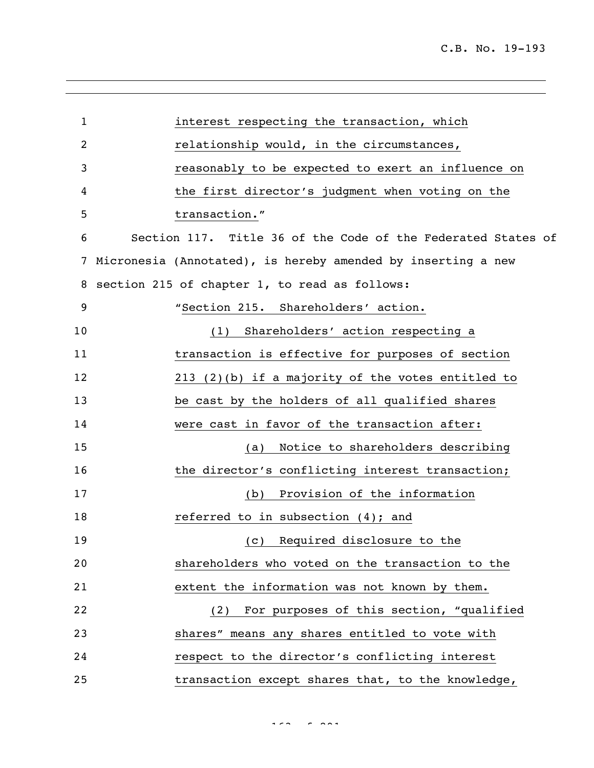| $\mathbf{1}$   | interest respecting the transaction, which                   |
|----------------|--------------------------------------------------------------|
| $\overline{c}$ | relationship would, in the circumstances,                    |
| 3              | reasonably to be expected to exert an influence on           |
| 4              | the first director's judgment when voting on the             |
| 5              | transaction."                                                |
| 6              | Section 117. Title 36 of the Code of the Federated States of |
| 7              | Micronesia (Annotated), is hereby amended by inserting a new |
| 8              | section 215 of chapter 1, to read as follows:                |
| 9              | "Section 215. Shareholders' action.                          |
| 10             | Shareholders' action respecting a<br>(1)                     |
| 11             | transaction is effective for purposes of section             |
| 12             | $213$ (2)(b) if a majority of the votes entitled to          |
| 13             | be cast by the holders of all qualified shares               |
| 14             | were cast in favor of the transaction after:                 |
| 15             | Notice to shareholders describing<br>(a)                     |
| 16             | the director's conflicting interest transaction;             |
| 17             | Provision of the information<br>(b)                          |
| 18             | referred to in subsection $(4)$ ; and                        |
| 19             | (c) Required disclosure to the                               |
| 20             | shareholders who voted on the transaction to the             |
| 21             | extent the information was not known by them.                |
| 22             | (2) For purposes of this section, "qualified                 |
| 23             | shares" means any shares entitled to vote with               |
| 24             | respect to the director's conflicting interest               |
| 25             | transaction except shares that, to the knowledge,            |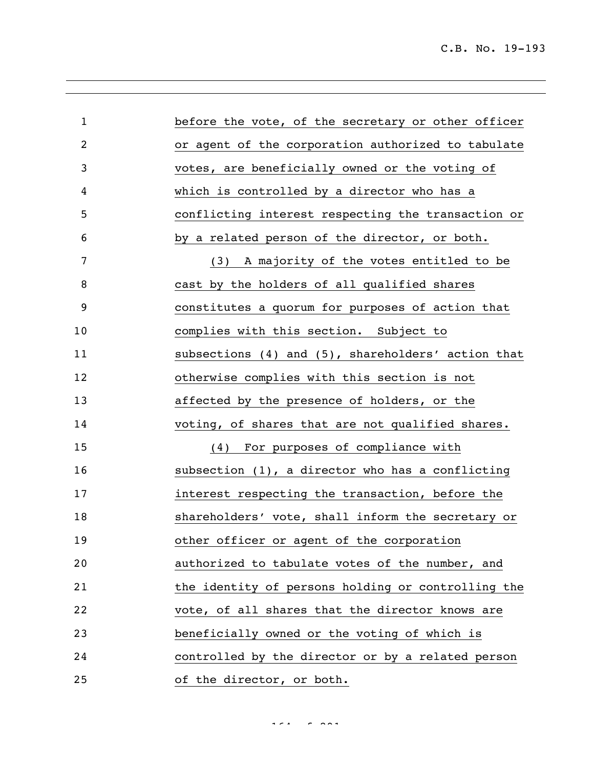| $\mathbf{1}$   | before the vote, of the secretary or other officer  |
|----------------|-----------------------------------------------------|
| $\overline{2}$ | or agent of the corporation authorized to tabulate  |
| 3              | votes, are beneficially owned or the voting of      |
| 4              | which is controlled by a director who has a         |
| 5              | conflicting interest respecting the transaction or  |
| 6              | by a related person of the director, or both.       |
| 7              | (3) A majority of the votes entitled to be          |
| 8              | cast by the holders of all qualified shares         |
| 9              | constitutes a quorum for purposes of action that    |
| 10             | complies with this section. Subject to              |
| 11             | subsections (4) and (5), shareholders' action that  |
| 12             | otherwise complies with this section is not         |
| 13             | affected by the presence of holders, or the         |
| 14             | voting, of shares that are not qualified shares.    |
| 15             | (4) For purposes of compliance with                 |
| 16             | subsection $(1)$ , a director who has a conflicting |
| 17             | interest respecting the transaction, before the     |
| 18             | shareholders' vote, shall inform the secretary or   |
| 19             | other officer or agent of the corporation           |
| 20             | authorized to tabulate votes of the number, and     |
| 21             | the identity of persons holding or controlling the  |
| 22             | vote, of all shares that the director knows are     |
| 23             | beneficially owned or the voting of which is        |
| 24             | controlled by the director or by a related person   |
| 25             | of the director, or both.                           |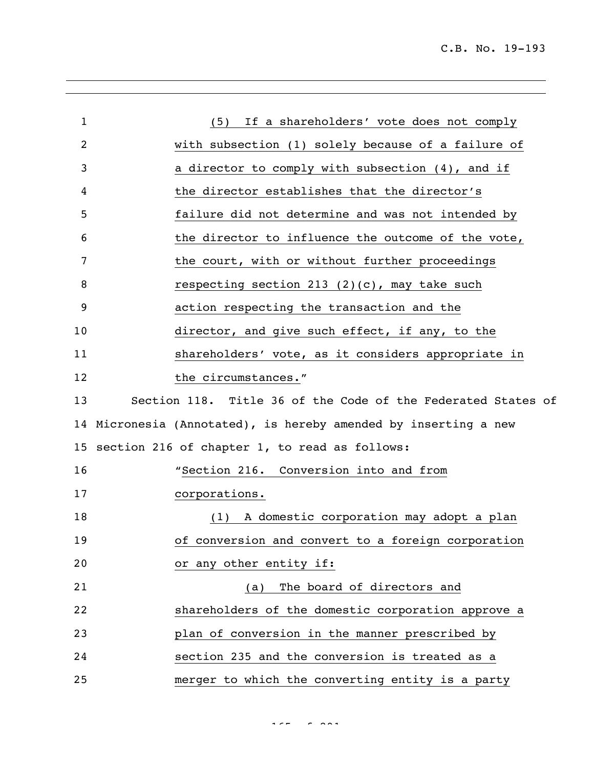| $\mathbf 1$     | If a shareholders' vote does not comply<br>(5)               |
|-----------------|--------------------------------------------------------------|
| 2               | with subsection (1) solely because of a failure of           |
| 3               | a director to comply with subsection (4), and if             |
| 4               | the director establishes that the director's                 |
| 5               | failure did not determine and was not intended by            |
| 6               | the director to influence the outcome of the vote,           |
| 7               | the court, with or without further proceedings               |
| 8               | respecting section 213 (2)(c), may take such                 |
| 9               | action respecting the transaction and the                    |
| 10              | director, and give such effect, if any, to the               |
| 11              | shareholders' vote, as it considers appropriate in           |
| 12              | the circumstances."                                          |
| 13              | Section 118. Title 36 of the Code of the Federated States of |
| 14              | Micronesia (Annotated), is hereby amended by inserting a new |
| 15 <sub>1</sub> | section 216 of chapter 1, to read as follows:                |
| 16              | "Section 216. Conversion into and from                       |
| 17              | corporations.                                                |
| 18              | A domestic corporation may adopt a plan<br>(1)               |
| 19              | of conversion and convert to a foreign corporation           |
| 20              | or any other entity if:                                      |
| 21              | The board of directors and<br>(a)                            |
| 22              | shareholders of the domestic corporation approve a           |
| 23              | plan of conversion in the manner prescribed by               |
| 24              | section 235 and the conversion is treated as a               |
| 25              | merger to which the converting entity is a party             |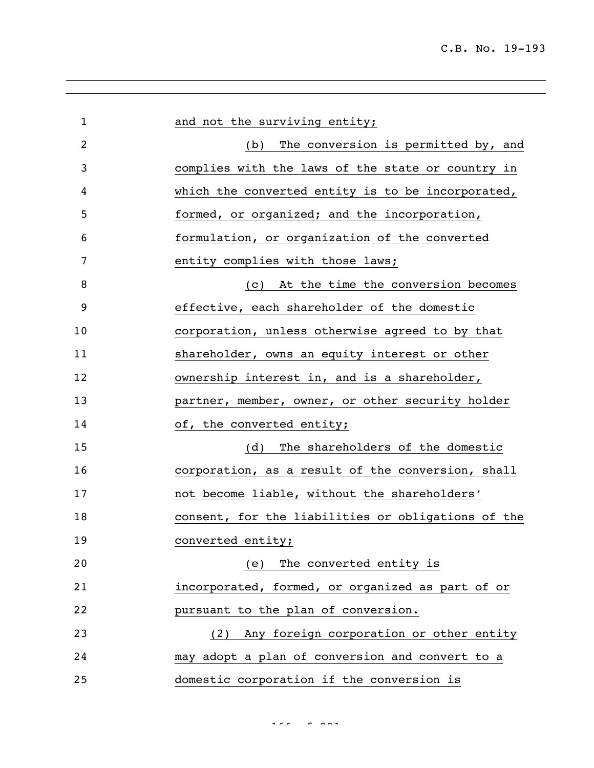| $\mathbf{1}$ | and not the surviving entity;                      |
|--------------|----------------------------------------------------|
| 2            | (b) The conversion is permitted by, and            |
| 3            | complies with the laws of the state or country in  |
| 4            | which the converted entity is to be incorporated,  |
| 5            | formed, or organized; and the incorporation,       |
| 6            | formulation, or organization of the converted      |
| 7            | entity complies with those laws;                   |
| 8            | (c) At the time the conversion becomes             |
| 9            | effective, each shareholder of the domestic        |
| 10           | corporation, unless otherwise agreed to by that    |
| 11           | shareholder, owns an equity interest or other      |
| 12           | ownership interest in, and is a shareholder,       |
| 13           | partner, member, owner, or other security holder   |
| 14           | of, the converted entity;                          |
| 15           | The shareholders of the domestic<br>(d)            |
| 16           | corporation, as a result of the conversion, shall  |
| 17           | not become liable, without the shareholders'       |
| 18           | consent, for the liabilities or obligations of the |
| 19           | converted entity;                                  |
| 20           | The converted entity is<br>(e)                     |
| 21           | incorporated, formed, or organized as part of or   |
| 22           | pursuant to the plan of conversion.                |
| 23           | Any foreign corporation or other entity<br>(2)     |
| 24           | may adopt a plan of conversion and convert to a    |
| 25           | domestic corporation if the conversion is          |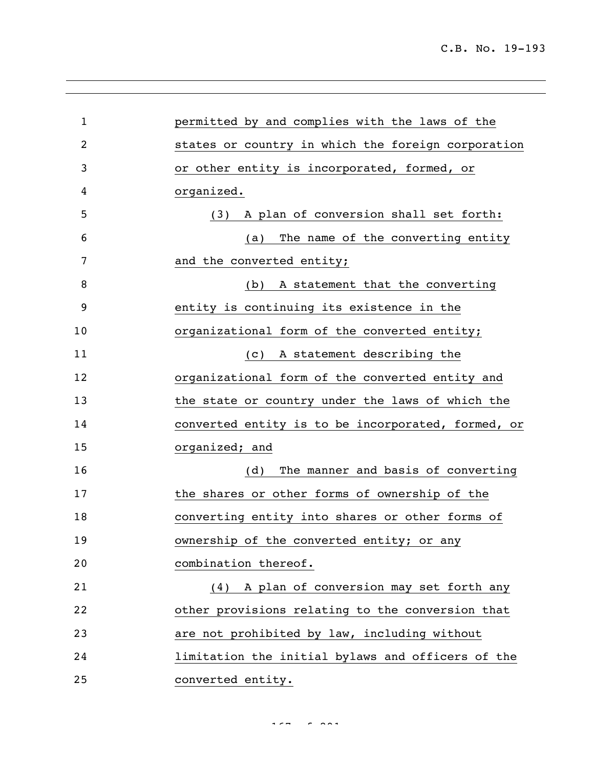| $\mathbf{1}$   | permitted by and complies with the laws of the     |
|----------------|----------------------------------------------------|
| $\overline{2}$ | states or country in which the foreign corporation |
| 3              | or other entity is incorporated, formed, or        |
| 4              | organized.                                         |
| 5              | (3) A plan of conversion shall set forth:          |
| 6              | The name of the converting entity<br>(a)           |
| 7              | and the converted entity;                          |
| 8              | A statement that the converting<br>(b)             |
| 9              | entity is continuing its existence in the          |
| 10             | organizational form of the converted entity;       |
| 11             | A statement describing the<br>(C)                  |
| 12             | organizational form of the converted entity and    |
| 13             | the state or country under the laws of which the   |
| 14             | converted entity is to be incorporated, formed, or |
| 15             | organized; and                                     |
| 16             | The manner and basis of converting<br>(d)          |
| 17             | the shares or other forms of ownership of the      |
| 18             | converting entity into shares or other forms of    |
| 19             | ownership of the converted entity; or any          |
| 20             | combination thereof.                               |
| 21             | (4) A plan of conversion may set forth any         |
| 22             | other provisions relating to the conversion that   |
| 23             | are not prohibited by law, including without       |
| 24             | limitation the initial bylaws and officers of the  |
| 25             | converted entity.                                  |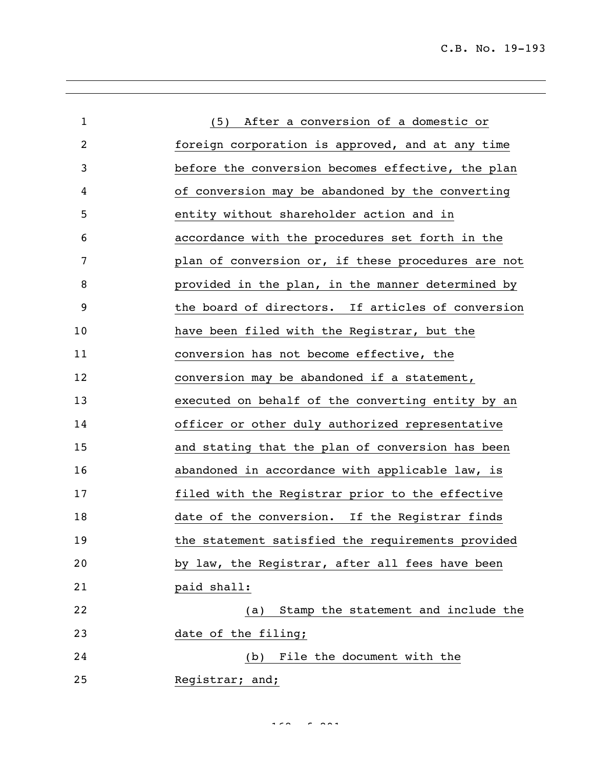C.B. No. 19-193

| $\mathbf{1}$   | (5) After a conversion of a domestic or            |
|----------------|----------------------------------------------------|
| $\overline{2}$ | foreign corporation is approved, and at any time   |
| 3              | before the conversion becomes effective, the plan  |
| 4              | of conversion may be abandoned by the converting   |
| 5              | entity without shareholder action and in           |
| 6              | accordance with the procedures set forth in the    |
| 7              | plan of conversion or, if these procedures are not |
| 8              | provided in the plan, in the manner determined by  |
| 9              | the board of directors. If articles of conversion  |
| 10             | have been filed with the Registrar, but the        |
| 11             | conversion has not become effective, the           |
| 12             | conversion may be abandoned if a statement,        |
| 13             | executed on behalf of the converting entity by an  |
| 14             | officer or other duly authorized representative    |
| 15             | and stating that the plan of conversion has been   |
| 16             | abandoned in accordance with applicable law, is    |
| 17             | filed with the Registrar prior to the effective    |
| 18             | date of the conversion. If the Registrar finds     |
| 19             | the statement satisfied the requirements provided  |
| 20             | by law, the Registrar, after all fees have been    |
| 21             | paid shall:                                        |
| 22             | Stamp the statement and include the<br>(a)         |
| 23             | date of the filing;                                |
| 24             | (b) File the document with the                     |
| 25             | Registrar; and;                                    |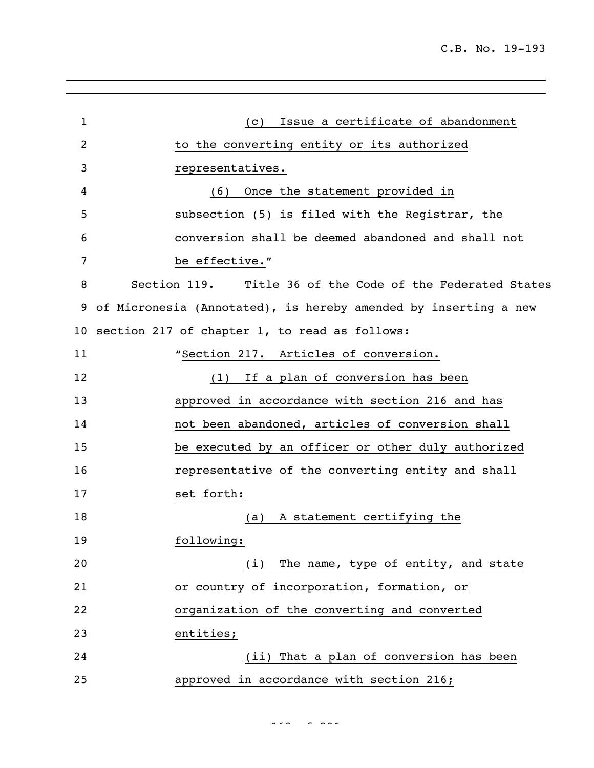| $\mathbf{1}$    | Issue a certificate of abandonment<br>(C)                       |
|-----------------|-----------------------------------------------------------------|
| 2               | to the converting entity or its authorized                      |
| 3               | representatives.                                                |
| 4               | (6) Once the statement provided in                              |
| 5               | subsection (5) is filed with the Registrar, the                 |
| 6               | conversion shall be deemed abandoned and shall not              |
| 7               | be effective."                                                  |
| 8               | Section 119. Title 36 of the Code of the Federated States       |
| 9               | of Micronesia (Annotated), is hereby amended by inserting a new |
| 10 <sub>1</sub> | section 217 of chapter 1, to read as follows:                   |
| 11              | "Section 217. Articles of conversion.                           |
| 12              | (1) If a plan of conversion has been                            |
| 13              | approved in accordance with section 216 and has                 |
| 14              | not been abandoned, articles of conversion shall                |
| 15              | be executed by an officer or other duly authorized              |
| 16              | representative of the converting entity and shall               |
| 17              | set forth:                                                      |
| 18              | A statement certifying the<br>(a)                               |
| 19              | following:                                                      |
| 20              | The name, type of entity, and state<br>(i)                      |
| 21              | or country of incorporation, formation, or                      |
| 22              | organization of the converting and converted                    |
| 23              | entities;                                                       |
| 24              | (ii) That a plan of conversion has been                         |
| 25              | approved in accordance with section 216;                        |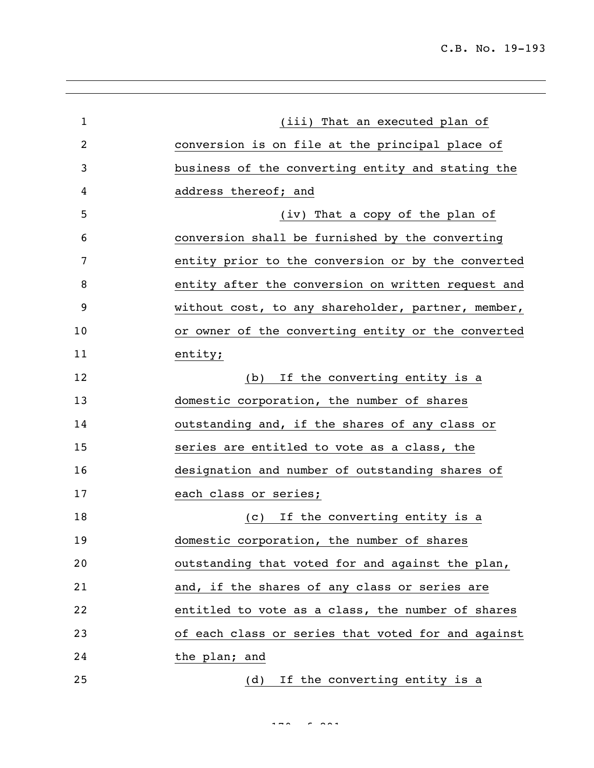| $\mathbf{1}$   | (iii) That an executed plan of                     |
|----------------|----------------------------------------------------|
| $\overline{c}$ | conversion is on file at the principal place of    |
| 3              | business of the converting entity and stating the  |
| 4              | address thereof; and                               |
| 5              | (iv) That a copy of the plan of                    |
| 6              | conversion shall be furnished by the converting    |
| 7              | entity prior to the conversion or by the converted |
| 8              | entity after the conversion on written request and |
| 9              | without cost, to any shareholder, partner, member, |
| 10             | or owner of the converting entity or the converted |
| 11             | entity;                                            |
| 12             | If the converting entity is a<br>(b)               |
| 13             | domestic corporation, the number of shares         |
| 14             | outstanding and, if the shares of any class or     |
| 15             | series are entitled to vote as a class, the        |
| 16             | designation and number of outstanding shares of    |
| 17             | each class or series;                              |
| 18             | (c) If the converting entity is a                  |
| 19             | domestic corporation, the number of shares         |
| 20             | outstanding that voted for and against the plan,   |
| 21             | and, if the shares of any class or series are      |
| 22             | entitled to vote as a class, the number of shares  |
| 23             | of each class or series that voted for and against |
| 24             | the plan; and                                      |
| 25             | If the converting entity is a<br>(d)               |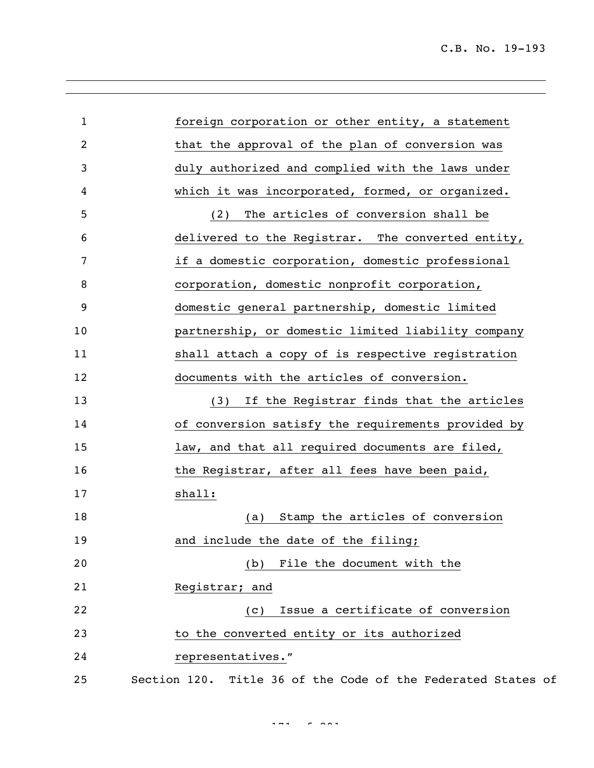| $\mathbf 1$    | foreign corporation or other entity, a statement             |
|----------------|--------------------------------------------------------------|
| $\overline{2}$ | that the approval of the plan of conversion was              |
| 3              | duly authorized and complied with the laws under             |
| 4              | which it was incorporated, formed, or organized.             |
| 5              | The articles of conversion shall be<br>(2)                   |
| 6              | delivered to the Registrar. The converted entity,            |
| 7              | if a domestic corporation, domestic professional             |
| 8              | corporation, domestic nonprofit corporation,                 |
| 9              | domestic general partnership, domestic limited               |
| 10             | partnership, or domestic limited liability company           |
| 11             | shall attach a copy of is respective registration            |
| 12             | documents with the articles of conversion.                   |
| 13             | If the Registrar finds that the articles<br>(3)              |
| 14             | of conversion satisfy the requirements provided by           |
| 15             | law, and that all required documents are filed,              |
| 16             | the Registrar, after all fees have been paid,                |
| 17             | shall:                                                       |
| 18             | Stamp the articles of conversion<br>(a)                      |
| 19             | and include the date of the filing;                          |
| 20             | (b) File the document with the                               |
| 21             | Registrar; and                                               |
| 22             | Issue a certificate of conversion<br>(C)                     |
| 23             | to the converted entity or its authorized                    |
| 24             | representatives."                                            |
| 25             | Section 120. Title 36 of the Code of the Federated States of |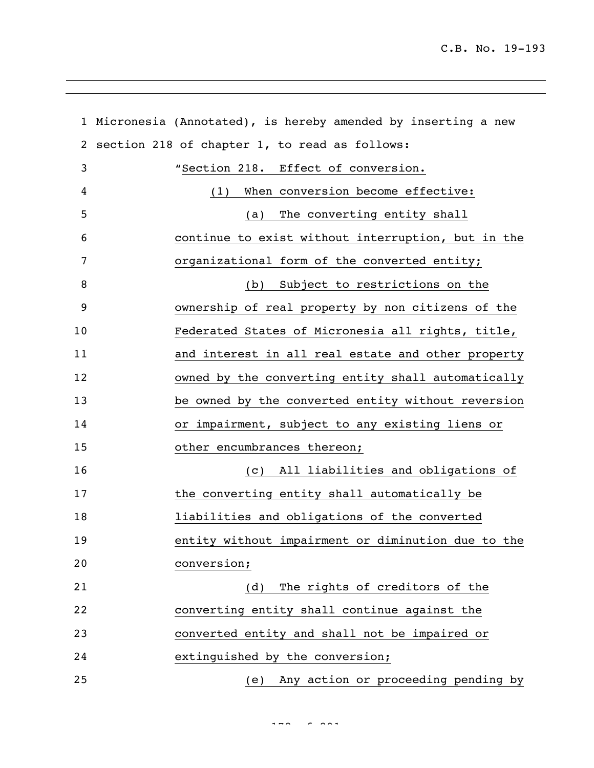|    | 1 Micronesia (Annotated), is hereby amended by inserting a new |
|----|----------------------------------------------------------------|
| 2  | section 218 of chapter 1, to read as follows:                  |
| 3  | "Section 218. Effect of conversion.                            |
| 4  | When conversion become effective:<br>(1)                       |
| 5  | The converting entity shall<br>(a)                             |
| 6  | continue to exist without interruption, but in the             |
| 7  | organizational form of the converted entity;                   |
| 8  | Subject to restrictions on the<br>(b)                          |
| 9  | ownership of real property by non citizens of the              |
| 10 | Federated States of Micronesia all rights, title,              |
| 11 | and interest in all real estate and other property             |
| 12 | owned by the converting entity shall automatically             |
| 13 | be owned by the converted entity without reversion             |
| 14 | or impairment, subject to any existing liens or                |
| 15 | other encumbrances thereon;                                    |
| 16 | All liabilities and obligations of<br>$\left( c\right)$        |
| 17 | the converting entity shall automatically be                   |
| 18 | liabilities and obligations of the converted                   |
| 19 | entity without impairment or diminution due to the             |
| 20 | conversion;                                                    |
| 21 | The rights of creditors of the<br>(d)                          |
| 22 | converting entity shall continue against the                   |
| 23 | converted entity and shall not be impaired or                  |
| 24 | extinguished by the conversion;                                |
| 25 | (e) Any action or proceeding pending by                        |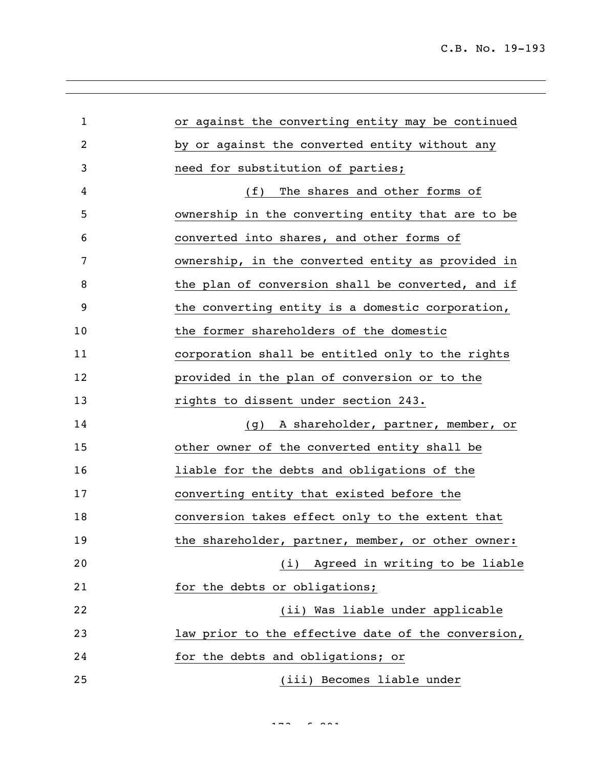| $\mathbf 1$ | or against the converting entity may be continued  |
|-------------|----------------------------------------------------|
| 2           | by or against the converted entity without any     |
| 3           | need for substitution of parties;                  |
| 4           | The shares and other forms of<br>(f)               |
| 5           | ownership in the converting entity that are to be  |
| 6           | converted into shares, and other forms of          |
| 7           | ownership, in the converted entity as provided in  |
| 8           | the plan of conversion shall be converted, and if  |
| 9           | the converting entity is a domestic corporation,   |
| 10          | the former shareholders of the domestic            |
| 11          | corporation shall be entitled only to the rights   |
| 12          | provided in the plan of conversion or to the       |
| 13          | rights to dissent under section 243.               |
| 14          | A shareholder, partner, member, or<br>(g)          |
| 15          | other owner of the converted entity shall be       |
| 16          | liable for the debts and obligations of the        |
| 17          | converting entity that existed before the          |
| 18          | conversion takes effect only to the extent that    |
| 19          | the shareholder, partner, member, or other owner:  |
| 20          | (i) Agreed in writing to be liable                 |
| 21          | for the debts or obligations;                      |
| 22          | (ii) Was liable under applicable                   |
| 23          | law prior to the effective date of the conversion, |
| 24          | for the debts and obligations; or                  |
| 25          | (iii) Becomes liable under                         |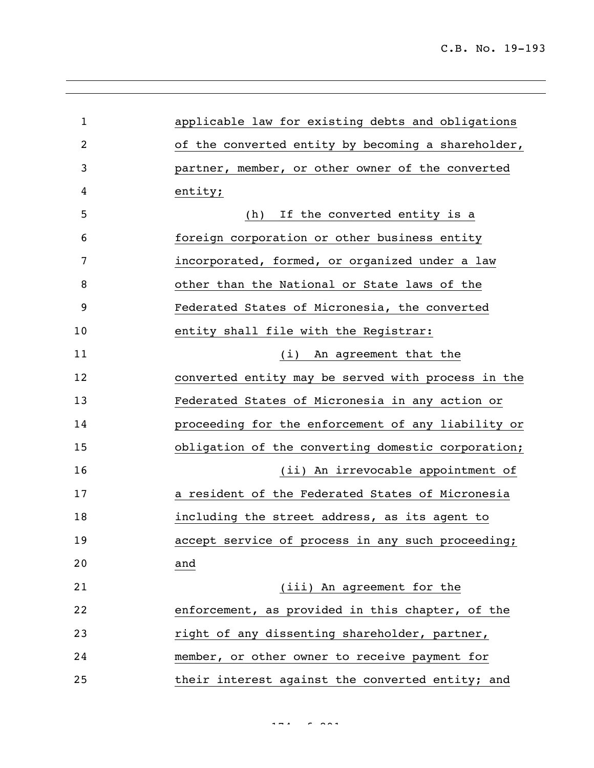| $\mathbf{1}$   | applicable law for existing debts and obligations  |
|----------------|----------------------------------------------------|
| $\overline{2}$ | of the converted entity by becoming a shareholder, |
| 3              | partner, member, or other owner of the converted   |
| 4              | entity;                                            |
| 5              | If the converted entity is a<br>(h)                |
| 6              | foreign corporation or other business entity       |
| 7              | incorporated, formed, or organized under a law     |
| 8              | other than the National or State laws of the       |
| 9              | Federated States of Micronesia, the converted      |
| 10             | entity shall file with the Registrar:              |
| 11             | An agreement that the<br>(i)                       |
| 12             | converted entity may be served with process in the |
| 13             | Federated States of Micronesia in any action or    |
| 14             | proceeding for the enforcement of any liability or |
| 15             | obligation of the converting domestic corporation; |
| 16             | (ii) An irrevocable appointment of                 |
| 17             | a resident of the Federated States of Micronesia   |
| 18             | including the street address, as its agent to      |
| 19             | accept service of process in any such proceeding;  |
| 20             | and                                                |
| 21             | (iii) An agreement for the                         |
| 22             | enforcement, as provided in this chapter, of the   |
| 23             | right of any dissenting shareholder, partner,      |
| 24             | member, or other owner to receive payment for      |
| 25             | their interest against the converted entity; and   |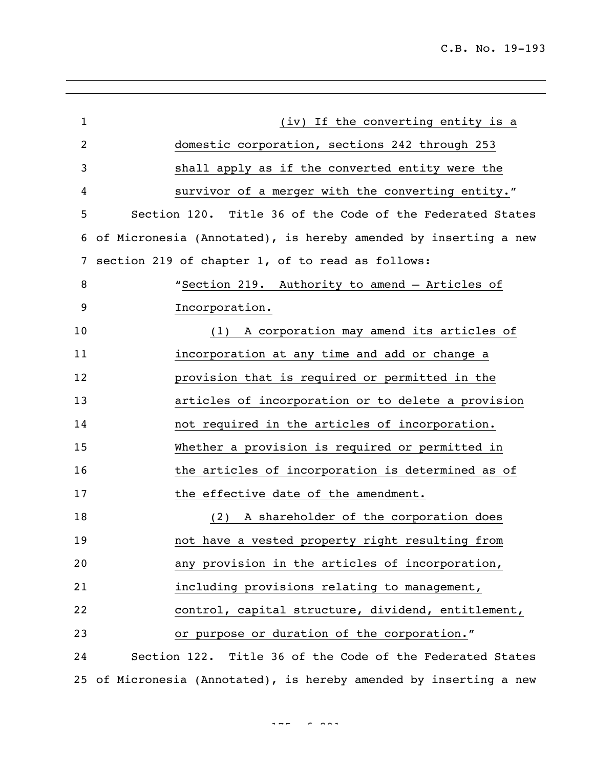| $\mathbf{1}$ | (iv) If the converting entity is a                                 |
|--------------|--------------------------------------------------------------------|
| 2            | domestic corporation, sections 242 through 253                     |
| 3            | shall apply as if the converted entity were the                    |
| 4            | survivor of a merger with the converting entity."                  |
| 5            | Section 120. Title 36 of the Code of the Federated States          |
| 6            | of Micronesia (Annotated), is hereby amended by inserting a new    |
| 7            | section 219 of chapter 1, of to read as follows:                   |
| 8            | "Section 219. Authority to amend - Articles of                     |
| 9            | Incorporation.                                                     |
| 10           | A corporation may amend its articles of<br>(1)                     |
| 11           | incorporation at any time and add or change a                      |
| 12           | provision that is required or permitted in the                     |
| 13           | articles of incorporation or to delete a provision                 |
| 14           | not required in the articles of incorporation.                     |
| 15           | Whether a provision is required or permitted in                    |
| 16           | the articles of incorporation is determined as of                  |
| 17           | the effective date of the amendment.                               |
| 18           | (2) A shareholder of the corporation does                          |
| 19           | not have a vested property right resulting from                    |
| 20           | any provision in the articles of incorporation,                    |
| 21           | including provisions relating to management,                       |
| 22           | control, capital structure, dividend, entitlement,                 |
| 23           | or purpose or duration of the corporation."                        |
| 24           | Section 122. Title 36 of the Code of the Federated States          |
|              | 25 of Micronesia (Annotated), is hereby amended by inserting a new |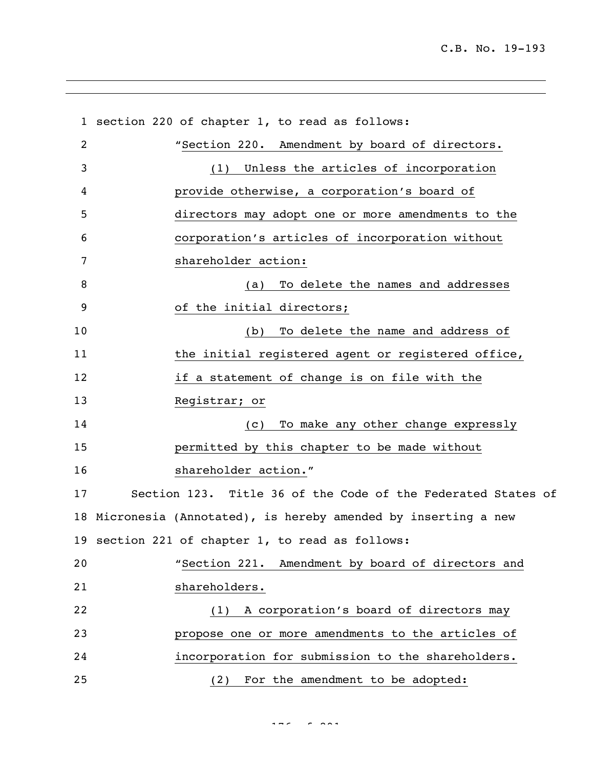section 220 of chapter 1, to read as follows: "Section 220. Amendment by board of directors. (1) Unless the articles of incorporation provide otherwise, a corporation's board of directors may adopt one or more amendments to the corporation's articles of incorporation without shareholder action: (a) To delete the names and addresses of the initial directors; (b) To delete the name and address of 11 the initial registered agent or registered office, if a statement of change is on file with the Registrar; or (c) To make any other change expressly permitted by this chapter to be made without 16 shareholder action." Section 123. Title 36 of the Code of the Federated States of Micronesia (Annotated), is hereby amended by inserting a new section 221 of chapter 1, to read as follows: "Section 221. Amendment by board of directors and shareholders. (1) A corporation's board of directors may propose one or more amendments to the articles of incorporation for submission to the shareholders. (2) For the amendment to be adopted: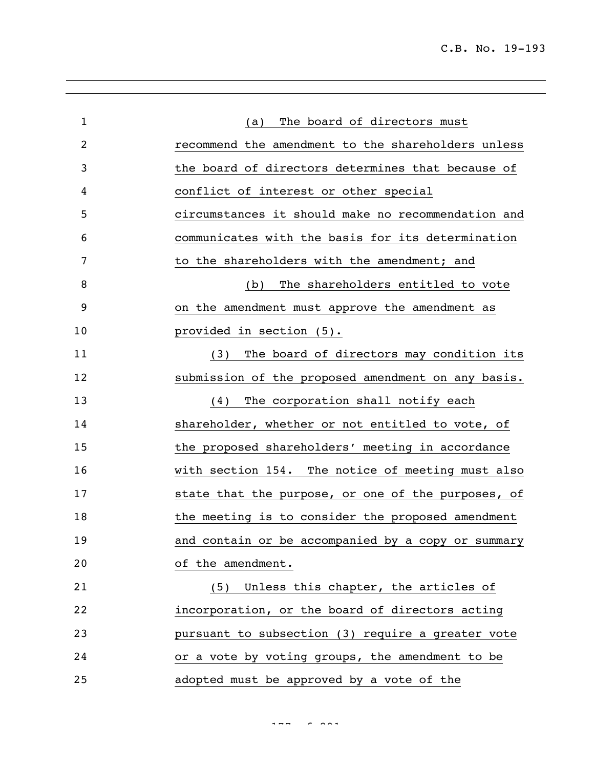| $\mathbf{1}$ | The board of directors must<br>(a)                 |
|--------------|----------------------------------------------------|
| 2            | recommend the amendment to the shareholders unless |
| 3            | the board of directors determines that because of  |
| 4            | conflict of interest or other special              |
| 5            | circumstances it should make no recommendation and |
| 6            | communicates with the basis for its determination  |
| 7            | to the shareholders with the amendment; and        |
| 8            | The shareholders entitled to vote<br>(b)           |
| 9            | on the amendment must approve the amendment as     |
| 10           | provided in section (5).                           |
| 11           | (3) The board of directors may condition its       |
| 12           | submission of the proposed amendment on any basis. |
| 13           | The corporation shall notify each<br>(4)           |
| 14           | shareholder, whether or not entitled to vote, of   |
| 15           | the proposed shareholders' meeting in accordance   |
| 16           | with section 154. The notice of meeting must also  |
| 17           | state that the purpose, or one of the purposes, of |
| 18           | the meeting is to consider the proposed amendment  |
| 19           | and contain or be accompanied by a copy or summary |
| 20           | of the amendment.                                  |
| 21           | (5) Unless this chapter, the articles of           |
| 22           | incorporation, or the board of directors acting    |
| 23           | pursuant to subsection (3) require a greater vote  |
| 24           | or a vote by voting groups, the amendment to be    |
| 25           | adopted must be approved by a vote of the          |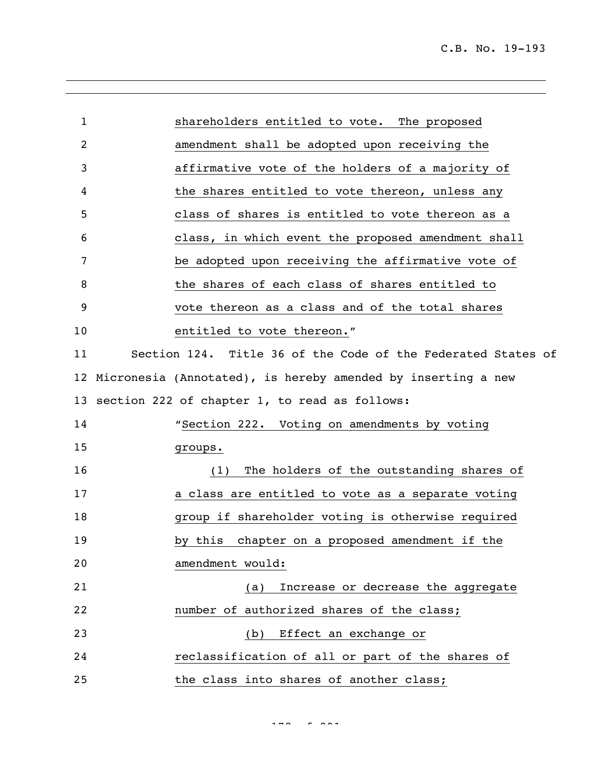| $\mathbf{1}$    | shareholders entitled to vote. The proposed                  |
|-----------------|--------------------------------------------------------------|
| 2               | amendment shall be adopted upon receiving the                |
|                 |                                                              |
| 3               | affirmative vote of the holders of a majority of             |
| 4               | the shares entitled to vote thereon, unless any              |
| 5               | class of shares is entitled to vote thereon as a             |
| 6               | class, in which event the proposed amendment shall           |
| 7               | be adopted upon receiving the affirmative vote of            |
| 8               | the shares of each class of shares entitled to               |
| 9               | vote thereon as a class and of the total shares              |
| 10              | entitled to vote thereon."                                   |
| 11              | Section 124. Title 36 of the Code of the Federated States of |
| 12 <sub>2</sub> | Micronesia (Annotated), is hereby amended by inserting a new |
| 13              | section 222 of chapter 1, to read as follows:                |
| 14              | "Section 222. Voting on amendments by voting                 |
| 15              | groups.                                                      |
| 16              | The holders of the outstanding shares of<br>(1)              |
| 17              | a class are entitled to vote as a separate voting            |
| 18              | group if shareholder voting is otherwise required            |
| 19              | by this chapter on a proposed amendment if the               |
| 20              | amendment would:                                             |
| 21              | Increase or decrease the aggregate<br>(a)                    |
| 22              | number of authorized shares of the class;                    |
| 23              | (b) Effect an exchange or                                    |
| 24              | reclassification of all or part of the shares of             |
| 25              | the class into shares of another class;                      |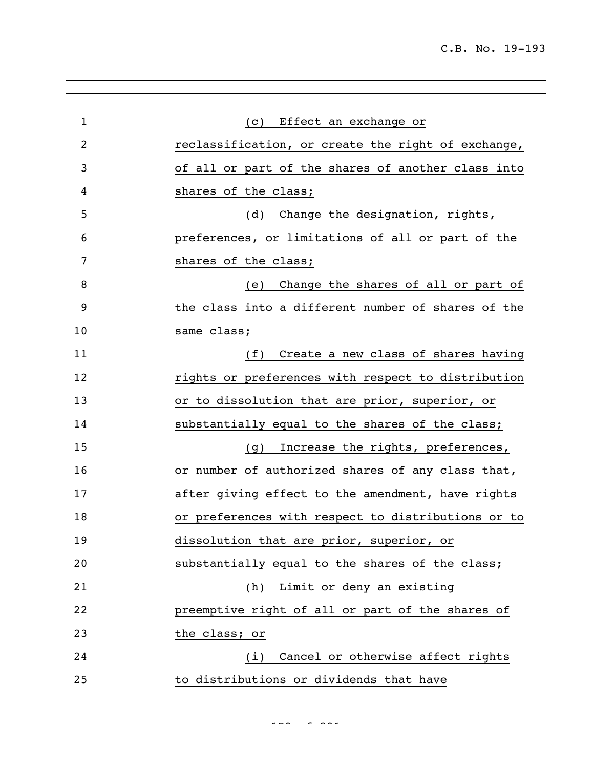| $\mathbf{1}$   | Effect an exchange or<br>(C)                       |
|----------------|----------------------------------------------------|
| $\overline{2}$ | reclassification, or create the right of exchange, |
| 3              | of all or part of the shares of another class into |
| 4              | shares of the class;                               |
| 5              | (d) Change the designation, rights,                |
| 6              | preferences, or limitations of all or part of the  |
| 7              | shares of the class;                               |
| 8              | Change the shares of all or part of<br>(e)         |
| 9              | the class into a different number of shares of the |
| 10             | same class;                                        |
| 11             | Create a new class of shares having<br>(f)         |
| 12             | rights or preferences with respect to distribution |
| 13             | or to dissolution that are prior, superior, or     |
| 14             | substantially equal to the shares of the class;    |
| 15             | Increase the rights, preferences,<br>(q)           |
| 16             | or number of authorized shares of any class that,  |
| 17             | after giving effect to the amendment, have rights  |
| 18             | or preferences with respect to distributions or to |
| 19             | dissolution that are prior, superior, or           |
| 20             | substantially equal to the shares of the class;    |
| 21             | (h) Limit or deny an existing                      |
| 22             | preemptive right of all or part of the shares of   |
| 23             | the class; or                                      |
| 24             | Cancel or otherwise affect rights<br>(i)           |
| 25             | to distributions or dividends that have            |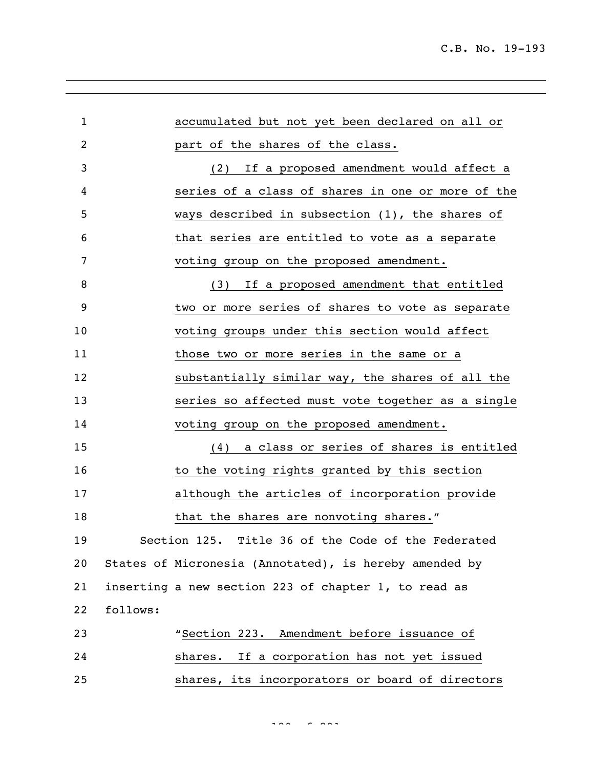| $\mathbf{1}$   |          | accumulated but not yet been declared on all or        |
|----------------|----------|--------------------------------------------------------|
| $\overline{2}$ |          | part of the shares of the class.                       |
| 3              |          | (2) If a proposed amendment would affect a             |
| 4              |          | series of a class of shares in one or more of the      |
| 5              |          | ways described in subsection $(1)$ , the shares of     |
| 6              |          | that series are entitled to vote as a separate         |
| 7              |          | voting group on the proposed amendment.                |
| 8              |          | (3) If a proposed amendment that entitled              |
| 9              |          | two or more series of shares to vote as separate       |
| 10             |          | voting groups under this section would affect          |
| 11             |          | those two or more series in the same or a              |
| 12             |          | substantially similar way, the shares of all the       |
| 13             |          | series so affected must vote together as a single      |
| 14             |          | voting group on the proposed amendment.                |
| 15             |          | (4) a class or series of shares is entitled            |
| 16             |          | to the voting rights granted by this section           |
| 17             |          | although the articles of incorporation provide         |
| 18             |          | that the shares are nonvoting shares."                 |
| 19             |          | Section 125. Title 36 of the Code of the Federated     |
| 20             |          | States of Micronesia (Annotated), is hereby amended by |
| 21             |          | inserting a new section 223 of chapter 1, to read as   |
| 22             | follows: |                                                        |
| 23             |          | "Section 223. Amendment before issuance of             |
| 24             |          | shares. If a corporation has not yet issued            |
| 25             |          | shares, its incorporators or board of directors        |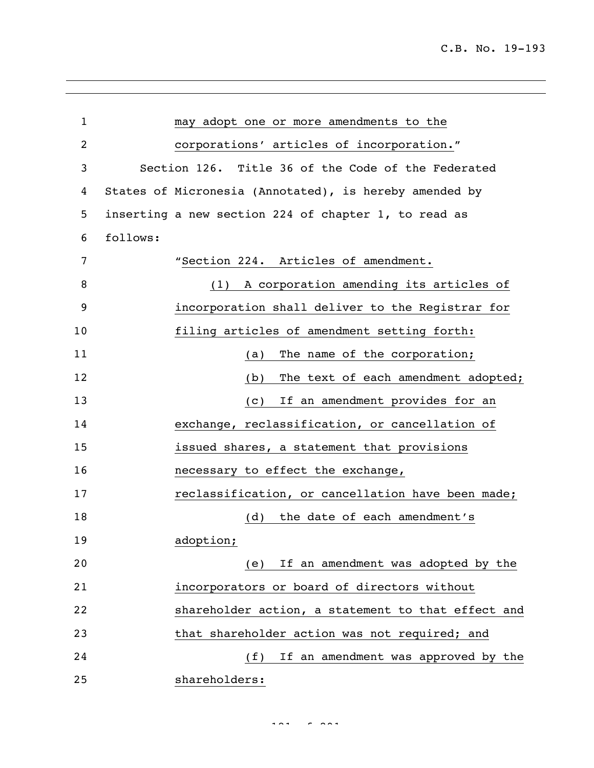| $\mathbf{1}$   | may adopt one or more amendments to the                |
|----------------|--------------------------------------------------------|
| $\overline{c}$ | corporations' articles of incorporation."              |
| 3              | Section 126. Title 36 of the Code of the Federated     |
| 4              | States of Micronesia (Annotated), is hereby amended by |
| 5              | inserting a new section 224 of chapter 1, to read as   |
| 6              | follows:                                               |
| 7              | "Section 224. Articles of amendment.                   |
| 8              | (1) A corporation amending its articles of             |
| 9              | incorporation shall deliver to the Registrar for       |
| 10             | filing articles of amendment setting forth:            |
| 11             | The name of the corporation;<br>(a)                    |
| 12             | The text of each amendment adopted;<br>(b)             |
| 13             | If an amendment provides for an<br>$\left( c\right)$   |
| 14             | exchange, reclassification, or cancellation of         |
| 15             | issued shares, a statement that provisions             |
| 16             | necessary to effect the exchange,                      |
| 17             | reclassification, or cancellation have been made;      |
| 18             | (d)<br>the date of each amendment's                    |
| 19             | adoption;                                              |
| 20             | If an amendment was adopted by the<br>(e)              |
| 21             | incorporators or board of directors without            |
| 22             | shareholder action, a statement to that effect and     |
| 23             | that shareholder action was not required; and          |
| 24             | (f)<br>If an amendment was approved by the             |
| 25             | shareholders:                                          |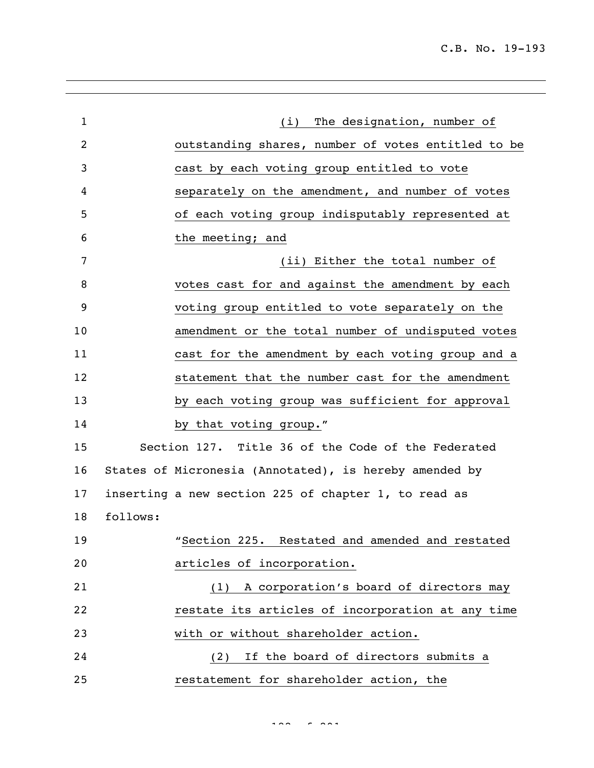| $\mathbf{1}$   |                                                        | (i) The designation, number of  |
|----------------|--------------------------------------------------------|---------------------------------|
| $\overline{c}$ | outstanding shares, number of votes entitled to be     |                                 |
| 3              | cast by each voting group entitled to vote             |                                 |
| 4              | separately on the amendment, and number of votes       |                                 |
| 5              | of each voting group indisputably represented at       |                                 |
| 6              | the meeting; and                                       |                                 |
| 7              |                                                        | (ii) Either the total number of |
| 8              | votes cast for and against the amendment by each       |                                 |
| 9              | voting group entitled to vote separately on the        |                                 |
| 10             | amendment or the total number of undisputed votes      |                                 |
| 11             | cast for the amendment by each voting group and a      |                                 |
| 12             | statement that the number cast for the amendment       |                                 |
| 13             | by each voting group was sufficient for approval       |                                 |
| 14             | by that voting group."                                 |                                 |
| 15             | Section 127. Title 36 of the Code of the Federated     |                                 |
| 16             | States of Micronesia (Annotated), is hereby amended by |                                 |
| 17             | inserting a new section 225 of chapter 1, to read as   |                                 |
| 18             | follows:                                               |                                 |
| 19             | "Section 225. Restated and amended and restated        |                                 |
| 20             | articles of incorporation.                             |                                 |
| 21             | (1) A corporation's board of directors may             |                                 |
| 22             | restate its articles of incorporation at any time      |                                 |
| 23             | with or without shareholder action.                    |                                 |
| 24             | (2) If the board of directors submits a                |                                 |
| 25             | restatement for shareholder action, the                |                                 |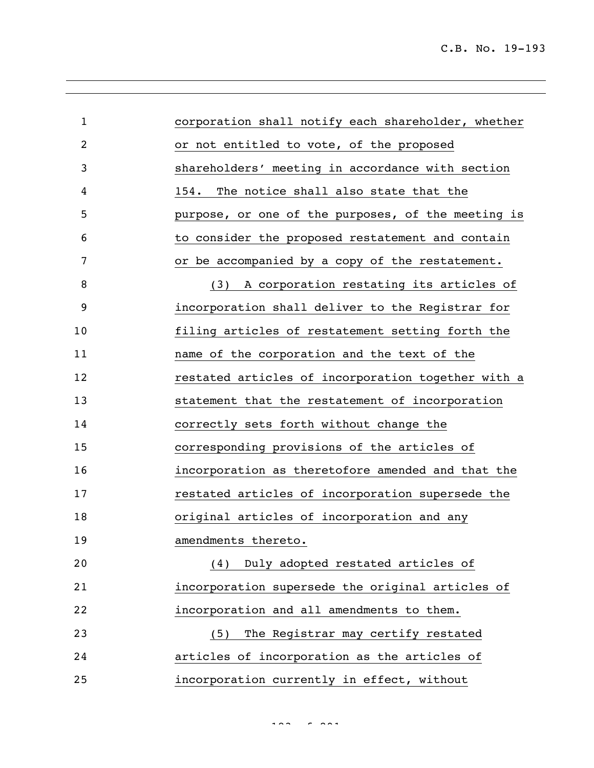| $\mathbf{1}$ | corporation shall notify each shareholder, whether |
|--------------|----------------------------------------------------|
| 2            | or not entitled to vote, of the proposed           |
| 3            | shareholders' meeting in accordance with section   |
| 4            | The notice shall also state that the<br>154.       |
| 5            | purpose, or one of the purposes, of the meeting is |
| 6            | to consider the proposed restatement and contain   |
| 7            | or be accompanied by a copy of the restatement.    |
| 8            | (3) A corporation restating its articles of        |
| 9            | incorporation shall deliver to the Registrar for   |
| 10           | filing articles of restatement setting forth the   |
| 11           | name of the corporation and the text of the        |
| 12           | restated articles of incorporation together with a |
| 13           | statement that the restatement of incorporation    |
| 14           | correctly sets forth without change the            |
| 15           | corresponding provisions of the articles of        |
| 16           | incorporation as theretofore amended and that the  |
| 17           | restated articles of incorporation supersede the   |
| 18           | original articles of incorporation and any         |
| 19           | amendments thereto.                                |
| 20           | (4) Duly adopted restated articles of              |
| 21           | incorporation supersede the original articles of   |
| 22           | incorporation and all amendments to them.          |
| 23           | The Registrar may certify restated<br>(5)          |
| 24           | articles of incorporation as the articles of       |
| 25           | incorporation currently in effect, without         |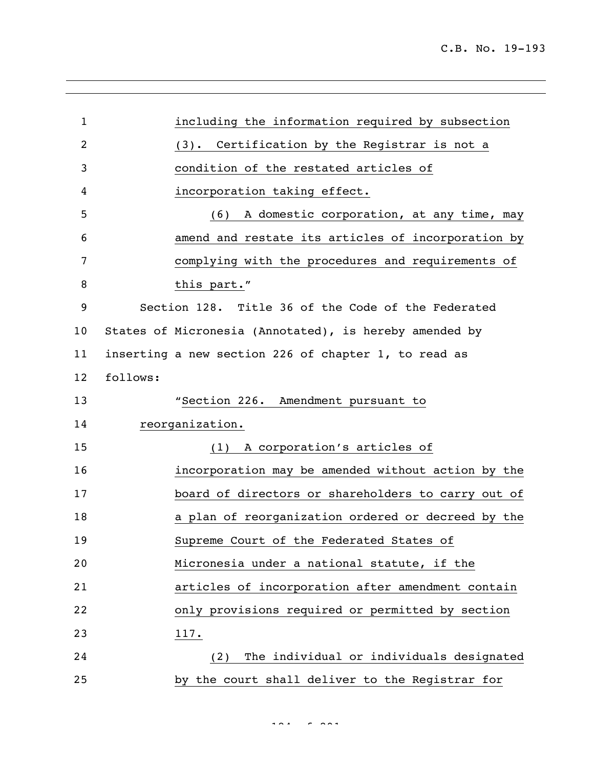| $\mathbf{1}$   | including the information required by subsection       |
|----------------|--------------------------------------------------------|
| $\overline{c}$ | (3). Certification by the Registrar is not a           |
| 3              | condition of the restated articles of                  |
| 4              | incorporation taking effect.                           |
| 5              | A domestic corporation, at any time, may<br>(6)        |
| 6              | amend and restate its articles of incorporation by     |
| 7              | complying with the procedures and requirements of      |
| 8              | this part."                                            |
| 9              | Section 128. Title 36 of the Code of the Federated     |
| 10             | States of Micronesia (Annotated), is hereby amended by |
| 11             | inserting a new section 226 of chapter 1, to read as   |
| 12             | follows:                                               |
| 13             | "Section 226. Amendment pursuant to                    |
| 14             | reorganization.                                        |
| 15             | A corporation's articles of<br>(1)                     |
| 16             | incorporation may be amended without action by the     |
| 17             | board of directors or shareholders to carry out of     |
| 18             | a plan of reorganization ordered or decreed by the     |
| 19             | Supreme Court of the Federated States of               |
| 20             | Micronesia under a national statute, if the            |
| 21             | articles of incorporation after amendment contain      |
| 22             | only provisions required or permitted by section       |
| 23             | 117.                                                   |
| 24             | The individual or individuals designated<br>(2)        |
| 25             | by the court shall deliver to the Registrar for        |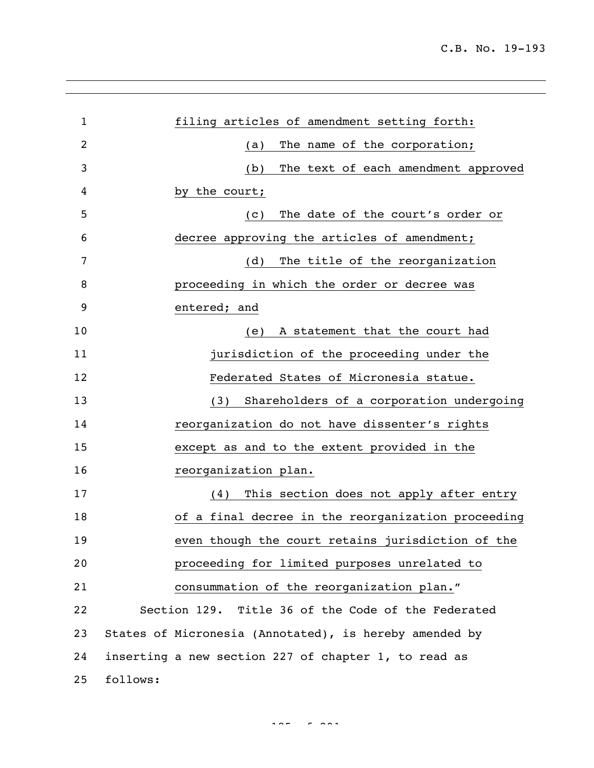| $\mathbf{1}$   | filing articles of amendment setting forth:            |
|----------------|--------------------------------------------------------|
| $\overline{2}$ | The name of the corporation;<br>(a)                    |
| 3              | The text of each amendment approved<br>(b)             |
| 4              | by the court;                                          |
| 5              | The date of the court's order or<br>(C)                |
| 6              | decree approving the articles of amendment;            |
| 7              | The title of the reorganization<br>(d)                 |
| 8              | proceeding in which the order or decree was            |
| 9              | entered; and                                           |
| 10             | A statement that the court had<br>(e)                  |
| 11             | jurisdiction of the proceeding under the               |
| 12             | Federated States of Micronesia statue.                 |
| 13             | Shareholders of a corporation undergoing<br>(3)        |
| 14             | reorganization do not have dissenter's rights          |
| 15             | except as and to the extent provided in the            |
| 16             | reorganization plan.                                   |
| 17             | This section does not apply after entry<br>(4)         |
| 18             | of a final decree in the reorganization proceeding     |
| 19             | even though the court retains jurisdiction of the      |
| 20             | proceeding for limited purposes unrelated to           |
| 21             | consummation of the reorganization plan."              |
| 22             | Section 129. Title 36 of the Code of the Federated     |
| 23             | States of Micronesia (Annotated), is hereby amended by |
| 24             | inserting a new section 227 of chapter 1, to read as   |
| 25             | follows:                                               |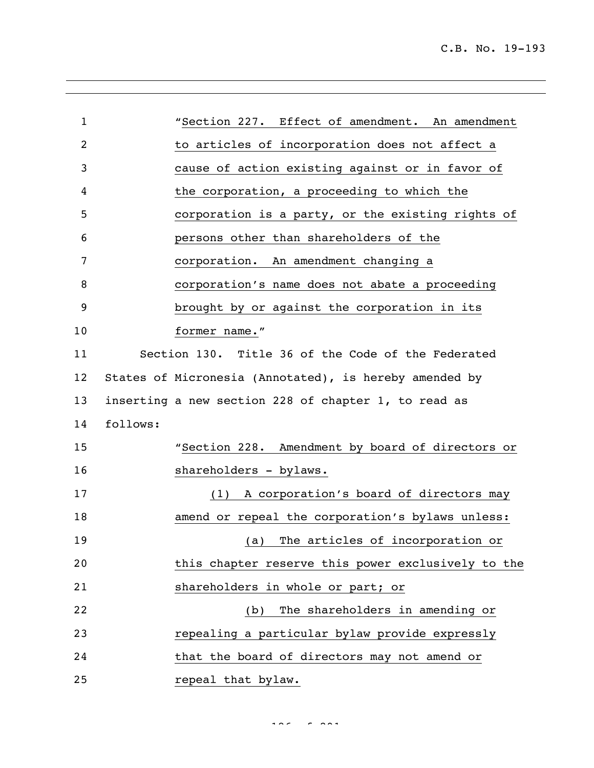| $\mathbf{1}$   | "Section 227. Effect of amendment. An amendment        |
|----------------|--------------------------------------------------------|
| $\overline{c}$ | to articles of incorporation does not affect a         |
| 3              | cause of action existing against or in favor of        |
| 4              | the corporation, a proceeding to which the             |
| 5              | corporation is a party, or the existing rights of      |
| 6              | persons other than shareholders of the                 |
| 7              | corporation. An amendment changing a                   |
| 8              | corporation's name does not abate a proceeding         |
| 9              | brought by or against the corporation in its           |
| 10             | former name."                                          |
| 11             | Section 130. Title 36 of the Code of the Federated     |
| 12             | States of Micronesia (Annotated), is hereby amended by |
| 13             | inserting a new section 228 of chapter 1, to read as   |
| 14             | follows:                                               |
| 15             | "Section 228. Amendment by board of directors or       |
| 16             | shareholders - bylaws.                                 |
| 17             | A corporation's board of directors may<br>(1)          |
| 18             | amend or repeal the corporation's bylaws unless:       |
| 19             | (a) The articles of incorporation or                   |
| 20             | this chapter reserve this power exclusively to the     |
| 21             | shareholders in whole or part; or                      |
| 22             | The shareholders in amending or<br>(b)                 |
| 23             | repealing a particular bylaw provide expressly         |
| 24             | that the board of directors may not amend or           |
| 25             | repeal that bylaw.                                     |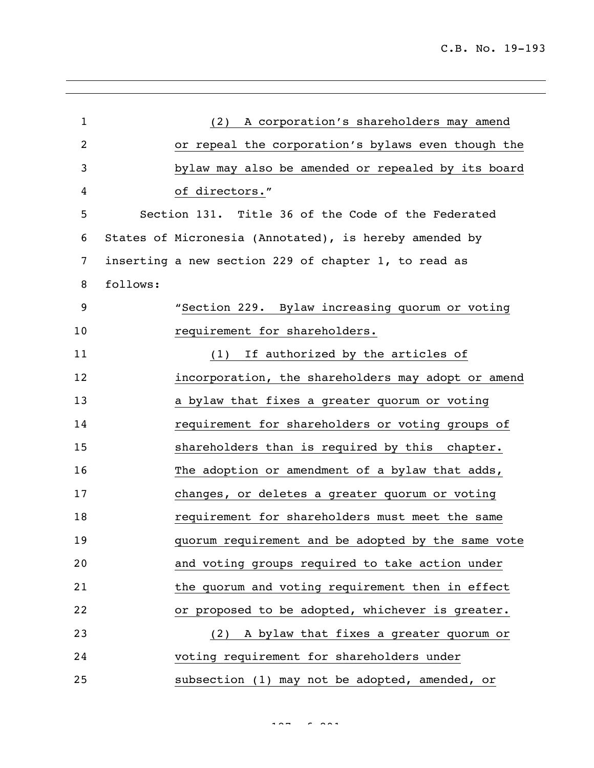| $\mathbf{1}$ |          | (2) A corporation's shareholders may amend             |
|--------------|----------|--------------------------------------------------------|
| 2            |          | or repeal the corporation's bylaws even though the     |
| 3            |          | bylaw may also be amended or repealed by its board     |
| 4            |          | of directors."                                         |
| 5            |          | Section 131. Title 36 of the Code of the Federated     |
| 6            |          | States of Micronesia (Annotated), is hereby amended by |
| 7            |          | inserting a new section 229 of chapter 1, to read as   |
| 8            | follows: |                                                        |
| 9            |          | "Section 229. Bylaw increasing quorum or voting        |
| 10           |          | requirement for shareholders.                          |
| 11           |          | If authorized by the articles of<br>(1)                |
| 12           |          | incorporation, the shareholders may adopt or amend     |
| 13           |          | a bylaw that fixes a greater quorum or voting          |
| 14           |          | requirement for shareholders or voting groups of       |
| 15           |          | shareholders than is required by this chapter.         |
| 16           |          | The adoption or amendment of a bylaw that adds,        |
| 17           |          | changes, or deletes a greater quorum or voting         |
| 18           |          | requirement for shareholders must meet the same        |
| 19           |          | quorum requirement and be adopted by the same vote     |
| 20           |          | and voting groups required to take action under        |
| 21           |          | the quorum and voting requirement then in effect       |
| 22           |          | or proposed to be adopted, whichever is greater.       |
| 23           |          | (2) A bylaw that fixes a greater quorum or             |
| 24           |          | voting requirement for shareholders under              |
| 25           |          | subsection (1) may not be adopted, amended, or         |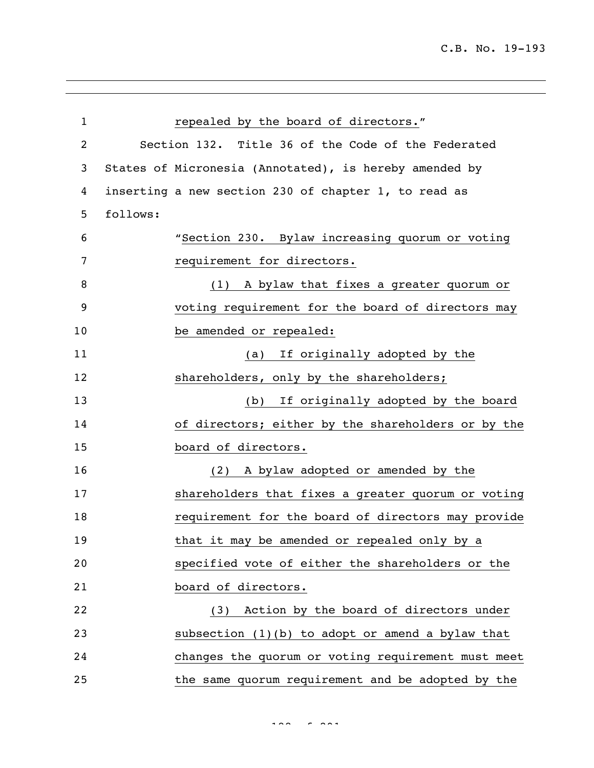| $\mathbf{1}$   | repealed by the board of directors."                   |
|----------------|--------------------------------------------------------|
| $\overline{c}$ | Section 132. Title 36 of the Code of the Federated     |
| 3              | States of Micronesia (Annotated), is hereby amended by |
| 4              | inserting a new section 230 of chapter 1, to read as   |
| 5              | follows:                                               |
| 6              | "Section 230. Bylaw increasing quorum or voting        |
| 7              | requirement for directors.                             |
| 8              | (1) A bylaw that fixes a greater quorum or             |
| 9              | voting requirement for the board of directors may      |
| 10             | be amended or repealed:                                |
| 11             | If originally adopted by the<br>(a)                    |
| 12             | shareholders, only by the shareholders;                |
| 13             | If originally adopted by the board<br>(b)              |
| 14             | of directors; either by the shareholders or by the     |
| 15             | board of directors.                                    |
| 16             | A bylaw adopted or amended by the<br>(2)               |
| 17             | shareholders that fixes a greater quorum or voting     |
| 18             | requirement for the board of directors may provide     |
| 19             | that it may be amended or repealed only by a           |
| 20             | specified vote of either the shareholders or the       |
| 21             | board of directors.                                    |
| 22             | (3) Action by the board of directors under             |
| 23             | subsection (1)(b) to adopt or amend a bylaw that       |
| 24             | changes the quorum or voting requirement must meet     |
| 25             | the same quorum requirement and be adopted by the      |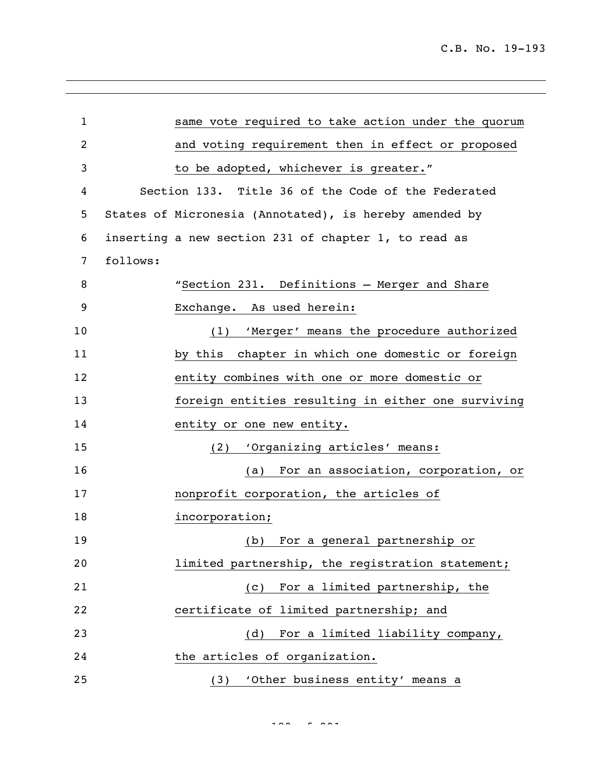| $\mathbf 1$    | same vote required to take action under the quorum     |
|----------------|--------------------------------------------------------|
| $\overline{c}$ | and voting requirement then in effect or proposed      |
| 3              | to be adopted, whichever is greater."                  |
| 4              | Section 133. Title 36 of the Code of the Federated     |
| 5              | States of Micronesia (Annotated), is hereby amended by |
| 6              | inserting a new section 231 of chapter 1, to read as   |
| $\overline{7}$ | follows:                                               |
| 8              | "Section 231. Definitions - Merger and Share           |
| 9              | Exchange. As used herein:                              |
| 10             | 'Merger' means the procedure authorized<br>(1)         |
| 11             | by this chapter in which one domestic or foreign       |
| 12             | entity combines with one or more domestic or           |
| 13             | foreign entities resulting in either one surviving     |
| 14             | entity or one new entity.                              |
| 15             | 'Organizing articles' means:<br>(2)                    |
| 16             | For an association, corporation, or<br>(a)             |
| 17             | nonprofit corporation, the articles of                 |
| 18             | incorporation;                                         |
| 19             | For a general partnership or<br>(b)                    |
| 20             | limited partnership, the registration statement;       |
| 21             | (c) For a limited partnership, the                     |
| 22             | certificate of limited partnership; and                |
| 23             | For a limited liability company,<br>(d)                |
| 24             | the articles of organization.                          |
| 25             | (3) 'Other business entity' means a                    |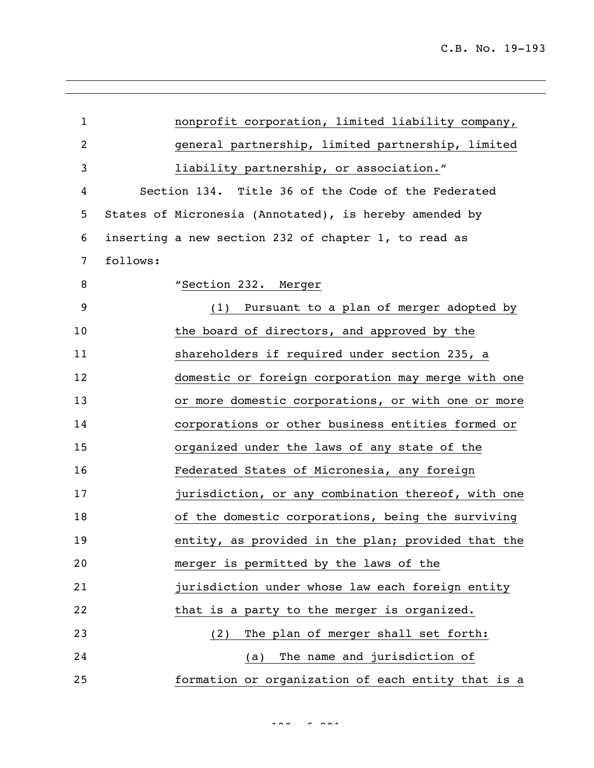| $\mathbf{1}$ |          | nonprofit corporation, limited liability company,      |
|--------------|----------|--------------------------------------------------------|
| 2            |          | general partnership, limited partnership, limited      |
| 3            |          | liability partnership, or association."                |
| 4            |          | Section 134. Title 36 of the Code of the Federated     |
| 5            |          | States of Micronesia (Annotated), is hereby amended by |
| 6            |          | inserting a new section 232 of chapter 1, to read as   |
| 7            | follows: |                                                        |
| 8            |          | "Section 232. Merger                                   |
| 9            |          | (1) Pursuant to a plan of merger adopted by            |
| 10           |          | the board of directors, and approved by the            |
| 11           |          | shareholders if required under section 235, a          |
| 12           |          | domestic or foreign corporation may merge with one     |
| 13           |          | or more domestic corporations, or with one or more     |
| 14           |          | corporations or other business entities formed or      |
| 15           |          | organized under the laws of any state of the           |
| 16           |          | Federated States of Micronesia, any foreign            |
| 17           |          | jurisdiction, or any combination thereof, with one     |
| 18           |          | of the domestic corporations, being the surviving      |
| 19           |          | entity, as provided in the plan; provided that the     |
| 20           |          | merger is permitted by the laws of the                 |
| 21           |          | jurisdiction under whose law each foreign entity       |
| 22           |          | that is a party to the merger is organized.            |
| 23           |          | The plan of merger shall set forth:<br>(2)             |
| 24           |          | The name and jurisdiction of<br>(a)                    |
| 25           |          | formation or organization of each entity that is a     |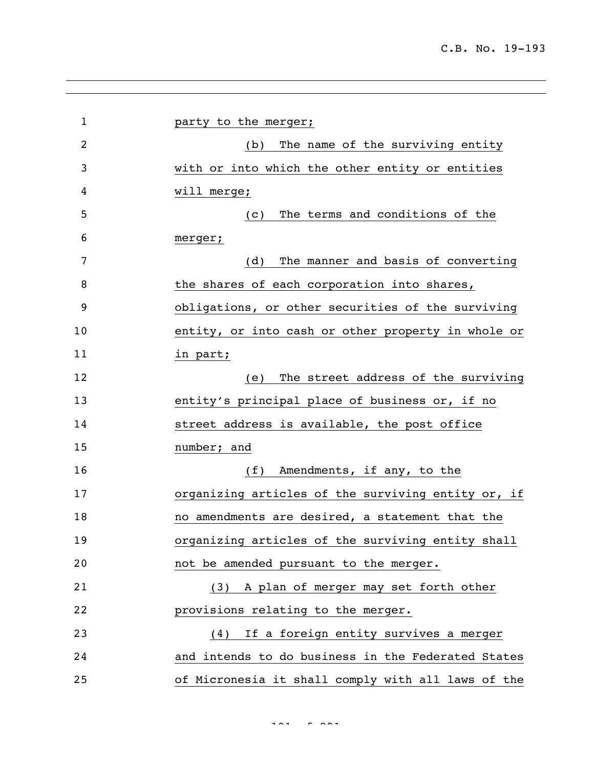| $\mathbf 1$    | party to the merger;                               |
|----------------|----------------------------------------------------|
| $\overline{c}$ | The name of the surviving entity<br>(b)            |
| 3              | with or into which the other entity or entities    |
| 4              | will merge;                                        |
| 5              | The terms and conditions of the<br>(C)             |
| 6              | merger;                                            |
| 7              | The manner and basis of converting<br>(d)          |
| 8              | the shares of each corporation into shares,        |
| 9              | obligations, or other securities of the surviving  |
| 10             | entity, or into cash or other property in whole or |
| 11             | in part;                                           |
| 12             | The street address of the surviving<br>(e)         |
| 13             | entity's principal place of business or, if no     |
| 14             | street address is available, the post office       |
| 15             | number; and                                        |
| 16             | (f)<br>Amendments, if any, to the                  |
| 17             | organizing articles of the surviving entity or, if |
| 18             | no amendments are desired, a statement that the    |
| 19             | organizing articles of the surviving entity shall  |
| 20             | not be amended pursuant to the merger.             |
| 21             | (3) A plan of merger may set forth other           |
| 22             | provisions relating to the merger.                 |
| 23             | If a foreign entity survives a merger<br>(4)       |
| 24             | and intends to do business in the Federated States |
| 25             | of Micronesia it shall comply with all laws of the |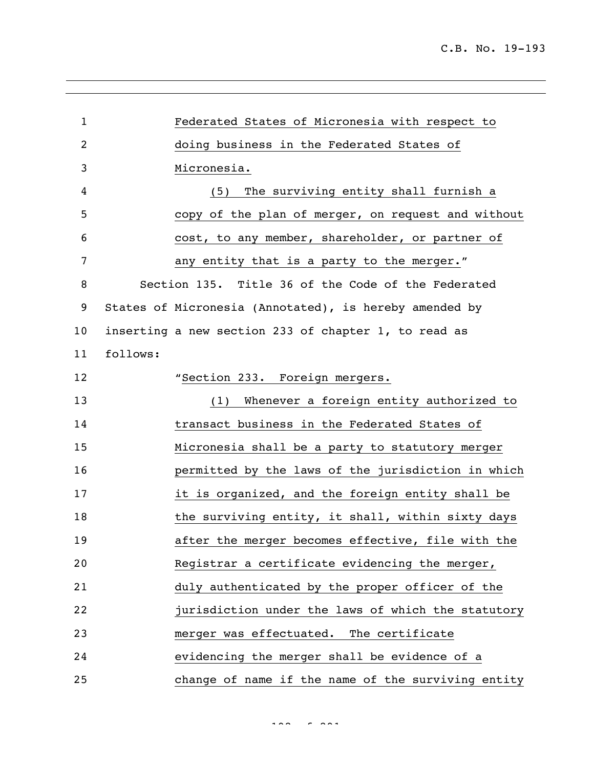Federated States of Micronesia with respect to doing business in the Federated States of Micronesia. (5) The surviving entity shall furnish a copy of the plan of merger, on request and without cost, to any member, shareholder, or partner of 7 any entity that is a party to the merger." Section 135. Title 36 of the Code of the Federated States of Micronesia (Annotated), is hereby amended by inserting a new section 233 of chapter 1, to read as follows: **"Section 233. Foreign mergers.**  (1) Whenever a foreign entity authorized to transact business in the Federated States of Micronesia shall be a party to statutory merger permitted by the laws of the jurisdiction in which it is organized, and the foreign entity shall be 18 the surviving entity, it shall, within sixty days after the merger becomes effective, file with the Registrar a certificate evidencing the merger, duly authenticated by the proper officer of the jurisdiction under the laws of which the statutory merger was effectuated. The certificate evidencing the merger shall be evidence of a change of name if the name of the surviving entity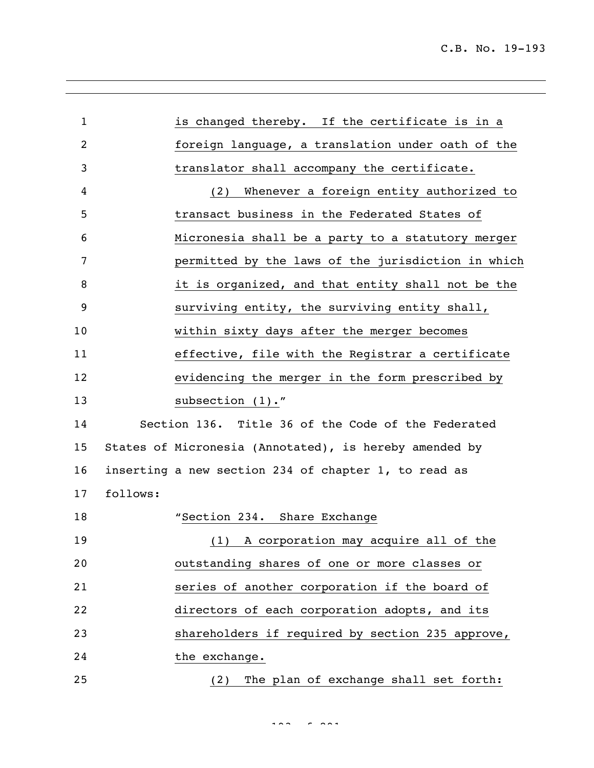| 1  |          | is changed thereby. If the certificate is in a         |
|----|----------|--------------------------------------------------------|
| 2  |          | foreign language, a translation under oath of the      |
| 3  |          | translator shall accompany the certificate.            |
| 4  |          | (2) Whenever a foreign entity authorized to            |
| 5  |          | transact business in the Federated States of           |
| 6  |          | Micronesia shall be a party to a statutory merger      |
| 7  |          | permitted by the laws of the jurisdiction in which     |
| 8  |          | it is organized, and that entity shall not be the      |
| 9  |          | surviving entity, the surviving entity shall,          |
| 10 |          | within sixty days after the merger becomes             |
| 11 |          | effective, file with the Registrar a certificate       |
| 12 |          | evidencing the merger in the form prescribed by        |
| 13 |          | subsection (1)."                                       |
| 14 |          | Section 136. Title 36 of the Code of the Federated     |
| 15 |          | States of Micronesia (Annotated), is hereby amended by |
| 16 |          | inserting a new section 234 of chapter 1, to read as   |
| 17 | follows: |                                                        |
| 18 |          | "Section 234. Share Exchange                           |
| 19 |          | (1) A corporation may acquire all of the               |
| 20 |          | outstanding shares of one or more classes or           |
| 21 |          | series of another corporation if the board of          |
| 22 |          | directors of each corporation adopts, and its          |
| 23 |          | shareholders if required by section 235 approve,       |
| 24 |          | the exchange.                                          |
| 25 |          | The plan of exchange shall set forth:<br>(2)           |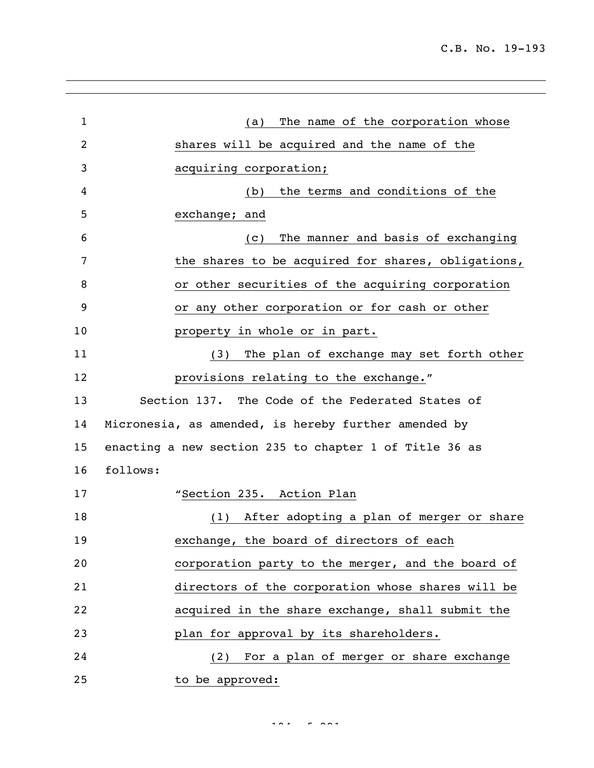C.B. No. 19-193

| $\mathbf{1}$ | The name of the corporation whose<br>(a)               |
|--------------|--------------------------------------------------------|
| 2            | shares will be acquired and the name of the            |
| 3            | acquiring corporation;                                 |
| 4            | the terms and conditions of the<br>(b)                 |
| 5            | exchange; and                                          |
| 6            | The manner and basis of exchanging<br>(C)              |
| 7            | the shares to be acquired for shares, obligations,     |
| 8            | or other securities of the acquiring corporation       |
| 9            | or any other corporation or for cash or other          |
| 10           | property in whole or in part.                          |
| 11           | The plan of exchange may set forth other<br>(3)        |
| 12           | provisions relating to the exchange."                  |
| 13           | Section 137. The Code of the Federated States of       |
| 14           | Micronesia, as amended, is hereby further amended by   |
| 15           | enacting a new section 235 to chapter 1 of Title 36 as |
| 16           | follows:                                               |
| 17           | "Section 235. Action Plan                              |
| 18           | After adopting a plan of merger or share<br>(1)        |
| 19           | exchange, the board of directors of each               |
| 20           | corporation party to the merger, and the board of      |
| 21           | directors of the corporation whose shares will be      |
| 22           | acquired in the share exchange, shall submit the       |
| 23           | plan for approval by its shareholders.                 |
| 24           | For a plan of merger or share exchange<br>(2)          |
| 25           | to be approved:                                        |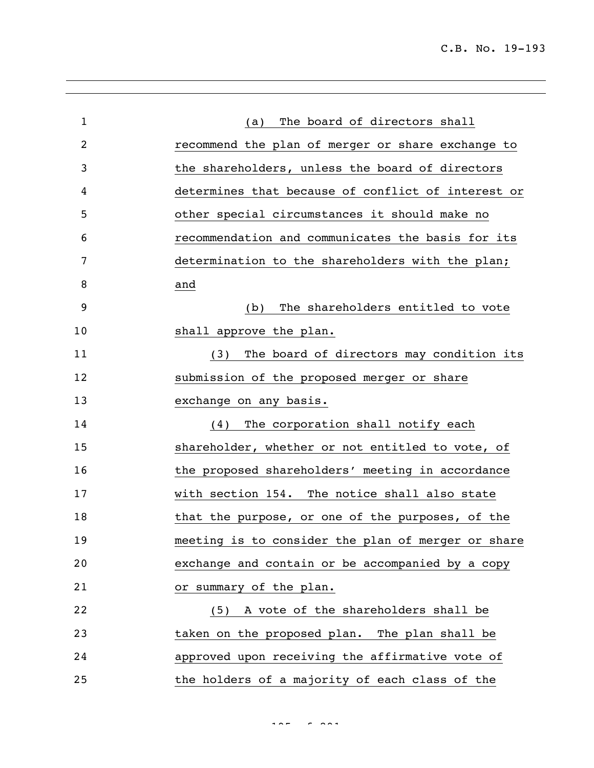| $\mathbf{1}$   | The board of directors shall<br>(a)                |
|----------------|----------------------------------------------------|
| $\overline{2}$ | recommend the plan of merger or share exchange to  |
| 3              | the shareholders, unless the board of directors    |
| 4              | determines that because of conflict of interest or |
| 5              | other special circumstances it should make no      |
| 6              | recommendation and communicates the basis for its  |
| 7              | determination to the shareholders with the plan;   |
| 8              | and                                                |
| 9              | The shareholders entitled to vote<br>(b)           |
| 10             | shall approve the plan.                            |
| 11             | The board of directors may condition its<br>(3)    |
| 12             | submission of the proposed merger or share         |
| 13             | exchange on any basis.                             |
| 14             | The corporation shall notify each<br>(4)           |
| 15             | shareholder, whether or not entitled to vote, of   |
| 16             | the proposed shareholders' meeting in accordance   |
| 17             | with section 154. The notice shall also state      |
| 18             | that the purpose, or one of the purposes, of the   |
| 19             | meeting is to consider the plan of merger or share |
| 20             | exchange and contain or be accompanied by a copy   |
| 21             | or summary of the plan.                            |
| 22             | (5) A vote of the shareholders shall be            |
| 23             | taken on the proposed plan. The plan shall be      |
| 24             | approved upon receiving the affirmative vote of    |
| 25             | the holders of a majority of each class of the     |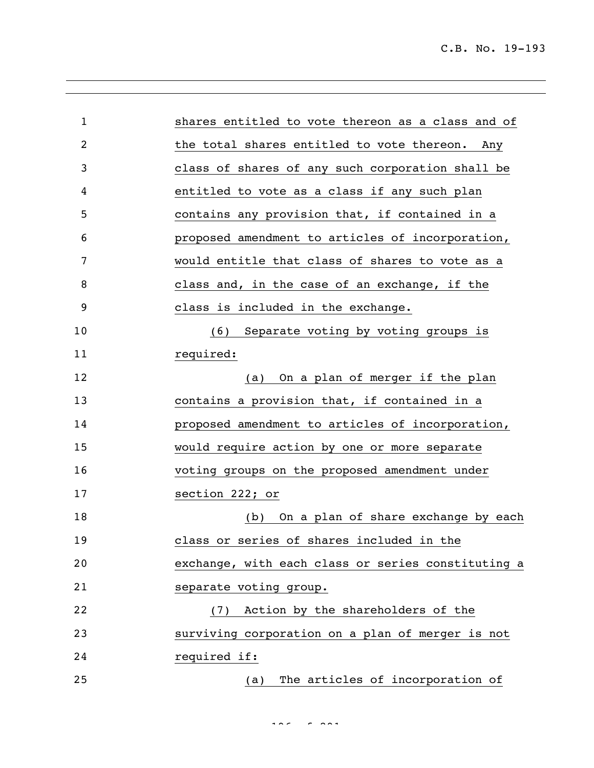| $\mathbf{1}$   | shares entitled to vote thereon as a class and of  |
|----------------|----------------------------------------------------|
| $\overline{2}$ | the total shares entitled to vote thereon. Any     |
| 3              | class of shares of any such corporation shall be   |
| 4              | entitled to vote as a class if any such plan       |
| 5              | contains any provision that, if contained in a     |
| 6              | proposed amendment to articles of incorporation,   |
| 7              | would entitle that class of shares to vote as a    |
| 8              | class and, in the case of an exchange, if the      |
| 9              | class is included in the exchange.                 |
| 10             | (6) Separate voting by voting groups is            |
| 11             | required:                                          |
| 12             | On a plan of merger if the plan<br>(a)             |
| 13             | contains a provision that, if contained in a       |
| 14             | proposed amendment to articles of incorporation,   |
| 15             | would require action by one or more separate       |
| 16             | voting groups on the proposed amendment under      |
| 17             | section 222; or                                    |
| 18             | On a plan of share exchange by each<br>(b)         |
| 19             | class or series of shares included in the          |
| 20             | exchange, with each class or series constituting a |
| 21             | separate voting group.                             |
| 22             | (7) Action by the shareholders of the              |
| 23             | surviving corporation on a plan of merger is not   |
| 24             | required if:                                       |
| 25             | The articles of incorporation of<br>(a)            |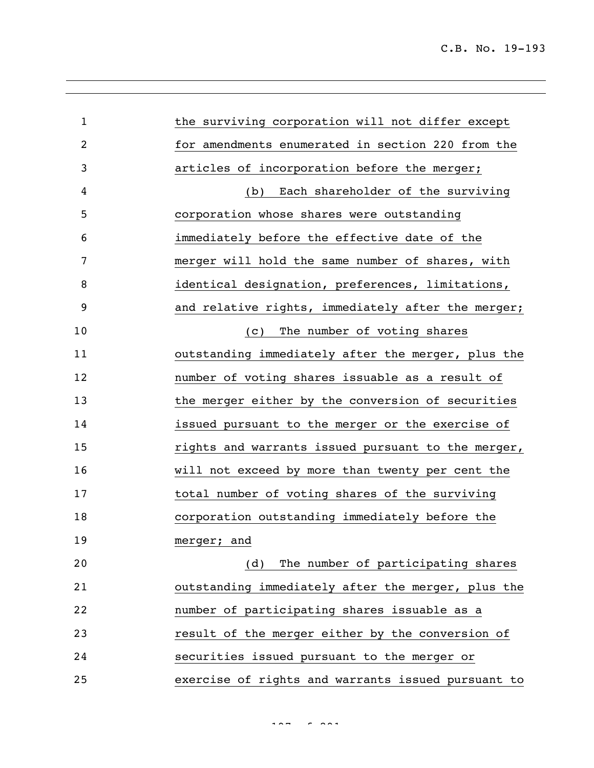C.B. No. 19-193

| $\mathbf{1}$   | the surviving corporation will not differ except   |
|----------------|----------------------------------------------------|
| $\overline{2}$ | for amendments enumerated in section 220 from the  |
| 3              | articles of incorporation before the merger;       |
| 4              | Each shareholder of the surviving<br>(b)           |
| 5              | corporation whose shares were outstanding          |
| 6              | immediately before the effective date of the       |
| 7              | merger will hold the same number of shares, with   |
| 8              | identical designation, preferences, limitations,   |
| 9              | and relative rights, immediately after the merger; |
| 10             | The number of voting shares<br>(C)                 |
| 11             | outstanding immediately after the merger, plus the |
| 12             | number of voting shares issuable as a result of    |
| 13             | the merger either by the conversion of securities  |
| 14             | issued pursuant to the merger or the exercise of   |
| 15             | rights and warrants issued pursuant to the merger, |
| 16             | will not exceed by more than twenty per cent the   |
| 17             | total number of voting shares of the surviving     |
| 18             | corporation outstanding immediately before the     |
| 19             | merger; and                                        |
| 20             | The number of participating shares<br>(d)          |
| 21             | outstanding immediately after the merger, plus the |
| 22             | number of participating shares issuable as a       |
| 23             | result of the merger either by the conversion of   |
| 24             | securities issued pursuant to the merger or        |
| 25             | exercise of rights and warrants issued pursuant to |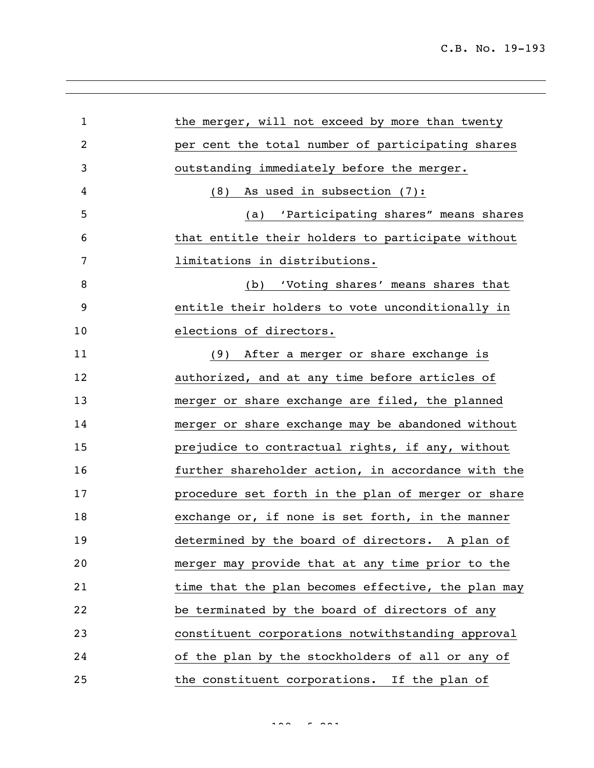| $\mathbf 1$ | the merger, will not exceed by more than twenty    |
|-------------|----------------------------------------------------|
| 2           | per cent the total number of participating shares  |
| 3           | outstanding immediately before the merger.         |
| 4           | As used in subsection (7):<br>(8)                  |
| 5           | 'Participating shares" means shares<br>(a)         |
| 6           | that entitle their holders to participate without  |
| 7           | limitations in distributions.                      |
| 8           | (b) 'Voting shares' means shares that              |
| 9           | entitle their holders to vote unconditionally in   |
| 10          | elections of directors.                            |
| 11          | (9) After a merger or share exchange is            |
| 12          | authorized, and at any time before articles of     |
| 13          | merger or share exchange are filed, the planned    |
| 14          | merger or share exchange may be abandoned without  |
| 15          | prejudice to contractual rights, if any, without   |
| 16          | further shareholder action, in accordance with the |
| 17          | procedure set forth in the plan of merger or share |
| 18          | exchange or, if none is set forth, in the manner   |
| 19          | determined by the board of directors. A plan of    |
| 20          | merger may provide that at any time prior to the   |
| 21          | time that the plan becomes effective, the plan may |
| 22          | be terminated by the board of directors of any     |
| 23          | constituent corporations notwithstanding approval  |
| 24          | of the plan by the stockholders of all or any of   |
| 25          | the constituent corporations. If the plan of       |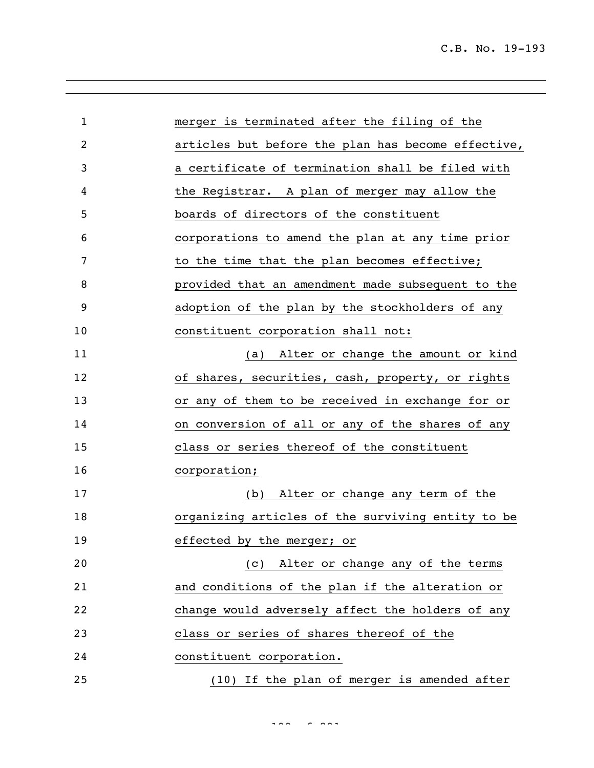| $\mathbf{1}$ | merger is terminated after the filing of the       |
|--------------|----------------------------------------------------|
| 2            | articles but before the plan has become effective, |
| 3            | a certificate of termination shall be filed with   |
| 4            | the Registrar. A plan of merger may allow the      |
| 5            | boards of directors of the constituent             |
| 6            | corporations to amend the plan at any time prior   |
| 7            | to the time that the plan becomes effective;       |
| 8            | provided that an amendment made subsequent to the  |
| 9            | adoption of the plan by the stockholders of any    |
| 10           | constituent corporation shall not:                 |
| 11           | Alter or change the amount or kind<br>(a)          |
| 12           | of shares, securities, cash, property, or rights   |
| 13           | or any of them to be received in exchange for or   |
| 14           | on conversion of all or any of the shares of any   |
| 15           | class or series thereof of the constituent         |
| 16           | corporation;                                       |
| 17           | Alter or change any term of the<br>(b)             |
| 18           | organizing articles of the surviving entity to be  |
| 19           | effected by the merger; or                         |
| 20           | (c) Alter or change any of the terms               |
| 21           | and conditions of the plan if the alteration or    |
| 22           | change would adversely affect the holders of any   |
| 23           | class or series of shares thereof of the           |
| 24           | constituent corporation.                           |
| 25           | (10) If the plan of merger is amended after        |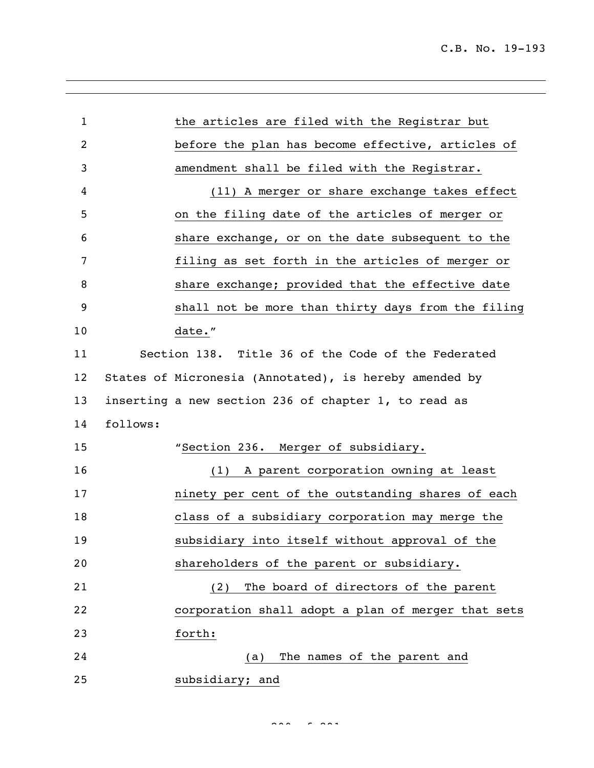| $\mathbf{1}$ |          | the articles are filed with the Registrar but          |
|--------------|----------|--------------------------------------------------------|
| 2            |          | before the plan has become effective, articles of      |
| 3            |          | amendment shall be filed with the Registrar.           |
| 4            |          | (11) A merger or share exchange takes effect           |
| 5            |          | on the filing date of the articles of merger or        |
| 6            |          | share exchange, or on the date subsequent to the       |
| 7            |          | filing as set forth in the articles of merger or       |
| 8            |          | share exchange; provided that the effective date       |
| 9            |          | shall not be more than thirty days from the filing     |
| 10           |          | date."                                                 |
| 11           |          | Section 138. Title 36 of the Code of the Federated     |
| 12           |          | States of Micronesia (Annotated), is hereby amended by |
| 13           |          | inserting a new section 236 of chapter 1, to read as   |
| 14           | follows: |                                                        |
| 15           |          | "Section 236. Merger of subsidiary.                    |
| 16           |          | (1) A parent corporation owning at least               |
| 17           |          | ninety per cent of the outstanding shares of each      |
| 18           |          | class of a subsidiary corporation may merge the        |
| 19           |          | subsidiary into itself without approval of the         |
| 20           |          | shareholders of the parent or subsidiary.              |
| 21           |          | The board of directors of the parent<br>(2)            |
| 22           |          | corporation shall adopt a plan of merger that sets     |
| 23           |          | forth:                                                 |
| 24           |          | The names of the parent and<br>(a)                     |
| 25           |          | subsidiary; and                                        |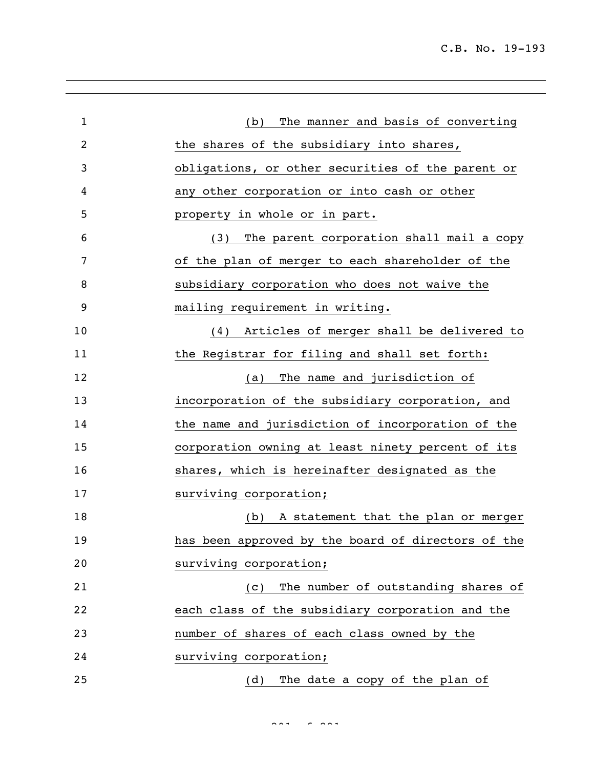| $\mathbf{1}$ | The manner and basis of converting<br>(b)          |
|--------------|----------------------------------------------------|
| 2            | the shares of the subsidiary into shares,          |
| 3            | obligations, or other securities of the parent or  |
| 4            | any other corporation or into cash or other        |
| 5            | property in whole or in part.                      |
| 6            | The parent corporation shall mail a copy<br>(3)    |
| 7            | of the plan of merger to each shareholder of the   |
| 8            | subsidiary corporation who does not waive the      |
| 9            | mailing requirement in writing.                    |
| 10           | Articles of merger shall be delivered to<br>(4)    |
| 11           | the Registrar for filing and shall set forth:      |
| 12           | The name and jurisdiction of<br>(a)                |
| 13           | incorporation of the subsidiary corporation, and   |
| 14           | the name and jurisdiction of incorporation of the  |
| 15           | corporation owning at least ninety percent of its  |
| 16           | shares, which is hereinafter designated as the     |
| 17           | surviving corporation;                             |
| 18           | A statement that the plan or merger<br>(b)         |
| 19           | has been approved by the board of directors of the |
| 20           | surviving corporation;                             |
| 21           | The number of outstanding shares of<br>(C)         |
| 22           | each class of the subsidiary corporation and the   |
| 23           | number of shares of each class owned by the        |
| 24           | surviving corporation;                             |
| 25           | The date a copy of the plan of<br>(d)              |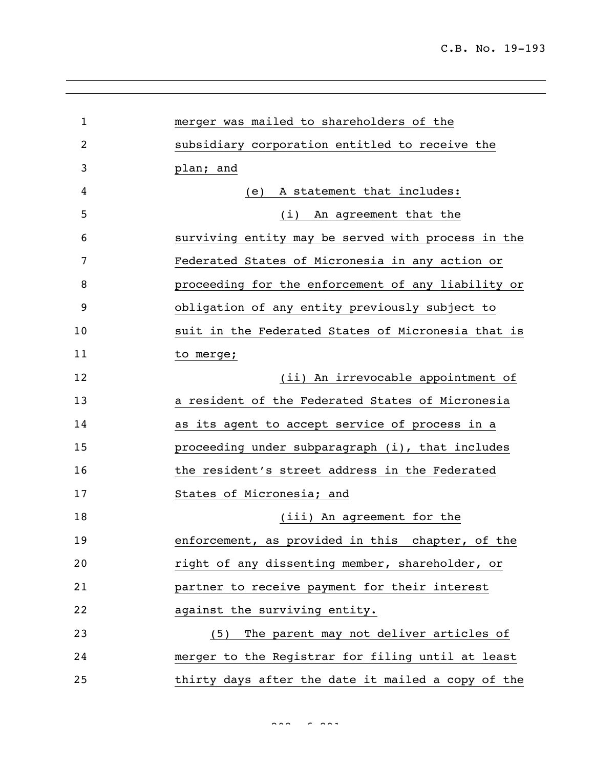| $\mathbf{1}$   | merger was mailed to shareholders of the           |
|----------------|----------------------------------------------------|
| $\overline{2}$ | subsidiary corporation entitled to receive the     |
| 3              | plan; and                                          |
| 4              | A statement that includes:<br>(e)                  |
| 5              | (i) An agreement that the                          |
| 6              | surviving entity may be served with process in the |
| 7              | Federated States of Micronesia in any action or    |
| 8              | proceeding for the enforcement of any liability or |
| 9              | obligation of any entity previously subject to     |
| 10             | suit in the Federated States of Micronesia that is |
| 11             | to merge;                                          |
| 12             | (ii) An irrevocable appointment of                 |
| 13             | a resident of the Federated States of Micronesia   |
| 14             | as its agent to accept service of process in a     |
| 15             | proceeding under subparagraph (i), that includes   |
| 16             | the resident's street address in the Federated     |
| 17             | States of Micronesia; and                          |
| 18             | (iii) An agreement for the                         |
| 19             | enforcement, as provided in this chapter, of the   |
| 20             | right of any dissenting member, shareholder, or    |
| 21             | partner to receive payment for their interest      |
| 22             | against the surviving entity.                      |
| 23             | The parent may not deliver articles of<br>(5)      |
| 24             | merger to the Registrar for filing until at least  |
| 25             | thirty days after the date it mailed a copy of the |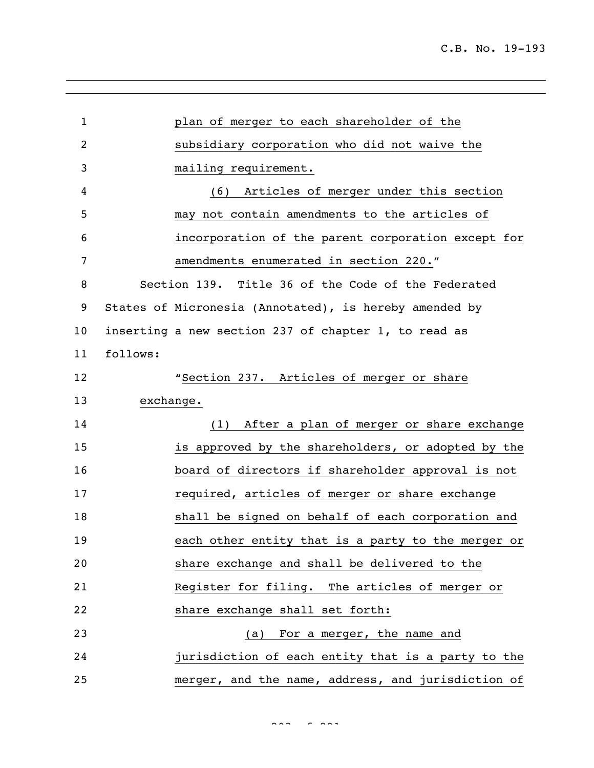| $\mathbf{1}$   |          | plan of merger to each shareholder of the              |
|----------------|----------|--------------------------------------------------------|
| $\overline{c}$ |          | subsidiary corporation who did not waive the           |
| 3              |          | mailing requirement.                                   |
| 4              |          | (6) Articles of merger under this section              |
| 5              |          | may not contain amendments to the articles of          |
| 6              |          | incorporation of the parent corporation except for     |
| 7              |          | amendments enumerated in section 220."                 |
| 8              |          | Section 139. Title 36 of the Code of the Federated     |
| 9              |          | States of Micronesia (Annotated), is hereby amended by |
| 10             |          | inserting a new section 237 of chapter 1, to read as   |
| 11             | follows: |                                                        |
| 12             |          | "Section 237. Articles of merger or share              |
| 13             |          | exchange.                                              |
| 14             |          | (1) After a plan of merger or share exchange           |
| 15             |          | is approved by the shareholders, or adopted by the     |
| 16             |          | board of directors if shareholder approval is not      |
| 17             |          | required, articles of merger or share exchange         |
| 18             |          | shall be signed on behalf of each corporation and      |
| 19             |          | each other entity that is a party to the merger or     |
| 20             |          | share exchange and shall be delivered to the           |
| 21             |          | Register for filing. The articles of merger or         |
| 22             |          | share exchange shall set forth:                        |
| 23             |          | (a) For a merger, the name and                         |
| 24             |          | jurisdiction of each entity that is a party to the     |
| 25             |          | merger, and the name, address, and jurisdiction of     |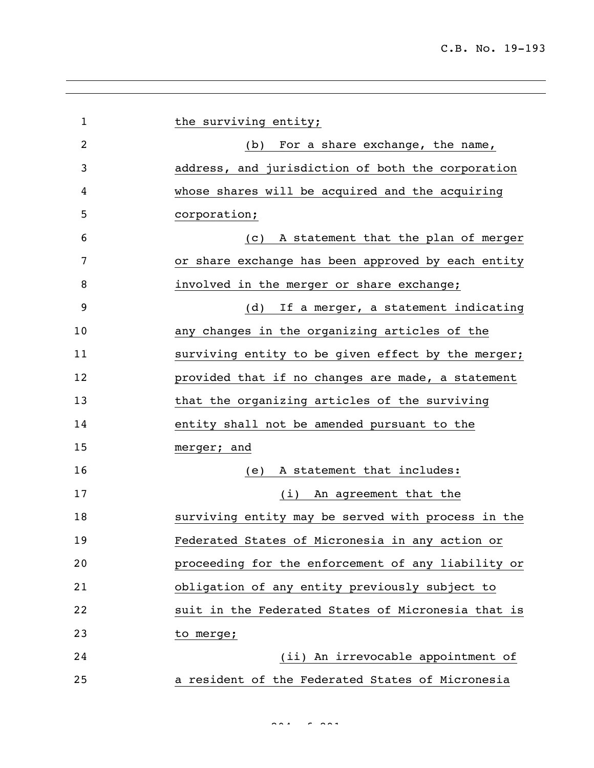| $\mathbf{1}$ | the surviving entity;                              |
|--------------|----------------------------------------------------|
| 2            | (b) For a share exchange, the name,                |
| 3            | address, and jurisdiction of both the corporation  |
| 4            | whose shares will be acquired and the acquiring    |
| 5            | corporation;                                       |
| 6            | A statement that the plan of merger<br>(C)         |
| 7            | or share exchange has been approved by each entity |
| 8            | involved in the merger or share exchange;          |
| 9            | If a merger, a statement indicating<br>(d)         |
| 10           | any changes in the organizing articles of the      |
| 11           | surviving entity to be given effect by the merger; |
| 12           | provided that if no changes are made, a statement  |
| 13           | that the organizing articles of the surviving      |
| 14           | entity shall not be amended pursuant to the        |
| 15           | merger; and                                        |
| 16           | A statement that includes:<br>(e)                  |
| 17           | (i) An agreement that the                          |
| 18           | surviving entity may be served with process in the |
| 19           | Federated States of Micronesia in any action or    |
| 20           | proceeding for the enforcement of any liability or |
| 21           | obligation of any entity previously subject to     |
| 22           | suit in the Federated States of Micronesia that is |
| 23           | to merge;                                          |
| 24           | (ii) An irrevocable appointment of                 |
| 25           | a resident of the Federated States of Micronesia   |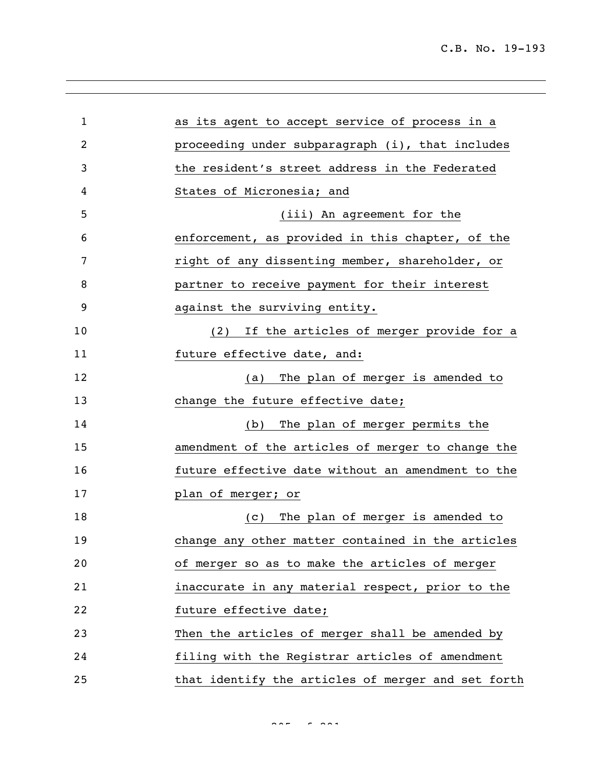| 1  | as its agent to accept service of process in a     |
|----|----------------------------------------------------|
| 2  | proceeding under subparagraph (i), that includes   |
| 3  | the resident's street address in the Federated     |
| 4  | States of Micronesia; and                          |
| 5  | (iii) An agreement for the                         |
| 6  | enforcement, as provided in this chapter, of the   |
| 7  | right of any dissenting member, shareholder, or    |
| 8  | partner to receive payment for their interest      |
| 9  | against the surviving entity.                      |
| 10 | If the articles of merger provide for a<br>(2)     |
| 11 | future effective date, and:                        |
| 12 | The plan of merger is amended to<br>(a)            |
| 13 | change the future effective date;                  |
| 14 | The plan of merger permits the<br>(b)              |
| 15 | amendment of the articles of merger to change the  |
| 16 | future effective date without an amendment to the  |
| 17 | plan of merger; or                                 |
| 18 | The plan of merger is amended to<br>(C)            |
| 19 | change any other matter contained in the articles  |
| 20 | of merger so as to make the articles of merger     |
| 21 | inaccurate in any material respect, prior to the   |
| 22 | future effective date;                             |
| 23 | Then the articles of merger shall be amended by    |
| 24 | filing with the Registrar articles of amendment    |
| 25 | that identify the articles of merger and set forth |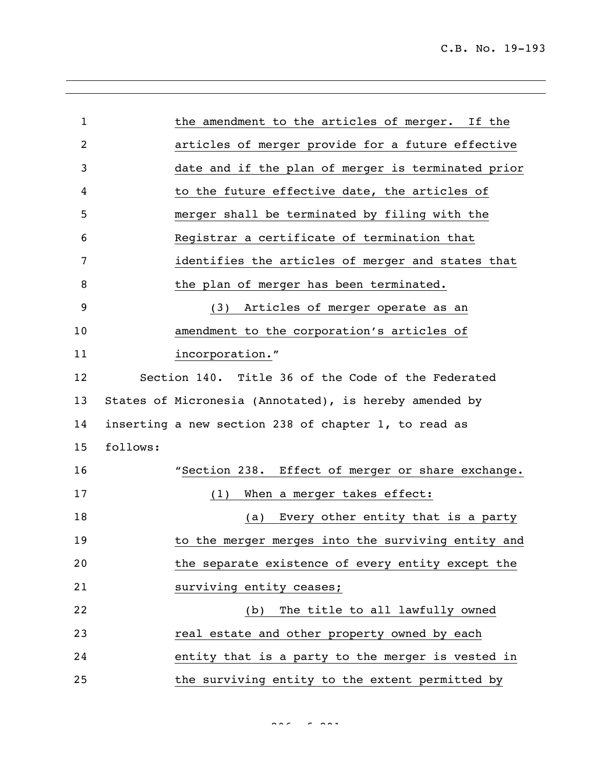| $\mathbf{1}$ | the amendment to the articles of merger. If the        |
|--------------|--------------------------------------------------------|
| 2            | articles of merger provide for a future effective      |
| 3            | date and if the plan of merger is terminated prior     |
| 4            | to the future effective date, the articles of          |
| 5            | merger shall be terminated by filing with the          |
| 6            | Registrar a certificate of termination that            |
| 7            | identifies the articles of merger and states that      |
| 8            | the plan of merger has been terminated.                |
| 9            | (3) Articles of merger operate as an                   |
| 10           | amendment to the corporation's articles of             |
| 11           | incorporation."                                        |
| 12           | Section 140. Title 36 of the Code of the Federated     |
| 13           | States of Micronesia (Annotated), is hereby amended by |
| 14           | inserting a new section 238 of chapter 1, to read as   |
| 15           | follows:                                               |
| 16           | "Section 238. Effect of merger or share exchange.      |
| 17           | When a merger takes effect:<br>(1)                     |
| 18           | Every other entity that is a party<br>(a)              |
| 19           | to the merger merges into the surviving entity and     |
| 20           | the separate existence of every entity except the      |
| 21           | surviving entity ceases;                               |
| 22           | The title to all lawfully owned<br>(b)                 |
| 23           | real estate and other property owned by each           |
| 24           | entity that is a party to the merger is vested in      |
| 25           | the surviving entity to the extent permitted by        |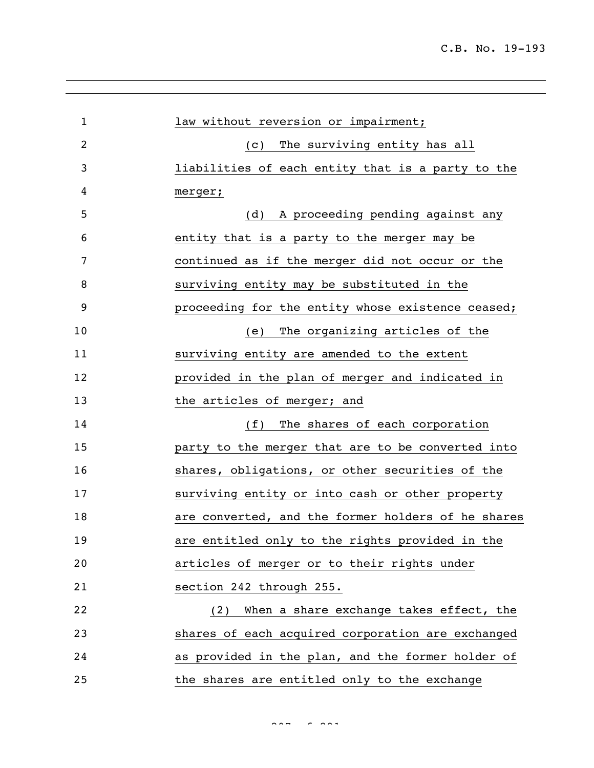| $\mathbf 1$ | law without reversion or impairment;               |
|-------------|----------------------------------------------------|
| 2           | The surviving entity has all<br>(C)                |
| 3           | liabilities of each entity that is a party to the  |
| 4           | merger;                                            |
| 5           | (d) A proceeding pending against any               |
| 6           | entity that is a party to the merger may be        |
| 7           | continued as if the merger did not occur or the    |
| 8           | surviving entity may be substituted in the         |
| 9           | proceeding for the entity whose existence ceased;  |
| 10          | The organizing articles of the<br>(e)              |
| 11          | surviving entity are amended to the extent         |
| 12          | provided in the plan of merger and indicated in    |
| 13          | the articles of merger; and                        |
| 14          | (f) The shares of each corporation                 |
| 15          | party to the merger that are to be converted into  |
| 16          | shares, obligations, or other securities of the    |
| 17          | surviving entity or into cash or other property    |
| 18          | are converted, and the former holders of he shares |
| 19          | are entitled only to the rights provided in the    |
| 20          | articles of merger or to their rights under        |
| 21          | section 242 through 255.                           |
| 22          | (2) When a share exchange takes effect, the        |
| 23          | shares of each acquired corporation are exchanged  |
| 24          | as provided in the plan, and the former holder of  |
| 25          | the shares are entitled only to the exchange       |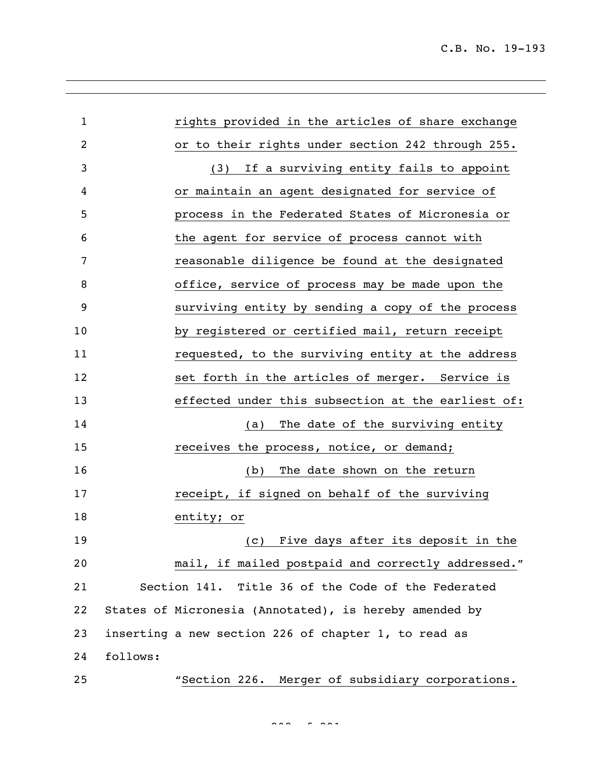C.B. No. 19-193

| $\mathbf{1}$ | rights provided in the articles of share exchange      |
|--------------|--------------------------------------------------------|
| 2            | or to their rights under section 242 through 255.      |
| 3            | If a surviving entity fails to appoint<br>(3)          |
| 4            | or maintain an agent designated for service of         |
| 5            | process in the Federated States of Micronesia or       |
| 6            | the agent for service of process cannot with           |
| 7            | reasonable diligence be found at the designated        |
| 8            | office, service of process may be made upon the        |
| 9            | surviving entity by sending a copy of the process      |
| 10           | by registered or certified mail, return receipt        |
| 11           | requested, to the surviving entity at the address      |
| 12           | set forth in the articles of merger. Service is        |
| 13           | effected under this subsection at the earliest of:     |
| 14           | The date of the surviving entity<br>(a)                |
| 15           | receives the process, notice, or demand;               |
| 16           | The date shown on the return<br>(b)                    |
| 17           | receipt, if signed on behalf of the surviving          |
| 18           | entity; or                                             |
| 19           | Five days after its deposit in the<br>(c)              |
| 20           | mail, if mailed postpaid and correctly addressed."     |
| 21           | Section 141. Title 36 of the Code of the Federated     |
| 22           | States of Micronesia (Annotated), is hereby amended by |
| 23           | inserting a new section 226 of chapter 1, to read as   |
| 24           | follows:                                               |
| 25           | "Section 226. Merger of subsidiary corporations.       |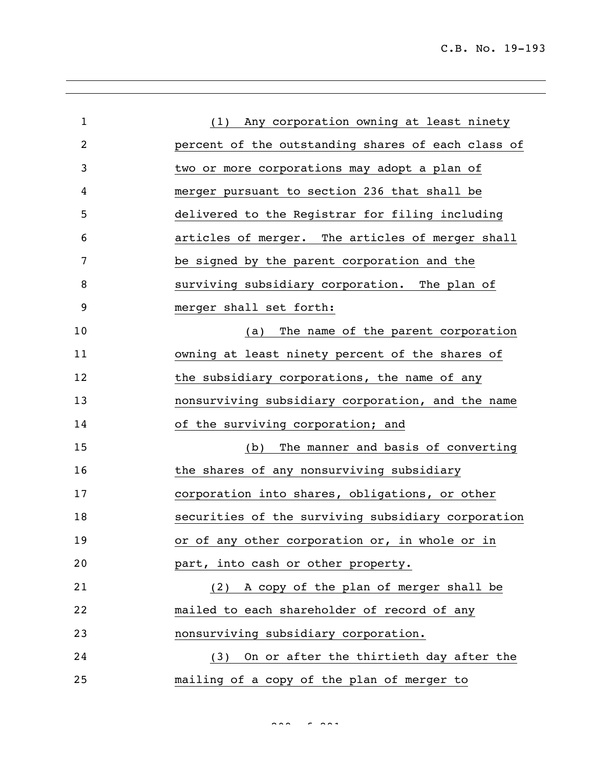| $\mathbf 1$ | (1) Any corporation owning at least ninety         |
|-------------|----------------------------------------------------|
| 2           | percent of the outstanding shares of each class of |
| 3           | two or more corporations may adopt a plan of       |
| 4           | merger pursuant to section 236 that shall be       |
| 5           | delivered to the Registrar for filing including    |
| 6           | articles of merger. The articles of merger shall   |
| 7           | be signed by the parent corporation and the        |
| 8           | surviving subsidiary corporation. The plan of      |
| 9           | merger shall set forth:                            |
| 10          | The name of the parent corporation<br>(a)          |
| 11          | owning at least ninety percent of the shares of    |
| 12          | the subsidiary corporations, the name of any       |
| 13          | nonsurviving subsidiary corporation, and the name  |
| 14          | of the surviving corporation; and                  |
| 15          | The manner and basis of converting<br>(b)          |
| 16          | the shares of any nonsurviving subsidiary          |
| 17          | corporation into shares, obligations, or other     |
| 18          | securities of the surviving subsidiary corporation |
| 19          | or of any other corporation or, in whole or in     |
| 20          | part, into cash or other property.                 |
| 21          | (2) A copy of the plan of merger shall be          |
| 22          | mailed to each shareholder of record of any        |
| 23          | nonsurviving subsidiary corporation.               |
| 24          | (3) On or after the thirtieth day after the        |
| 25          | mailing of a copy of the plan of merger to         |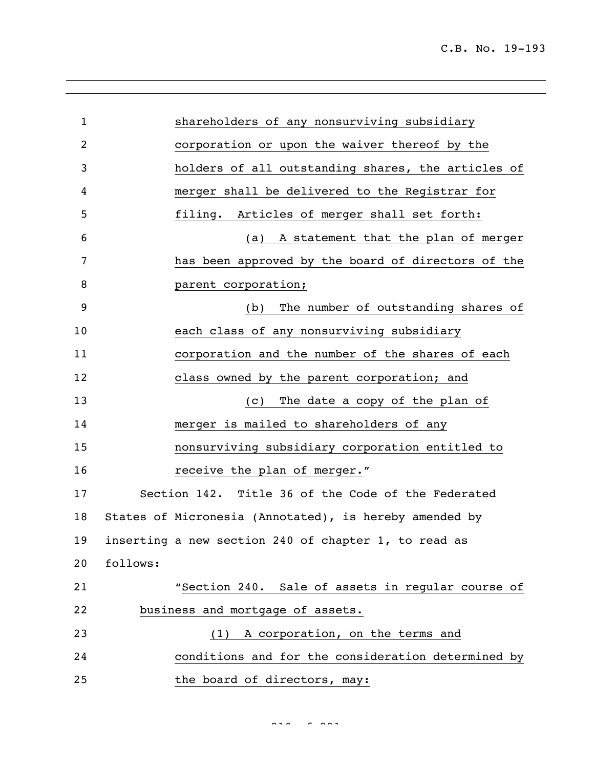| $\mathbf{1}$ | shareholders of any nonsurviving subsidiary            |
|--------------|--------------------------------------------------------|
| 2            | corporation or upon the waiver thereof by the          |
| 3            | holders of all outstanding shares, the articles of     |
| 4            | merger shall be delivered to the Registrar for         |
| 5            | filing. Articles of merger shall set forth:            |
| 6            | A statement that the plan of merger<br>(a)             |
| 7            | has been approved by the board of directors of the     |
| 8            | parent corporation;                                    |
| 9            | The number of outstanding shares of<br>(b)             |
| 10           | each class of any nonsurviving subsidiary              |
| 11           | corporation and the number of the shares of each       |
| 12           | class owned by the parent corporation; and             |
| 13           | The date a copy of the plan of<br>(C)                  |
| 14           | merger is mailed to shareholders of any                |
| 15           | nonsurviving subsidiary corporation entitled to        |
| 16           | receive the plan of merger."                           |
| 17           | Section 142. Title 36 of the Code of the Federated     |
| 18           | States of Micronesia (Annotated), is hereby amended by |
| 19           | inserting a new section 240 of chapter 1, to read as   |
| 20           | follows:                                               |
| 21           | "Section 240. Sale of assets in regular course of      |
| 22           | business and mortgage of assets.                       |
| 23           | A corporation, on the terms and<br>(1)                 |
| 24           | conditions and for the consideration determined by     |
| 25           | the board of directors, may:                           |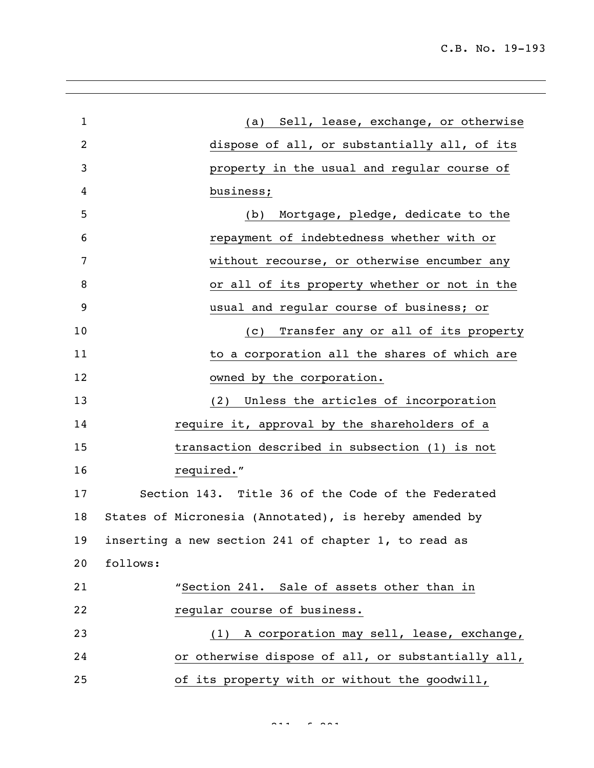| $\mathbf{1}$   | (a) Sell, lease, exchange, or otherwise                  |
|----------------|----------------------------------------------------------|
| $\overline{2}$ | dispose of all, or substantially all, of its             |
| 3              | property in the usual and regular course of              |
| 4              | business;                                                |
| 5              | Mortgage, pledge, dedicate to the<br>(b)                 |
| 6              | repayment of indebtedness whether with or                |
| 7              | without recourse, or otherwise encumber any              |
| 8              | or all of its property whether or not in the             |
| 9              | usual and regular course of business; or                 |
| 10             | Transfer any or all of its property<br>$\left( c\right)$ |
| 11             | to a corporation all the shares of which are             |
| 12             | owned by the corporation.                                |
| 13             | (2) Unless the articles of incorporation                 |
| 14             | require it, approval by the shareholders of a            |
| 15             | transaction described in subsection (1) is not           |
| 16             | required."                                               |
| 17             | Section 143. Title 36 of the Code of the Federated       |
| 18             | States of Micronesia (Annotated), is hereby amended by   |
| 19             | inserting a new section 241 of chapter 1, to read as     |
| 20             | follows:                                                 |
| 21             | "Section 241. Sale of assets other than in               |
| 22             | regular course of business.                              |
| 23             | (1) A corporation may sell, lease, exchange,             |
| 24             | or otherwise dispose of all, or substantially all,       |
| 25             | of its property with or without the goodwill,            |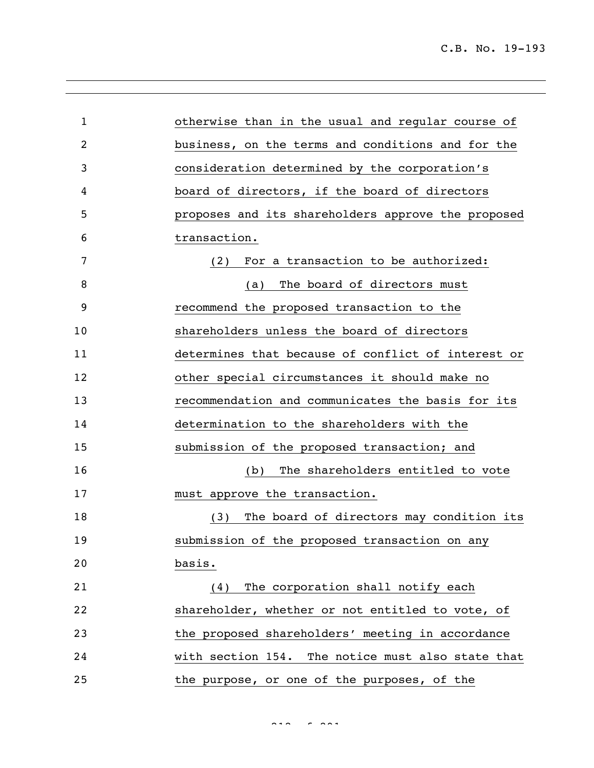| $\mathbf{1}$ | otherwise than in the usual and regular course of  |
|--------------|----------------------------------------------------|
| 2            | business, on the terms and conditions and for the  |
| 3            | consideration determined by the corporation's      |
| 4            | board of directors, if the board of directors      |
| 5            | proposes and its shareholders approve the proposed |
| 6            | transaction.                                       |
| 7            | For a transaction to be authorized:<br>(2)         |
| 8            | The board of directors must<br>(a)                 |
| 9            | recommend the proposed transaction to the          |
| 10           | shareholders unless the board of directors         |
| 11           | determines that because of conflict of interest or |
| 12           | other special circumstances it should make no      |
| 13           | recommendation and communicates the basis for its  |
| 14           | determination to the shareholders with the         |
| 15           | submission of the proposed transaction; and        |
| 16           | The shareholders entitled to vote<br>(b)           |
| 17           | must approve the transaction.                      |
| 18           | The board of directors may condition its<br>(3)    |
| 19           | submission of the proposed transaction on any      |
| 20           | basis.                                             |
| 21           | The corporation shall notify each<br>(4)           |
| 22           | shareholder, whether or not entitled to vote, of   |
| 23           | the proposed shareholders' meeting in accordance   |
| 24           | with section 154. The notice must also state that  |
| 25           | the purpose, or one of the purposes, of the        |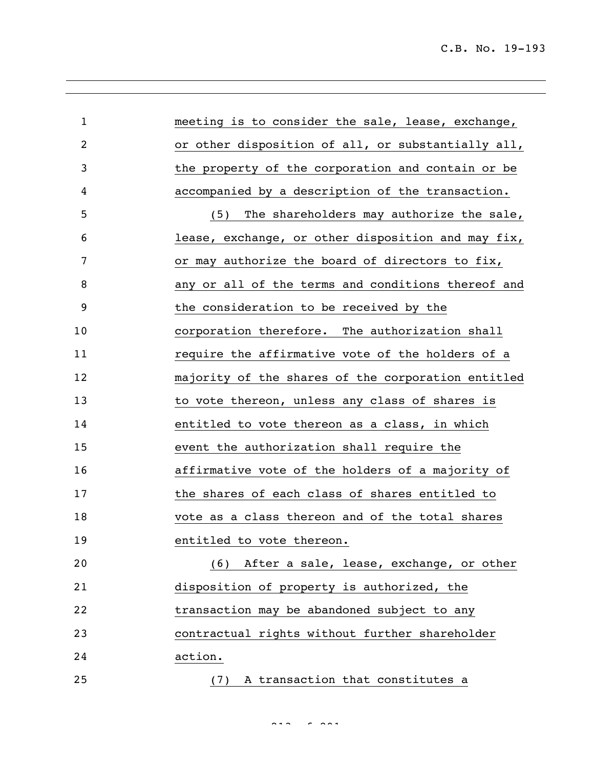| $\mathbf 1$ | meeting is to consider the sale, lease, exchange,  |
|-------------|----------------------------------------------------|
| 2           | or other disposition of all, or substantially all, |
| 3           | the property of the corporation and contain or be  |
| 4           | accompanied by a description of the transaction.   |
| 5           | The shareholders may authorize the sale,<br>(5)    |
| 6           | lease, exchange, or other disposition and may fix, |
| 7           | or may authorize the board of directors to fix,    |
| 8           | any or all of the terms and conditions thereof and |
| 9           | the consideration to be received by the            |
| 10          | corporation therefore. The authorization shall     |
| 11          | require the affirmative vote of the holders of a   |
| 12          | majority of the shares of the corporation entitled |
| 13          | to vote thereon, unless any class of shares is     |
| 14          | entitled to vote thereon as a class, in which      |
| 15          | event the authorization shall require the          |
| 16          | affirmative vote of the holders of a majority of   |
| 17          | the shares of each class of shares entitled to     |
| 18          | vote as a class thereon and of the total shares    |
| 19          | entitled to vote thereon.                          |
| 20          | (6) After a sale, lease, exchange, or other        |
| 21          | disposition of property is authorized, the         |
| 22          | transaction may be abandoned subject to any        |
| 23          | contractual rights without further shareholder     |
| 24          | action.                                            |
| 25          | A transaction that constitutes a<br>(7)            |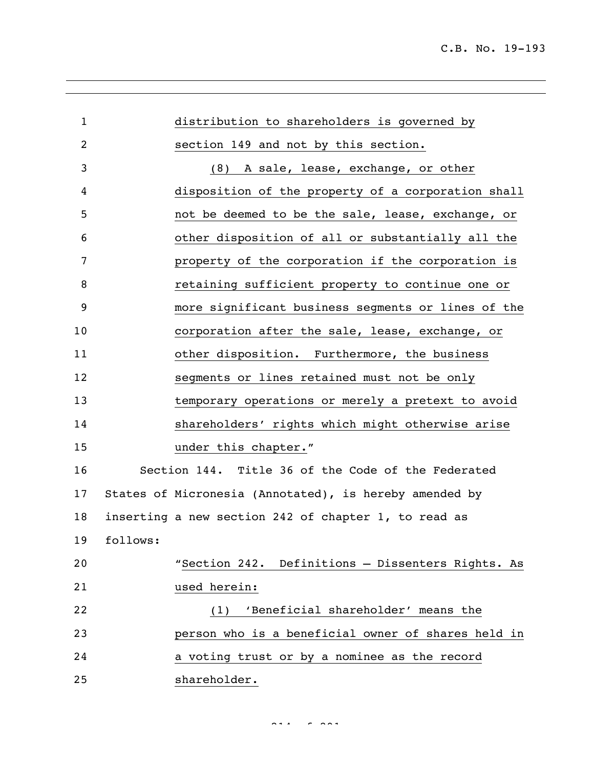| $\mathbf{1}$ |          | distribution to shareholders is governed by            |
|--------------|----------|--------------------------------------------------------|
| 2            |          | section 149 and not by this section.                   |
| 3            |          | A sale, lease, exchange, or other<br>(8)               |
| 4            |          | disposition of the property of a corporation shall     |
| 5            |          | not be deemed to be the sale, lease, exchange, or      |
| 6            |          | other disposition of all or substantially all the      |
| 7            |          | property of the corporation if the corporation is      |
| 8            |          | retaining sufficient property to continue one or       |
| 9            |          | more significant business segments or lines of the     |
| 10           |          | corporation after the sale, lease, exchange, or        |
| 11           |          | other disposition. Furthermore, the business           |
| 12           |          | segments or lines retained must not be only            |
| 13           |          | temporary operations or merely a pretext to avoid      |
| 14           |          | shareholders' rights which might otherwise arise       |
| 15           |          | under this chapter."                                   |
| 16           |          | Section 144. Title 36 of the Code of the Federated     |
| 17           |          | States of Micronesia (Annotated), is hereby amended by |
| 18           |          | inserting a new section 242 of chapter 1, to read as   |
| 19           | follows: |                                                        |
| 20           |          | "Section 242. Definitions - Dissenters Rights. As      |
| 21           |          | used herein:                                           |
| 22           |          | 'Beneficial shareholder' means the<br>(1)              |
| 23           |          | person who is a beneficial owner of shares held in     |
| 24           |          | a voting trust or by a nominee as the record           |
| 25           |          | shareholder.                                           |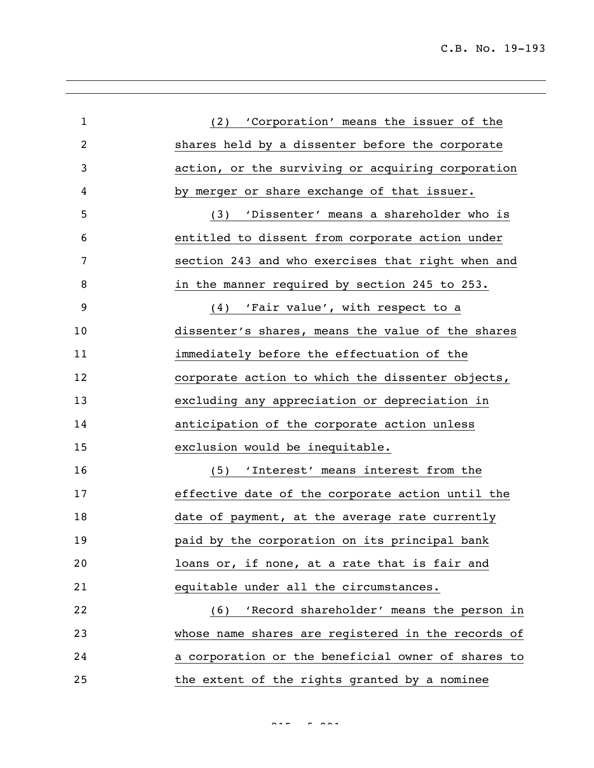| $\mathbf{1}$ | (2) 'Corporation' means the issuer of the          |
|--------------|----------------------------------------------------|
| 2            | shares held by a dissenter before the corporate    |
| 3            | action, or the surviving or acquiring corporation  |
| 4            | by merger or share exchange of that issuer.        |
| 5            | (3) 'Dissenter' means a shareholder who is         |
| 6            | entitled to dissent from corporate action under    |
| 7            | section 243 and who exercises that right when and  |
| 8            | in the manner required by section 245 to 253.      |
| 9            | (4) 'Fair value', with respect to a                |
| 10           | dissenter's shares, means the value of the shares  |
| 11           | immediately before the effectuation of the         |
| 12           | corporate action to which the dissenter objects,   |
| 13           | excluding any appreciation or depreciation in      |
| 14           | anticipation of the corporate action unless        |
| 15           | exclusion would be inequitable.                    |
| 16           | 'Interest' means interest from the<br>(5)          |
| 17           | effective date of the corporate action until the   |
| 18           | date of payment, at the average rate currently     |
| 19           | paid by the corporation on its principal bank      |
| 20           | loans or, if none, at a rate that is fair and      |
| 21           | equitable under all the circumstances.             |
| 22           | 'Record shareholder' means the person in<br>(6)    |
| 23           | whose name shares are registered in the records of |
| 24           | a corporation or the beneficial owner of shares to |
| 25           | the extent of the rights granted by a nominee      |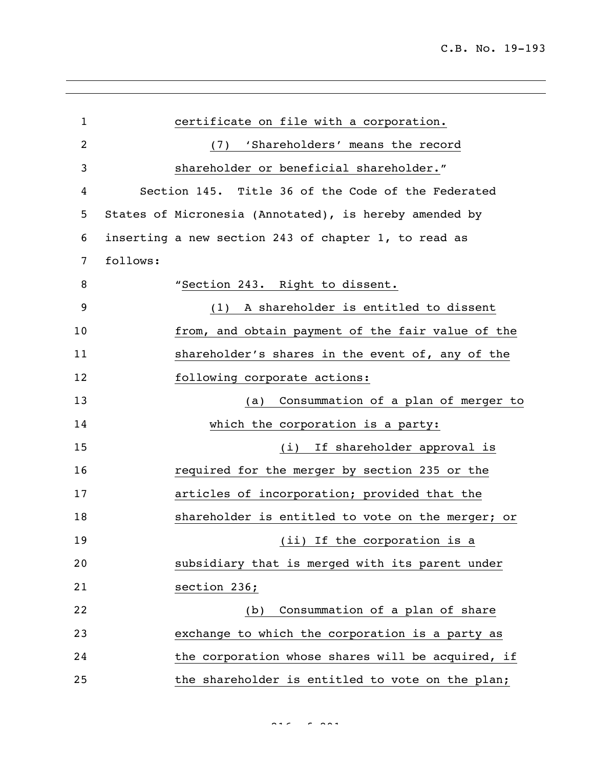| $\mathbf{1}$ | certificate on file with a corporation.                |
|--------------|--------------------------------------------------------|
| 2            | 'Shareholders' means the record<br>(7)                 |
| 3            | shareholder or beneficial shareholder."                |
| 4            | Section 145. Title 36 of the Code of the Federated     |
| 5            | States of Micronesia (Annotated), is hereby amended by |
| 6            | inserting a new section 243 of chapter 1, to read as   |
| 7            | follows:                                               |
| 8            | "Section 243. Right to dissent.                        |
| 9            | A shareholder is entitled to dissent<br>(1)            |
| 10           | from, and obtain payment of the fair value of the      |
| 11           | shareholder's shares in the event of, any of the       |
| 12           | following corporate actions:                           |
| 13           | Consummation of a plan of merger to<br>(a)             |
| 14           | which the corporation is a party:                      |
| 15           | If shareholder approval is<br>(i)                      |
| 16           | required for the merger by section 235 or the          |
| 17           | articles of incorporation; provided that the           |
| 18           | shareholder is entitled to vote on the merger; or      |
| 19           | (ii) If the corporation is a                           |
| 20           | subsidiary that is merged with its parent under        |
| 21           | section 236;                                           |
| 22           | Consummation of a plan of share<br>(b)                 |
| 23           | exchange to which the corporation is a party as        |
| 24           | the corporation whose shares will be acquired, if      |
| 25           | the shareholder is entitled to vote on the plan;       |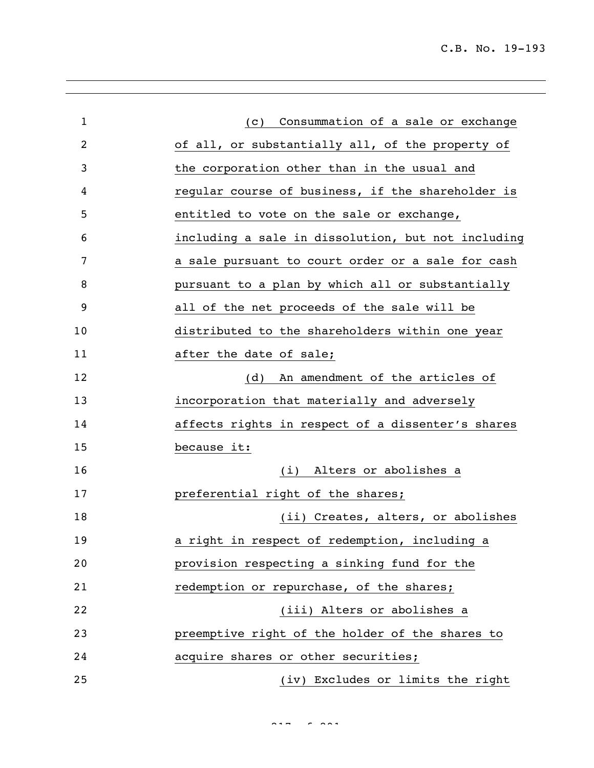| $\mathbf{1}$ | Consummation of a sale or exchange<br>(C)          |
|--------------|----------------------------------------------------|
| 2            | of all, or substantially all, of the property of   |
| 3            | the corporation other than in the usual and        |
| 4            | regular course of business, if the shareholder is  |
| 5            | entitled to vote on the sale or exchange,          |
| 6            | including a sale in dissolution, but not including |
| 7            | a sale pursuant to court order or a sale for cash  |
| 8            | pursuant to a plan by which all or substantially   |
| 9            | all of the net proceeds of the sale will be        |
| 10           | distributed to the shareholders within one year    |
| 11           | after the date of sale;                            |
| 12           | An amendment of the articles of<br>(d)             |
| 13           | incorporation that materially and adversely        |
| 14           | affects rights in respect of a dissenter's shares  |
| 15           | because it:                                        |
| 16           | Alters or abolishes a<br>(i)                       |
| 17           | preferential right of the shares;                  |
| 18           | (ii) Creates, alters, or abolishes                 |
| 19           | a right in respect of redemption, including a      |
| 20           | provision respecting a sinking fund for the        |
| 21           | redemption or repurchase, of the shares;           |
| 22           | (iii) Alters or abolishes a                        |
| 23           | preemptive right of the holder of the shares to    |
| 24           | acquire shares or other securities;                |
| 25           | (iv) Excludes or limits the right                  |

 $227 - 222$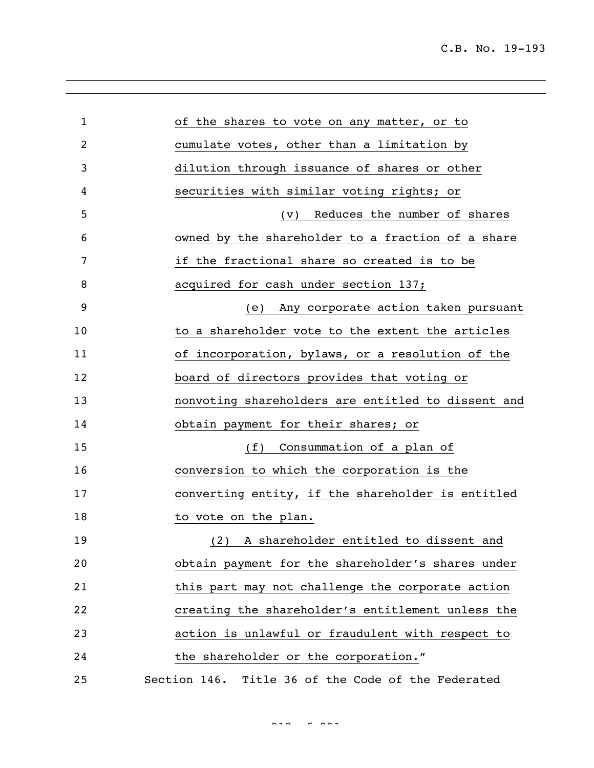C.B. No. 19-193

| 1  | of the shares to vote on any matter, or to         |
|----|----------------------------------------------------|
| 2  | cumulate votes, other than a limitation by         |
| 3  | dilution through issuance of shares or other       |
| 4  | securities with similar voting rights; or          |
| 5  | Reduces the number of shares<br>$(\vee)$           |
| 6  | owned by the shareholder to a fraction of a share  |
| 7  | if the fractional share so created is to be        |
| 8  | acquired for cash under section 137;               |
| 9  | Any corporate action taken pursuant<br>(e)         |
| 10 | to a shareholder vote to the extent the articles   |
| 11 | of incorporation, bylaws, or a resolution of the   |
| 12 | board of directors provides that voting or         |
| 13 | nonvoting shareholders are entitled to dissent and |
| 14 | obtain payment for their shares; or                |
| 15 | Consummation of a plan of<br>(f)                   |
| 16 | conversion to which the corporation is the         |
| 17 | converting entity, if the shareholder is entitled  |
| 18 | to vote on the plan.                               |
| 19 | (2) A shareholder entitled to dissent and          |
| 20 | obtain payment for the shareholder's shares under  |
| 21 | this part may not challenge the corporate action   |
| 22 | creating the shareholder's entitlement unless the  |
| 23 | action is unlawful or fraudulent with respect to   |
| 24 | the shareholder or the corporation."               |
| 25 | Section 146. Title 36 of the Code of the Federated |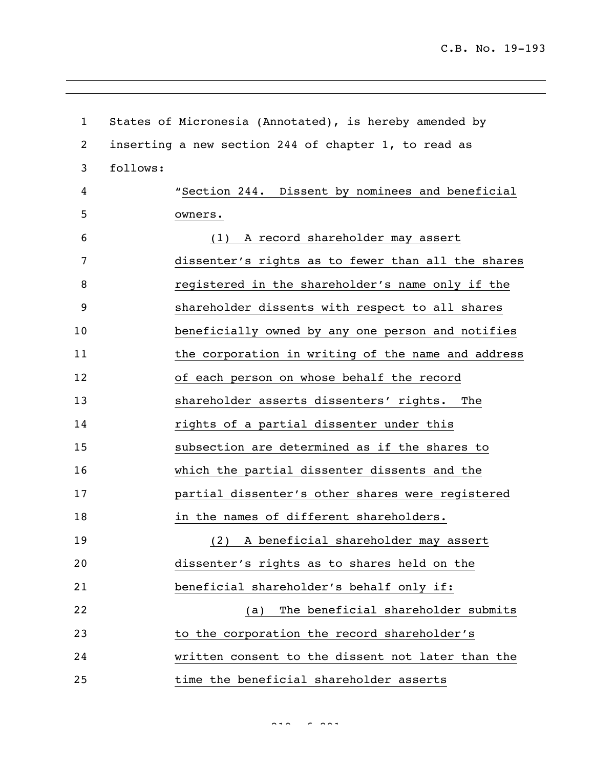| $\mathbf{1}$ | States of Micronesia (Annotated), is hereby amended by |
|--------------|--------------------------------------------------------|
| 2            | inserting a new section 244 of chapter 1, to read as   |
| 3            | follows:                                               |
| 4            | "Section 244. Dissent by nominees and beneficial       |
| 5            | owners.                                                |
| 6            | (1) A record shareholder may assert                    |
| 7            | dissenter's rights as to fewer than all the shares     |
| 8            | registered in the shareholder's name only if the       |
| 9            | shareholder dissents with respect to all shares        |
| 10           | beneficially owned by any one person and notifies      |
| 11           | the corporation in writing of the name and address     |
| 12           | of each person on whose behalf the record              |
| 13           | shareholder asserts dissenters' rights.<br>The         |
| 14           | rights of a partial dissenter under this               |
| 15           | subsection are determined as if the shares to          |
| 16           | which the partial dissenter dissents and the           |
| 17           | partial dissenter's other shares were registered       |
| 18           | in the names of different shareholders.                |
| 19           | A beneficial shareholder may assert<br>(2)             |
| 20           | dissenter's rights as to shares held on the            |
| 21           | beneficial shareholder's behalf only if:               |
| 22           | The beneficial shareholder submits<br>(a)              |
| 23           | to the corporation the record shareholder's            |
| 24           | written consent to the dissent not later than the      |
| 25           | time the beneficial shareholder asserts                |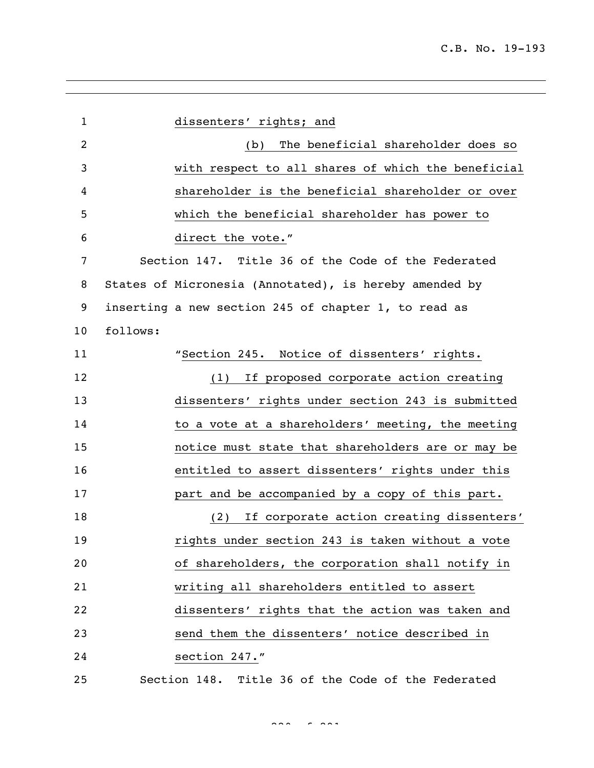| $\mathbf{1}$ | dissenters' rights; and                                |
|--------------|--------------------------------------------------------|
| 2            | The beneficial shareholder does so<br>(b)              |
| 3            | with respect to all shares of which the beneficial     |
| 4            | shareholder is the beneficial shareholder or over      |
| 5            | which the beneficial shareholder has power to          |
| 6            | direct the vote."                                      |
| 7            | Section 147. Title 36 of the Code of the Federated     |
| 8            | States of Micronesia (Annotated), is hereby amended by |
| 9            | inserting a new section 245 of chapter 1, to read as   |
| 10           | follows:                                               |
| 11           | "Section 245. Notice of dissenters' rights.            |
| 12           | (1) If proposed corporate action creating              |
| 13           | dissenters' rights under section 243 is submitted      |
| 14           | to a vote at a shareholders' meeting, the meeting      |
| 15           | notice must state that shareholders are or may be      |
| 16           | entitled to assert dissenters' rights under this       |
| 17           | part and be accompanied by a copy of this part.        |
| 18           | If corporate action creating dissenters'<br>(2)        |
| 19           | rights under section 243 is taken without a vote       |
| 20           | of shareholders, the corporation shall notify in       |
| 21           | writing all shareholders entitled to assert            |
| 22           | dissenters' rights that the action was taken and       |
| 23           | send them the dissenters' notice described in          |
| 24           | section 247."                                          |
| 25           | Section 148. Title 36 of the Code of the Federated     |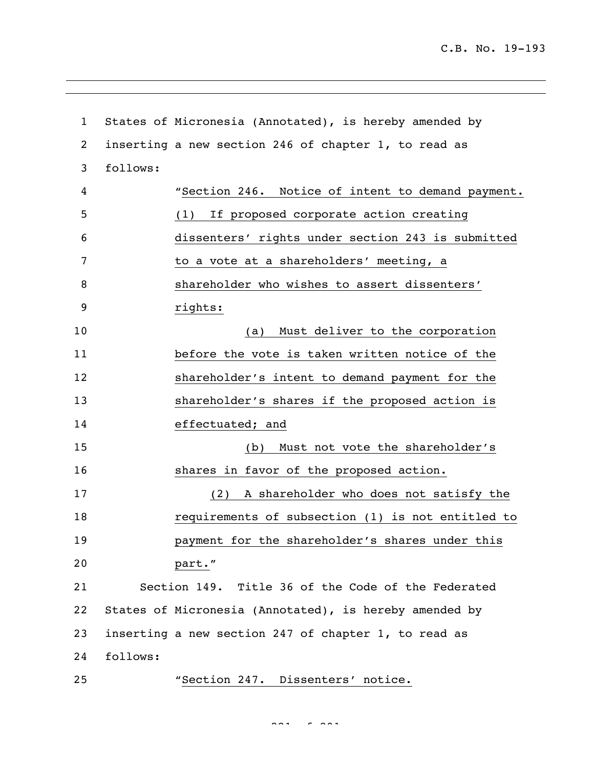```
1 States of Micronesia (Annotated), is hereby amended by 
2 inserting a new section 246 of chapter 1, to read as 
3 follows:
4 "Section 246. Notice of intent to demand payment.
5 (1) If proposed corporate action creating 
6 dissenters' rights under section 243 is submitted 
7 to a vote at a shareholders' meeting, a
8 shareholder who wishes to assert dissenters' 
9 rights:
10 (a) Must deliver to the corporation 
11 before the vote is taken written notice of the 
12 shareholder's intent to demand payment for the 
13 shareholder's shares if the proposed action is 
14 effectuated; and
15 (b) Must not vote the shareholder's
16 shares in favor of the proposed action.
17 (2) A shareholder who does not satisfy the 
18 requirements of subsection (1) is not entitled to 
19 payment for the shareholder's shares under this 
20 part."
21 Section 149. Title 36 of the Code of the Federated 
22 States of Micronesia (Annotated), is hereby amended by 
23 inserting a new section 247 of chapter 1, to read as 
24 follows:
25 "Section 247. Dissenters' notice.
```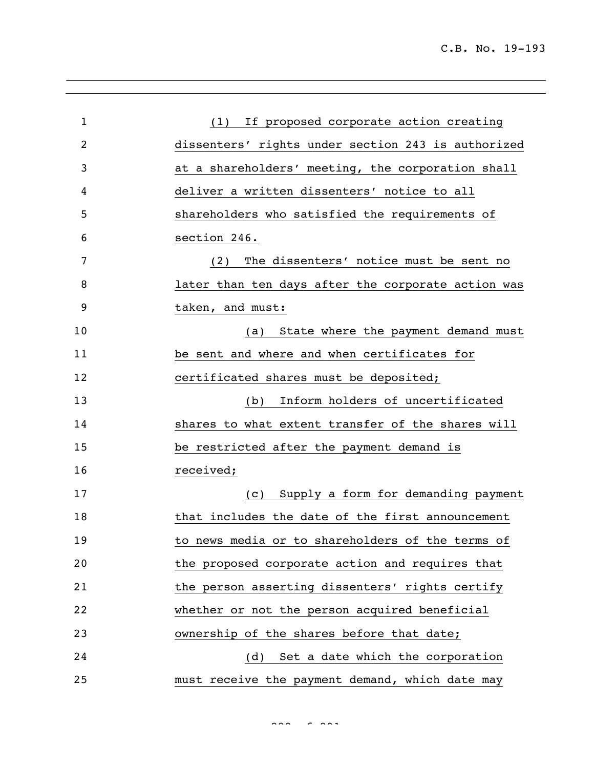| $\mathbf{1}$ | (1) If proposed corporate action creating          |
|--------------|----------------------------------------------------|
| 2            | dissenters' rights under section 243 is authorized |
| 3            | at a shareholders' meeting, the corporation shall  |
| 4            | deliver a written dissenters' notice to all        |
| 5            | shareholders who satisfied the requirements of     |
| 6            | section 246.                                       |
| 7            | (2) The dissenters' notice must be sent no         |
| 8            | later than ten days after the corporate action was |
| 9            | taken, and must:                                   |
| 10           | (a) State where the payment demand must            |
| 11           | be sent and where and when certificates for        |
| 12           | certificated shares must be deposited;             |
| 13           | Inform holders of uncertificated<br>(b)            |
| 14           | shares to what extent transfer of the shares will  |
| 15           | be restricted after the payment demand is          |
| 16           | received;                                          |
| 17           | (c) Supply a form for demanding payment            |
| 18           | that includes the date of the first announcement   |
| 19           | to news media or to shareholders of the terms of   |
| 20           | the proposed corporate action and requires that    |
| 21           | the person asserting dissenters' rights certify    |
| 22           | whether or not the person acquired beneficial      |
| 23           | ownership of the shares before that date;          |
| 24           | (d) Set a date which the corporation               |
| 25           | must receive the payment demand, which date may    |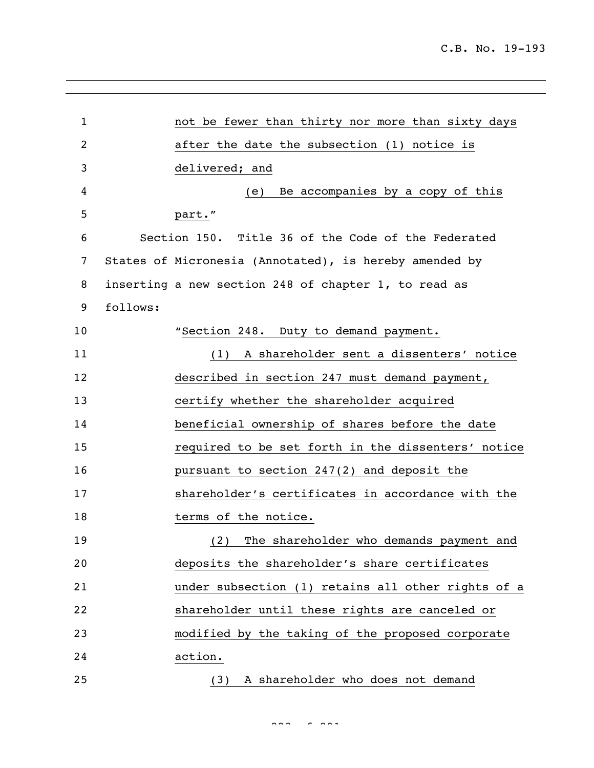| $\mathbf{1}$   | not be fewer than thirty nor more than sixty days      |
|----------------|--------------------------------------------------------|
| $\overline{c}$ | after the date the subsection (1) notice is            |
| 3              | delivered; and                                         |
| 4              | Be accompanies by a copy of this<br>(e)                |
| 5              | part."                                                 |
| 6              | Section 150. Title 36 of the Code of the Federated     |
| 7              | States of Micronesia (Annotated), is hereby amended by |
| 8              | inserting a new section 248 of chapter 1, to read as   |
| 9              | follows:                                               |
| 10             | "Section 248. Duty to demand payment.                  |
| 11             | (1) A shareholder sent a dissenters' notice            |
| 12             | described in section 247 must demand payment,          |
| 13             | certify whether the shareholder acquired               |
| 14             | beneficial ownership of shares before the date         |
| 15             | required to be set forth in the dissenters' notice     |
| 16             | pursuant to section 247(2) and deposit the             |
| 17             | shareholder's certificates in accordance with the      |
| 18             | terms of the notice.                                   |
| 19             | (2) The shareholder who demands payment and            |
| 20             | deposits the shareholder's share certificates          |
| 21             | under subsection (1) retains all other rights of a     |
| 22             | shareholder until these rights are canceled or         |
| 23             | modified by the taking of the proposed corporate       |
| 24             | action.                                                |
| 25             | A shareholder who does not demand<br>(3)               |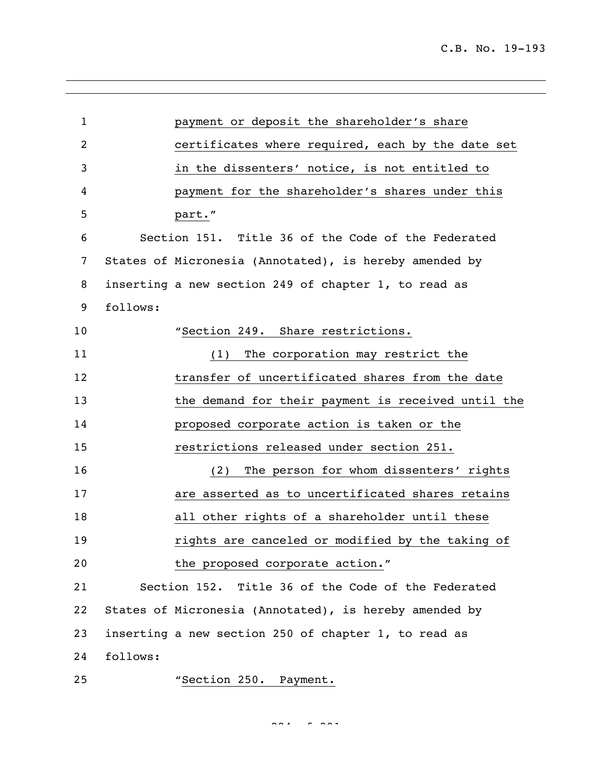| $\mathbf{1}$   |          | payment or deposit the shareholder's share             |
|----------------|----------|--------------------------------------------------------|
| $\overline{2}$ |          | certificates where required, each by the date set      |
| 3              |          | in the dissenters' notice, is not entitled to          |
| 4              |          | payment for the shareholder's shares under this        |
| 5              |          | part."                                                 |
| 6              |          | Section 151. Title 36 of the Code of the Federated     |
| 7              |          | States of Micronesia (Annotated), is hereby amended by |
| 8              |          | inserting a new section 249 of chapter 1, to read as   |
| 9              | follows: |                                                        |
| 10             |          | "Section 249. Share restrictions.                      |
| 11             |          | The corporation may restrict the<br>(1)                |
| 12             |          | transfer of uncertificated shares from the date        |
| 13             |          | the demand for their payment is received until the     |
| 14             |          | proposed corporate action is taken or the              |
| 15             |          | restrictions released under section 251.               |
| 16             |          | The person for whom dissenters' rights<br>(2)          |
| 17             |          | are asserted as to uncertificated shares retains       |
| 18             |          | all other rights of a shareholder until these          |
| 19             |          | rights are canceled or modified by the taking of       |
| 20             |          | the proposed corporate action."                        |
| 21             |          | Section 152. Title 36 of the Code of the Federated     |
| 22             |          | States of Micronesia (Annotated), is hereby amended by |
| 23             |          | inserting a new section 250 of chapter 1, to read as   |
| 24             | follows: |                                                        |
| 25             |          | "Section 250. Payment.                                 |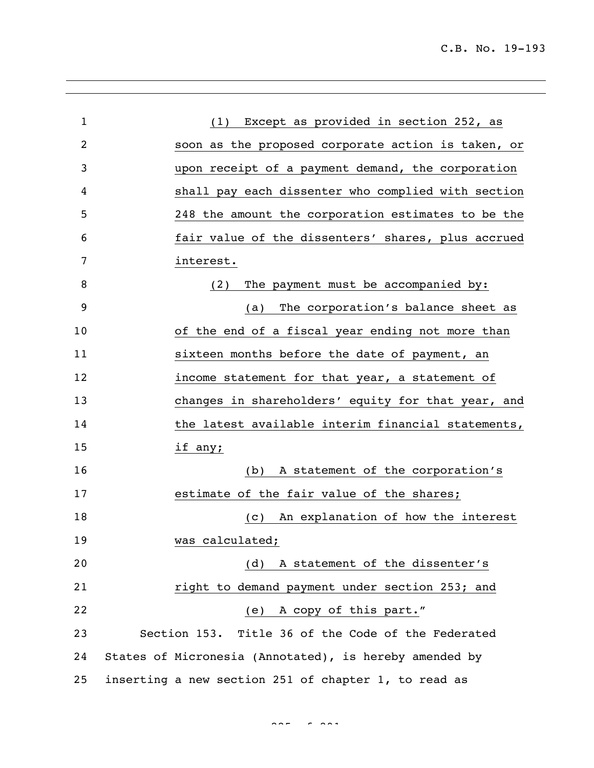| $\mathbf{1}$   | (1) Except as provided in section 252, as              |
|----------------|--------------------------------------------------------|
| $\overline{2}$ | soon as the proposed corporate action is taken, or     |
| 3              | upon receipt of a payment demand, the corporation      |
| 4              | shall pay each dissenter who complied with section     |
| 5              | 248 the amount the corporation estimates to be the     |
| 6              | fair value of the dissenters' shares, plus accrued     |
| 7              | interest.                                              |
| 8              | The payment must be accompanied by:<br>(2)             |
| 9              | The corporation's balance sheet as<br>(a)              |
| 10             | of the end of a fiscal year ending not more than       |
| 11             | sixteen months before the date of payment, an          |
| 12             | income statement for that year, a statement of         |
| 13             | changes in shareholders' equity for that year, and     |
| 14             | the latest available interim financial statements,     |
| 15             | if any;                                                |
| 16             | A statement of the corporation's<br>(b)                |
| 17             | estimate of the fair value of the shares;              |
| 18             | An explanation of how the interest<br>(C)              |
| 19             | was calculated;                                        |
| 20             | (d) A statement of the dissenter's                     |
| 21             | right to demand payment under section 253; and         |
| 22             | (e) A copy of this part."                              |
| 23             | Section 153. Title 36 of the Code of the Federated     |
| 24             | States of Micronesia (Annotated), is hereby amended by |
| 25             | inserting a new section 251 of chapter 1, to read as   |

 $225 - 225$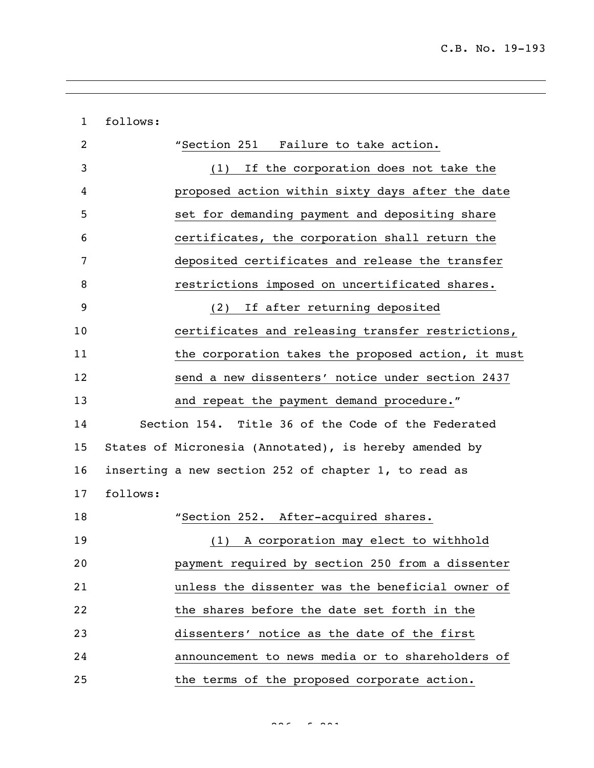| $\mathbf{1}$ | follows: |                                                        |
|--------------|----------|--------------------------------------------------------|
| 2            |          | "Section 251 Failure to take action.                   |
| 3            |          | (1) If the corporation does not take the               |
| 4            |          | proposed action within sixty days after the date       |
| 5            |          | set for demanding payment and depositing share         |
| 6            |          | certificates, the corporation shall return the         |
| 7            |          | deposited certificates and release the transfer        |
| 8            |          | restrictions imposed on uncertificated shares.         |
| 9            |          | If after returning deposited<br>(2)                    |
| 10           |          | certificates and releasing transfer restrictions,      |
| 11           |          | the corporation takes the proposed action, it must     |
| 12           |          | send a new dissenters' notice under section 2437       |
| 13           |          | and repeat the payment demand procedure."              |
| 14           |          | Section 154. Title 36 of the Code of the Federated     |
| 15           |          | States of Micronesia (Annotated), is hereby amended by |
| 16           |          | inserting a new section 252 of chapter 1, to read as   |
| 17           | follows: |                                                        |
| 18           |          | "Section 252. After-acquired shares.                   |
| 19           |          | A corporation may elect to withhold<br>(1)             |
| 20           |          | payment required by section 250 from a dissenter       |
| 21           |          | unless the dissenter was the beneficial owner of       |
| 22           |          | the shares before the date set forth in the            |
| 23           |          | dissenters' notice as the date of the first            |
| 24           |          | announcement to news media or to shareholders of       |
| 25           |          | the terms of the proposed corporate action.            |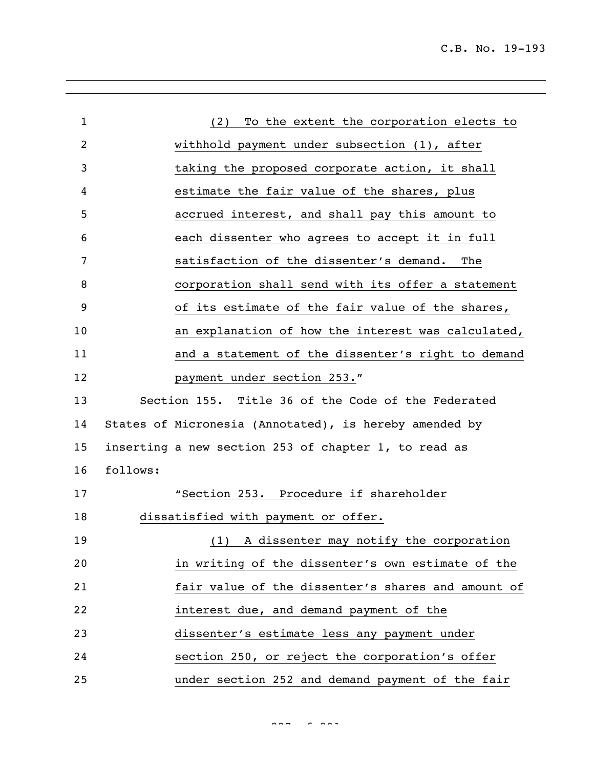C.B. No. 19-193

| $\mathbf{1}$   | To the extent the corporation elects to<br>(2)         |
|----------------|--------------------------------------------------------|
| $\overline{c}$ | withhold payment under subsection (1), after           |
| 3              | taking the proposed corporate action, it shall         |
| 4              | estimate the fair value of the shares, plus            |
| 5              | accrued interest, and shall pay this amount to         |
| 6              | each dissenter who agrees to accept it in full         |
| 7              | satisfaction of the dissenter's demand.<br>The         |
| 8              | corporation shall send with its offer a statement      |
| 9              | of its estimate of the fair value of the shares,       |
| 10             | an explanation of how the interest was calculated,     |
| 11             | and a statement of the dissenter's right to demand     |
| 12             | payment under section 253."                            |
| 13             | Section 155. Title 36 of the Code of the Federated     |
| 14             | States of Micronesia (Annotated), is hereby amended by |
| 15             | inserting a new section 253 of chapter 1, to read as   |
| 16             | follows:                                               |
| 17             | "Section 253. Procedure if shareholder                 |
| 18             | dissatisfied with payment or offer.                    |
| 19             | (1) A dissenter may notify the corporation             |
| 20             | in writing of the dissenter's own estimate of the      |
| 21             | fair value of the dissenter's shares and amount of     |
| 22             | interest due, and demand payment of the                |
| 23             | dissenter's estimate less any payment under            |
| 24             | section 250, or reject the corporation's offer         |
| 25             | under section 252 and demand payment of the fair       |

 $227 - 227$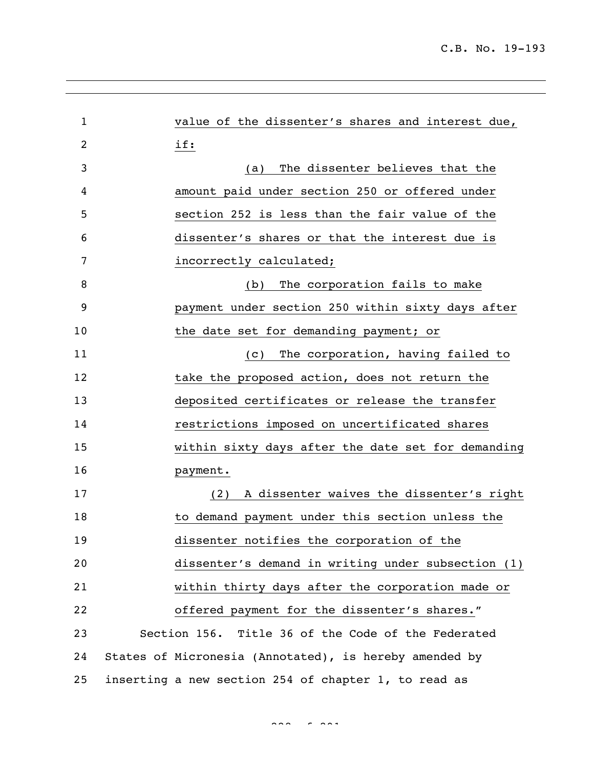| $\mathbf 1$ | value of the dissenter's shares and interest due,      |
|-------------|--------------------------------------------------------|
| 2           | if:                                                    |
| 3           | The dissenter believes that the<br>(a)                 |
| 4           | amount paid under section 250 or offered under         |
| 5           | section 252 is less than the fair value of the         |
| 6           | dissenter's shares or that the interest due is         |
| 7           | incorrectly calculated;                                |
| 8           | The corporation fails to make<br>(b)                   |
| 9           | payment under section 250 within sixty days after      |
| 10          | the date set for demanding payment; or                 |
| 11          | The corporation, having failed to<br>(C)               |
| 12          | take the proposed action, does not return the          |
| 13          | deposited certificates or release the transfer         |
| 14          | restrictions imposed on uncertificated shares          |
| 15          | within sixty days after the date set for demanding     |
| 16          | payment.                                               |
| 17          | A dissenter waives the dissenter's right<br>(2)        |
| 18          | to demand payment under this section unless the        |
| 19          | dissenter notifies the corporation of the              |
| 20          | dissenter's demand in writing under subsection (1)     |
| 21          | within thirty days after the corporation made or       |
| 22          | offered payment for the dissenter's shares."           |
| 23          | Section 156. Title 36 of the Code of the Federated     |
| 24          | States of Micronesia (Annotated), is hereby amended by |
| 25          | inserting a new section 254 of chapter 1, to read as   |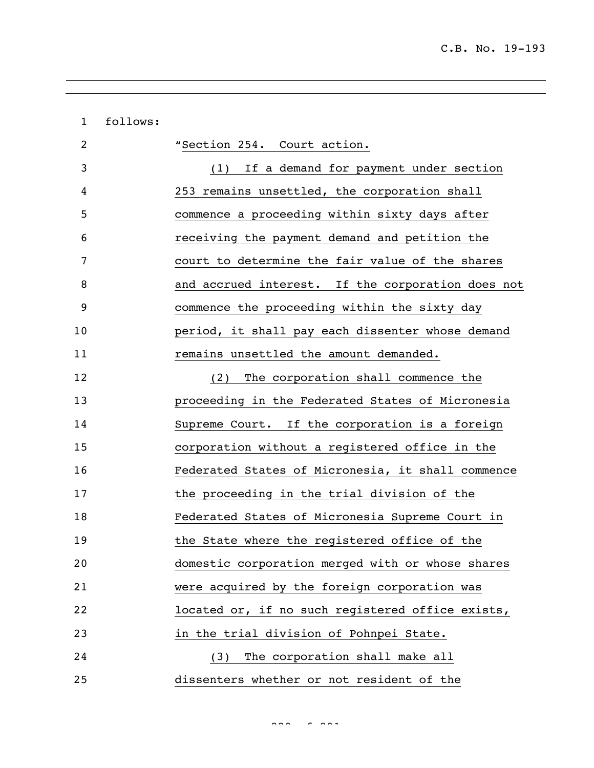| $\mathbf{1}$ | follows: |                                                   |
|--------------|----------|---------------------------------------------------|
| 2            |          | "Section 254. Court action.                       |
| 3            |          | (1) If a demand for payment under section         |
| 4            |          | 253 remains unsettled, the corporation shall      |
| 5            |          | commence a proceeding within sixty days after     |
| 6            |          | receiving the payment demand and petition the     |
| 7            |          | court to determine the fair value of the shares   |
| 8            |          | and accrued interest. If the corporation does not |
| 9            |          | commence the proceeding within the sixty day      |
| 10           |          | period, it shall pay each dissenter whose demand  |
| 11           |          | remains unsettled the amount demanded.            |
| 12           |          | The corporation shall commence the<br>(2)         |
| 13           |          | proceeding in the Federated States of Micronesia  |
| 14           |          | Supreme Court. If the corporation is a foreign    |
| 15           |          | corporation without a registered office in the    |
| 16           |          | Federated States of Micronesia, it shall commence |
| 17           |          | the proceeding in the trial division of the       |
| 18           |          | Federated States of Micronesia Supreme Court in   |
| 19           |          | the State where the registered office of the      |
| 20           |          | domestic corporation merged with or whose shares  |
| 21           |          | were acquired by the foreign corporation was      |
| 22           |          | located or, if no such registered office exists,  |
| 23           |          | in the trial division of Pohnpei State.           |
| 24           |          | The corporation shall make all<br>(3)             |
| 25           |          | dissenters whether or not resident of the         |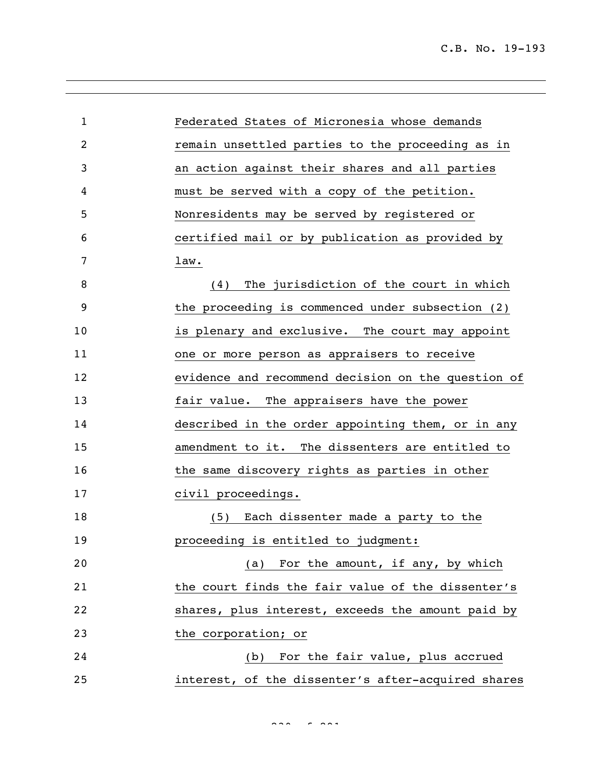| $\mathbf 1$ | Federated States of Micronesia whose demands       |
|-------------|----------------------------------------------------|
| 2           | remain unsettled parties to the proceeding as in   |
| 3           | an action against their shares and all parties     |
| 4           | must be served with a copy of the petition.        |
| 5           | Nonresidents may be served by registered or        |
| 6           | certified mail or by publication as provided by    |
| 7           | law.                                               |
| 8           | The jurisdiction of the court in which<br>(4)      |
| 9           | the proceeding is commenced under subsection (2)   |
| 10          | is plenary and exclusive. The court may appoint    |
| 11          | one or more person as appraisers to receive        |
| 12          | evidence and recommend decision on the question of |
| 13          | fair value. The appraisers have the power          |
| 14          | described in the order appointing them, or in any  |
| 15          | amendment to it. The dissenters are entitled to    |
| 16          | the same discovery rights as parties in other      |
| 17          | civil proceedings.                                 |
| 18          | (5) Each dissenter made a party to the             |
| 19          | proceeding is entitled to judgment:                |
| 20          | (a) For the amount, if any, by which               |
| 21          | the court finds the fair value of the dissenter's  |
| 22          | shares, plus interest, exceeds the amount paid by  |
| 23          | the corporation; or                                |
| 24          | For the fair value, plus accrued<br>(b)            |
| 25          | interest, of the dissenter's after-acquired shares |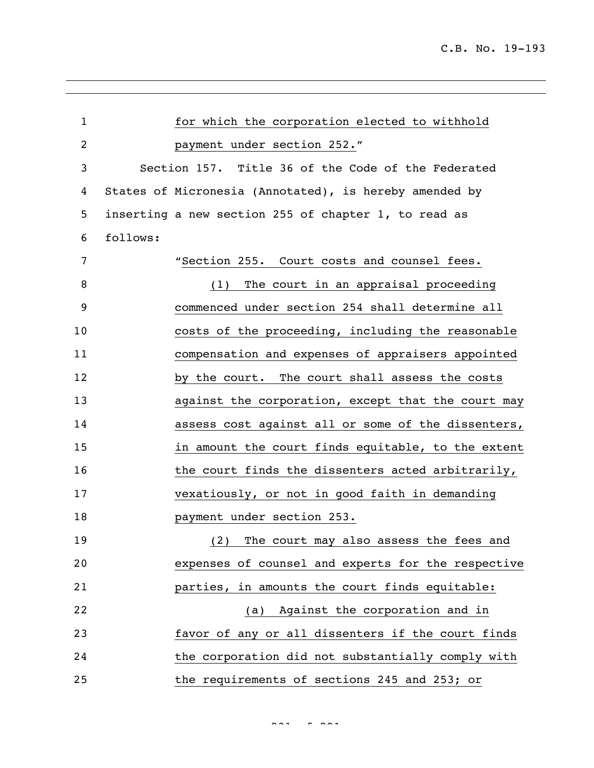| $\mathbf{1}$   |          | for which the corporation elected to withhold          |
|----------------|----------|--------------------------------------------------------|
| $\overline{c}$ |          | payment under section 252."                            |
| 3              |          | Section 157. Title 36 of the Code of the Federated     |
| 4              |          | States of Micronesia (Annotated), is hereby amended by |
| 5              |          | inserting a new section 255 of chapter 1, to read as   |
| 6              | follows: |                                                        |
| 7              |          | "Section 255. Court costs and counsel fees.            |
| 8              |          | (1) The court in an appraisal proceeding               |
| 9              |          | commenced under section 254 shall determine all        |
| 10             |          | costs of the proceeding, including the reasonable      |
| 11             |          | compensation and expenses of appraisers appointed      |
| 12             |          | by the court. The court shall assess the costs         |
| 13             |          | against the corporation, except that the court may     |
| 14             |          | assess cost against all or some of the dissenters,     |
| 15             |          | in amount the court finds equitable, to the extent     |
| 16             |          | the court finds the dissenters acted arbitrarily,      |
| 17             |          | vexatiously, or not in good faith in demanding         |
| 18             |          | payment under section 253.                             |
| 19             |          | The court may also assess the fees and<br>(2)          |
| 20             |          | expenses of counsel and experts for the respective     |
| 21             |          | parties, in amounts the court finds equitable:         |
| 22             |          | (a) Against the corporation and in                     |
| 23             |          | favor of any or all dissenters if the court finds      |
| 24             |          | the corporation did not substantially comply with      |
| 25             |          | the requirements of sections 245 and 253; or           |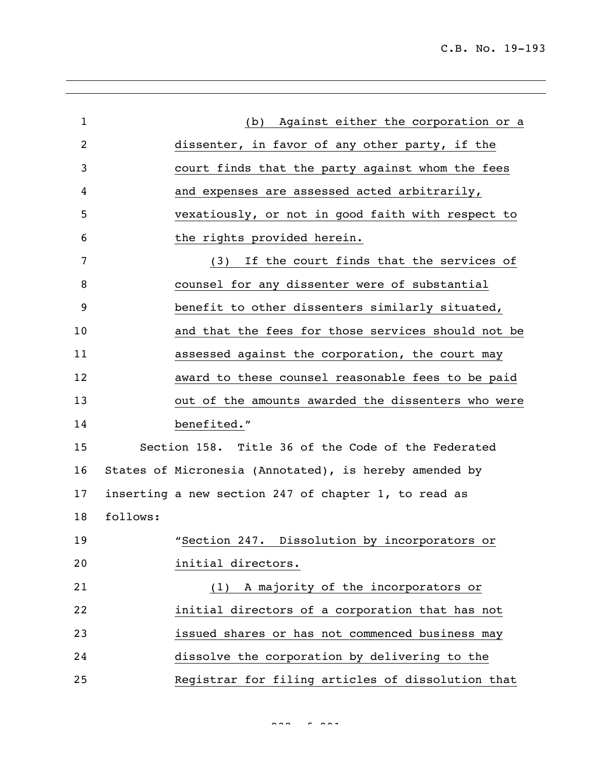C.B. No. 19-193

| $\mathbf{1}$   |          | Against either the corporation or a<br>(b)             |
|----------------|----------|--------------------------------------------------------|
| $\overline{2}$ |          | dissenter, in favor of any other party, if the         |
| 3              |          | court finds that the party against whom the fees       |
| 4              |          | and expenses are assessed acted arbitrarily,           |
| 5              |          | vexatiously, or not in good faith with respect to      |
| 6              |          | the rights provided herein.                            |
| 7              |          | (3) If the court finds that the services of            |
| 8              |          | counsel for any dissenter were of substantial          |
| 9              |          | benefit to other dissenters similarly situated,        |
| 10             |          | and that the fees for those services should not be     |
| 11             |          | assessed against the corporation, the court may        |
| 12             |          | award to these counsel reasonable fees to be paid      |
| 13             |          | out of the amounts awarded the dissenters who were     |
| 14             |          | benefited."                                            |
| 15             |          | Section 158. Title 36 of the Code of the Federated     |
| 16             |          | States of Micronesia (Annotated), is hereby amended by |
| 17             |          | inserting a new section 247 of chapter 1, to read as   |
| 18             | follows: |                                                        |
| 19             |          | "Section 247. Dissolution by incorporators or          |
| 20             |          | initial directors.                                     |
| 21             |          | (1) A majority of the incorporators or                 |
| 22             |          | initial directors of a corporation that has not        |
| 23             |          | issued shares or has not commenced business may        |
| 24             |          | dissolve the corporation by delivering to the          |
| 25             |          | Registrar for filing articles of dissolution that      |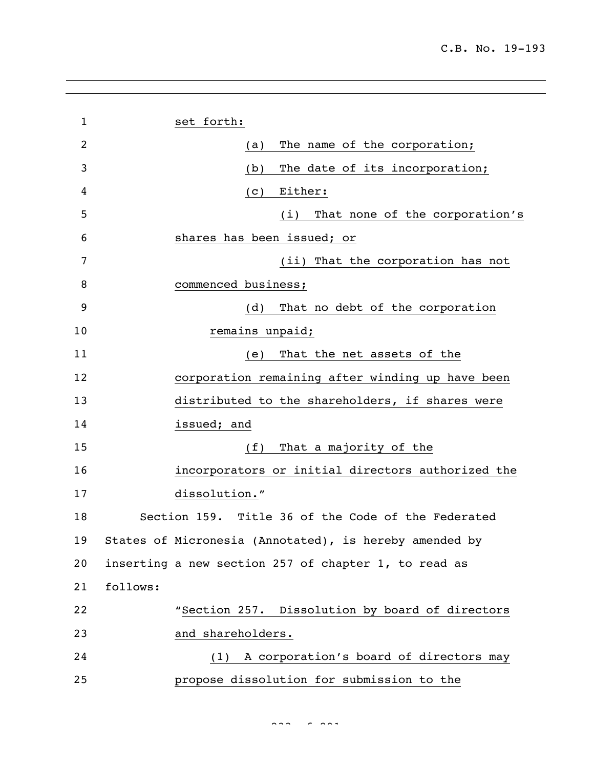| $\mathbf{1}$ | set forth:                                             |
|--------------|--------------------------------------------------------|
| 2            | The name of the corporation;<br>(a)                    |
| 3            | The date of its incorporation;<br>(b)                  |
| 4            | Either:<br>(C)                                         |
| 5            | That none of the corporation's<br>(i)                  |
| 6            | shares has been issued; or                             |
| 7            | (ii) That the corporation has not                      |
| 8            | commenced business;                                    |
| 9            | That no debt of the corporation<br>(d)                 |
| 10           | remains unpaid;                                        |
| 11           | That the net assets of the<br>(e)                      |
| 12           | corporation remaining after winding up have been       |
| 13           | distributed to the shareholders, if shares were        |
| 14           | issued; and                                            |
| 15           | That a majority of the<br>(f)                          |
| 16           | incorporators or initial directors authorized the      |
| 17           | dissolution."                                          |
| 18           | Section 159. Title 36 of the Code of the Federated     |
| 19           | States of Micronesia (Annotated), is hereby amended by |
| 20           | inserting a new section 257 of chapter 1, to read as   |
| 21           | follows:                                               |
| 22           | "Section 257. Dissolution by board of directors        |
| 23           | and shareholders.                                      |
| 24           | A corporation's board of directors may<br>(1)          |
| 25           | propose dissolution for submission to the              |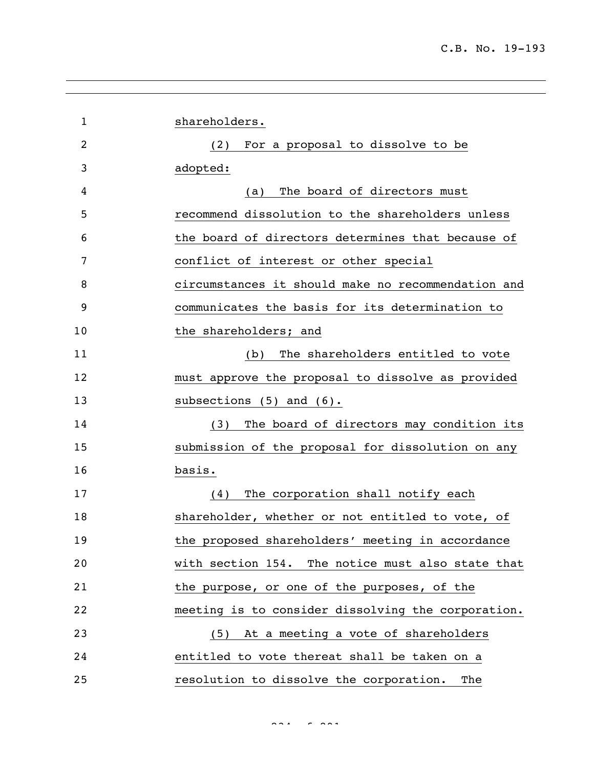| $\mathbf 1$ | shareholders.                                      |
|-------------|----------------------------------------------------|
| 2           | For a proposal to dissolve to be<br>(2)            |
| 3           | adopted:                                           |
| 4           | The board of directors must<br>(a)                 |
| 5           | recommend dissolution to the shareholders unless   |
| 6           | the board of directors determines that because of  |
| 7           | conflict of interest or other special              |
| 8           | circumstances it should make no recommendation and |
| 9           | communicates the basis for its determination to    |
| 10          | the shareholders; and                              |
| 11          | The shareholders entitled to vote<br>(b)           |
| 12          | must approve the proposal to dissolve as provided  |
| 13          | subsections $(5)$ and $(6)$ .                      |
| 14          | The board of directors may condition its<br>(3)    |
| 15          | submission of the proposal for dissolution on any  |
| 16          | basis.                                             |
| 17          | The corporation shall notify each<br>(4)           |
| 18          | shareholder, whether or not entitled to vote, of   |
| 19          | the proposed shareholders' meeting in accordance   |
| 20          | with section 154. The notice must also state that  |
| 21          | the purpose, or one of the purposes, of the        |
| 22          | meeting is to consider dissolving the corporation. |
| 23          | (5) At a meeting a vote of shareholders            |
| 24          | entitled to vote thereat shall be taken on a       |
| 25          | resolution to dissolve the corporation.<br>The     |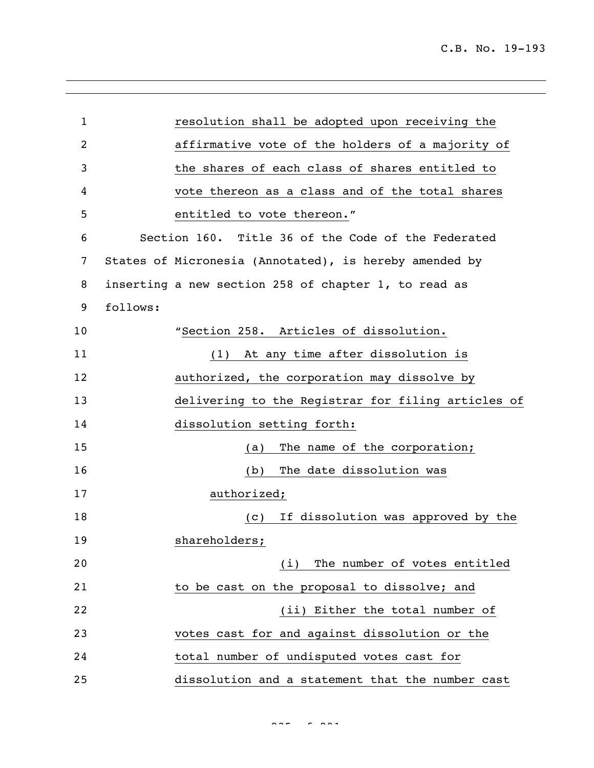| $\mathbf{1}$   | resolution shall be adopted upon receiving the         |
|----------------|--------------------------------------------------------|
| $\overline{2}$ | affirmative vote of the holders of a majority of       |
| 3              | the shares of each class of shares entitled to         |
| 4              | vote thereon as a class and of the total shares        |
| 5              | entitled to vote thereon."                             |
| 6              | Section 160. Title 36 of the Code of the Federated     |
| 7              | States of Micronesia (Annotated), is hereby amended by |
| 8              | inserting a new section 258 of chapter 1, to read as   |
| 9              | follows:                                               |
| 10             | "Section 258. Articles of dissolution.                 |
| 11             | At any time after dissolution is<br>(1)                |
| 12             | authorized, the corporation may dissolve by            |
| 13             | delivering to the Registrar for filing articles of     |
| 14             | dissolution setting forth:                             |
| 15             | The name of the corporation;<br>(a)                    |
| 16             | The date dissolution was<br>(b)                        |
| 17             | authorized;                                            |
| 18             | If dissolution was approved by the<br>(C)              |
| 19             | shareholders;                                          |
| 20             | (i) The number of votes entitled                       |
| 21             | to be cast on the proposal to dissolve; and            |
| 22             | (ii) Either the total number of                        |
| 23             | votes cast for and against dissolution or the          |
| 24             | total number of undisputed votes cast for              |
| 25             | dissolution and a statement that the number cast       |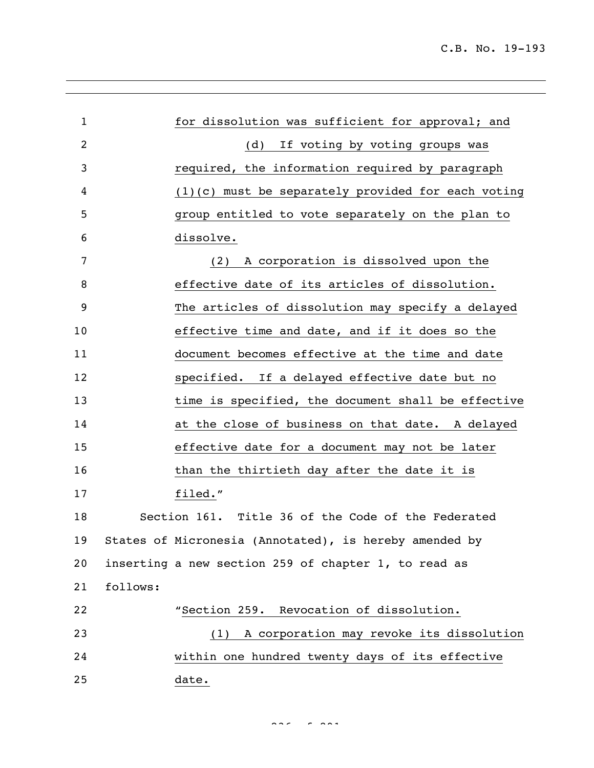| $\mathbf{1}$ |          | for dissolution was sufficient for approval; and       |
|--------------|----------|--------------------------------------------------------|
| 2            |          | If voting by voting groups was<br>(d)                  |
| 3            |          | required, the information required by paragraph        |
| 4            |          | $(1)(c)$ must be separately provided for each voting   |
| 5            |          | group entitled to vote separately on the plan to       |
| 6            |          | dissolve.                                              |
| 7            |          | A corporation is dissolved upon the<br>(2)             |
| 8            |          | effective date of its articles of dissolution.         |
| 9            |          | The articles of dissolution may specify a delayed      |
| 10           |          | effective time and date, and if it does so the         |
| 11           |          | document becomes effective at the time and date        |
| 12           |          | specified. If a delayed effective date but no          |
| 13           |          | time is specified, the document shall be effective     |
| 14           |          | at the close of business on that date. A delayed       |
| 15           |          | effective date for a document may not be later         |
| 16           |          | than the thirtieth day after the date it is            |
| 17           |          | filed."                                                |
| 18           |          | Section 161. Title 36 of the Code of the Federated     |
| 19           |          | States of Micronesia (Annotated), is hereby amended by |
| 20           |          | inserting a new section 259 of chapter 1, to read as   |
| 21           | follows: |                                                        |
| 22           |          | "Section 259. Revocation of dissolution.               |
| 23           |          | A corporation may revoke its dissolution<br>(1)        |
| 24           |          | within one hundred twenty days of its effective        |
| 25           |          | date.                                                  |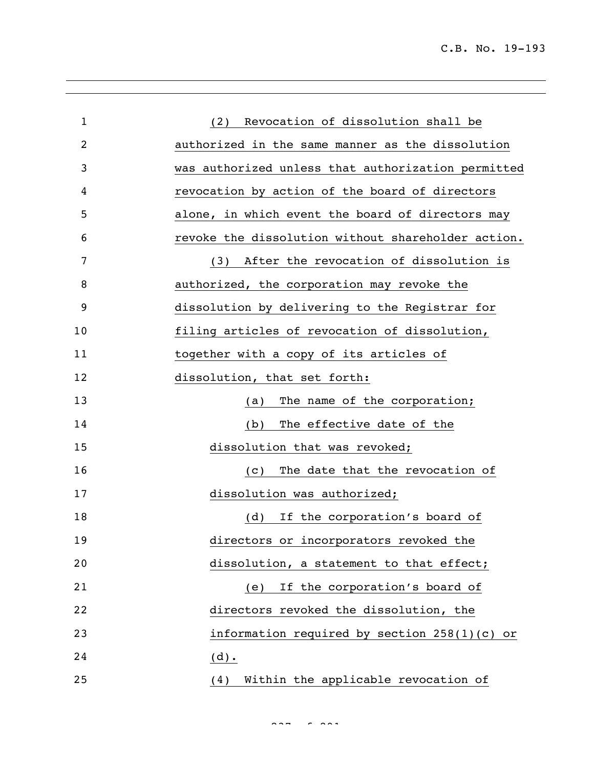| $\mathbf 1$ | (2) Revocation of dissolution shall be             |
|-------------|----------------------------------------------------|
| 2           | authorized in the same manner as the dissolution   |
| 3           | was authorized unless that authorization permitted |
| 4           | revocation by action of the board of directors     |
| 5           | alone, in which event the board of directors may   |
| 6           | revoke the dissolution without shareholder action. |
| 7           | After the revocation of dissolution is<br>(3)      |
| 8           | authorized, the corporation may revoke the         |
| 9           | dissolution by delivering to the Registrar for     |
| 10          | filing articles of revocation of dissolution,      |
| 11          | together with a copy of its articles of            |
| 12          | dissolution, that set forth:                       |
| 13          | The name of the corporation;<br>(a)                |
| 14          | The effective date of the<br>(b)                   |
| 15          | dissolution that was revoked;                      |
| 16          | The date that the revocation of<br>(C)             |
| 17          | dissolution was authorized;                        |
| 18          | (d)<br>If the corporation's board of               |
| 19          | directors or incorporators revoked the             |
| 20          | dissolution, a statement to that effect;           |
| 21          | If the corporation's board of<br>(e)               |
| 22          | directors revoked the dissolution, the             |
| 23          | information required by section $258(1)(c)$ or     |
| 24          | $(d)$ .                                            |
| 25          | Within the applicable revocation of<br>(4)         |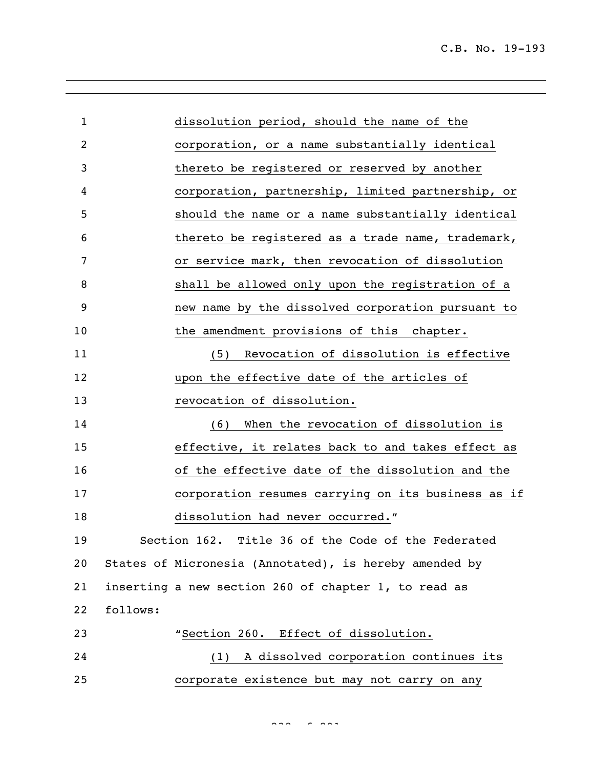| 1  |          | dissolution period, should the name of the             |
|----|----------|--------------------------------------------------------|
| 2  |          | corporation, or a name substantially identical         |
| 3  |          | thereto be registered or reserved by another           |
| 4  |          | corporation, partnership, limited partnership, or      |
| 5  |          | should the name or a name substantially identical      |
| 6  |          | thereto be registered as a trade name, trademark,      |
| 7  |          | or service mark, then revocation of dissolution        |
| 8  |          | shall be allowed only upon the registration of a       |
| 9  |          | new name by the dissolved corporation pursuant to      |
| 10 |          | the amendment provisions of this chapter.              |
| 11 |          | Revocation of dissolution is effective<br>(5)          |
| 12 |          | upon the effective date of the articles of             |
| 13 |          | revocation of dissolution.                             |
| 14 |          | When the revocation of dissolution is<br>(6)           |
| 15 |          | effective, it relates back to and takes effect as      |
| 16 |          | of the effective date of the dissolution and the       |
| 17 |          | corporation resumes carrying on its business as if     |
| 18 |          | dissolution had never occurred."                       |
| 19 |          | Section 162. Title 36 of the Code of the Federated     |
| 20 |          | States of Micronesia (Annotated), is hereby amended by |
| 21 |          | inserting a new section 260 of chapter 1, to read as   |
| 22 | follows: |                                                        |
| 23 |          | "Section 260. Effect of dissolution.                   |
| 24 |          | (1) A dissolved corporation continues its              |
| 25 |          | corporate existence but may not carry on any           |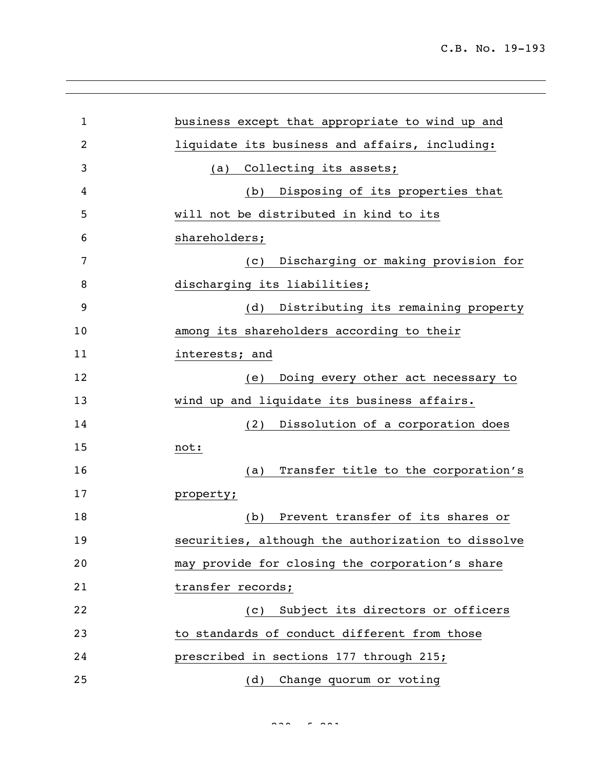| $\mathbf{1}$ | business except that appropriate to wind up and    |
|--------------|----------------------------------------------------|
| 2            | liquidate its business and affairs, including:     |
| 3            | Collecting its assets;<br>(a)                      |
| 4            | Disposing of its properties that<br>(b)            |
| 5            | will not be distributed in kind to its             |
| 6            | shareholders;                                      |
| 7            | Discharging or making provision for<br>(C)         |
| 8            | discharging its liabilities;                       |
| 9            | Distributing its remaining property<br>(d)         |
| 10           | among its shareholders according to their          |
| 11           | interests; and                                     |
| 12           | Doing every other act necessary to<br>(e)          |
| 13           | wind up and liquidate its business affairs.        |
| 14           | Dissolution of a corporation does<br>(2)           |
| 15           | not:                                               |
| 16           | Transfer title to the corporation's<br>(a)         |
| 17           | property;                                          |
| 18           | Prevent transfer of its shares or<br>(b)           |
| 19           | securities, although the authorization to dissolve |
| 20           | may provide for closing the corporation's share    |
| 21           | transfer records;                                  |
| 22           | Subject its directors or officers<br>(C)           |
| 23           | to standards of conduct different from those       |
| 24           | prescribed in sections 177 through 215;            |
| 25           | Change quorum or voting<br>(d)                     |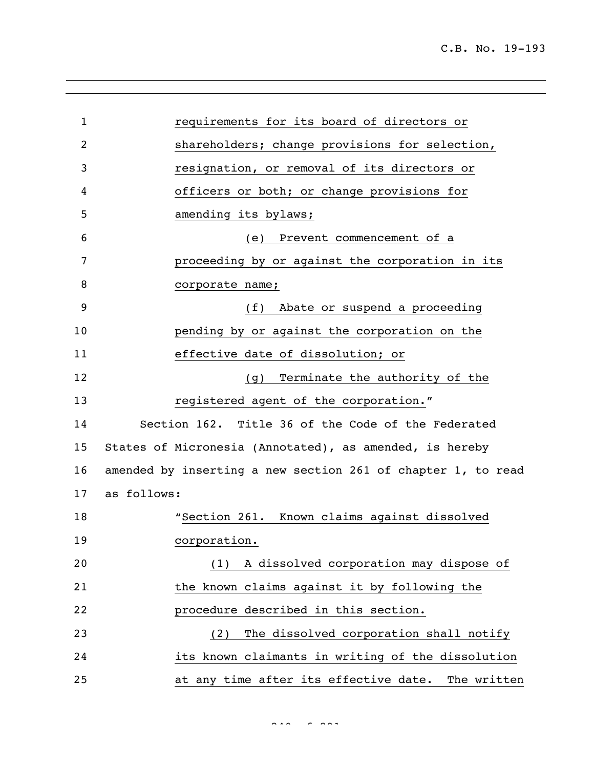| $\mathbf{1}$ | requirements for its board of directors or                   |
|--------------|--------------------------------------------------------------|
| 2            | shareholders; change provisions for selection,               |
| 3            | resignation, or removal of its directors or                  |
| 4            | officers or both; or change provisions for                   |
| 5            | amending its bylaws;                                         |
| 6            | Prevent commencement of a<br>(e)                             |
| 7            | proceeding by or against the corporation in its              |
| 8            | corporate name;                                              |
| 9            | Abate or suspend a proceeding<br>(f)                         |
| 10           | pending by or against the corporation on the                 |
| 11           | effective date of dissolution; or                            |
| 12           | Terminate the authority of the<br>(q)                        |
| 13           | registered agent of the corporation."                        |
| 14           | Section 162. Title 36 of the Code of the Federated           |
| 15           | States of Micronesia (Annotated), as amended, is hereby      |
| 16           | amended by inserting a new section 261 of chapter 1, to read |
| 17           | as follows:                                                  |
| 18           | "Section 261. Known claims against dissolved                 |
| 19           | corporation.                                                 |
| 20           | (1) A dissolved corporation may dispose of                   |
| 21           | the known claims against it by following the                 |
| 22           | procedure described in this section.                         |
| 23           | The dissolved corporation shall notify<br>(2)                |
| 24           | its known claimants in writing of the dissolution            |
| 25           | at any time after its effective date. The written            |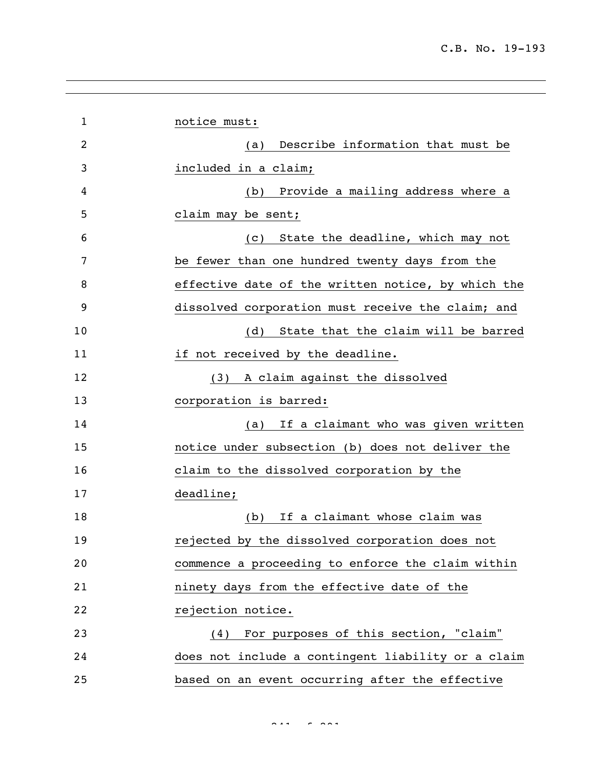| $\mathbf{1}$   | notice must:                                       |
|----------------|----------------------------------------------------|
| $\overline{2}$ | Describe information that must be<br>(a)           |
| 3              | included in a claim;                               |
| 4              | Provide a mailing address where a<br>(b)           |
| 5              | claim may be sent;                                 |
| 6              | State the deadline, which may not<br>(c)           |
| 7              | be fewer than one hundred twenty days from the     |
| 8              | effective date of the written notice, by which the |
| 9              | dissolved corporation must receive the claim; and  |
| 10             | State that the claim will be barred<br>(d)         |
| 11             | if not received by the deadline.                   |
| 12             | A claim against the dissolved<br>(3)               |
| 13             | corporation is barred:                             |
| 14             | If a claimant who was given written<br>(a)         |
| 15             | notice under subsection (b) does not deliver the   |
| 16             | claim to the dissolved corporation by the          |
| 17             | deadline;                                          |
| 18             | If a claimant whose claim was<br>(b)               |
| 19             | rejected by the dissolved corporation does not     |
| 20             | commence a proceeding to enforce the claim within  |
| 21             | ninety days from the effective date of the         |
| 22             | rejection notice.                                  |
| 23             | (4) For purposes of this section, "claim"          |
| 24             | does not include a contingent liability or a claim |
| 25             | based on an event occurring after the effective    |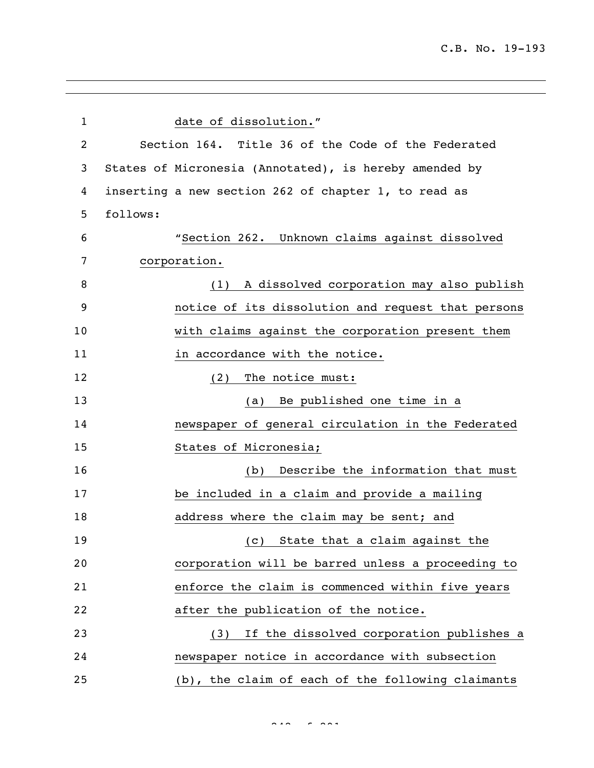| $\mathbf{1}$ | date of dissolution."                                  |
|--------------|--------------------------------------------------------|
| 2            | Section 164. Title 36 of the Code of the Federated     |
| 3            | States of Micronesia (Annotated), is hereby amended by |
| 4            | inserting a new section 262 of chapter 1, to read as   |
| 5            | follows:                                               |
| 6            | "Section 262. Unknown claims against dissolved         |
| 7            | corporation.                                           |
| 8            | A dissolved corporation may also publish<br>(1)        |
| 9            | notice of its dissolution and request that persons     |
| 10           | with claims against the corporation present them       |
| 11           | in accordance with the notice.                         |
| 12           | The notice must:<br>(2)                                |
| 13           | Be published one time in a<br>(a)                      |
| 14           | newspaper of general circulation in the Federated      |
| 15           | States of Micronesia;                                  |
| 16           | Describe the information that must<br>(b)              |
| 17           | be included in a claim and provide a mailing           |
| 18           | address where the claim may be sent; and               |
| 19           | (c) State that a claim against the                     |
| 20           | corporation will be barred unless a proceeding to      |
| 21           | enforce the claim is commenced within five years       |
| 22           | after the publication of the notice.                   |
| 23           | (3) If the dissolved corporation publishes a           |
| 24           | newspaper notice in accordance with subsection         |
| 25           | (b), the claim of each of the following claimants      |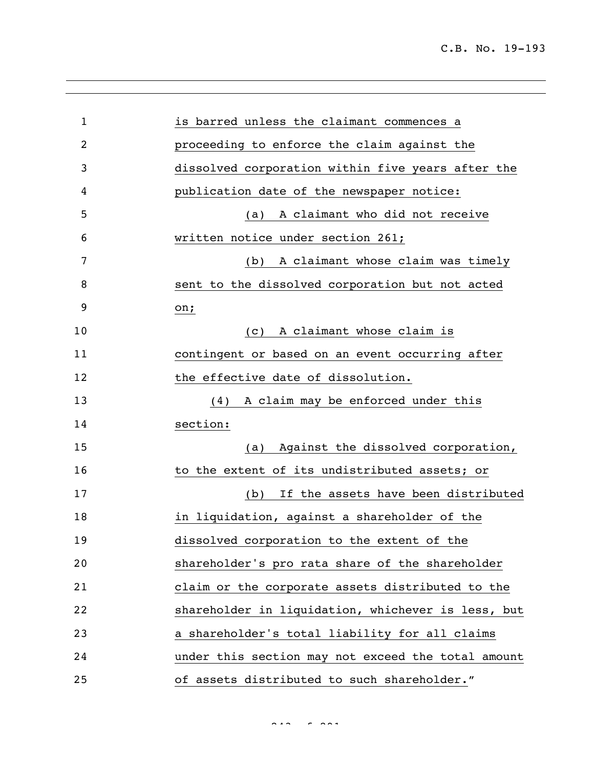| $\mathbf 1$ | is barred unless the claimant commences a          |
|-------------|----------------------------------------------------|
| 2           | proceeding to enforce the claim against the        |
| 3           | dissolved corporation within five years after the  |
| 4           | publication date of the newspaper notice:          |
| 5           | A claimant who did not receive<br>(a)              |
| 6           | written notice under section 261;                  |
| 7           | A claimant whose claim was timely<br>(b)           |
| 8           | sent to the dissolved corporation but not acted    |
| 9           | on;                                                |
| 10          | A claimant whose claim is<br>(C)                   |
| 11          | contingent or based on an event occurring after    |
| 12          | the effective date of dissolution.                 |
| 13          | A claim may be enforced under this<br>(4)          |
| 14          | section:                                           |
| 15          | (a) Against the dissolved corporation,             |
| 16          | to the extent of its undistributed assets; or      |
| 17          | If the assets have been distributed<br>(b)         |
| 18          | in liquidation, against a shareholder of the       |
| 19          | dissolved corporation to the extent of the         |
| 20          | shareholder's pro rata share of the shareholder    |
| 21          | claim or the corporate assets distributed to the   |
| 22          | shareholder in liquidation, whichever is less, but |
| 23          | a shareholder's total liability for all claims     |
| 24          | under this section may not exceed the total amount |
| 25          | of assets distributed to such shareholder."        |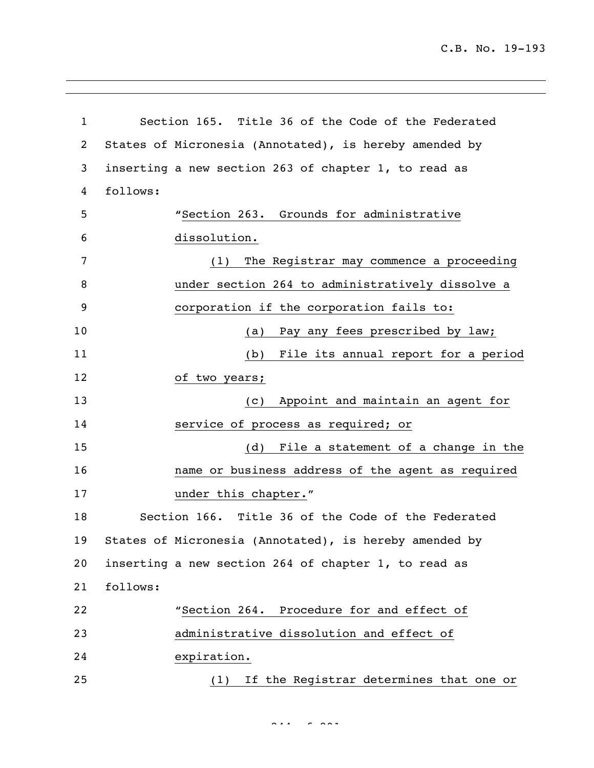C.B. No. 19-193

 Section 165. Title 36 of the Code of the Federated States of Micronesia (Annotated), is hereby amended by inserting a new section 263 of chapter 1, to read as follows: **"**Section 263. Grounds for administrative dissolution. (1) The Registrar may commence a proceeding under section 264 to administratively dissolve a corporation if the corporation fails to: 10 (a) Pay any fees prescribed by law; (b) File its annual report for a period of two years; (c) Appoint and maintain an agent for service of process as required; or (d) File a statement of a change in the name or business address of the agent as required **under this chapter.**" Section 166. Title 36 of the Code of the Federated States of Micronesia (Annotated), is hereby amended by inserting a new section 264 of chapter 1, to read as follows: "Section 264. Procedure for and effect of administrative dissolution and effect of expiration. (1) If the Registrar determines that one or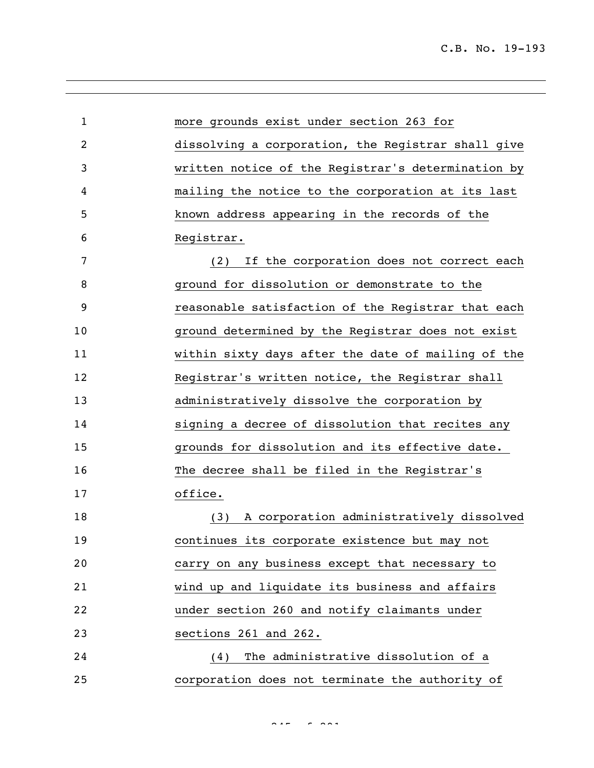| $\mathbf{1}$ | more grounds exist under section 263 for           |
|--------------|----------------------------------------------------|
| 2            | dissolving a corporation, the Registrar shall give |
| 3            | written notice of the Registrar's determination by |
| 4            | mailing the notice to the corporation at its last  |
| 5            | known address appearing in the records of the      |
| 6            | Registrar.                                         |
| 7            | If the corporation does not correct each<br>(2)    |
| 8            | ground for dissolution or demonstrate to the       |
| 9            | reasonable satisfaction of the Registrar that each |
| 10           | ground determined by the Registrar does not exist  |
| 11           | within sixty days after the date of mailing of the |
| 12           | Registrar's written notice, the Registrar shall    |
| 13           | administratively dissolve the corporation by       |
| 14           | signing a decree of dissolution that recites any   |
| 15           | grounds for dissolution and its effective date.    |
| 16           | The decree shall be filed in the Registrar's       |
| 17           | office.                                            |
| 18           | (3) A corporation administratively dissolved       |
| 19           | continues its corporate existence but may not      |
| 20           | carry on any business except that necessary to     |
| 21           | wind up and liquidate its business and affairs     |
| 22           | under section 260 and notify claimants under       |
| 23           | sections 261 and 262.                              |
| 24           | (4) The administrative dissolution of a            |
| 25           | corporation does not terminate the authority of    |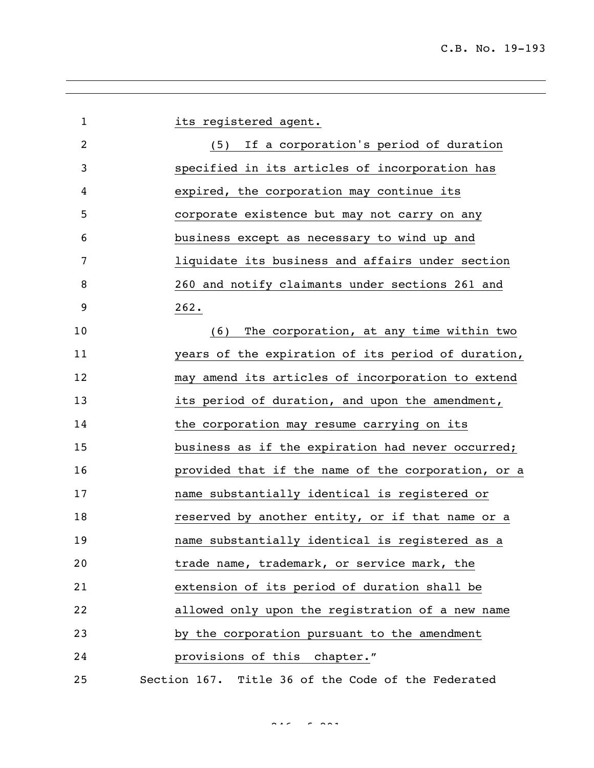| $\mathbf{1}$   | its registered agent.                              |
|----------------|----------------------------------------------------|
| $\overline{2}$ | (5) If a corporation's period of duration          |
| 3              | specified in its articles of incorporation has     |
| 4              | expired, the corporation may continue its          |
| 5              | corporate existence but may not carry on any       |
| 6              | business except as necessary to wind up and        |
| 7              | liquidate its business and affairs under section   |
| 8              | 260 and notify claimants under sections 261 and    |
| 9              | 262.                                               |
| 10             | (6) The corporation, at any time within two        |
| 11             | years of the expiration of its period of duration, |
| 12             | may amend its articles of incorporation to extend  |
| 13             | its period of duration, and upon the amendment,    |
| 14             | the corporation may resume carrying on its         |
| 15             | business as if the expiration had never occurred;  |
| 16             | provided that if the name of the corporation, or a |
| 17             | name substantially identical is registered or      |
| 18             | reserved by another entity, or if that name or a   |
| 19             | name substantially identical is registered as a    |
| 20             | trade name, trademark, or service mark, the        |
| 21             | extension of its period of duration shall be       |
| 22             | allowed only upon the registration of a new name   |
| 23             | by the corporation pursuant to the amendment       |
| 24             | provisions of this chapter."                       |
| 25             | Section 167. Title 36 of the Code of the Federated |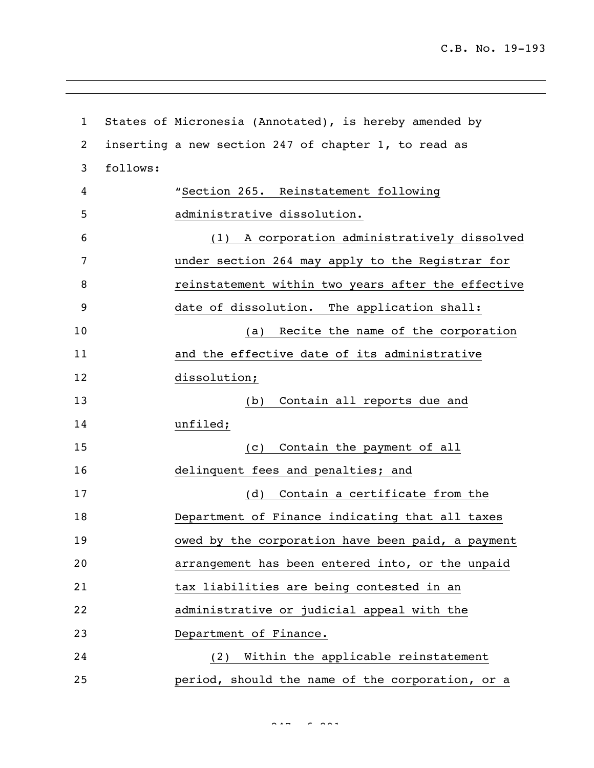```
1 States of Micronesia (Annotated), is hereby amended by 
2 inserting a new section 247 of chapter 1, to read as 
3 follows:
4 "Section 265. Reinstatement following 
5 administrative dissolution.
6 (1) A corporation administratively dissolved 
7 under section 264 may apply to the Registrar for 
8 reinstatement within two years after the effective 
9 date of dissolution. The application shall:
10 (a) Recite the name of the corporation 
11 and the effective date of its administrative 
12 dissolution;
13 (b) Contain all reports due and 
14 unfiled;
15 (c) Contain the payment of all 
16 delinquent fees and penalties; and
17 (d) Contain a certificate from the 
18 Department of Finance indicating that all taxes 
19 owed by the corporation have been paid, a payment 
20 arrangement has been entered into, or the unpaid 
21 tax liabilities are being contested in an
22 administrative or judicial appeal with the 
23 Department of Finance.
24 (2) Within the applicable reinstatement 
25 period, should the name of the corporation, or a
```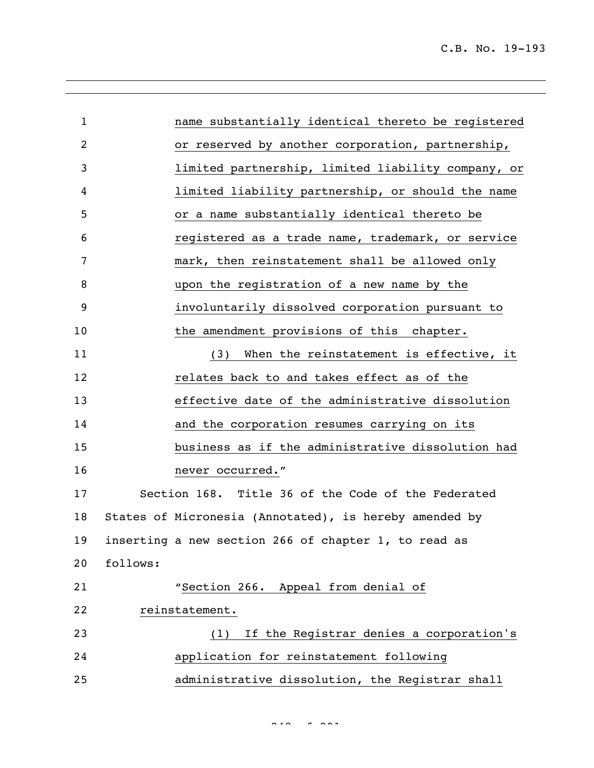| $\mathbf{1}$ | name substantially identical thereto be registered     |
|--------------|--------------------------------------------------------|
| 2            | or reserved by another corporation, partnership,       |
| 3            | limited partnership, limited liability company, or     |
| 4            | limited liability partnership, or should the name      |
| 5            | or a name substantially identical thereto be           |
| 6            | registered as a trade name, trademark, or service      |
| 7            | mark, then reinstatement shall be allowed only         |
| 8            | upon the registration of a new name by the             |
| 9            | involuntarily dissolved corporation pursuant to        |
| 10           | the amendment provisions of this chapter.              |
| 11           | When the reinstatement is effective, it<br>(3)         |
| 12           | relates back to and takes effect as of the             |
| 13           | effective date of the administrative dissolution       |
| 14           | and the corporation resumes carrying on its            |
| 15           | business as if the administrative dissolution had      |
| 16           | never occurred."                                       |
| 17           | Section 168. Title 36 of the Code of the Federated     |
| 18           | States of Micronesia (Annotated), is hereby amended by |
| 19           | inserting a new section 266 of chapter 1, to read as   |
| 20           | follows:                                               |
| 21           | "Section 266. Appeal from denial of                    |
| 22           | reinstatement.                                         |
| 23           | (1) If the Registrar denies a corporation's            |
| 24           | application for reinstatement following                |
| 25           | administrative dissolution, the Registrar shall        |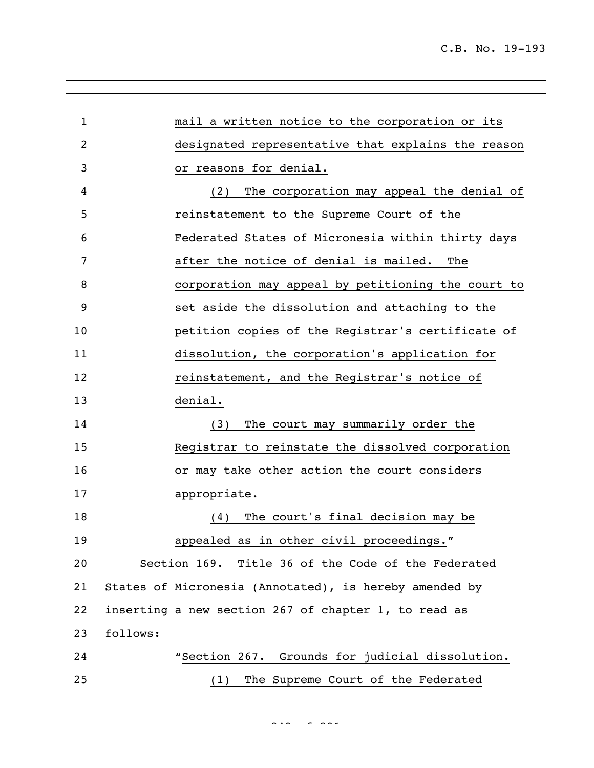| $\mathbf{1}$ | mail a written notice to the corporation or its        |
|--------------|--------------------------------------------------------|
| 2            | designated representative that explains the reason     |
| 3            | or reasons for denial.                                 |
| 4            | The corporation may appeal the denial of<br>(2)        |
| 5            | reinstatement to the Supreme Court of the              |
| 6            | Federated States of Micronesia within thirty days      |
| 7            | after the notice of denial is mailed.<br>The           |
| 8            | corporation may appeal by petitioning the court to     |
| 9            | set aside the dissolution and attaching to the         |
| 10           | petition copies of the Registrar's certificate of      |
| 11           | dissolution, the corporation's application for         |
| 12           | reinstatement, and the Registrar's notice of           |
| 13           | denial.                                                |
| 14           | The court may summarily order the<br>(3)               |
| 15           | Registrar to reinstate the dissolved corporation       |
| 16           | or may take other action the court considers           |
| 17           | appropriate.                                           |
| 18           | The court's final decision may be<br>(4)               |
| 19           | appealed as in other civil proceedings."               |
| 20           | Section 169. Title 36 of the Code of the Federated     |
| 21           | States of Micronesia (Annotated), is hereby amended by |
| 22           | inserting a new section 267 of chapter 1, to read as   |
| 23           | follows:                                               |
| 24           | "Section 267. Grounds for judicial dissolution.        |
| 25           | The Supreme Court of the Federated<br>(1)              |

 $249 - 292$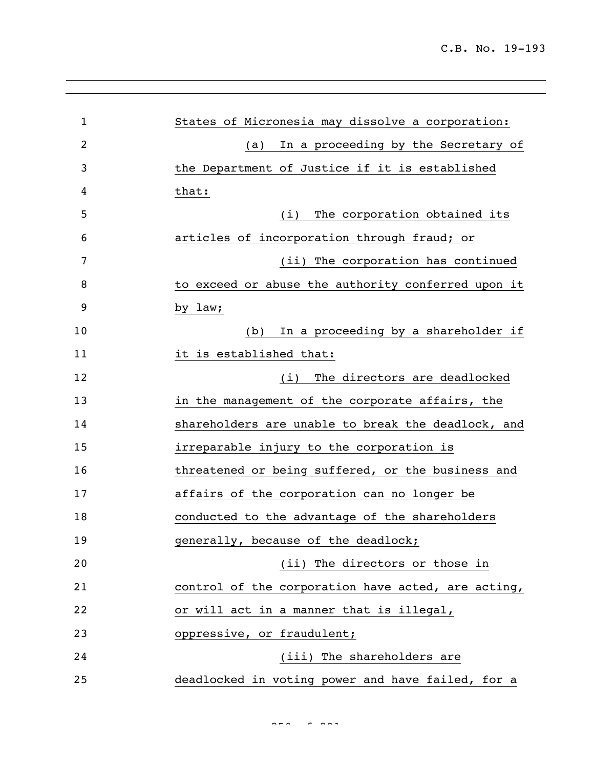| $\mathbf{1}$ | States of Micronesia may dissolve a corporation:   |
|--------------|----------------------------------------------------|
| 2            | In a proceeding by the Secretary of<br>(a)         |
| 3            | the Department of Justice if it is established     |
| 4            | that:                                              |
| 5            | The corporation obtained its<br>(i)                |
| 6            | articles of incorporation through fraud; or        |
| 7            | (ii) The corporation has continued                 |
| 8            | to exceed or abuse the authority conferred upon it |
| 9            | by law;                                            |
| 10           | In a proceeding by a shareholder if<br>(b)         |
| 11           | it is established that:                            |
| 12           | The directors are deadlocked<br>(i)                |
| 13           | in the management of the corporate affairs, the    |
| 14           | shareholders are unable to break the deadlock, and |
| 15           | irreparable injury to the corporation is           |
| 16           | threatened or being suffered, or the business and  |
| 17           | affairs of the corporation can no longer be        |
| 18           | conducted to the advantage of the shareholders     |
| 19           | generally, because of the deadlock;                |
| 20           | (ii) The directors or those in                     |
| 21           | control of the corporation have acted, are acting, |
| 22           | or will act in a manner that is illegal,           |
| 23           | oppressive, or fraudulent;                         |
| 24           | (iii) The shareholders are                         |
| 25           | deadlocked in voting power and have failed, for a  |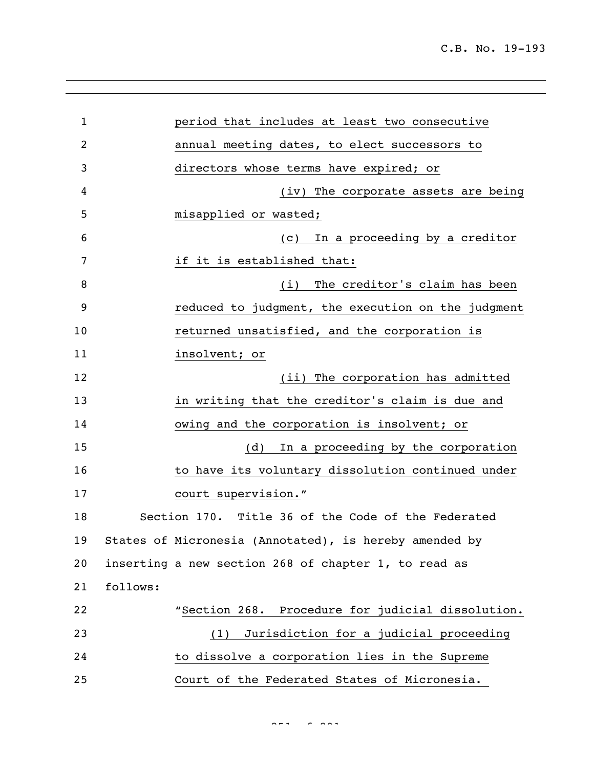| $\mathbf{1}$ |          | period that includes at least two consecutive          |
|--------------|----------|--------------------------------------------------------|
| 2            |          | annual meeting dates, to elect successors to           |
| 3            |          | directors whose terms have expired; or                 |
| 4            |          | (iv) The corporate assets are being                    |
| 5            |          | misapplied or wasted;                                  |
| 6            |          | In a proceeding by a creditor<br>(C)                   |
| 7            |          | if it is established that:                             |
| 8            |          | The creditor's claim has been<br>(i)                   |
| 9            |          | reduced to judgment, the execution on the judgment     |
| 10           |          | returned unsatisfied, and the corporation is           |
| 11           |          | insolvent; or                                          |
| 12           |          | (ii) The corporation has admitted                      |
| 13           |          | in writing that the creditor's claim is due and        |
| 14           |          | owing and the corporation is insolvent; or             |
| 15           |          | In a proceeding by the corporation<br>(d)              |
| 16           |          | to have its voluntary dissolution continued under      |
| 17           |          | court supervision."                                    |
| 18           |          | Section 170. Title 36 of the Code of the Federated     |
| 19           |          | States of Micronesia (Annotated), is hereby amended by |
| 20           |          | inserting a new section 268 of chapter 1, to read as   |
| 21           | follows: |                                                        |
| 22           |          | "Section 268. Procedure for judicial dissolution.      |
| 23           |          | Jurisdiction for a judicial proceeding<br>(1)          |
| 24           |          | to dissolve a corporation lies in the Supreme          |
| 25           |          | Court of the Federated States of Micronesia.           |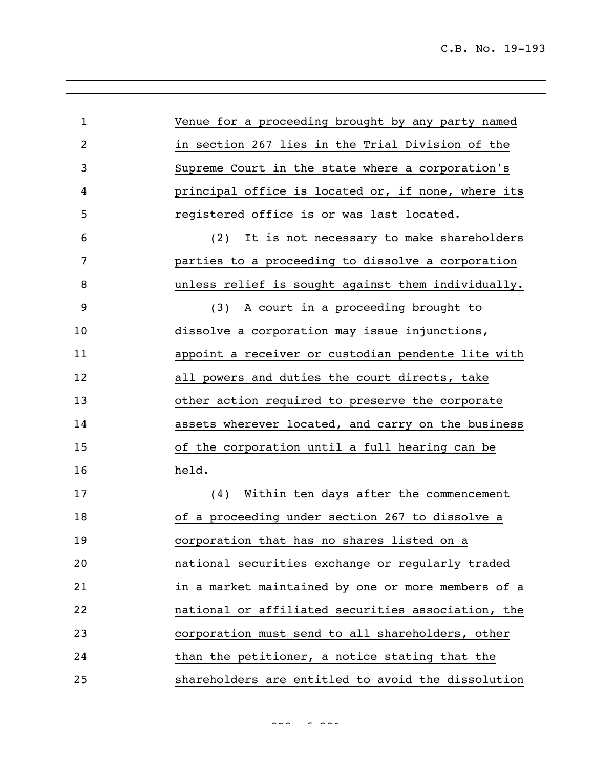| $\mathbf{1}$   | Venue for a proceeding brought by any party named  |
|----------------|----------------------------------------------------|
| $\overline{2}$ | in section 267 lies in the Trial Division of the   |
| 3              | Supreme Court in the state where a corporation's   |
| 4              | principal office is located or, if none, where its |
| 5              | registered office is or was last located.          |
| 6              | (2) It is not necessary to make shareholders       |
| 7              | parties to a proceeding to dissolve a corporation  |
| 8              | unless relief is sought against them individually. |
| 9              | A court in a proceeding brought to<br>(3)          |
| 10             | dissolve a corporation may issue injunctions,      |
| 11             | appoint a receiver or custodian pendente lite with |
| 12             | all powers and duties the court directs, take      |
| 13             | other action required to preserve the corporate    |
| 14             | assets wherever located, and carry on the business |
| 15             | of the corporation until a full hearing can be     |
| 16             | held.                                              |
| 17             | (4) Within ten days after the commencement         |
| 18             | of a proceeding under section 267 to dissolve a    |
| 19             | corporation that has no shares listed on a         |
| 20             | national securities exchange or regularly traded   |
| 21             | in a market maintained by one or more members of a |
| 22             | national or affiliated securities association, the |
| 23             | corporation must send to all shareholders, other   |
| 24             | than the petitioner, a notice stating that the     |
| 25             | shareholders are entitled to avoid the dissolution |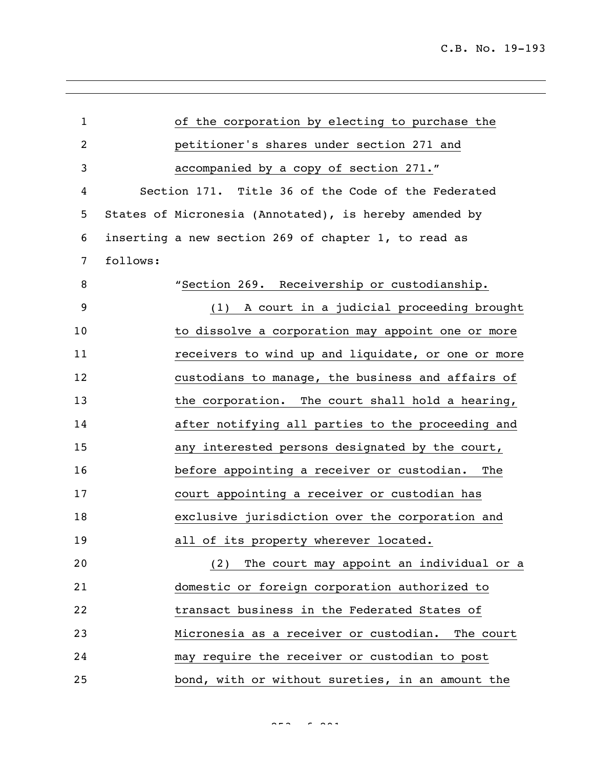| $\mathbf{1}$   |          | of the corporation by electing to purchase the         |
|----------------|----------|--------------------------------------------------------|
| $\overline{c}$ |          | petitioner's shares under section 271 and              |
| 3              |          | accompanied by a copy of section 271."                 |
| 4              |          | Section 171. Title 36 of the Code of the Federated     |
| 5              |          | States of Micronesia (Annotated), is hereby amended by |
| 6              |          | inserting a new section 269 of chapter 1, to read as   |
| 7              | follows: |                                                        |
| 8              |          | "Section 269. Receivership or custodianship.           |
| 9              |          | A court in a judicial proceeding brought<br>(1)        |
| 10             |          | to dissolve a corporation may appoint one or more      |
| 11             |          | receivers to wind up and liquidate, or one or more     |
| 12             |          | custodians to manage, the business and affairs of      |
| 13             |          | the corporation. The court shall hold a hearing,       |
| 14             |          | after notifying all parties to the proceeding and      |
| 15             |          | any interested persons designated by the court,        |
| 16             |          | before appointing a receiver or custodian.<br>The      |
| 17             |          | court appointing a receiver or custodian has           |
| 18             |          | exclusive jurisdiction over the corporation and        |
| 19             |          | all of its property wherever located.                  |
| 20             |          | The court may appoint an individual or a<br>(2)        |
| 21             |          | domestic or foreign corporation authorized to          |
| 22             |          | transact business in the Federated States of           |
| 23             |          | Micronesia as a receiver or custodian.<br>The court    |
| 24             |          | may require the receiver or custodian to post          |
| 25             |          | bond, with or without sureties, in an amount the       |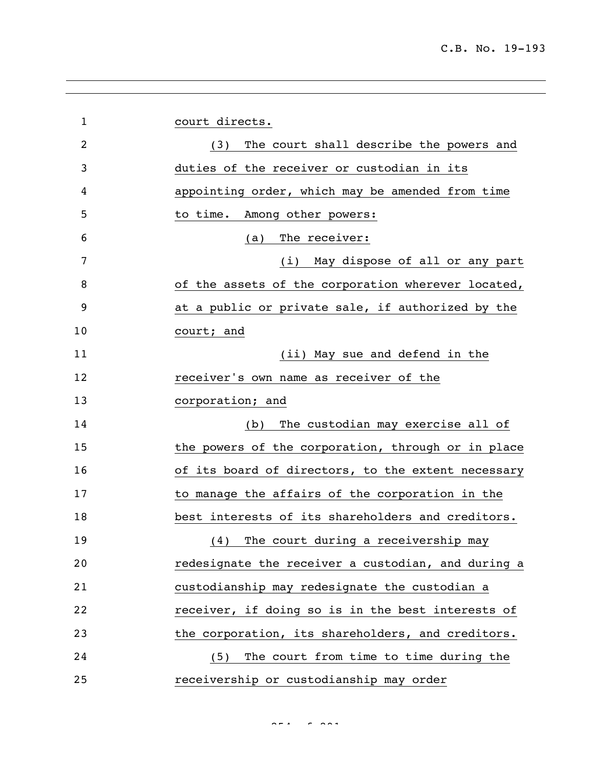| $\mathbf{1}$   | court directs.                                     |
|----------------|----------------------------------------------------|
| $\overline{2}$ | The court shall describe the powers and<br>(3)     |
| 3              | duties of the receiver or custodian in its         |
| 4              | appointing order, which may be amended from time   |
| 5              | to time. Among other powers:                       |
| 6              | (a) The receiver:                                  |
| 7              | (i) May dispose of all or any part                 |
| 8              | of the assets of the corporation wherever located, |
| 9              | at a public or private sale, if authorized by the  |
| 10             | court; and                                         |
| 11             | (ii) May sue and defend in the                     |
| 12             | receiver's own name as receiver of the             |
| 13             | corporation; and                                   |
| 14             | The custodian may exercise all of<br>(b)           |
| 15             | the powers of the corporation, through or in place |
| 16             | of its board of directors, to the extent necessary |
| 17             | to manage the affairs of the corporation in the    |
| 18             | best interests of its shareholders and creditors.  |
| 19             | The court during a receivership may<br>(4)         |
| 20             | redesignate the receiver a custodian, and during a |
| 21             | custodianship may redesignate the custodian a      |
| 22             | receiver, if doing so is in the best interests of  |
| 23             | the corporation, its shareholders, and creditors.  |
| 24             | (5) The court from time to time during the         |
| 25             | receivership or custodianship may order            |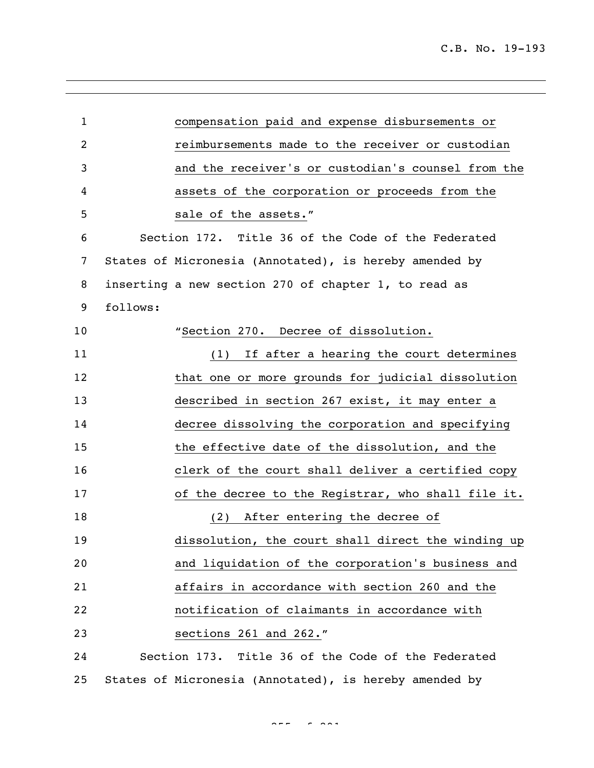| $\mathbf{1}$   | compensation paid and expense disbursements or         |
|----------------|--------------------------------------------------------|
| $\overline{c}$ | reimbursements made to the receiver or custodian       |
| 3              | and the receiver's or custodian's counsel from the     |
| 4              | assets of the corporation or proceeds from the         |
| 5              | sale of the assets."                                   |
| 6              | Section 172. Title 36 of the Code of the Federated     |
| 7              | States of Micronesia (Annotated), is hereby amended by |
| 8              | inserting a new section 270 of chapter 1, to read as   |
| 9              | follows:                                               |
| 10             | "Section 270. Decree of dissolution.                   |
| 11             | (1) If after a hearing the court determines            |
| 12             | that one or more grounds for judicial dissolution      |
| 13             | described in section 267 exist, it may enter a         |
| 14             | decree dissolving the corporation and specifying       |
| 15             | the effective date of the dissolution, and the         |
| 16             | clerk of the court shall deliver a certified copy      |
| 17             | of the decree to the Registrar, who shall file it.     |
| 18             | After entering the decree of<br>(2)                    |
| 19             | dissolution, the court shall direct the winding up     |
| 20             | and liquidation of the corporation's business and      |
| 21             | affairs in accordance with section 260 and the         |
| 22             | notification of claimants in accordance with           |
| 23             | sections 261 and 262."                                 |
| 24             | Section 173. Title 36 of the Code of the Federated     |
| 25             | States of Micronesia (Annotated), is hereby amended by |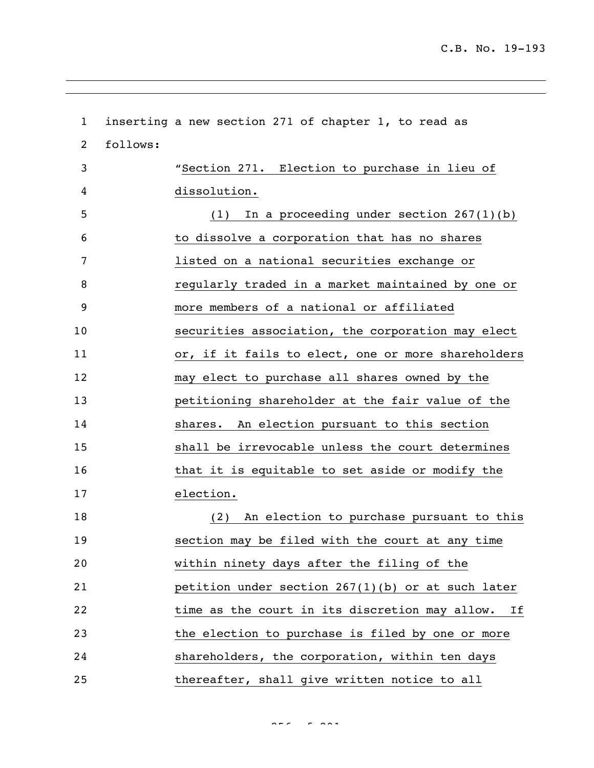inserting a new section 271 of chapter 1, to read as follows: "Section 271. Election to purchase in lieu of dissolution. (1) In a proceeding under section 267(1)(b) to dissolve a corporation that has no shares listed on a national securities exchange or regularly traded in a market maintained by one or more members of a national or affiliated securities association, the corporation may elect 11 or, if it fails to elect, one or more shareholders may elect to purchase all shares owned by the petitioning shareholder at the fair value of the shares. An election pursuant to this section shall be irrevocable unless the court determines 16 that it is equitable to set aside or modify the election. (2) An election to purchase pursuant to this section may be filed with the court at any time within ninety days after the filing of the petition under section 267(1)(b) or at such later 22 time as the court in its discretion may allow. If the election to purchase is filed by one or more shareholders, the corporation, within ten days thereafter, shall give written notice to all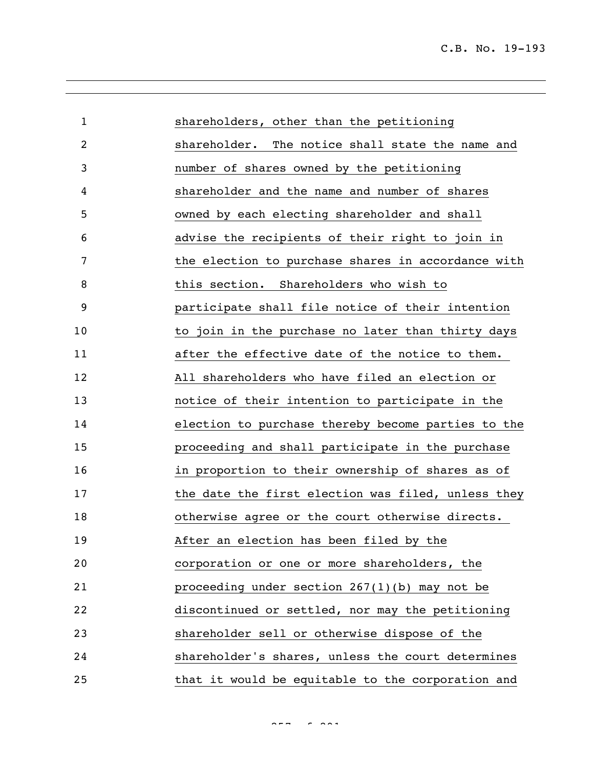| $\mathbf{1}$ | shareholders, other than the petitioning           |
|--------------|----------------------------------------------------|
| 2            | shareholder. The notice shall state the name and   |
| 3            | number of shares owned by the petitioning          |
| 4            | shareholder and the name and number of shares      |
| 5            | owned by each electing shareholder and shall       |
| 6            | advise the recipients of their right to join in    |
| 7            | the election to purchase shares in accordance with |
| 8            | this section. Shareholders who wish to             |
| 9            | participate shall file notice of their intention   |
| 10           | to join in the purchase no later than thirty days  |
| 11           | after the effective date of the notice to them.    |
| 12           | All shareholders who have filed an election or     |
| 13           | notice of their intention to participate in the    |
| 14           | election to purchase thereby become parties to the |
| 15           | proceeding and shall participate in the purchase   |
| 16           | in proportion to their ownership of shares as of   |
| 17           | the date the first election was filed, unless they |
| 18           | otherwise agree or the court otherwise directs.    |
| 19           | After an election has been filed by the            |
| 20           | corporation or one or more shareholders, the       |
| 21           | proceeding under section $267(1)(b)$ may not be    |
| 22           | discontinued or settled, nor may the petitioning   |
| 23           | shareholder sell or otherwise dispose of the       |
| 24           | shareholder's shares, unless the court determines  |
| 25           | that it would be equitable to the corporation and  |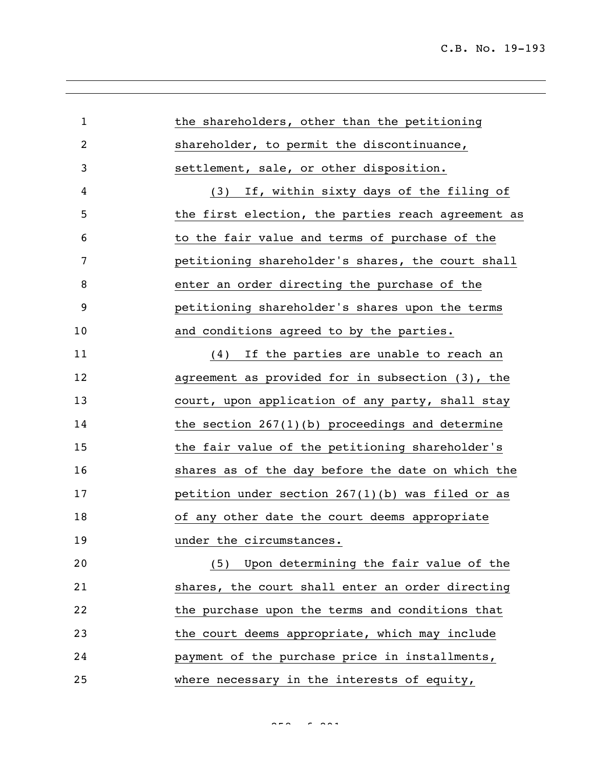| $\mathbf{1}$   | the shareholders, other than the petitioning       |
|----------------|----------------------------------------------------|
| $\overline{c}$ | shareholder, to permit the discontinuance,         |
| 3              | settlement, sale, or other disposition.            |
| 4              | If, within sixty days of the filing of<br>(3)      |
| 5              | the first election, the parties reach agreement as |
| 6              | to the fair value and terms of purchase of the     |
| 7              | petitioning shareholder's shares, the court shall  |
| 8              | enter an order directing the purchase of the       |
| 9              | petitioning shareholder's shares upon the terms    |
| 10             | and conditions agreed to by the parties.           |
| 11             | If the parties are unable to reach an<br>(4)       |
| 12             | agreement as provided for in subsection (3), the   |
| 13             | court, upon application of any party, shall stay   |
| 14             | the section $267(1)(b)$ proceedings and determine  |
| 15             | the fair value of the petitioning shareholder's    |
| 16             | shares as of the day before the date on which the  |
| 17             | petition under section $267(1)(b)$ was filed or as |
| 18             | of any other date the court deems appropriate      |
| 19             | under the circumstances.                           |
| 20             | (5) Upon determining the fair value of the         |
| 21             | shares, the court shall enter an order directing   |
| 22             | the purchase upon the terms and conditions that    |
| 23             | the court deems appropriate, which may include     |
| 24             | payment of the purchase price in installments,     |
| 25             | where necessary in the interests of equity,        |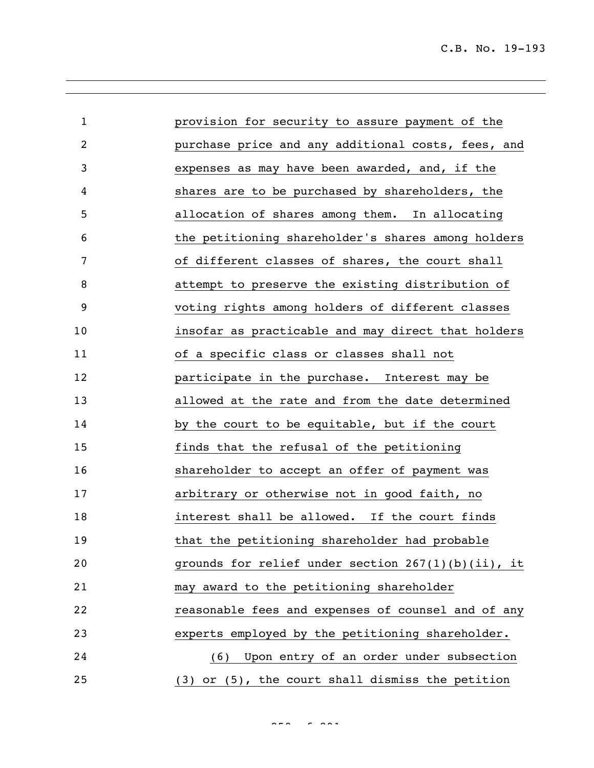C.B. No. 19-193

| $\mathbf{1}$ | provision for security to assure payment of the       |
|--------------|-------------------------------------------------------|
| 2            | purchase price and any additional costs, fees, and    |
| 3            | expenses as may have been awarded, and, if the        |
| 4            | shares are to be purchased by shareholders, the       |
| 5            | allocation of shares among them. In allocating        |
| 6            | the petitioning shareholder's shares among holders    |
| 7            | of different classes of shares, the court shall       |
| 8            | attempt to preserve the existing distribution of      |
| 9            | voting rights among holders of different classes      |
| 10           | insofar as practicable and may direct that holders    |
| 11           | of a specific class or classes shall not              |
| 12           | participate in the purchase. Interest may be          |
| 13           | allowed at the rate and from the date determined      |
| 14           | by the court to be equitable, but if the court        |
| 15           | finds that the refusal of the petitioning             |
| 16           | shareholder to accept an offer of payment was         |
| 17           | arbitrary or otherwise not in good faith, no          |
| 18           | interest shall be allowed. If the court finds         |
| 19           | that the petitioning shareholder had probable         |
| 20           | grounds for relief under section $267(1)(b)(ii)$ , it |
| 21           | may award to the petitioning shareholder              |
| 22           | reasonable fees and expenses of counsel and of any    |
| 23           | experts employed by the petitioning shareholder.      |
| 24           | (6) Upon entry of an order under subsection           |
| 25           | (3) or (5), the court shall dismiss the petition      |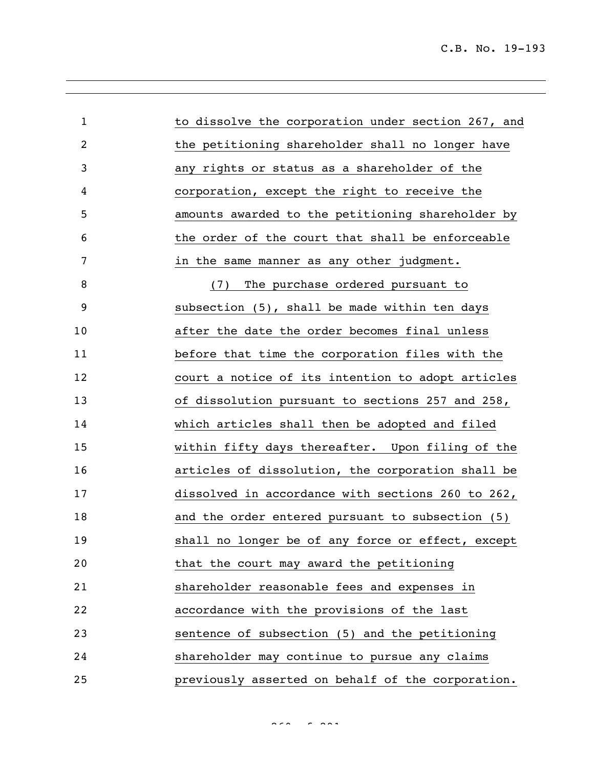| $\mathbf{1}$ | to dissolve the corporation under section 267, and |
|--------------|----------------------------------------------------|
| 2            | the petitioning shareholder shall no longer have   |
| 3            | any rights or status as a shareholder of the       |
| 4            | corporation, except the right to receive the       |
| 5            | amounts awarded to the petitioning shareholder by  |
| 6            | the order of the court that shall be enforceable   |
| 7            | in the same manner as any other judgment.          |
| 8            | The purchase ordered pursuant to<br>(7)            |
| 9            | subsection (5), shall be made within ten days      |
| 10           | after the date the order becomes final unless      |
| 11           | before that time the corporation files with the    |
| 12           | court a notice of its intention to adopt articles  |
| 13           | of dissolution pursuant to sections 257 and 258,   |
| 14           | which articles shall then be adopted and filed     |
| 15           | within fifty days thereafter. Upon filing of the   |
| 16           | articles of dissolution, the corporation shall be  |
| 17           | dissolved in accordance with sections 260 to 262,  |
| 18           | and the order entered pursuant to subsection (5)   |
| 19           | shall no longer be of any force or effect, except  |
| 20           | that the court may award the petitioning           |
| 21           | shareholder reasonable fees and expenses in        |
| 22           | accordance with the provisions of the last         |
| 23           | sentence of subsection (5) and the petitioning     |
| 24           | shareholder may continue to pursue any claims      |
| 25           | previously asserted on behalf of the corporation.  |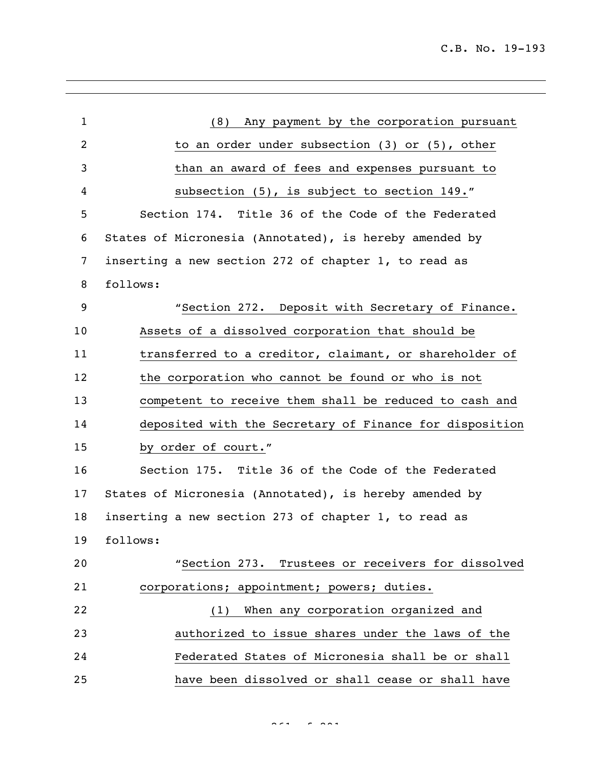| $\mathbf{1}$   | (8) Any payment by the corporation pursuant             |
|----------------|---------------------------------------------------------|
| $\overline{c}$ | to an order under subsection $(3)$ or $(5)$ , other     |
| 3              | than an award of fees and expenses pursuant to          |
| 4              | subsection (5), is subject to section 149."             |
| 5              | Section 174. Title 36 of the Code of the Federated      |
| 6              | States of Micronesia (Annotated), is hereby amended by  |
| $\overline{7}$ | inserting a new section 272 of chapter 1, to read as    |
| 8              | follows:                                                |
| 9              | "Section 272. Deposit with Secretary of Finance.        |
| 10             | Assets of a dissolved corporation that should be        |
| 11             | transferred to a creditor, claimant, or shareholder of  |
| 12             | the corporation who cannot be found or who is not       |
| 13             | competent to receive them shall be reduced to cash and  |
| 14             | deposited with the Secretary of Finance for disposition |
| 15             | by order of court."                                     |
| 16             | Section 175. Title 36 of the Code of the Federated      |
| 17             | States of Micronesia (Annotated), is hereby amended by  |
| 18             | inserting a new section 273 of chapter 1, to read as    |
| 19             | follows:                                                |
| 20             | "Section 273. Trustees or receivers for dissolved       |
| 21             | corporations; appointment; powers; duties.              |
| 22             | (1) When any corporation organized and                  |
| 23             | authorized to issue shares under the laws of the        |
| 24             | Federated States of Micronesia shall be or shall        |
| 25             | have been dissolved or shall cease or shall have        |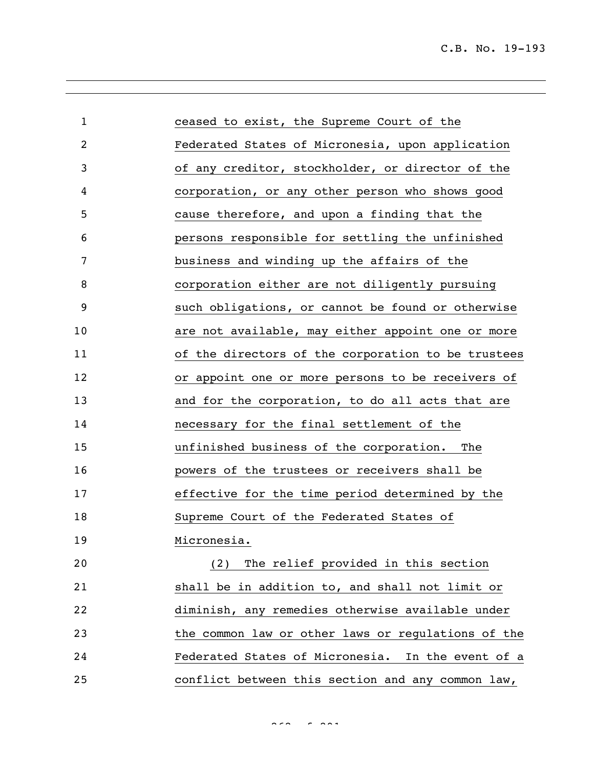| $\mathbf{1}$ | ceased to exist, the Supreme Court of the          |
|--------------|----------------------------------------------------|
| 2            | Federated States of Micronesia, upon application   |
| 3            | of any creditor, stockholder, or director of the   |
| 4            | corporation, or any other person who shows good    |
| 5            | cause therefore, and upon a finding that the       |
| 6            | persons responsible for settling the unfinished    |
| 7            | business and winding up the affairs of the         |
| 8            | corporation either are not diligently pursuing     |
| 9            | such obligations, or cannot be found or otherwise  |
| 10           | are not available, may either appoint one or more  |
| 11           | of the directors of the corporation to be trustees |
| 12           | or appoint one or more persons to be receivers of  |
| 13           | and for the corporation, to do all acts that are   |
| 14           | necessary for the final settlement of the          |
| 15           | unfinished business of the corporation.<br>The     |
| 16           | powers of the trustees or receivers shall be       |
| 17           | effective for the time period determined by the    |
| 18           | Supreme Court of the Federated States of           |
| 19           | Micronesia.                                        |
| 20           | The relief provided in this section<br>(2)         |
| 21           | shall be in addition to, and shall not limit or    |
| 22           | diminish, any remedies otherwise available under   |
| 23           | the common law or other laws or regulations of the |
| 24           | Federated States of Micronesia. In the event of a  |
| 25           | conflict between this section and any common law,  |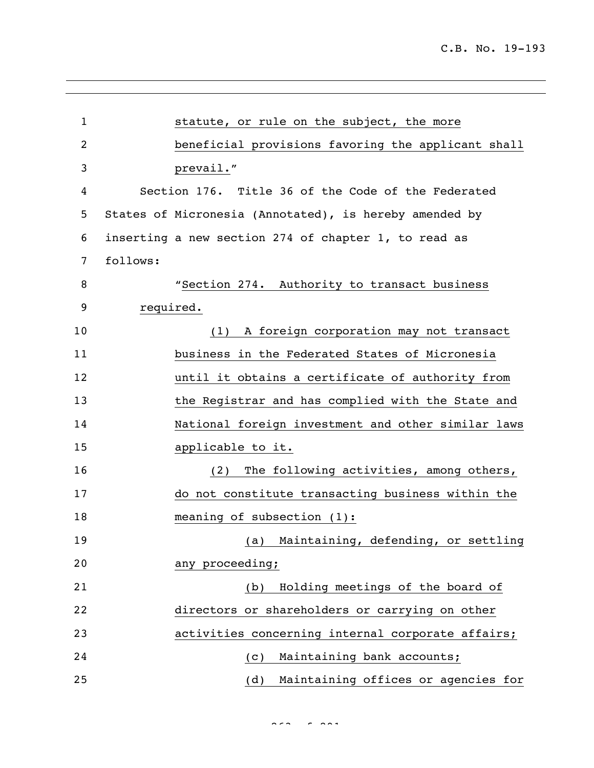| $\mathbf{1}$ | statute, or rule on the subject, the more              |                                                    |
|--------------|--------------------------------------------------------|----------------------------------------------------|
| 2            |                                                        | beneficial provisions favoring the applicant shall |
| 3            | prevail."                                              |                                                    |
| 4            | Section 176. Title 36 of the Code of the Federated     |                                                    |
| 5            | States of Micronesia (Annotated), is hereby amended by |                                                    |
| 6            | inserting a new section 274 of chapter 1, to read as   |                                                    |
| 7            | follows:                                               |                                                    |
| 8            |                                                        | "Section 274. Authority to transact business       |
| 9            | required.                                              |                                                    |
| 10           |                                                        | (1) A foreign corporation may not transact         |
| 11           |                                                        | business in the Federated States of Micronesia     |
| 12           |                                                        | until it obtains a certificate of authority from   |
| 13           |                                                        | the Registrar and has complied with the State and  |
| 14           |                                                        | National foreign investment and other similar laws |
| 15           | applicable to it.                                      |                                                    |
| 16           | (2)                                                    | The following activities, among others,            |
| 17           |                                                        | do not constitute transacting business within the  |
| 18           | meaning of subsection $(1)$ :                          |                                                    |
| 19           |                                                        | (a) Maintaining, defending, or settling            |
| 20           | any proceeding;                                        |                                                    |
| 21           | (b)                                                    | Holding meetings of the board of                   |
| 22           |                                                        | directors or shareholders or carrying on other     |
| 23           |                                                        | activities concerning internal corporate affairs;  |
| 24           | (C)                                                    | Maintaining bank accounts;                         |
| 25           | (d)                                                    | Maintaining offices or agencies for                |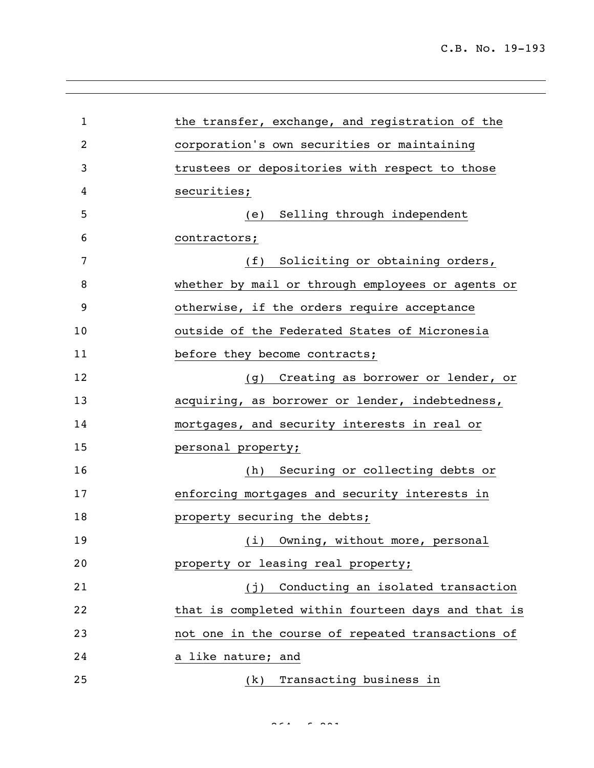| $\mathbf{1}$ | the transfer, exchange, and registration of the    |
|--------------|----------------------------------------------------|
| 2            | corporation's own securities or maintaining        |
| 3            | trustees or depositories with respect to those     |
| 4            | securities;                                        |
| 5            | Selling through independent<br>(e)                 |
| 6            | contractors;                                       |
| 7            | Soliciting or obtaining orders,<br>(f)             |
| 8            | whether by mail or through employees or agents or  |
| 9            | otherwise, if the orders require acceptance        |
| 10           | outside of the Federated States of Micronesia      |
| 11           | before they become contracts;                      |
| 12           | (g) Creating as borrower or lender, or             |
| 13           | acquiring, as borrower or lender, indebtedness,    |
| 14           | mortgages, and security interests in real or       |
| 15           | personal property;                                 |
| 16           | Securing or collecting debts or<br>(h)             |
| 17           | enforcing mortgages and security interests in      |
| 18           | property securing the debts;                       |
| 19           | (i)<br>Owning, without more, personal              |
| 20           | property or leasing real property;                 |
| 21           | Conducting an isolated transaction<br>(i)          |
| 22           | that is completed within fourteen days and that is |
| 23           | not one in the course of repeated transactions of  |
| 24           | a like nature; and                                 |
| 25           | Transacting business in<br>(k)                     |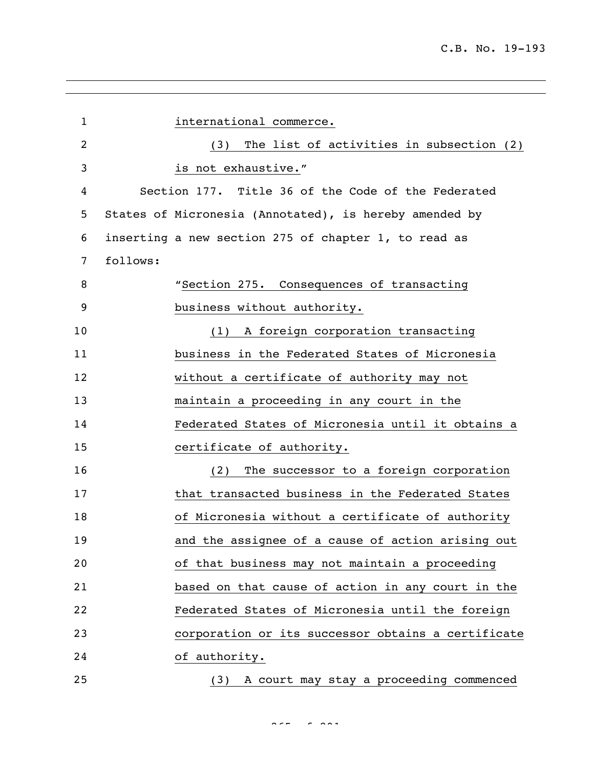| $\mathbf{1}$   |          | international commerce.                                |
|----------------|----------|--------------------------------------------------------|
| 2              |          | The list of activities in subsection (2)<br>(3)        |
| 3              |          | is not exhaustive."                                    |
| 4              |          | Section 177. Title 36 of the Code of the Federated     |
| 5              |          | States of Micronesia (Annotated), is hereby amended by |
| 6              |          | inserting a new section 275 of chapter 1, to read as   |
| $\overline{7}$ | follows: |                                                        |
| 8              |          | "Section 275. Consequences of transacting              |
| 9              |          | business without authority.                            |
| 10             |          | A foreign corporation transacting<br>(1)               |
| 11             |          | business in the Federated States of Micronesia         |
| 12             |          | without a certificate of authority may not             |
| 13             |          | maintain a proceeding in any court in the              |
| 14             |          | Federated States of Micronesia until it obtains a      |
| 15             |          | certificate of authority.                              |
| 16             |          | The successor to a foreign corporation<br>(2)          |
| 17             |          | that transacted business in the Federated States       |
| 18             |          | of Micronesia without a certificate of authority       |
| 19             |          | and the assignee of a cause of action arising out      |
| 20             |          | of that business may not maintain a proceeding         |
| 21             |          | based on that cause of action in any court in the      |
| 22             |          | Federated States of Micronesia until the foreign       |
| 23             |          | corporation or its successor obtains a certificate     |
| 24             |          | of authority.                                          |
| 25             |          | A court may stay a proceeding commenced<br>(3)         |

 $255 - 255$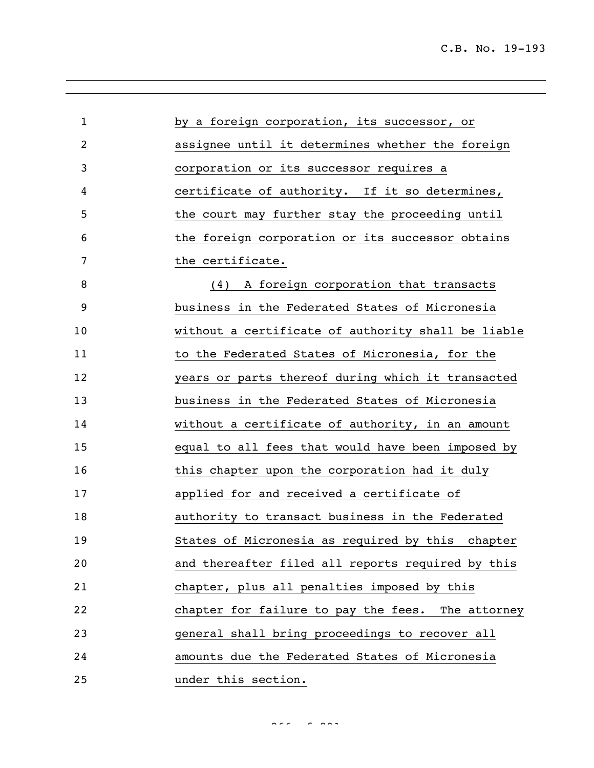| $\mathbf 1$ | by a foreign corporation, its successor, or        |
|-------------|----------------------------------------------------|
| 2           | assignee until it determines whether the foreign   |
| 3           | corporation or its successor requires a            |
| 4           | certificate of authority. If it so determines,     |
| 5           | the court may further stay the proceeding until    |
| 6           | the foreign corporation or its successor obtains   |
| 7           | the certificate.                                   |
| 8           | (4) A foreign corporation that transacts           |
| 9           | business in the Federated States of Micronesia     |
| 10          | without a certificate of authority shall be liable |
| 11          | to the Federated States of Micronesia, for the     |
| 12          | years or parts thereof during which it transacted  |
| 13          | business in the Federated States of Micronesia     |
| 14          | without a certificate of authority, in an amount   |
| 15          | equal to all fees that would have been imposed by  |
| 16          | this chapter upon the corporation had it duly      |
| 17          | applied for and received a certificate of          |
| 18          | authority to transact business in the Federated    |
| 19          | States of Micronesia as required by this chapter   |
| 20          | and thereafter filed all reports required by this  |
| 21          | chapter, plus all penalties imposed by this        |
| 22          | chapter for failure to pay the fees. The attorney  |
| 23          | general shall bring proceedings to recover all     |
| 24          | amounts due the Federated States of Micronesia     |
| 25          | under this section.                                |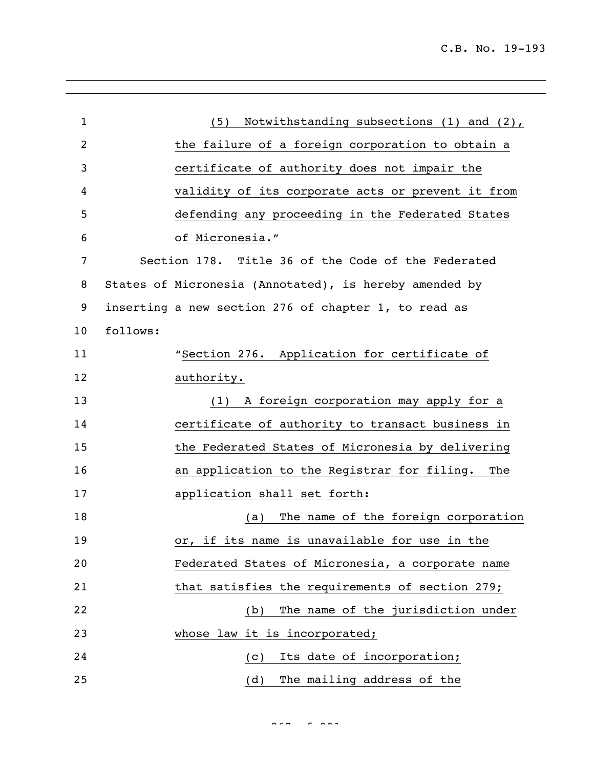| $\mathbf{1}$   | Notwithstanding subsections (1) and (2),<br>(5)        |
|----------------|--------------------------------------------------------|
| $\overline{2}$ | the failure of a foreign corporation to obtain a       |
| 3              | certificate of authority does not impair the           |
| 4              | validity of its corporate acts or prevent it from      |
| 5              | defending any proceeding in the Federated States       |
| 6              | of Micronesia."                                        |
| 7              | Section 178. Title 36 of the Code of the Federated     |
| 8              | States of Micronesia (Annotated), is hereby amended by |
| 9              | inserting a new section 276 of chapter 1, to read as   |
| 10             | follows:                                               |
| 11             | "Section 276. Application for certificate of           |
| 12             | authority.                                             |
| 13             | A foreign corporation may apply for a<br>(1)           |
| 14             | certificate of authority to transact business in       |
| 15             | the Federated States of Micronesia by delivering       |
| 16             | an application to the Registrar for filing.<br>The     |
| 17             | application shall set forth:                           |
| 18             | The name of the foreign corporation<br>(a)             |
| 19             | or, if its name is unavailable for use in the          |
| 20             | Federated States of Micronesia, a corporate name       |
| 21             | that satisfies the requirements of section 279;        |
| 22             | The name of the jurisdiction under<br>(b)              |
| 23             | whose law it is incorporated;                          |
| 24             | Its date of incorporation;<br>(C)                      |
| 25             | The mailing address of the<br>(d)                      |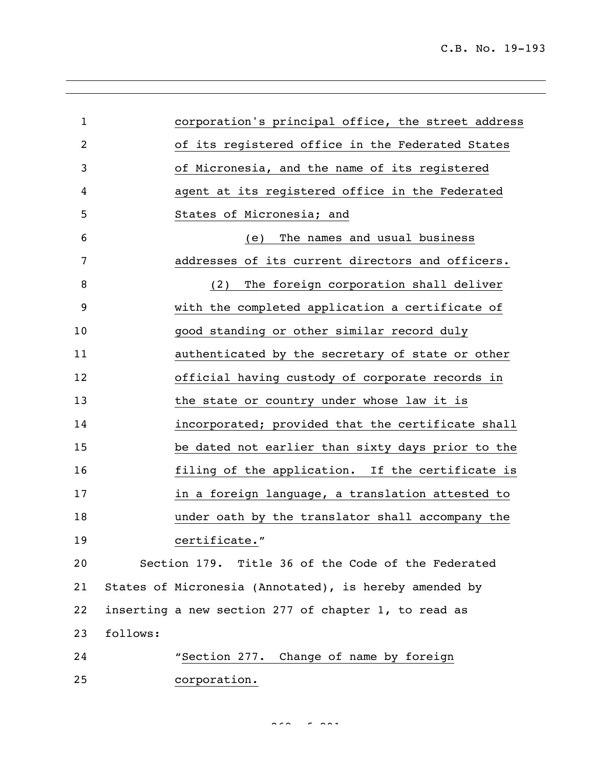| $\mathbf{1}$   |          | corporation's principal office, the street address     |
|----------------|----------|--------------------------------------------------------|
| $\overline{2}$ |          | of its registered office in the Federated States       |
| 3              |          | of Micronesia, and the name of its registered          |
| 4              |          | agent at its registered office in the Federated        |
| 5              |          | States of Micronesia; and                              |
| 6              |          | The names and usual business<br>(e)                    |
| 7              |          | addresses of its current directors and officers.       |
| 8              |          | The foreign corporation shall deliver<br>(2)           |
| 9              |          | with the completed application a certificate of        |
| 10             |          | good standing or other similar record duly             |
| 11             |          | authenticated by the secretary of state or other       |
| 12             |          | official having custody of corporate records in        |
| 13             |          | the state or country under whose law it is             |
| 14             |          | incorporated; provided that the certificate shall      |
| 15             |          | be dated not earlier than sixty days prior to the      |
| 16             |          | filing of the application. If the certificate is       |
| 17             |          | in a foreign language, a translation attested to       |
| 18             |          | under oath by the translator shall accompany the       |
| 19             |          | certificate."                                          |
| 20             |          | Section 179. Title 36 of the Code of the Federated     |
| 21             |          | States of Micronesia (Annotated), is hereby amended by |
| 22             |          | inserting a new section 277 of chapter 1, to read as   |
| 23             | follows: |                                                        |
| 24             |          | "Section 277. Change of name by foreign                |
| 25             |          | corporation.                                           |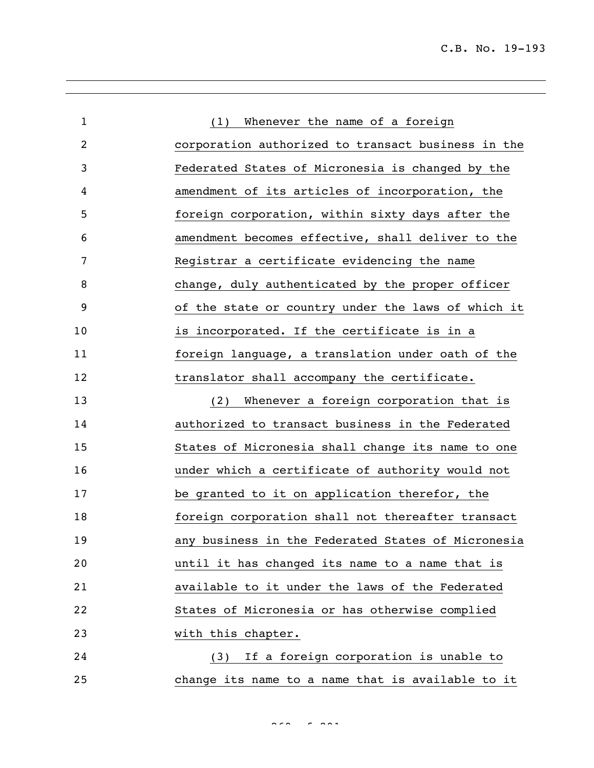| $\mathbf{1}$ | (1) Whenever the name of a foreign                 |
|--------------|----------------------------------------------------|
| 2            | corporation authorized to transact business in the |
| 3            | Federated States of Micronesia is changed by the   |
| 4            | amendment of its articles of incorporation, the    |
| 5            | foreign corporation, within sixty days after the   |
| 6            | amendment becomes effective, shall deliver to the  |
| 7            | Registrar a certificate evidencing the name        |
| 8            | change, duly authenticated by the proper officer   |
| 9            | of the state or country under the laws of which it |
| 10           | is incorporated. If the certificate is in a        |
| 11           | foreign language, a translation under oath of the  |
| 12           | translator shall accompany the certificate.        |
| 13           | Whenever a foreign corporation that is<br>(2)      |
| 14           | authorized to transact business in the Federated   |
| 15           | States of Micronesia shall change its name to one  |
| 16           | under which a certificate of authority would not   |
| 17           | be granted to it on application therefor, the      |
| 18           | foreign corporation shall not thereafter transact  |
| 19           | any business in the Federated States of Micronesia |
| 20           | until it has changed its name to a name that is    |
| 21           | available to it under the laws of the Federated    |
| 22           | States of Micronesia or has otherwise complied     |
| 23           | with this chapter.                                 |
| 24           | If a foreign corporation is unable to<br>(3)       |
| 25           | change its name to a name that is available to it  |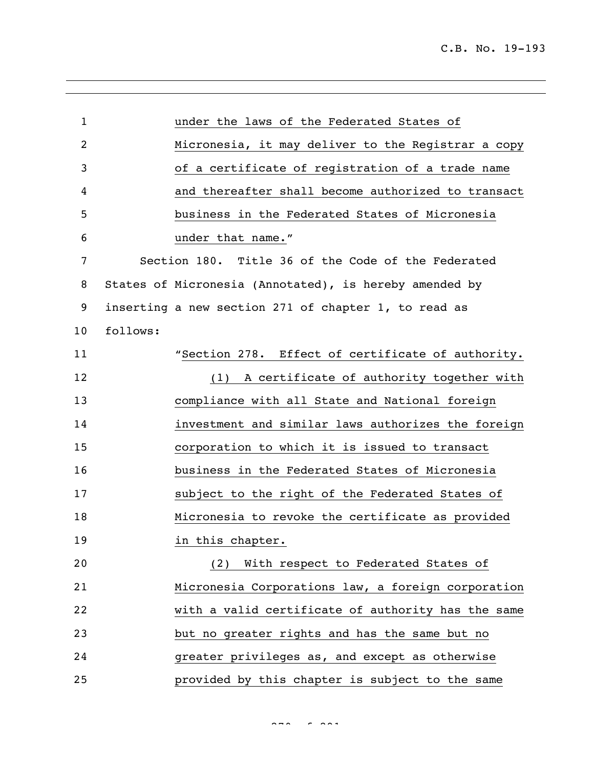| $\mathbf{1}$   |          | under the laws of the Federated States of              |
|----------------|----------|--------------------------------------------------------|
| $\overline{2}$ |          | Micronesia, it may deliver to the Registrar a copy     |
| 3              |          | of a certificate of registration of a trade name       |
| 4              |          | and thereafter shall become authorized to transact     |
| 5              |          | business in the Federated States of Micronesia         |
| 6              |          | under that name."                                      |
| 7              |          | Section 180. Title 36 of the Code of the Federated     |
| 8              |          | States of Micronesia (Annotated), is hereby amended by |
| 9              |          | inserting a new section 271 of chapter 1, to read as   |
| 10             | follows: |                                                        |
| 11             |          | "Section 278. Effect of certificate of authority.      |
| 12             |          | (1) A certificate of authority together with           |
| 13             |          | compliance with all State and National foreign         |
| 14             |          | investment and similar laws authorizes the foreign     |
| 15             |          | corporation to which it is issued to transact          |
| 16             |          | business in the Federated States of Micronesia         |
| 17             |          | subject to the right of the Federated States of        |
| 18             |          | Micronesia to revoke the certificate as provided       |
| 19             |          | in this chapter.                                       |
| 20             |          | (2) With respect to Federated States of                |
| 21             |          | Micronesia Corporations law, a foreign corporation     |
| 22             |          | with a valid certificate of authority has the same     |
| 23             |          | but no greater rights and has the same but no          |
| 24             |          | greater privileges as, and except as otherwise         |
| 25             |          | provided by this chapter is subject to the same        |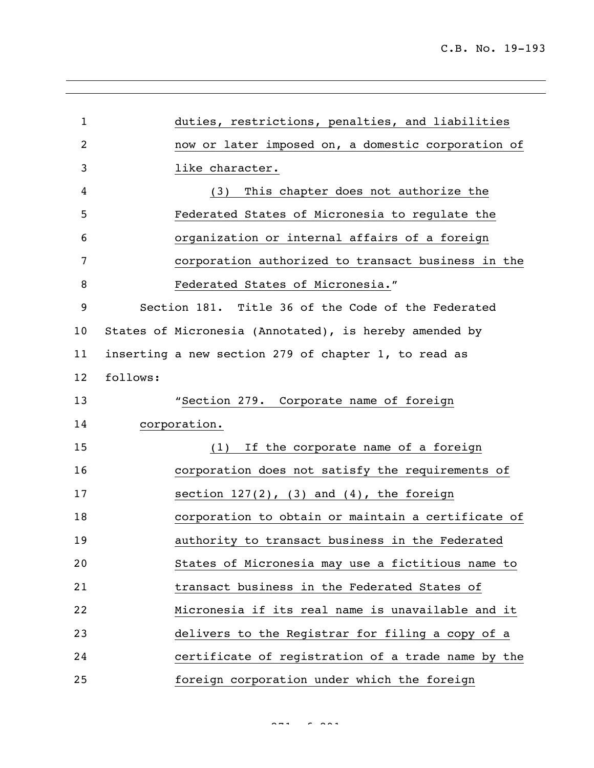| $\mathbf{1}$ |          | duties, restrictions, penalties, and liabilities       |
|--------------|----------|--------------------------------------------------------|
| 2            |          | now or later imposed on, a domestic corporation of     |
| 3            |          | like character.                                        |
| 4            |          | This chapter does not authorize the<br>(3)             |
| 5            |          | Federated States of Micronesia to regulate the         |
| 6            |          | organization or internal affairs of a foreign          |
| 7            |          | corporation authorized to transact business in the     |
| 8            |          | Federated States of Micronesia."                       |
| 9            |          | Section 181. Title 36 of the Code of the Federated     |
| 10           |          | States of Micronesia (Annotated), is hereby amended by |
| 11           |          | inserting a new section 279 of chapter 1, to read as   |
| 12           | follows: |                                                        |
| 13           |          | "Section 279. Corporate name of foreign                |
| 14           |          | corporation.                                           |
| 15           |          | If the corporate name of a foreign<br>(1)              |
| 16           |          | corporation does not satisfy the requirements of       |
| 17           |          | section $127(2)$ , $(3)$ and $(4)$ , the foreign       |
| 18           |          | corporation to obtain or maintain a certificate of     |
| 19           |          | authority to transact business in the Federated        |
| 20           |          | States of Micronesia may use a fictitious name to      |
| 21           |          | transact business in the Federated States of           |
| 22           |          | Micronesia if its real name is unavailable and it      |
| 23           |          | delivers to the Registrar for filing a copy of a       |
| 24           |          | certificate of registration of a trade name by the     |
| 25           |          | foreign corporation under which the foreign            |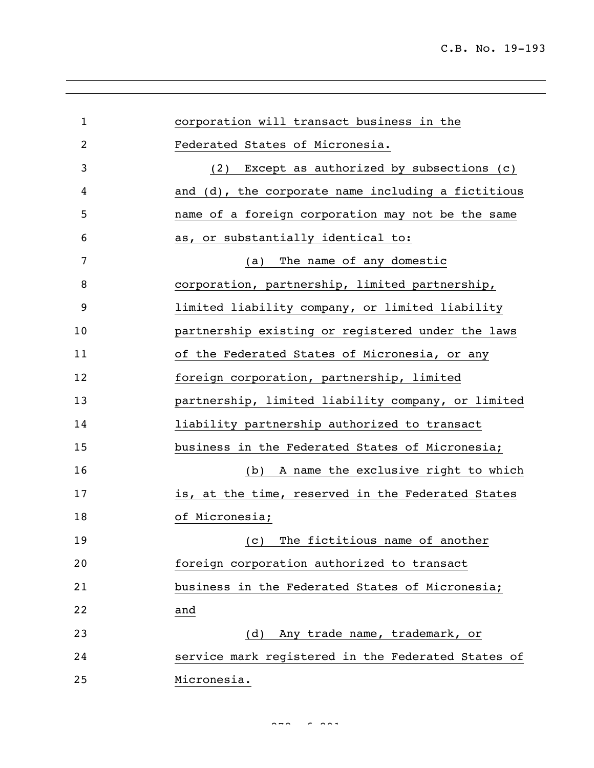| $\mathbf{1}$ | corporation will transact business in the          |
|--------------|----------------------------------------------------|
| 2            | Federated States of Micronesia.                    |
| 3            | (2) Except as authorized by subsections (c)        |
| 4            | and (d), the corporate name including a fictitious |
| 5            | name of a foreign corporation may not be the same  |
| 6            | as, or substantially identical to:                 |
| 7            | The name of any domestic<br>(a)                    |
| 8            | corporation, partnership, limited partnership,     |
| 9            | limited liability company, or limited liability    |
| 10           | partnership existing or registered under the laws  |
| 11           | of the Federated States of Micronesia, or any      |
| 12           | foreign corporation, partnership, limited          |
| 13           | partnership, limited liability company, or limited |
| 14           | liability partnership authorized to transact       |
| 15           | business in the Federated States of Micronesia;    |
| 16           | A name the exclusive right to which<br>(b)         |
| 17           | is, at the time, reserved in the Federated States  |
| 18           | of Micronesia;                                     |
| 19           | The fictitious name of another<br>(C)              |
| 20           | foreign corporation authorized to transact         |
| 21           | business in the Federated States of Micronesia;    |
| 22           | and                                                |
| 23           | (d) Any trade name, trademark, or                  |
| 24           | service mark registered in the Federated States of |
| 25           | Micronesia.                                        |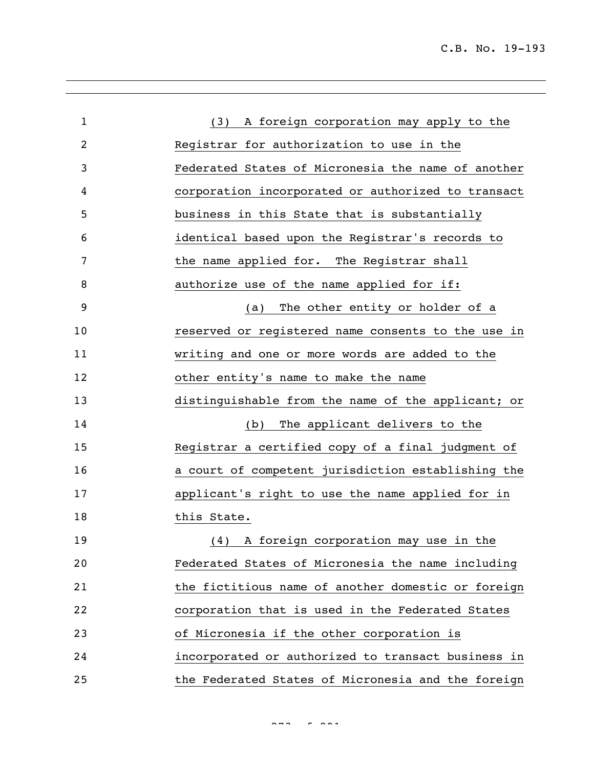C.B. No. 19-193

| $\mathbf{1}$ | A foreign corporation may apply to the<br>(3)      |
|--------------|----------------------------------------------------|
| 2            | Registrar for authorization to use in the          |
| 3            | Federated States of Micronesia the name of another |
| 4            | corporation incorporated or authorized to transact |
| 5            | business in this State that is substantially       |
| 6            | identical based upon the Registrar's records to    |
| 7            | the name applied for. The Registrar shall          |
| 8            | authorize use of the name applied for if:          |
| 9            | The other entity or holder of a<br>(a)             |
| 10           | reserved or registered name consents to the use in |
| 11           | writing and one or more words are added to the     |
| 12           | other entity's name to make the name               |
| 13           | distinguishable from the name of the applicant; or |
| 14           | The applicant delivers to the<br>(b)               |
| 15           | Registrar a certified copy of a final judgment of  |
| 16           | a court of competent jurisdiction establishing the |
| 17           | applicant's right to use the name applied for in   |
| 18           | this State.                                        |
| 19           | (4) A foreign corporation may use in the           |
| 20           | Federated States of Micronesia the name including  |
| 21           | the fictitious name of another domestic or foreign |
| 22           | corporation that is used in the Federated States   |
| 23           | of Micronesia if the other corporation is          |
| 24           | incorporated or authorized to transact business in |
| 25           | the Federated States of Micronesia and the foreign |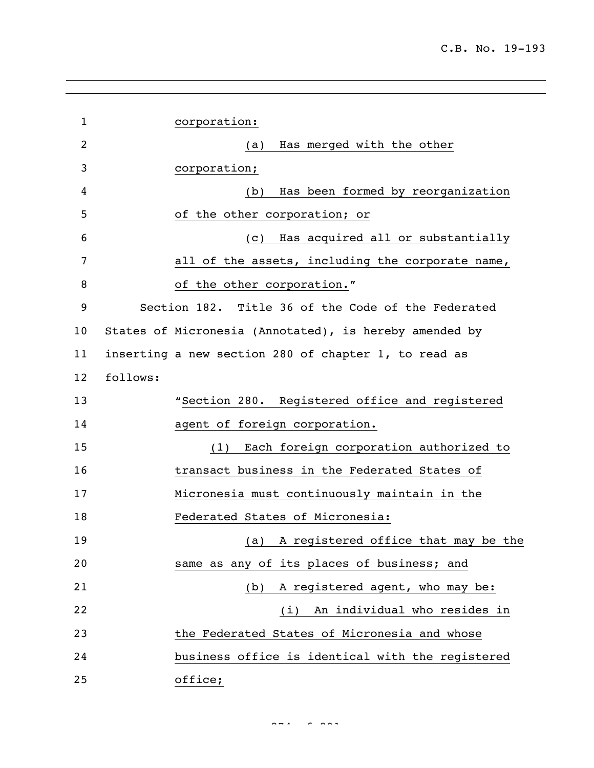| $\mathbf{1}$    |          | corporation:                                           |
|-----------------|----------|--------------------------------------------------------|
| 2               |          | Has merged with the other<br>(a)                       |
| 3               |          | corporation;                                           |
| 4               |          | Has been formed by reorganization<br>(b)               |
| 5               |          | of the other corporation; or                           |
| 6               |          | Has acquired all or substantially<br>(C)               |
| 7               |          | all of the assets, including the corporate name,       |
| 8               |          | of the other corporation."                             |
| 9               |          | Section 182. Title 36 of the Code of the Federated     |
| 10 <sub>o</sub> |          | States of Micronesia (Annotated), is hereby amended by |
| 11              |          | inserting a new section 280 of chapter 1, to read as   |
| 12              | follows: |                                                        |
| 13              |          | "Section 280. Registered office and registered         |
| 14              |          | agent of foreign corporation.                          |
| 15              |          | Each foreign corporation authorized to<br>(1)          |
| 16              |          | transact business in the Federated States of           |
| 17              |          | Micronesia must continuously maintain in the           |
| 18              |          | Federated States of Micronesia:                        |
| 19              |          | A registered office that may be the<br>(a)             |
| 20              |          | same as any of its places of business; and             |
| 21              |          | A registered agent, who may be:<br>(b)                 |
| 22              |          | (i) An individual who resides in                       |
| 23              |          | the Federated States of Micronesia and whose           |
| 24              |          | business office is identical with the registered       |
| 25              |          | office;                                                |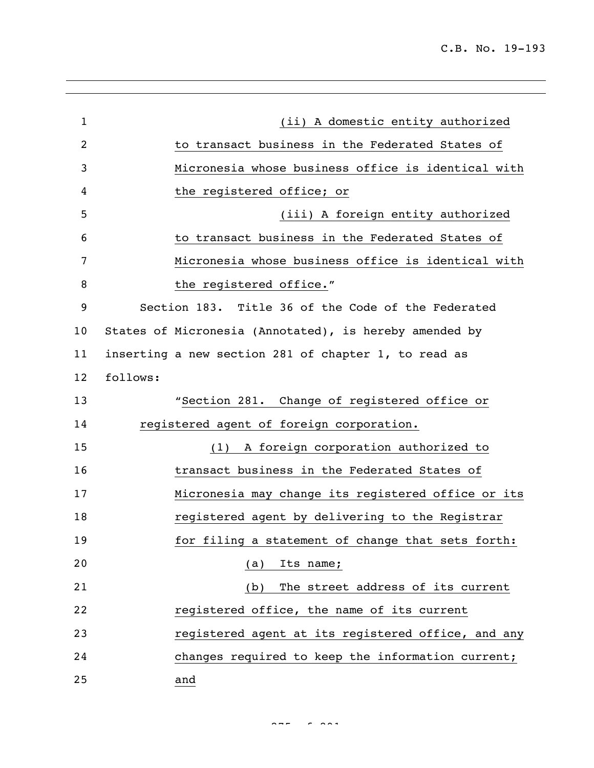| $\mathbf{1}$   | (ii) A domestic entity authorized                      |
|----------------|--------------------------------------------------------|
| $\overline{2}$ | to transact business in the Federated States of        |
| 3              | Micronesia whose business office is identical with     |
| 4              | the registered office; or                              |
| 5              | (iii) A foreign entity authorized                      |
| 6              | to transact business in the Federated States of        |
| 7              | Micronesia whose business office is identical with     |
| 8              | the registered office."                                |
| 9              | Section 183. Title 36 of the Code of the Federated     |
| 10             | States of Micronesia (Annotated), is hereby amended by |
| 11             | inserting a new section 281 of chapter 1, to read as   |
| 12             | follows:                                               |
| 13             | "Section 281. Change of registered office or           |
| 14             | registered agent of foreign corporation.               |
| 15             | A foreign corporation authorized to<br>(1)             |
| 16             | transact business in the Federated States of           |
| 17             | Micronesia may change its registered office or its     |
| 18             | registered agent by delivering to the Registrar        |
| 19             | for filing a statement of change that sets forth:      |
| 20             | Its name;<br>(a)                                       |
| 21             | The street address of its current<br>(b)               |
| 22             | registered office, the name of its current             |
| 23             | registered agent at its registered office, and any     |
| 24             | changes required to keep the information current;      |
| 25             | and                                                    |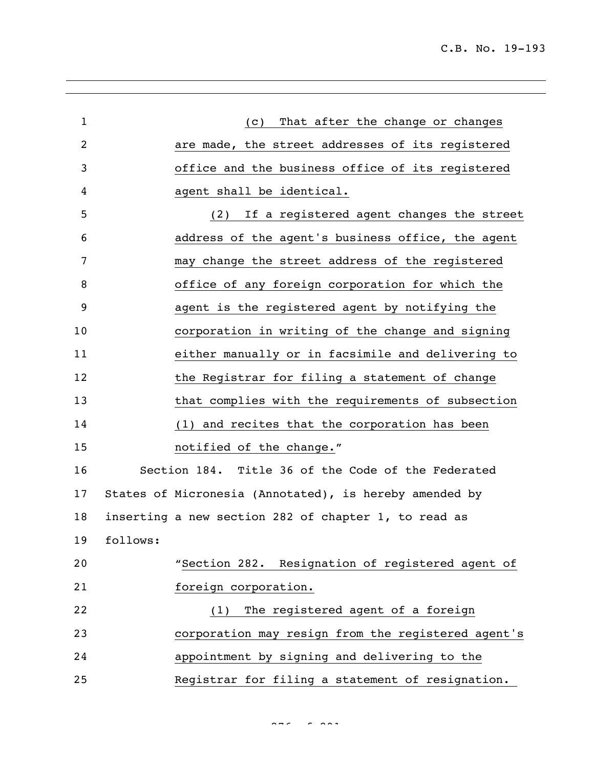C.B. No. 19-193

| $\mathbf{1}$   |          | That after the change or changes<br>(C)                |
|----------------|----------|--------------------------------------------------------|
| $\overline{c}$ |          | are made, the street addresses of its registered       |
| 3              |          | office and the business office of its registered       |
| 4              |          | agent shall be identical.                              |
| 5              |          | (2) If a registered agent changes the street           |
| 6              |          | address of the agent's business office, the agent      |
| 7              |          | may change the street address of the registered        |
| 8              |          | office of any foreign corporation for which the        |
| 9              |          | agent is the registered agent by notifying the         |
| 10             |          | corporation in writing of the change and signing       |
| 11             |          | either manually or in facsimile and delivering to      |
| 12             |          | the Registrar for filing a statement of change         |
| 13             |          | that complies with the requirements of subsection      |
| 14             |          | (1) and recites that the corporation has been          |
| 15             |          | notified of the change."                               |
| 16             |          | Section 184. Title 36 of the Code of the Federated     |
| 17             |          | States of Micronesia (Annotated), is hereby amended by |
| 18             |          | inserting a new section 282 of chapter 1, to read as   |
| 19             | follows: |                                                        |
| 20             |          | "Section 282. Resignation of registered agent of       |
| 21             |          | foreign corporation.                                   |
| 22             |          | The registered agent of a foreign<br>(1)               |
| 23             |          | corporation may resign from the registered agent's     |
| 24             |          | appointment by signing and delivering to the           |
| 25             |          | Registrar for filing a statement of resignation.       |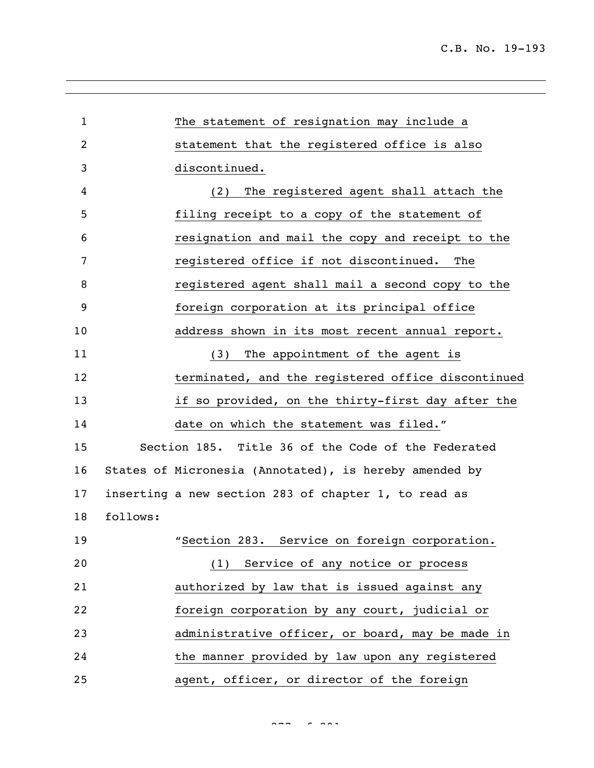| $\mathbf{1}$ | The statement of resignation may include a             |
|--------------|--------------------------------------------------------|
| 2            | statement that the registered office is also           |
| 3            | discontinued.                                          |
| 4            | The registered agent shall attach the<br>(2)           |
| 5            | filing receipt to a copy of the statement of           |
| 6            | resignation and mail the copy and receipt to the       |
| 7            | registered office if not discontinued.<br>The          |
| 8            | registered agent shall mail a second copy to the       |
| 9            | foreign corporation at its principal office            |
| 10           | address shown in its most recent annual report.        |
| 11           | The appointment of the agent is<br>(3)                 |
| 12           | terminated, and the registered office discontinued     |
| 13           | if so provided, on the thirty-first day after the      |
| 14           | date on which the statement was filed."                |
| 15           | Section 185. Title 36 of the Code of the Federated     |
| 16           | States of Micronesia (Annotated), is hereby amended by |
| 17           | inserting a new section 283 of chapter 1, to read as   |
| 18           | follows:                                               |
| 19           | "Section 283. Service on foreign corporation.          |
| 20           | (1) Service of any notice or process                   |
| 21           | authorized by law that is issued against any           |
| 22           | foreign corporation by any court, judicial or          |
| 23           | administrative officer, or board, may be made in       |
| 24           | the manner provided by law upon any registered         |
| 25           | agent, officer, or director of the foreign             |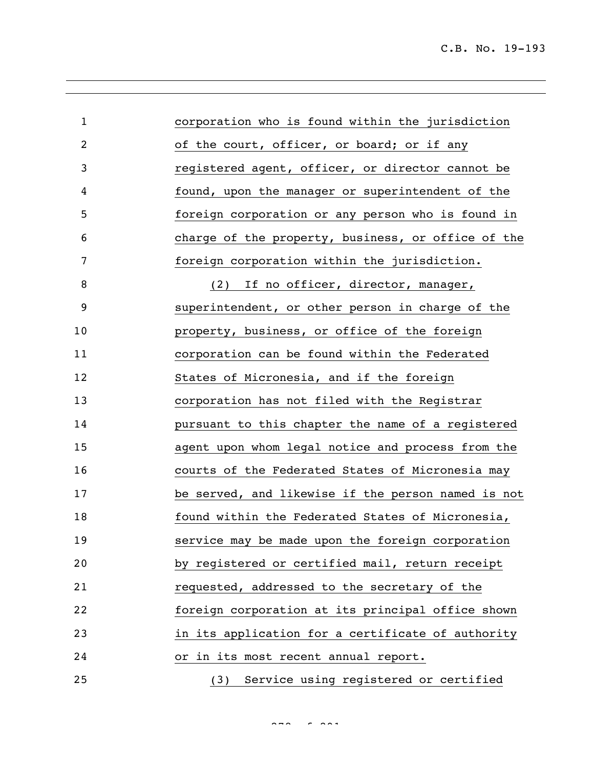| $\mathbf{1}$   | corporation who is found within the jurisdiction   |
|----------------|----------------------------------------------------|
| $\overline{c}$ | of the court, officer, or board; or if any         |
| 3              | registered agent, officer, or director cannot be   |
| 4              | found, upon the manager or superintendent of the   |
| 5              | foreign corporation or any person who is found in  |
| 6              | charge of the property, business, or office of the |
| 7              | foreign corporation within the jurisdiction.       |
| 8              | (2) If no officer, director, manager,              |
| 9              | superintendent, or other person in charge of the   |
| 10             | property, business, or office of the foreign       |
| 11             | corporation can be found within the Federated      |
| 12             | States of Micronesia, and if the foreign           |
| 13             | corporation has not filed with the Registrar       |
| 14             | pursuant to this chapter the name of a registered  |
| 15             | agent upon whom legal notice and process from the  |
| 16             | courts of the Federated States of Micronesia may   |
| 17             | be served, and likewise if the person named is not |
| 18             | found within the Federated States of Micronesia,   |
| 19             | service may be made upon the foreign corporation   |
| 20             | by registered or certified mail, return receipt    |
| 21             | requested, addressed to the secretary of the       |
| 22             | foreign corporation at its principal office shown  |
| 23             | in its application for a certificate of authority  |
| 24             | or in its most recent annual report.               |
| 25             | (3) Service using registered or certified          |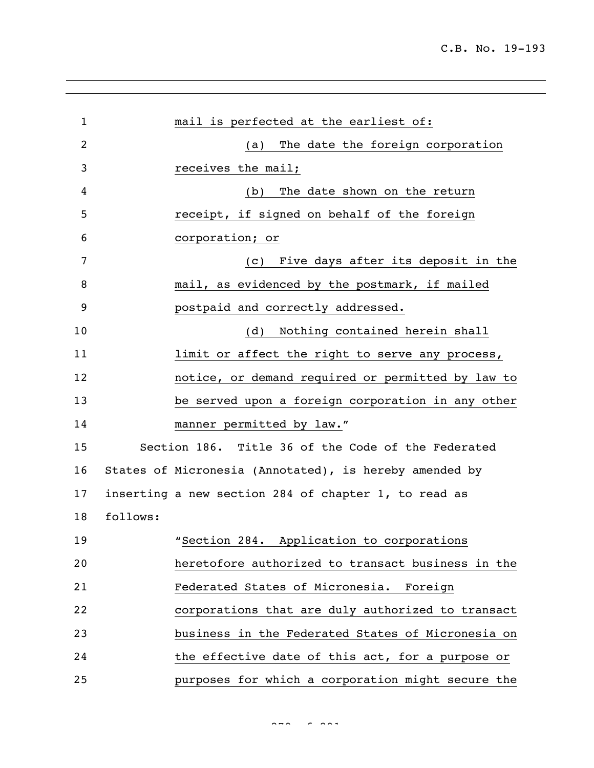| $\mathbf 1$ | mail is perfected at the earliest of:                  |
|-------------|--------------------------------------------------------|
| 2           | The date the foreign corporation<br>(a)                |
| 3           | receives the mail;                                     |
| 4           | The date shown on the return<br>(b)                    |
| 5           | receipt, if signed on behalf of the foreign            |
| 6           | corporation; or                                        |
| 7           | Five days after its deposit in the<br>(C)              |
| 8           | mail, as evidenced by the postmark, if mailed          |
| 9           | postpaid and correctly addressed.                      |
| 10          | Nothing contained herein shall<br>(d)                  |
| 11          | limit or affect the right to serve any process,        |
| 12          | notice, or demand required or permitted by law to      |
| 13          | be served upon a foreign corporation in any other      |
| 14          | manner permitted by law."                              |
| 15          | Section 186. Title 36 of the Code of the Federated     |
| 16          | States of Micronesia (Annotated), is hereby amended by |
| 17          | inserting a new section 284 of chapter 1, to read as   |
| 18          | follows:                                               |
| 19          | "Section 284. Application to corporations              |
| 20          | heretofore authorized to transact business in the      |
| 21          | Federated States of Micronesia. Foreign                |
| 22          | corporations that are duly authorized to transact      |
| 23          | business in the Federated States of Micronesia on      |
| 24          | the effective date of this act, for a purpose or       |
| 25          | purposes for which a corporation might secure the      |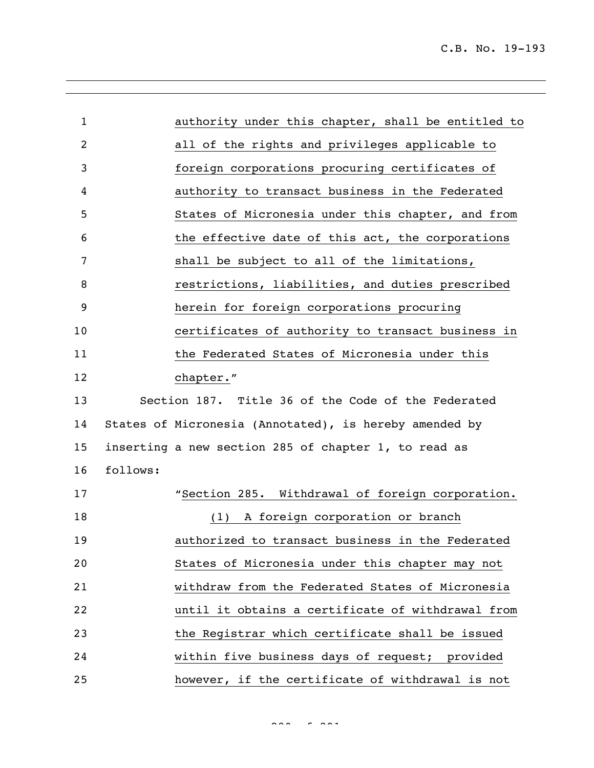| $\mathbf{1}$ |          | authority under this chapter, shall be entitled to     |
|--------------|----------|--------------------------------------------------------|
| 2            |          | all of the rights and privileges applicable to         |
| 3            |          | foreign corporations procuring certificates of         |
| 4            |          | authority to transact business in the Federated        |
| 5            |          | States of Micronesia under this chapter, and from      |
| 6            |          | the effective date of this act, the corporations       |
| 7            |          | shall be subject to all of the limitations,            |
| 8            |          | restrictions, liabilities, and duties prescribed       |
| 9            |          | herein for foreign corporations procuring              |
| 10           |          | certificates of authority to transact business in      |
| 11           |          | the Federated States of Micronesia under this          |
| 12           |          | chapter."                                              |
| 13           |          | Section 187. Title 36 of the Code of the Federated     |
| 14           |          | States of Micronesia (Annotated), is hereby amended by |
| 15           |          | inserting a new section 285 of chapter 1, to read as   |
| 16           | follows: |                                                        |
| 17           |          | "Section 285. Withdrawal of foreign corporation.       |
| 18           |          | A foreign corporation or branch<br>(1)                 |
| 19           |          | authorized to transact business in the Federated       |
| 20           |          | States of Micronesia under this chapter may not        |
| 21           |          | withdraw from the Federated States of Micronesia       |
| 22           |          | until it obtains a certificate of withdrawal from      |
| 23           |          | the Registrar which certificate shall be issued        |
| 24           |          | within five business days of request; provided         |
| 25           |          | however, if the certificate of withdrawal is not       |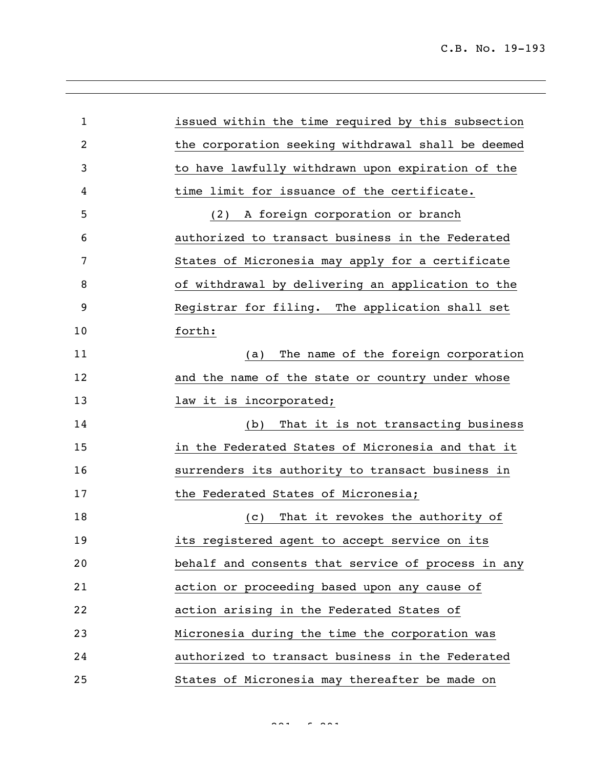| $\mathbf{1}$   | issued within the time required by this subsection |
|----------------|----------------------------------------------------|
| $\overline{c}$ | the corporation seeking withdrawal shall be deemed |
| 3              | to have lawfully withdrawn upon expiration of the  |
| 4              | time limit for issuance of the certificate.        |
| 5              | A foreign corporation or branch<br>(2)             |
| 6              | authorized to transact business in the Federated   |
| 7              | States of Micronesia may apply for a certificate   |
| 8              | of withdrawal by delivering an application to the  |
| 9              | Registrar for filing. The application shall set    |
| 10             | forth:                                             |
| 11             | The name of the foreign corporation<br>(a)         |
| 12             | and the name of the state or country under whose   |
| 13             | law it is incorporated;                            |
| 14             | That it is not transacting business<br>(b)         |
| 15             | in the Federated States of Micronesia and that it  |
| 16             | surrenders its authority to transact business in   |
| 17             | the Federated States of Micronesia;                |
| 18             | That it revokes the authority of<br>(C)            |
| 19             | its registered agent to accept service on its      |
| 20             | behalf and consents that service of process in any |
| 21             | action or proceeding based upon any cause of       |
| 22             | action arising in the Federated States of          |
| 23             | Micronesia during the time the corporation was     |
| 24             | authorized to transact business in the Federated   |
| 25             | States of Micronesia may thereafter be made on     |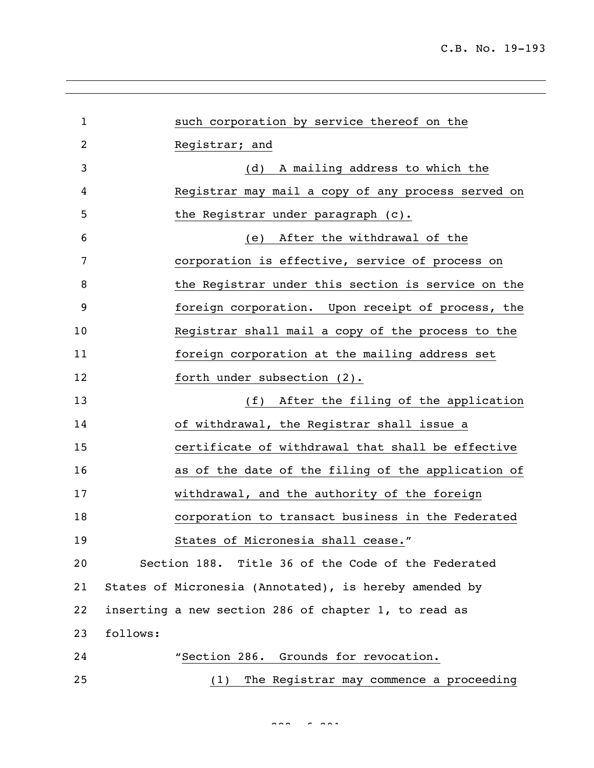| $\mathbf 1$ |          | such corporation by service thereof on the             |
|-------------|----------|--------------------------------------------------------|
| 2           |          | Registrar; and                                         |
| 3           |          | (d) A mailing address to which the                     |
| 4           |          | Registrar may mail a copy of any process served on     |
| 5           |          | the Registrar under paragraph (c).                     |
| 6           |          | (e) After the withdrawal of the                        |
| 7           |          | corporation is effective, service of process on        |
| 8           |          | the Registrar under this section is service on the     |
| 9           |          | foreign corporation. Upon receipt of process, the      |
| 10          |          | Registrar shall mail a copy of the process to the      |
| 11          |          | foreign corporation at the mailing address set         |
| 12          |          | forth under subsection (2).                            |
| 13          |          | (f) After the filing of the application                |
| 14          |          | of withdrawal, the Registrar shall issue a             |
| 15          |          | certificate of withdrawal that shall be effective      |
| 16          |          | as of the date of the filing of the application of     |
| 17          |          | withdrawal, and the authority of the foreign           |
| 18          |          | corporation to transact business in the Federated      |
| 19          |          | States of Micronesia shall cease."                     |
| 20          |          | Section 188. Title 36 of the Code of the Federated     |
| 21          |          | States of Micronesia (Annotated), is hereby amended by |
| 22          |          | inserting a new section 286 of chapter 1, to read as   |
| 23          | follows: |                                                        |
| 24          |          | "Section 286. Grounds for revocation.                  |
| 25          |          | The Registrar may commence a proceeding<br>(1)         |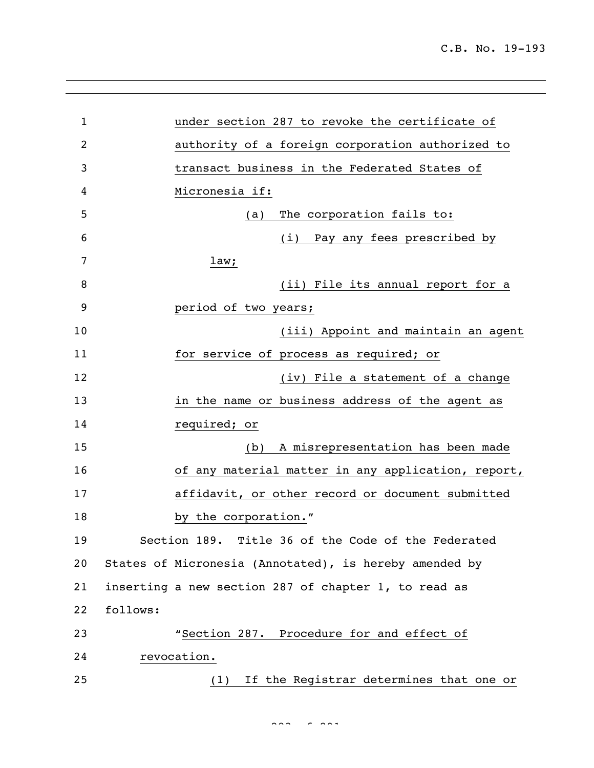| $\mathbf{1}$ | under section 287 to revoke the certificate of         |
|--------------|--------------------------------------------------------|
| 2            | authority of a foreign corporation authorized to       |
| 3            | transact business in the Federated States of           |
| 4            | Micronesia if:                                         |
| 5            | The corporation fails to:<br>(a)                       |
| 6            | (i) Pay any fees prescribed by                         |
| 7            | law;                                                   |
| 8            | (ii) File its annual report for a                      |
| 9            | period of two years;                                   |
| 10           | (iii) Appoint and maintain an agent                    |
| 11           | for service of process as required; or                 |
| 12           | (iv) File a statement of a change                      |
| 13           | in the name or business address of the agent as        |
| 14           | required; or                                           |
| 15           | A misrepresentation has been made<br>(b)               |
| 16           | of any material matter in any application, report,     |
| 17           | affidavit, or other record or document submitted       |
| 18           | by the corporation."                                   |
| 19           | Section 189. Title 36 of the Code of the Federated     |
| 20           | States of Micronesia (Annotated), is hereby amended by |
| 21           | inserting a new section 287 of chapter 1, to read as   |
| 22           | follows:                                               |
| 23           | "Section 287. Procedure for and effect of              |
| 24           | revocation.                                            |
| 25           | If the Registrar determines that one or<br>(1)         |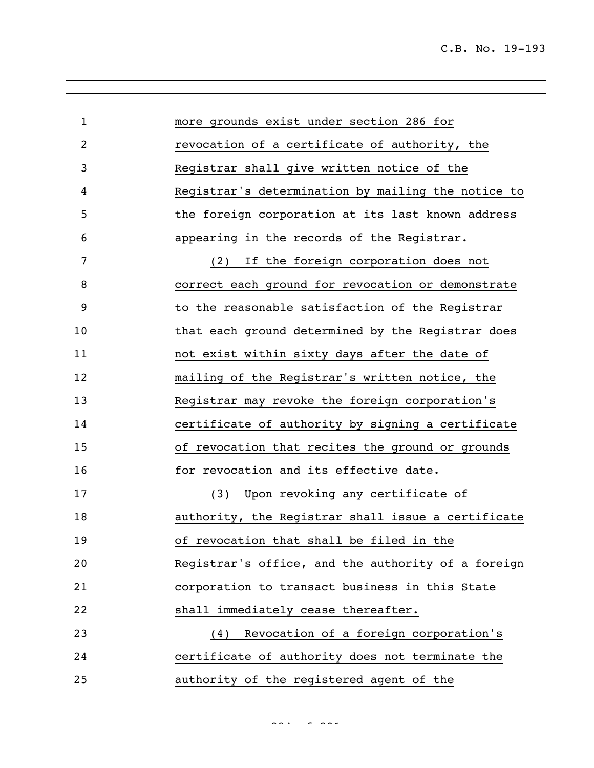| $\mathbf{1}$ | more grounds exist under section 286 for           |
|--------------|----------------------------------------------------|
| 2            | revocation of a certificate of authority, the      |
| 3            | Registrar shall give written notice of the         |
| 4            | Registrar's determination by mailing the notice to |
| 5            | the foreign corporation at its last known address  |
| 6            | appearing in the records of the Registrar.         |
| 7            | If the foreign corporation does not<br>(2)         |
| 8            | correct each ground for revocation or demonstrate  |
| 9            | to the reasonable satisfaction of the Registrar    |
| 10           | that each ground determined by the Registrar does  |
| 11           | not exist within sixty days after the date of      |
| 12           | mailing of the Registrar's written notice, the     |
| 13           | Registrar may revoke the foreign corporation's     |
| 14           | certificate of authority by signing a certificate  |
| 15           | of revocation that recites the ground or grounds   |
| 16           | for revocation and its effective date.             |
| 17           | Upon revoking any certificate of<br>(3)            |
| 18           | authority, the Registrar shall issue a certificate |
| 19           | of revocation that shall be filed in the           |
| 20           | Registrar's office, and the authority of a foreign |
| 21           | corporation to transact business in this State     |
| 22           | shall immediately cease thereafter.                |
| 23           | Revocation of a foreign corporation's<br>(4)       |
| 24           | certificate of authority does not terminate the    |
| 25           | authority of the registered agent of the           |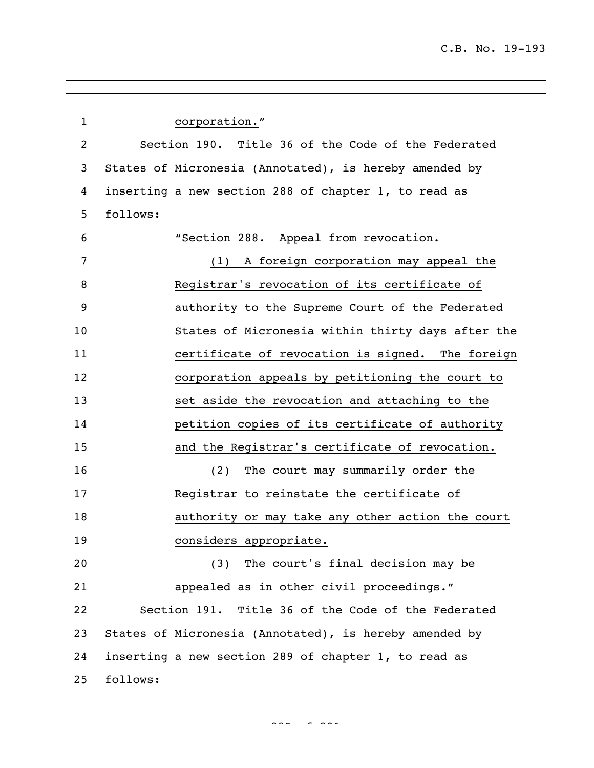| $\mathbf{1}$   | corporation."                                          |
|----------------|--------------------------------------------------------|
| $\overline{c}$ | Section 190. Title 36 of the Code of the Federated     |
| 3              | States of Micronesia (Annotated), is hereby amended by |
| 4              | inserting a new section 288 of chapter 1, to read as   |
| 5              | follows:                                               |
| 6              | "Section 288. Appeal from revocation.                  |
| 7              | A foreign corporation may appeal the<br>(1)            |
| 8              | Registrar's revocation of its certificate of           |
| 9              | authority to the Supreme Court of the Federated        |
| 10             | States of Micronesia within thirty days after the      |
| 11             | certificate of revocation is signed. The foreign       |
| 12             | corporation appeals by petitioning the court to        |
| 13             | set aside the revocation and attaching to the          |
| 14             | petition copies of its certificate of authority        |
| 15             | and the Registrar's certificate of revocation.         |
| 16             | The court may summarily order the<br>(2)               |
| 17             | Registrar to reinstate the certificate of              |
| 18             | authority or may take any other action the court       |
| 19             | considers appropriate.                                 |
| 20             | (3) The court's final decision may be                  |
| 21             | appealed as in other civil proceedings."               |
| 22             | Section 191. Title 36 of the Code of the Federated     |
| 23             | States of Micronesia (Annotated), is hereby amended by |
| 24             | inserting a new section 289 of chapter 1, to read as   |
| 25             | follows:                                               |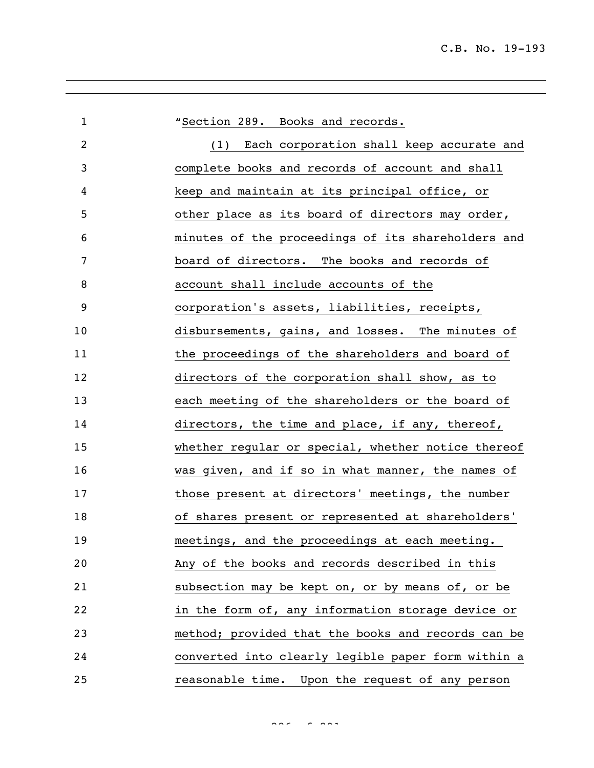| $\mathbf{1}$   | "Section 289. Books and records.                   |
|----------------|----------------------------------------------------|
| $\overline{2}$ | (1) Each corporation shall keep accurate and       |
| 3              | complete books and records of account and shall    |
| 4              | keep and maintain at its principal office, or      |
| 5              | other place as its board of directors may order,   |
| 6              | minutes of the proceedings of its shareholders and |
| 7              | board of directors. The books and records of       |
| 8              | account shall include accounts of the              |
| 9              | corporation's assets, liabilities, receipts,       |
| 10             | disbursements, gains, and losses. The minutes of   |
| 11             | the proceedings of the shareholders and board of   |
| 12             | directors of the corporation shall show, as to     |
| 13             | each meeting of the shareholders or the board of   |
| 14             | directors, the time and place, if any, thereof,    |
| 15             | whether regular or special, whether notice thereof |
| 16             | was given, and if so in what manner, the names of  |
| 17             | those present at directors' meetings, the number   |
| 18             | of shares present or represented at shareholders'  |
| 19             | meetings, and the proceedings at each meeting.     |
| 20             | Any of the books and records described in this     |
| 21             | subsection may be kept on, or by means of, or be   |
| 22             | in the form of, any information storage device or  |
| 23             | method; provided that the books and records can be |
| 24             | converted into clearly legible paper form within a |
| 25             | reasonable time. Upon the request of any person    |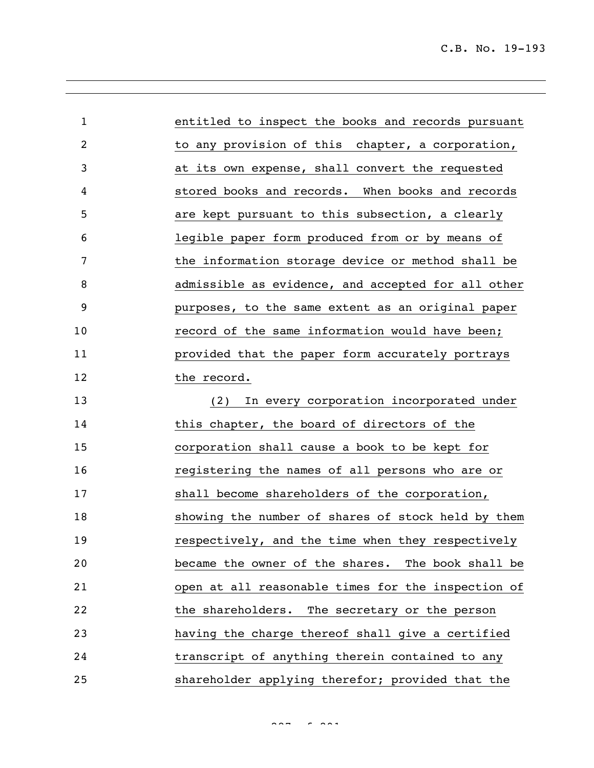| $\mathbf{1}$ | entitled to inspect the books and records pursuant |
|--------------|----------------------------------------------------|
| 2            | to any provision of this chapter, a corporation,   |
| 3            | at its own expense, shall convert the requested    |
| 4            | stored books and records. When books and records   |
| 5            | are kept pursuant to this subsection, a clearly    |
| 6            | legible paper form produced from or by means of    |
| 7            | the information storage device or method shall be  |
| 8            | admissible as evidence, and accepted for all other |
| 9            | purposes, to the same extent as an original paper  |
| 10           | record of the same information would have been;    |
| 11           | provided that the paper form accurately portrays   |
| 12           | the record.                                        |
| 13           | In every corporation incorporated under<br>(2)     |
| 14           | this chapter, the board of directors of the        |
| 15           | corporation shall cause a book to be kept for      |
| 16           | registering the names of all persons who are or    |
| 17           | shall become shareholders of the corporation,      |
| 18           | showing the number of shares of stock held by them |
| 19           | respectively, and the time when they respectively  |
| 20           | became the owner of the shares. The book shall be  |
| 21           | open at all reasonable times for the inspection of |
| 22           | the shareholders. The secretary or the person      |
| 23           | having the charge thereof shall give a certified   |
| 24           | transcript of anything therein contained to any    |
| 25           | shareholder applying therefor; provided that the   |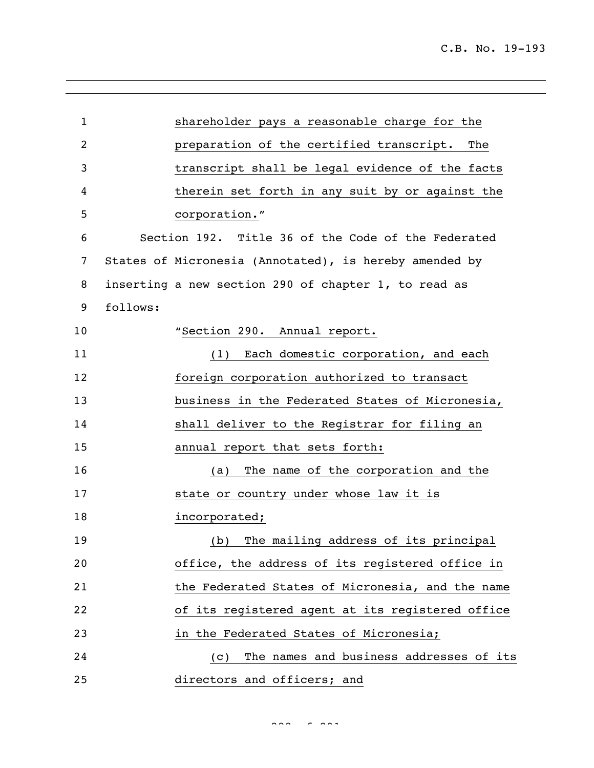| 1  | shareholder pays a reasonable charge for the           |
|----|--------------------------------------------------------|
| 2  | preparation of the certified transcript.<br>The        |
| 3  | transcript shall be legal evidence of the facts        |
| 4  | therein set forth in any suit by or against the        |
| 5  | corporation."                                          |
| 6  | Section 192. Title 36 of the Code of the Federated     |
| 7  | States of Micronesia (Annotated), is hereby amended by |
| 8  | inserting a new section 290 of chapter 1, to read as   |
| 9  | follows:                                               |
| 10 | "Section 290. Annual report.                           |
| 11 | (1) Each domestic corporation, and each                |
| 12 | foreign corporation authorized to transact             |
| 13 | business in the Federated States of Micronesia,        |
| 14 | shall deliver to the Registrar for filing an           |
| 15 | annual report that sets forth:                         |
| 16 | The name of the corporation and the<br>(a)             |
| 17 | state or country under whose law it is                 |
| 18 | incorporated;                                          |
| 19 | (b) The mailing address of its principal               |
| 20 | office, the address of its registered office in        |
| 21 | the Federated States of Micronesia, and the name       |
| 22 | of its registered agent at its registered office       |
| 23 | in the Federated States of Micronesia;                 |
| 24 | The names and business addresses of its<br>(C)         |
| 25 | directors and officers; and                            |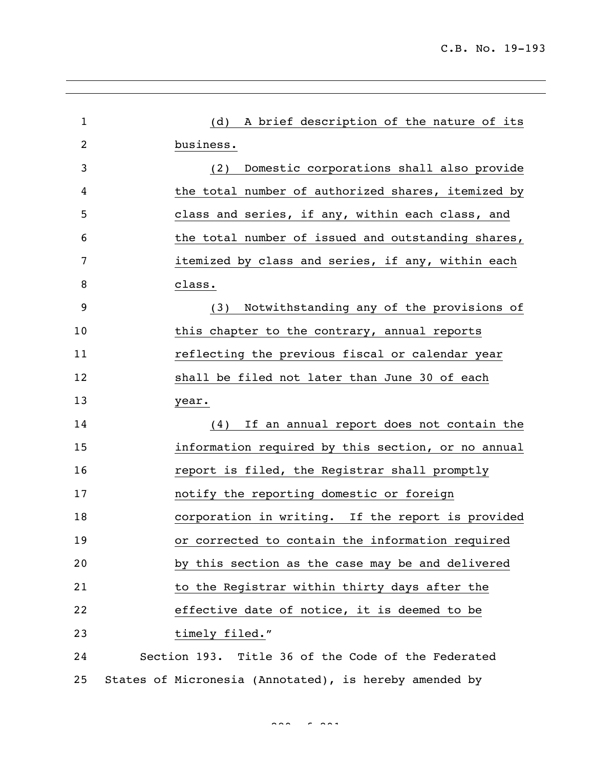| $\mathbf{1}$ | (d) A brief description of the nature of its           |
|--------------|--------------------------------------------------------|
| 2            | business.                                              |
| 3            | Domestic corporations shall also provide<br>(2)        |
| 4            | the total number of authorized shares, itemized by     |
| 5            | class and series, if any, within each class, and       |
| 6            | the total number of issued and outstanding shares,     |
| 7            | itemized by class and series, if any, within each      |
| 8            | class.                                                 |
| 9            | Notwithstanding any of the provisions of<br>(3)        |
| 10           | this chapter to the contrary, annual reports           |
| 11           | reflecting the previous fiscal or calendar year        |
| 12           | shall be filed not later than June 30 of each          |
| 13           | year.                                                  |
| 14           | (4) If an annual report does not contain the           |
| 15           | information required by this section, or no annual     |
| 16           | report is filed, the Registrar shall promptly          |
| 17           | notify the reporting domestic or foreign               |
| 18           | corporation in writing. If the report is provided      |
| 19           | or corrected to contain the information required       |
| 20           | by this section as the case may be and delivered       |
| 21           | to the Registrar within thirty days after the          |
| 22           | effective date of notice, it is deemed to be           |
| 23           | timely filed."                                         |
| 24           | Section 193. Title 36 of the Code of the Federated     |
| 25           | States of Micronesia (Annotated), is hereby amended by |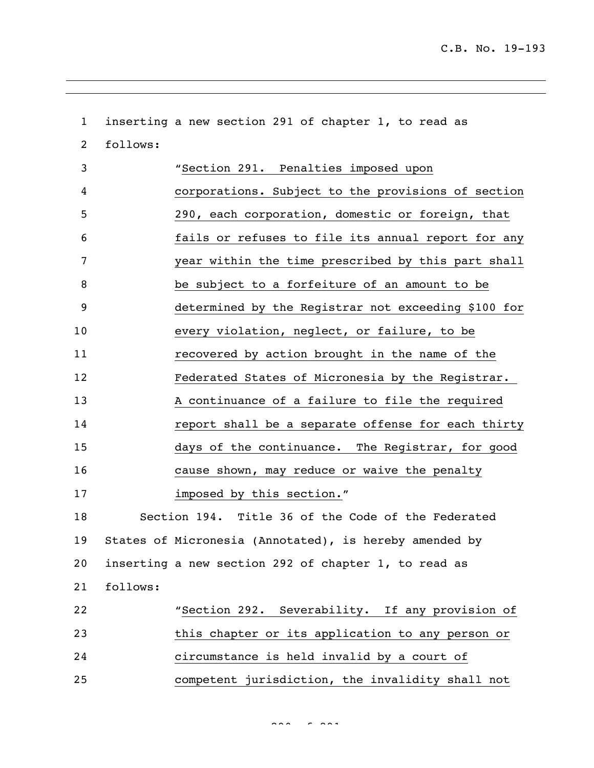inserting a new section 291 of chapter 1, to read as follows: "Section 291. Penalties imposed upon corporations**.** Subject to the provisions of section 290, each corporation, domestic or foreign, that fails or refuses to file its annual report for any year within the time prescribed by this part shall be subject to a forfeiture of an amount to be determined by the Registrar not exceeding \$100 for every violation, neglect, or failure, to be recovered by action brought in the name of the Federated States of Micronesia by the Registrar. A continuance of a failure to file the required report shall be a separate offense for each thirty days of the continuance. The Registrar, for good cause shown, may reduce or waive the penalty imposed by this section." Section 194. Title 36 of the Code of the Federated States of Micronesia (Annotated), is hereby amended by inserting a new section 292 of chapter 1, to read as follows: "Section 292. Severability. If any provision of this chapter or its application to any person or circumstance is held invalid by a court of competent jurisdiction, the invalidity shall not